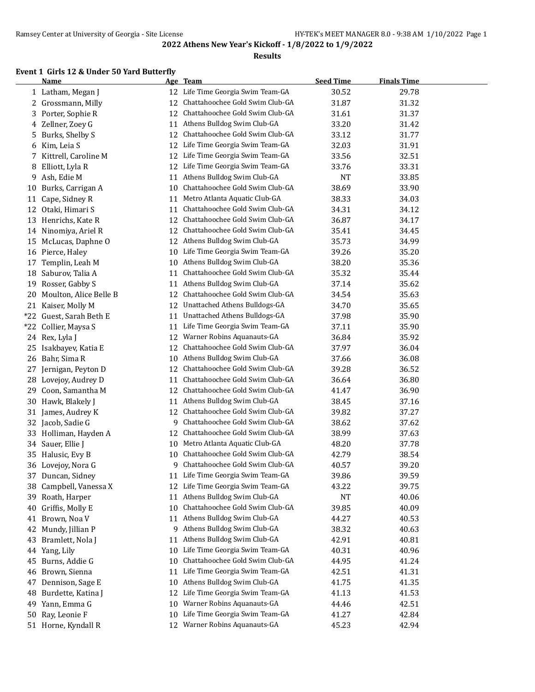#### **Results**

## **Event 1 Girls 12 & Under 50 Yard Butterfly**

|       | <b>Name</b>             |    | Age Team                          | <b>Seed Time</b> | <b>Finals Time</b> |
|-------|-------------------------|----|-----------------------------------|------------------|--------------------|
|       | 1 Latham, Megan J       |    | 12 Life Time Georgia Swim Team-GA | 30.52            | 29.78              |
|       | 2 Grossmann, Milly      | 12 | Chattahoochee Gold Swim Club-GA   | 31.87            | 31.32              |
| 3     | Porter, Sophie R        | 12 | Chattahoochee Gold Swim Club-GA   | 31.61            | 31.37              |
| 4     | Zellner, Zoey G         | 11 | Athens Bulldog Swim Club-GA       | 33.20            | 31.42              |
| 5     | Burks, Shelby S         | 12 | Chattahoochee Gold Swim Club-GA   | 33.12            | 31.77              |
| 6     | Kim, Leia S             | 12 | Life Time Georgia Swim Team-GA    | 32.03            | 31.91              |
| 7     | Kittrell, Caroline M    | 12 | Life Time Georgia Swim Team-GA    | 33.56            | 32.51              |
| 8     | Elliott, Lyla R         | 12 | Life Time Georgia Swim Team-GA    | 33.76            | 33.31              |
| 9     | Ash, Edie M             | 11 | Athens Bulldog Swim Club-GA       | <b>NT</b>        | 33.85              |
| 10    | Burks, Carrigan A       | 10 | Chattahoochee Gold Swim Club-GA   | 38.69            | 33.90              |
| 11    | Cape, Sidney R          | 11 | Metro Atlanta Aquatic Club-GA     | 38.33            | 34.03              |
| 12    | Otaki, Himari S         | 11 | Chattahoochee Gold Swim Club-GA   | 34.31            | 34.12              |
| 13    | Henrichs, Kate R        | 12 | Chattahoochee Gold Swim Club-GA   | 36.87            | 34.17              |
|       | 14 Ninomiya, Ariel R    | 12 | Chattahoochee Gold Swim Club-GA   | 35.41            | 34.45              |
| 15    | McLucas, Daphne O       | 12 | Athens Bulldog Swim Club-GA       | 35.73            | 34.99              |
| 16    | Pierce, Haley           | 10 | Life Time Georgia Swim Team-GA    | 39.26            | 35.20              |
| 17    | Templin, Leah M         | 10 | Athens Bulldog Swim Club-GA       | 38.20            | 35.36              |
| 18    | Saburov, Talia A        | 11 | Chattahoochee Gold Swim Club-GA   | 35.32            | 35.44              |
| 19    | Rosser, Gabby S         | 11 | Athens Bulldog Swim Club-GA       | 37.14            | 35.62              |
| 20    | Moulton, Alice Belle B  | 12 | Chattahoochee Gold Swim Club-GA   | 34.54            | 35.63              |
|       | 21 Kaiser, Molly M      | 12 | Unattached Athens Bulldogs-GA     | 34.70            | 35.65              |
|       | *22 Guest, Sarah Beth E | 11 | Unattached Athens Bulldogs-GA     | 37.98            | 35.90              |
| $*22$ | Collier, Maysa S        | 11 | Life Time Georgia Swim Team-GA    | 37.11            | 35.90              |
|       | 24 Rex, Lyla J          | 12 | Warner Robins Aquanauts-GA        | 36.84            | 35.92              |
| 25    | Isakbayev, Katia E      | 12 | Chattahoochee Gold Swim Club-GA   | 37.97            | 36.04              |
| 26    | Bahr, Sima R            | 10 | Athens Bulldog Swim Club-GA       | 37.66            | 36.08              |
| 27    | Jernigan, Peyton D      | 12 | Chattahoochee Gold Swim Club-GA   | 39.28            | 36.52              |
| 28    | Lovejoy, Audrey D       | 11 | Chattahoochee Gold Swim Club-GA   | 36.64            | 36.80              |
| 29    | Coon, Samantha M        | 12 | Chattahoochee Gold Swim Club-GA   | 41.47            | 36.90              |
| 30    | Hawk, Blakely J         | 11 | Athens Bulldog Swim Club-GA       | 38.45            | 37.16              |
| 31    | James, Audrey K         | 12 | Chattahoochee Gold Swim Club-GA   | 39.82            | 37.27              |
|       | 32 Jacob, Sadie G       | 9  | Chattahoochee Gold Swim Club-GA   | 38.62            | 37.62              |
| 33    | Holliman, Hayden A      | 12 | Chattahoochee Gold Swim Club-GA   | 38.99            | 37.63              |
| 34    | Sauer, Ellie J          | 10 | Metro Atlanta Aquatic Club-GA     | 48.20            | 37.78              |
| 35    | Halusic, Evy B          | 10 | Chattahoochee Gold Swim Club-GA   | 42.79            | 38.54              |
|       | 36 Lovejoy, Nora G      | 9  | Chattahoochee Gold Swim Club-GA   | 40.57            | 39.20              |
|       | 37 Duncan, Sidney       | 11 | Life Time Georgia Swim Team-GA    | 39.86            | 39.59              |
| 38    | Campbell, Vanessa X     | 12 | Life Time Georgia Swim Team-GA    | 43.22            | 39.75              |
| 39    | Roath, Harper           | 11 | Athens Bulldog Swim Club-GA       | NT               | 40.06              |
| 40    | Griffis, Molly E        | 10 | Chattahoochee Gold Swim Club-GA   | 39.85            | 40.09              |
|       | 41 Brown, Noa V         | 11 | Athens Bulldog Swim Club-GA       | 44.27            | 40.53              |
| 42    | Mundy, Jillian P        | 9  | Athens Bulldog Swim Club-GA       | 38.32            | 40.63              |
| 43    | Bramlett, Nola J        | 11 | Athens Bulldog Swim Club-GA       | 42.91            | 40.81              |
| 44    | Yang, Lily              | 10 | Life Time Georgia Swim Team-GA    | 40.31            | 40.96              |
| 45    | Burns, Addie G          | 10 | Chattahoochee Gold Swim Club-GA   | 44.95            | 41.24              |
| 46    | Brown, Sienna           | 11 | Life Time Georgia Swim Team-GA    | 42.51            | 41.31              |
| 47    | Dennison, Sage E        | 10 | Athens Bulldog Swim Club-GA       | 41.75            | 41.35              |
| 48    | Burdette, Katina J      | 12 | Life Time Georgia Swim Team-GA    | 41.13            | 41.53              |
| 49    | Yann, Emma G            | 10 | Warner Robins Aquanauts-GA        | 44.46            | 42.51              |
| 50    | Ray, Leonie F           | 10 | Life Time Georgia Swim Team-GA    | 41.27            | 42.84              |
|       | 51 Horne, Kyndall R     | 12 | Warner Robins Aquanauts-GA        | 45.23            | 42.94              |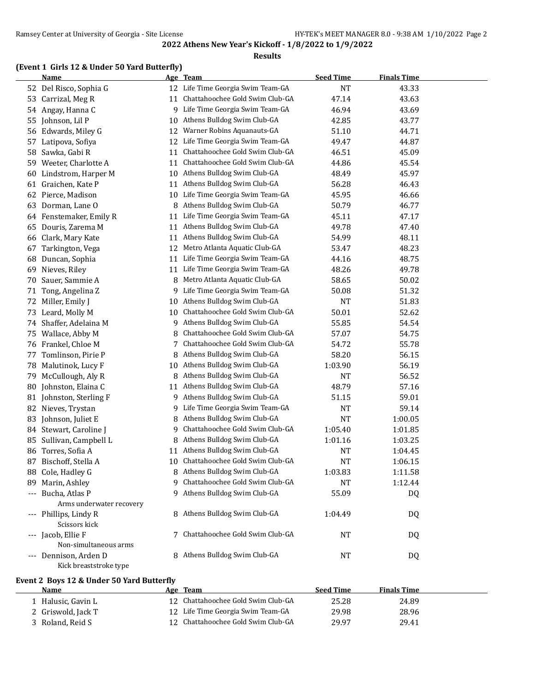#### **Results**

#### **(Event 1 Girls 12 & Under 50 Yard Butterfly)**

|    | <b>Name</b>                                     |    | Age Team                           | <b>Seed Time</b> | <b>Finals Time</b> |  |
|----|-------------------------------------------------|----|------------------------------------|------------------|--------------------|--|
|    | 52 Del Risco, Sophia G                          | 12 | Life Time Georgia Swim Team-GA     | <b>NT</b>        | 43.33              |  |
| 53 | Carrizal, Meg R                                 | 11 | Chattahoochee Gold Swim Club-GA    | 47.14            | 43.63              |  |
| 54 | Angay, Hanna C                                  | 9  | Life Time Georgia Swim Team-GA     | 46.94            | 43.69              |  |
| 55 | Johnson, Lil P                                  | 10 | Athens Bulldog Swim Club-GA        | 42.85            | 43.77              |  |
|    | 56 Edwards, Miley G                             | 12 | Warner Robins Aquanauts-GA         | 51.10            | 44.71              |  |
| 57 | Latipova, Sofiya                                | 12 | Life Time Georgia Swim Team-GA     | 49.47            | 44.87              |  |
| 58 | Sawka, Gabi R                                   | 11 | Chattahoochee Gold Swim Club-GA    | 46.51            | 45.09              |  |
| 59 | Weeter, Charlotte A                             | 11 | Chattahoochee Gold Swim Club-GA    | 44.86            | 45.54              |  |
| 60 | Lindstrom, Harper M                             | 10 | Athens Bulldog Swim Club-GA        | 48.49            | 45.97              |  |
| 61 | Graichen, Kate P                                | 11 | Athens Bulldog Swim Club-GA        | 56.28            | 46.43              |  |
| 62 | Pierce, Madison                                 | 10 | Life Time Georgia Swim Team-GA     | 45.95            | 46.66              |  |
| 63 | Dorman, Lane O                                  | 8  | Athens Bulldog Swim Club-GA        | 50.79            | 46.77              |  |
| 64 | Fenstemaker, Emily R                            | 11 | Life Time Georgia Swim Team-GA     | 45.11            | 47.17              |  |
| 65 | Douris, Zarema M                                | 11 | Athens Bulldog Swim Club-GA        | 49.78            | 47.40              |  |
| 66 | Clark, Mary Kate                                | 11 | Athens Bulldog Swim Club-GA        | 54.99            | 48.11              |  |
| 67 | Tarkington, Vega                                | 12 | Metro Atlanta Aquatic Club-GA      | 53.47            | 48.23              |  |
| 68 | Duncan, Sophia                                  | 11 | Life Time Georgia Swim Team-GA     | 44.16            | 48.75              |  |
| 69 | Nieves, Riley                                   | 11 | Life Time Georgia Swim Team-GA     | 48.26            | 49.78              |  |
| 70 | Sauer, Sammie A                                 | 8  | Metro Atlanta Aquatic Club-GA      | 58.65            | 50.02              |  |
| 71 | Tong, Angelina Z                                | 9  | Life Time Georgia Swim Team-GA     | 50.08            | 51.32              |  |
| 72 | Miller, Emily J                                 | 10 | Athens Bulldog Swim Club-GA        | <b>NT</b>        | 51.83              |  |
| 73 | Leard, Molly M                                  | 10 | Chattahoochee Gold Swim Club-GA    | 50.01            | 52.62              |  |
|    | 74 Shaffer, Adelaina M                          | 9  | Athens Bulldog Swim Club-GA        | 55.85            | 54.54              |  |
| 75 | Wallace, Abby M                                 | 8  | Chattahoochee Gold Swim Club-GA    | 57.07            | 54.75              |  |
| 76 | Frankel, Chloe M                                | 7  | Chattahoochee Gold Swim Club-GA    | 54.72            | 55.78              |  |
| 77 | Tomlinson, Pirie P                              | 8  | Athens Bulldog Swim Club-GA        | 58.20            | 56.15              |  |
| 78 | Malutinok, Lucy F                               |    | 10 Athens Bulldog Swim Club-GA     | 1:03.90          | 56.19              |  |
| 79 | McCullough, Aly R                               | 8  | Athens Bulldog Swim Club-GA        | NT               | 56.52              |  |
| 80 | Johnston, Elaina C                              | 11 | Athens Bulldog Swim Club-GA        | 48.79            | 57.16              |  |
|    | 81 Johnston, Sterling F                         |    | 9 Athens Bulldog Swim Club-GA      | 51.15            | 59.01              |  |
|    | 82 Nieves, Trystan                              | 9  | Life Time Georgia Swim Team-GA     | <b>NT</b>        | 59.14              |  |
| 83 | Johnson, Juliet E                               | 8  | Athens Bulldog Swim Club-GA        | <b>NT</b>        | 1:00.05            |  |
| 84 | Stewart, Caroline J                             | 9  | Chattahoochee Gold Swim Club-GA    | 1:05.40          | 1:01.85            |  |
| 85 | Sullivan, Campbell L                            | 8  | Athens Bulldog Swim Club-GA        | 1:01.16          | 1:03.25            |  |
| 86 | Torres, Sofia A                                 | 11 | Athens Bulldog Swim Club-GA        | NT               | 1:04.45            |  |
| 87 | Bischoff, Stella A                              |    | 10 Chattahoochee Gold Swim Club-GA | NT               | 1:06.15            |  |
|    | 88 Cole, Hadley G                               |    | 8 Athens Bulldog Swim Club-GA      | 1:03.83          | 1:11.58            |  |
| 89 | Marin, Ashley                                   | 9  | Chattahoochee Gold Swim Club-GA    | <b>NT</b>        | 1:12.44            |  |
|    | --- Bucha, Atlas P                              | 9  | Athens Bulldog Swim Club-GA        | 55.09            | DQ                 |  |
|    | Arms underwater recovery                        |    |                                    |                  |                    |  |
|    | --- Phillips, Lindy R<br>Scissors kick          |    | 8 Athens Bulldog Swim Club-GA      | 1:04.49          | DQ                 |  |
|    | --- Jacob, Ellie F                              | 7  | Chattahoochee Gold Swim Club-GA    | NT               | DQ                 |  |
|    | Non-simultaneous arms                           |    |                                    |                  |                    |  |
|    | --- Dennison, Arden D<br>Kick breaststroke type |    | 8 Athens Bulldog Swim Club-GA      | NT               | DQ                 |  |

## **Event 2 Boys 12 & Under 50 Yard Butterfly**

| Name               | Team<br>Age                        | <b>Seed Time</b> | <b>Finals Time</b> |  |
|--------------------|------------------------------------|------------------|--------------------|--|
| Halusic, Gavin L   | 12 Chattahoochee Gold Swim Club-GA | 25.28            | 24.89              |  |
| 2 Griswold, Jack T | 12 Life Time Georgia Swim Team-GA  | 29.98            | 28.96              |  |
| Roland. Reid S     | 12 Chattahoochee Gold Swim Club-GA | 29.97            | 29.41              |  |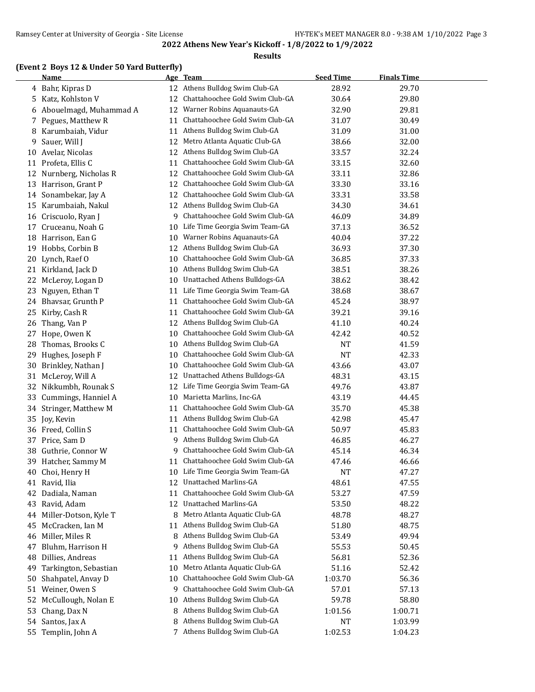#### **Results**

## **(Event 2 Boys 12 & Under 50 Yard Butterfly)**

|    | <b>Name</b>            |    | Age Team                           | <b>Seed Time</b> | <b>Finals Time</b> |  |
|----|------------------------|----|------------------------------------|------------------|--------------------|--|
|    | 4 Bahr, Kipras D       |    | 12 Athens Bulldog Swim Club-GA     | 28.92            | 29.70              |  |
| 5  | Katz, Kohlston V       | 12 | Chattahoochee Gold Swim Club-GA    | 30.64            | 29.80              |  |
| 6  | Abouelmagd, Muhammad A | 12 | Warner Robins Aquanauts-GA         | 32.90            | 29.81              |  |
| 7  | Pegues, Matthew R      | 11 | Chattahoochee Gold Swim Club-GA    | 31.07            | 30.49              |  |
| 8  | Karumbaiah, Vidur      | 11 | Athens Bulldog Swim Club-GA        | 31.09            | 31.00              |  |
| 9  | Sauer, Will J          | 12 | Metro Atlanta Aquatic Club-GA      | 38.66            | 32.00              |  |
| 10 | Avelar, Nicolas        | 12 | Athens Bulldog Swim Club-GA        | 33.57            | 32.24              |  |
| 11 | Profeta, Ellis C       | 11 | Chattahoochee Gold Swim Club-GA    | 33.15            | 32.60              |  |
| 12 | Nurnberg, Nicholas R   | 12 | Chattahoochee Gold Swim Club-GA    | 33.11            | 32.86              |  |
| 13 | Harrison, Grant P      | 12 | Chattahoochee Gold Swim Club-GA    | 33.30            | 33.16              |  |
| 14 | Sonambekar, Jay A      | 12 | Chattahoochee Gold Swim Club-GA    | 33.31            | 33.58              |  |
| 15 | Karumbaiah, Nakul      | 12 | Athens Bulldog Swim Club-GA        | 34.30            | 34.61              |  |
| 16 | Criscuolo, Ryan J      | 9  | Chattahoochee Gold Swim Club-GA    | 46.09            | 34.89              |  |
| 17 | Cruceanu, Noah G       | 10 | Life Time Georgia Swim Team-GA     | 37.13            | 36.52              |  |
| 18 | Harrison, Ean G        | 10 | Warner Robins Aquanauts-GA         | 40.04            | 37.22              |  |
|    | 19 Hobbs, Corbin B     | 12 | Athens Bulldog Swim Club-GA        | 36.93            | 37.30              |  |
| 20 | Lynch, Raef O          | 10 | Chattahoochee Gold Swim Club-GA    | 36.85            | 37.33              |  |
|    | 21 Kirkland, Jack D    | 10 | Athens Bulldog Swim Club-GA        | 38.51            | 38.26              |  |
| 22 | McLeroy, Logan D       | 10 | Unattached Athens Bulldogs-GA      | 38.62            | 38.42              |  |
| 23 | Nguyen, Ethan T        | 11 | Life Time Georgia Swim Team-GA     | 38.68            | 38.67              |  |
| 24 | Bhavsar, Grunth P      | 11 | Chattahoochee Gold Swim Club-GA    | 45.24            | 38.97              |  |
| 25 | Kirby, Cash R          | 11 | Chattahoochee Gold Swim Club-GA    | 39.21            | 39.16              |  |
| 26 | Thang, Van P           | 12 | Athens Bulldog Swim Club-GA        | 41.10            | 40.24              |  |
| 27 | Hope, Owen K           | 10 | Chattahoochee Gold Swim Club-GA    | 42.42            | 40.52              |  |
| 28 | Thomas, Brooks C       | 10 | Athens Bulldog Swim Club-GA        | NT               | 41.59              |  |
| 29 | Hughes, Joseph F       | 10 | Chattahoochee Gold Swim Club-GA    | <b>NT</b>        | 42.33              |  |
| 30 | Brinkley, Nathan J     | 10 | Chattahoochee Gold Swim Club-GA    | 43.66            | 43.07              |  |
| 31 | McLeroy, Will A        | 12 | Unattached Athens Bulldogs-GA      | 48.31            | 43.15              |  |
| 32 | Nikkumbh, Rounak S     | 12 | Life Time Georgia Swim Team-GA     | 49.76            | 43.87              |  |
| 33 | Cummings, Hanniel A    | 10 | Marietta Marlins, Inc-GA           | 43.19            | 44.45              |  |
| 34 | Stringer, Matthew M    | 11 | Chattahoochee Gold Swim Club-GA    | 35.70            | 45.38              |  |
|    | 35 Joy, Kevin          | 11 | Athens Bulldog Swim Club-GA        | 42.98            | 45.47              |  |
|    | 36 Freed, Collin S     | 11 | Chattahoochee Gold Swim Club-GA    | 50.97            | 45.83              |  |
| 37 | Price, Sam D           | 9. | Athens Bulldog Swim Club-GA        | 46.85            | 46.27              |  |
| 38 | Guthrie, Connor W      | 9. | Chattahoochee Gold Swim Club-GA    | 45.14            | 46.34              |  |
|    | 39 Hatcher, Sammy M    |    | 11 Chattahoochee Gold Swim Club-GA | 47.46            | 46.66              |  |
| 40 | Choi, Henry H          |    | 10 Life Time Georgia Swim Team-GA  | <b>NT</b>        | 47.27              |  |
| 41 | Ravid, Ilia            | 12 | <b>Unattached Marlins-GA</b>       | 48.61            | 47.55              |  |
| 42 | Dadiala, Naman         | 11 | Chattahoochee Gold Swim Club-GA    | 53.27            | 47.59              |  |
| 43 | Ravid, Adam            | 12 | Unattached Marlins-GA              | 53.50            | 48.22              |  |
| 44 | Miller-Dotson, Kyle T  | 8  | Metro Atlanta Aquatic Club-GA      | 48.78            | 48.27              |  |
| 45 | McCracken, Ian M       | 11 | Athens Bulldog Swim Club-GA        | 51.80            | 48.75              |  |
| 46 | Miller, Miles R        | 8  | Athens Bulldog Swim Club-GA        | 53.49            | 49.94              |  |
| 47 | Bluhm, Harrison H      | 9  | Athens Bulldog Swim Club-GA        | 55.53            | 50.45              |  |
| 48 | Dillies, Andreas       | 11 | Athens Bulldog Swim Club-GA        | 56.81            | 52.36              |  |
| 49 | Tarkington, Sebastian  | 10 | Metro Atlanta Aquatic Club-GA      | 51.16            | 52.42              |  |
| 50 | Shahpatel, Anvay D     | 10 | Chattahoochee Gold Swim Club-GA    | 1:03.70          | 56.36              |  |
| 51 | Weiner, Owen S         | 9  | Chattahoochee Gold Swim Club-GA    | 57.01            | 57.13              |  |
| 52 | McCullough, Nolan E    | 10 | Athens Bulldog Swim Club-GA        | 59.78            | 58.80              |  |
| 53 | Chang, Dax N           | 8  | Athens Bulldog Swim Club-GA        | 1:01.56          | 1:00.71            |  |
|    | 54 Santos, Jax A       | 8  | Athens Bulldog Swim Club-GA        | NT               | 1:03.99            |  |
|    | 55 Templin, John A     |    | 7 Athens Bulldog Swim Club-GA      | 1:02.53          | 1:04.23            |  |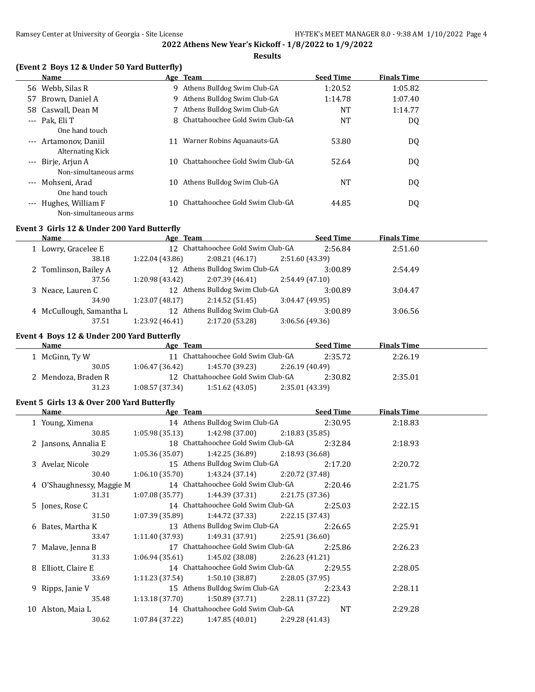#### **Results**

#### **(Event 2 Boys 12 & Under 50 Yard Butterfly)**

|       | Name                    |     | Age Team                          | <b>Seed Time</b> | <b>Finals Time</b> |  |
|-------|-------------------------|-----|-----------------------------------|------------------|--------------------|--|
|       | 56 Webb, Silas R        |     | 9 Athens Bulldog Swim Club-GA     | 1:20.52          | 1:05.82            |  |
| 57    | Brown, Daniel A         |     | 9 Athens Bulldog Swim Club-GA     | 1:14.78          | 1:07.40            |  |
|       | 58 Caswall, Dean M      |     | 7 Athens Bulldog Swim Club-GA     | <b>NT</b>        | 1:14.77            |  |
|       | $--$ Pak. Eli T         |     | 8 Chattahoochee Gold Swim Club-GA | <b>NT</b>        | DQ                 |  |
|       | One hand touch          |     |                                   |                  |                    |  |
|       | --- Artamonov. Daniil   | 11  | Warner Robins Aquanauts-GA        | 53.80            | DQ                 |  |
|       | <b>Alternating Kick</b> |     |                                   |                  |                    |  |
|       | --- Birje, Arjun A      | 10. | Chattahoochee Gold Swim Club-GA   | 52.64            | DQ                 |  |
|       | Non-simultaneous arms   |     |                                   |                  |                    |  |
|       | --- Mohseni, Arad       | 10  | Athens Bulldog Swim Club-GA       | NT               | DQ                 |  |
|       | One hand touch          |     |                                   |                  |                    |  |
| $---$ | Hughes, William F       | 10  | Chattahoochee Gold Swim Club-GA   | 44.85            | DQ                 |  |
|       | Non-simultaneous arms   |     |                                   |                  |                    |  |

#### **Event 3 Girls 12 & Under 200 Yard Butterfly**

| Name  |                                                                                               |                 |          |                                                                                                                                          | <b>Finals Time</b>                                                                         |  |
|-------|-----------------------------------------------------------------------------------------------|-----------------|----------|------------------------------------------------------------------------------------------------------------------------------------------|--------------------------------------------------------------------------------------------|--|
|       |                                                                                               |                 |          | 2:56.84                                                                                                                                  | 2:51.60                                                                                    |  |
| 38.18 | 1:22.04(43.86)                                                                                | 2:08.21(46.17)  |          |                                                                                                                                          |                                                                                            |  |
|       |                                                                                               |                 |          | 3:00.89                                                                                                                                  | 2:54.49                                                                                    |  |
| 37.56 | 1:20.98 (43.42)                                                                               | 2:07.39(46.41)  |          |                                                                                                                                          |                                                                                            |  |
|       |                                                                                               |                 |          | 3:00.89                                                                                                                                  | 3:04.47                                                                                    |  |
| 34.90 | 1:23.07(48.17)                                                                                | 2:14.52(51.45)  |          |                                                                                                                                          |                                                                                            |  |
|       |                                                                                               |                 |          | 3:00.89                                                                                                                                  | 3:06.56                                                                                    |  |
| 37.51 | 1:23.92 (46.41)                                                                               | 2:17.20 (53.28) |          |                                                                                                                                          |                                                                                            |  |
|       | 1 Lowry, Gracelee E<br>2 Tomlinson, Bailey A<br>3 Neace, Lauren C<br>4 McCullough, Samantha L |                 | Age Team | 12 Chattahoochee Gold Swim Club-GA<br>12 Athens Bulldog Swim Club-GA<br>12 Athens Bulldog Swim Club-GA<br>12 Athens Bulldog Swim Club-GA | <b>Seed Time</b><br>2:51.60 (43.39)<br>2:54.49 (47.10)<br>3:04.47(49.95)<br>3:06.56(49.36) |  |

#### **Event 4 Boys 12 & Under 200 Yard Butterfly**

| <b>Name</b>         | Age Team        |                                    |                 | <b>Seed Time</b> | <b>Finals Time</b> |  |
|---------------------|-----------------|------------------------------------|-----------------|------------------|--------------------|--|
| 1 McGinn, Ty W      |                 | 11 Chattahoochee Gold Swim Club-GA |                 | 2:35.72          | 2:26.19            |  |
| 30.05               | 1:06.47 (36.42) | 1:45.70 (39.23)                    | 2:26.19 (40.49) |                  |                    |  |
| 2 Mendoza, Braden R |                 | 12 Chattahoochee Gold Swim Club-GA |                 | 2:30.82          | 2:35.01            |  |
| 31.23               | 1:08.57(37.34)  | 1:51.62(43.05)                     | 2:35.01 (43.39) |                  |                    |  |

#### **Event 5 Girls 13 & Over 200 Yard Butterfly**

| <b>Name</b>               | Age Team                                              | <b>Seed Time</b> | <b>Finals Time</b> |  |
|---------------------------|-------------------------------------------------------|------------------|--------------------|--|
| 1 Young, Ximena           | 14 Athens Bulldog Swim Club-GA 2:30.95                |                  | 2:18.83            |  |
| 30.85                     | $1:05.98(35.13)$ $1:42.98(37.00)$ $2:18.83(35.85)$    |                  |                    |  |
| 2 Jansons, Annalia E      | 18 Chattahoochee Gold Swim Club-GA                    | 2:32.84          | 2:18.93            |  |
| 30.29                     | $1:05.36(35.07)$ $1:42.25(36.89)$ $2:18.93(36.68)$    |                  |                    |  |
| 3 Avelar, Nicole          | 15 Athens Bulldog Swim Club-GA                        | 2:17.20          | 2:20.72            |  |
| 30.40                     | $1:06.10(35.70)$ $1:43.24(37.14)$ $2:20.72(37.48)$    |                  |                    |  |
| 4 O'Shaughnessy, Maggie M | 14 Chattahoochee Gold Swim Club-GA                    | 2:20.46          | 2:21.75            |  |
| 31.31                     | $1:07.08(35.77)$ $1:44.39(37.31)$ $2:21.75(37.36)$    |                  |                    |  |
| 5 Jones, Rose C           | 14 Chattahoochee Gold Swim Club-GA                    | 2:25.03          | 2:22.15            |  |
| 31.50                     | $1:07.39(35.89)$ $1:44.72(37.33)$ $2:22.15(37.43)$    |                  |                    |  |
| 6 Bates, Martha K         | 13 Athens Bulldog Swim Club-GA                        | 2:26.65          | 2:25.91            |  |
| 33.47                     | $1:11.40$ (37.93) $1:49.31$ (37.91) $2:25.91$ (36.60) |                  |                    |  |
| 7 Malave, Jenna B         | 17 Chattahoochee Gold Swim Club-GA                    | 2:25.86          | 2:26.23            |  |
| 31.33                     | $1:06.94(35.61)$ $1:45.02(38.08)$ $2:26.23(41.21)$    |                  |                    |  |
| 8 Elliott, Claire E       | 14 Chattahoochee Gold Swim Club-GA                    | 2:29.55          | 2:28.05            |  |
| 33.69                     | $1:11.23$ (37.54) $1:50.10$ (38.87) $2:28.05$ (37.95) |                  |                    |  |
| 9 Ripps, Janie V          | 15 Athens Bulldog Swim Club-GA                        | 2:23.43          | 2:28.11            |  |
| 35.48                     | $1:13.18(37.70)$ $1:50.89(37.71)$ $2:28.11(37.22)$    |                  |                    |  |
| 10 Alston, Maia L         | 14 Chattahoochee Gold Swim Club-GA                    | NT               | 2:29.28            |  |
| 30.62                     | 1:47.85 (40.01)<br>1:07.84 (37.22)                    | 2:29.28 (41.43)  |                    |  |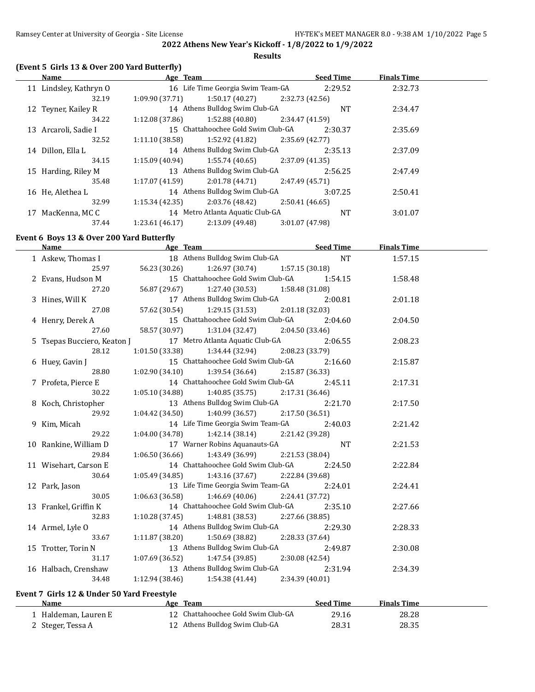**Results**

## **(Event 5 Girls 13 & Over 200 Yard Butterfly)**

| Name                    | Age Team                         |                                    | <b>Seed Time</b> | <b>Finals Time</b> |  |
|-------------------------|----------------------------------|------------------------------------|------------------|--------------------|--|
| 11 Lindsley, Kathryn O  |                                  | 16 Life Time Georgia Swim Team-GA  | 2:29.52          | 2:32.73            |  |
| 32.19                   | 1:09.90 (37.71)                  | 1:50.17 (40.27)<br>2:32.73 (42.56) |                  |                    |  |
| 12 Teyner, Kailey R     | 14 Athens Bulldog Swim Club-GA   |                                    | NT               | 2:34.47            |  |
| 34.22                   | 1:12.08(37.86)                   | 1:52.88 (40.80)<br>2:34.47 (41.59) |                  |                    |  |
| Arcaroli, Sadie I<br>13 |                                  | 15 Chattahoochee Gold Swim Club-GA | 2:30.37          | 2:35.69            |  |
| 32.52                   | 1:11.10(38.58)                   | 1:52.92 (41.82)<br>2:35.69 (42.77) |                  |                    |  |
| Dillon. Ella L<br>14    | 14 Athens Bulldog Swim Club-GA   |                                    | 2:35.13          | 2:37.09            |  |
| 34.15                   | 1:15.09(40.94)                   | 1:55.74 (40.65)<br>2:37.09 (41.35) |                  |                    |  |
| 15 Harding, Riley M     | 13 Athens Bulldog Swim Club-GA   |                                    | 2:56.25          | 2:47.49            |  |
| 35.48                   | 1:17.07(41.59)                   | 2:01.78 (44.71)<br>2:47.49 (45.71) |                  |                    |  |
| 16 He, Alethea L        | 14 Athens Bulldog Swim Club-GA   |                                    | 3:07.25          | 2:50.41            |  |
| 32.99                   | 1:15.34(42.35)                   | 2:03.76 (48.42)<br>2:50.41(46.65)  |                  |                    |  |
| MacKenna, MC C<br>17    | 14 Metro Atlanta Aquatic Club-GA |                                    | NT               | 3:01.07            |  |
| 37.44                   | 1:23.61(46.17)                   | 2:13.09 (49.48)<br>3:01.07 (47.98) |                  |                    |  |

#### **Event 6 Boys 13 & Over 200 Yard Butterfly**

| Name                        | Age Team       | <u>Seed Time</u>                                      |                 |                 | <b>Finals Time</b> |  |
|-----------------------------|----------------|-------------------------------------------------------|-----------------|-----------------|--------------------|--|
| 1 Askew, Thomas I           |                | 18 Athens Bulldog Swim Club-GA                        |                 | NT <sub>1</sub> | 1:57.15            |  |
| 25.97                       | 56.23 (30.26)  | $1:26.97(30.74)$ $1:57.15(30.18)$                     |                 |                 |                    |  |
| 2 Evans, Hudson M           |                | 15 Chattahoochee Gold Swim Club-GA 1:54.15            |                 |                 | 1:58.48            |  |
| 27.20                       |                | 56.87 (29.67) 1:27.40 (30.53) 1:58.48 (31.08)         |                 |                 |                    |  |
| 3 Hines, Will K             |                | 17 Athens Bulldog Swim Club-GA                        |                 | 2:00.81         | 2:01.18            |  |
| 27.08                       |                | 57.62 (30.54) 1:29.15 (31.53)                         | 2:01.18(32.03)  |                 |                    |  |
| 4 Henry, Derek A            |                | 15 Chattahoochee Gold Swim Club-GA                    |                 | 2:04.60         | 2:04.50            |  |
| 27.60                       |                | 58.57 (30.97) 1:31.04 (32.47)                         | 2:04.50(33.46)  |                 |                    |  |
| 5 Tsepas Bucciero, Keaton J |                | 17 Metro Atlanta Aquatic Club-GA                      |                 | 2:06.55         | 2:08.23            |  |
| 28.12                       |                | $1:01.50(33.38)$ $1:34.44(32.94)$ $2:08.23(33.79)$    |                 |                 |                    |  |
| 6 Huey, Gavin J             |                | 15 Chattahoochee Gold Swim Club-GA                    |                 | 2:16.60         | 2:15.87            |  |
| 28.80                       |                | $1:02.90(34.10)$ $1:39.54(36.64)$ $2:15.87(36.33)$    |                 |                 |                    |  |
| 7 Profeta, Pierce E         |                | 14 Chattahoochee Gold Swim Club-GA                    |                 | 2:45.11         | 2:17.31            |  |
| 30.22                       |                | $1:05.10(34.88)$ $1:40.85(35.75)$ $2:17.31(36.46)$    |                 |                 |                    |  |
| 8 Koch, Christopher         |                | 13 Athens Bulldog Swim Club-GA                        |                 | 2:21.70         | 2:17.50            |  |
| 29.92                       | 1:04.42(34.50) | 1:40.99 (36.57)                                       | 2:17.50(36.51)  |                 |                    |  |
| 9 Kim, Micah                |                | 14 Life Time Georgia Swim Team-GA                     |                 | 2:40.03         | 2:21.42            |  |
| 29.22                       |                | 1:04.00 (34.78) 1:42.14 (38.14) 2:21.42 (39.28)       |                 |                 |                    |  |
| 10 Rankine, William D       |                | 17 Warner Robins Aquanauts-GA                         |                 | NT              | 2:21.53            |  |
| 29.84                       |                | $1:06.50(36.66)$ $1:43.49(36.99)$                     | 2:21.53 (38.04) |                 |                    |  |
| 11 Wisehart, Carson E       |                | 14 Chattahoochee Gold Swim Club-GA                    |                 | 2:24.50         | 2:22.84            |  |
| 30.64                       |                | $1:05.49(34.85)$ $1:43.16(37.67)$ $2:22.84(39.68)$    |                 |                 |                    |  |
| 12 Park, Jason              |                | 13 Life Time Georgia Swim Team-GA                     |                 | 2:24.01         | 2:24.41            |  |
| 30.05                       | 1:06.63(36.58) | 1:46.69 (40.06)                                       | 2:24.41 (37.72) |                 |                    |  |
| 13 Frankel, Griffin K       |                | 14 Chattahoochee Gold Swim Club-GA                    |                 | 2:35.10         | 2:27.66            |  |
| 32.83                       |                | $1:10.28(37.45)$ $1:48.81(38.53)$ $2:27.66(38.85)$    |                 |                 |                    |  |
| 14 Armel, Lyle O            |                | 14 Athens Bulldog Swim Club-GA                        |                 | 2:29.30         | 2:28.33            |  |
| 33.67                       | 1:11.87(38.20) | 1:50.69 (38.82)                                       | 2:28.33 (37.64) |                 |                    |  |
| 15 Trotter, Torin N         |                | 13 Athens Bulldog Swim Club-GA                        |                 | 2:49.87         | 2:30.08            |  |
| 31.17                       |                | $1:07.69$ (36.52) $1:47.54$ (39.85) $2:30.08$ (42.54) |                 |                 |                    |  |
| 16 Halbach, Crenshaw        |                | 13 Athens Bulldog Swim Club-GA                        |                 | 2:31.94         | 2:34.39            |  |
| 34.48                       |                | $1:12.94(38.46)$ $1:54.38(41.44)$                     | 2:34.39 (40.01) |                 |                    |  |

## **Event 7 Girls 12 & Under 50 Yard Freestyle**

| <b>Name</b>        | Age | Team                               | <b>Seed Time</b> | <b>Finals Time</b> |  |
|--------------------|-----|------------------------------------|------------------|--------------------|--|
| Haldeman, Lauren E |     | 12 Chattahoochee Gold Swim Club-GA | 29.16            | 28.28              |  |
| 2 Steger, Tessa A  |     | 12 Athens Bulldog Swim Club-GA     | 28.31            | 28.35              |  |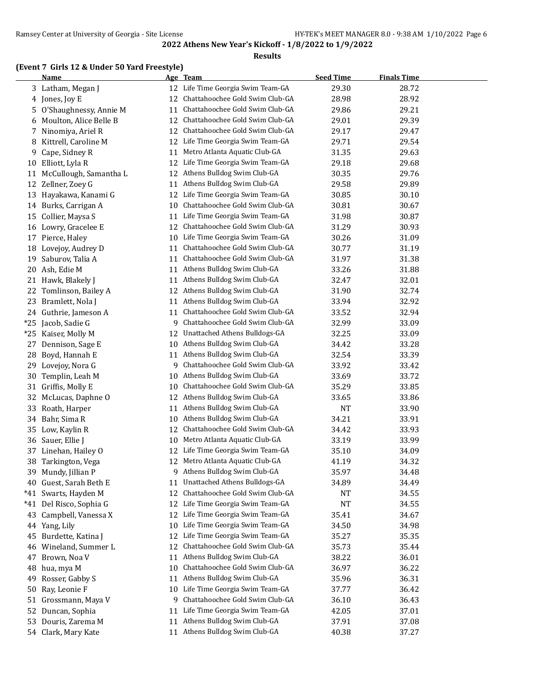#### **Results**

## **(Event 7 Girls 12 & Under 50 Yard Freestyle)**

|       | <b>Name</b>            |    | Age Team                          | <b>Seed Time</b> | <b>Finals Time</b> |  |
|-------|------------------------|----|-----------------------------------|------------------|--------------------|--|
|       | 3 Latham, Megan J      |    | 12 Life Time Georgia Swim Team-GA | 29.30            | 28.72              |  |
|       | 4 Jones, Joy E         | 12 | Chattahoochee Gold Swim Club-GA   | 28.98            | 28.92              |  |
| 5     | O'Shaughnessy, Annie M | 11 | Chattahoochee Gold Swim Club-GA   | 29.86            | 29.21              |  |
| 6     | Moulton, Alice Belle B | 12 | Chattahoochee Gold Swim Club-GA   | 29.01            | 29.39              |  |
| 7     | Ninomiya, Ariel R      | 12 | Chattahoochee Gold Swim Club-GA   | 29.17            | 29.47              |  |
| 8     | Kittrell, Caroline M   | 12 | Life Time Georgia Swim Team-GA    | 29.71            | 29.54              |  |
| 9     | Cape, Sidney R         | 11 | Metro Atlanta Aquatic Club-GA     | 31.35            | 29.63              |  |
| 10    | Elliott, Lyla R        | 12 | Life Time Georgia Swim Team-GA    | 29.18            | 29.68              |  |
| 11    | McCullough, Samantha L | 12 | Athens Bulldog Swim Club-GA       | 30.35            | 29.76              |  |
| 12    | Zellner, Zoey G        | 11 | Athens Bulldog Swim Club-GA       | 29.58            | 29.89              |  |
| 13    | Hayakawa, Kanami G     | 12 | Life Time Georgia Swim Team-GA    | 30.85            | 30.10              |  |
| 14    | Burks, Carrigan A      | 10 | Chattahoochee Gold Swim Club-GA   | 30.81            | 30.67              |  |
| 15    | Collier, Maysa S       | 11 | Life Time Georgia Swim Team-GA    | 31.98            | 30.87              |  |
| 16    | Lowry, Gracelee E      | 12 | Chattahoochee Gold Swim Club-GA   | 31.29            | 30.93              |  |
| 17    | Pierce, Haley          | 10 | Life Time Georgia Swim Team-GA    | 30.26            | 31.09              |  |
| 18    | Lovejoy, Audrey D      | 11 | Chattahoochee Gold Swim Club-GA   | 30.77            | 31.19              |  |
| 19    | Saburov, Talia A       | 11 | Chattahoochee Gold Swim Club-GA   | 31.97            | 31.38              |  |
| 20    | Ash, Edie M            | 11 | Athens Bulldog Swim Club-GA       | 33.26            | 31.88              |  |
| 21    | Hawk, Blakely J        | 11 | Athens Bulldog Swim Club-GA       | 32.47            | 32.01              |  |
| 22    | Tomlinson, Bailey A    | 12 | Athens Bulldog Swim Club-GA       | 31.90            | 32.74              |  |
| 23    | Bramlett, Nola J       | 11 | Athens Bulldog Swim Club-GA       | 33.94            | 32.92              |  |
| 24    | Guthrie, Jameson A     | 11 | Chattahoochee Gold Swim Club-GA   | 33.52            | 32.94              |  |
| $*25$ | Jacob, Sadie G         | 9  | Chattahoochee Gold Swim Club-GA   | 32.99            | 33.09              |  |
| $*25$ | Kaiser, Molly M        | 12 | Unattached Athens Bulldogs-GA     | 32.25            | 33.09              |  |
| 27    | Dennison, Sage E       | 10 | Athens Bulldog Swim Club-GA       | 34.42            | 33.28              |  |
| 28    | Boyd, Hannah E         | 11 | Athens Bulldog Swim Club-GA       | 32.54            | 33.39              |  |
| 29    | Lovejoy, Nora G        | 9  | Chattahoochee Gold Swim Club-GA   | 33.92            | 33.42              |  |
| 30    | Templin, Leah M        | 10 | Athens Bulldog Swim Club-GA       | 33.69            | 33.72              |  |
| 31    | Griffis, Molly E       | 10 | Chattahoochee Gold Swim Club-GA   | 35.29            | 33.85              |  |
| 32    | McLucas, Daphne O      | 12 | Athens Bulldog Swim Club-GA       | 33.65            | 33.86              |  |
| 33    | Roath, Harper          | 11 | Athens Bulldog Swim Club-GA       | <b>NT</b>        | 33.90              |  |
| 34    | Bahr, Sima R           | 10 | Athens Bulldog Swim Club-GA       | 34.21            | 33.91              |  |
| 35    | Low, Kaylin R          | 12 | Chattahoochee Gold Swim Club-GA   | 34.42            | 33.93              |  |
| 36    | Sauer, Ellie J         | 10 | Metro Atlanta Aquatic Club-GA     | 33.19            | 33.99              |  |
| 37    | Linehan, Hailey O      | 12 | Life Time Georgia Swim Team-GA    | 35.10            | 34.09              |  |
| 38    | Tarkington, Vega       |    | 12 Metro Atlanta Aquatic Club-GA  | 41.19            | 34.32              |  |
| 39    | Mundy, Jillian P       | 9. | Athens Bulldog Swim Club-GA       | 35.97            | 34.48              |  |
| 40    | Guest, Sarah Beth E    | 11 | Unattached Athens Bulldogs-GA     | 34.89            | 34.49              |  |
| $*41$ | Swarts, Hayden M       | 12 | Chattahoochee Gold Swim Club-GA   | NT               | 34.55              |  |
| $*41$ | Del Risco, Sophia G    | 12 | Life Time Georgia Swim Team-GA    | <b>NT</b>        | 34.55              |  |
| 43    | Campbell, Vanessa X    | 12 | Life Time Georgia Swim Team-GA    | 35.41            | 34.67              |  |
| 44    | Yang, Lily             | 10 | Life Time Georgia Swim Team-GA    | 34.50            | 34.98              |  |
| 45    | Burdette, Katina J     | 12 | Life Time Georgia Swim Team-GA    | 35.27            | 35.35              |  |
| 46    | Wineland, Summer L     | 12 | Chattahoochee Gold Swim Club-GA   | 35.73            | 35.44              |  |
| 47    | Brown, Noa V           | 11 | Athens Bulldog Swim Club-GA       | 38.22            | 36.01              |  |
| 48    | hua, mya M             | 10 | Chattahoochee Gold Swim Club-GA   | 36.97            | 36.22              |  |
| 49    | Rosser, Gabby S        | 11 | Athens Bulldog Swim Club-GA       | 35.96            | 36.31              |  |
| 50    | Ray, Leonie F          | 10 | Life Time Georgia Swim Team-GA    | 37.77            | 36.42              |  |
| 51    | Grossmann, Maya V      | 9  | Chattahoochee Gold Swim Club-GA   | 36.10            | 36.43              |  |
| 52    | Duncan, Sophia         | 11 | Life Time Georgia Swim Team-GA    | 42.05            | 37.01              |  |
| 53    | Douris, Zarema M       | 11 | Athens Bulldog Swim Club-GA       | 37.91            | 37.08              |  |
|       | 54 Clark, Mary Kate    | 11 | Athens Bulldog Swim Club-GA       | 40.38            | 37.27              |  |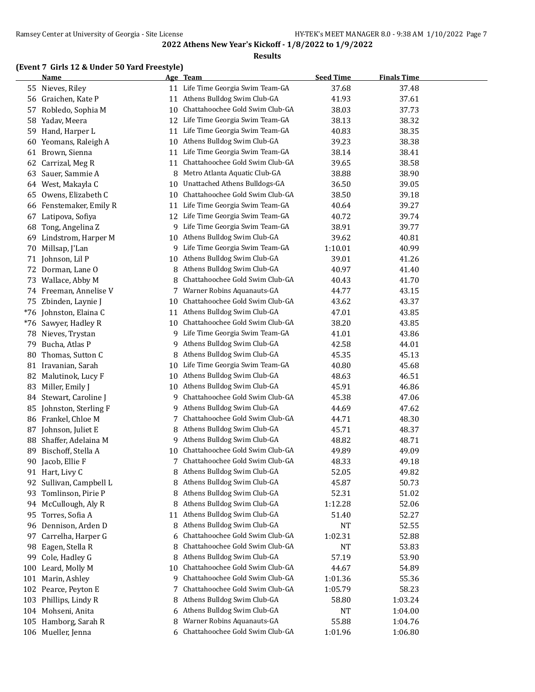#### **Results**

## **(Event 7 Girls 12 & Under 50 Yard Freestyle)**

|     | <b>Name</b>            |    | Age Team                             | <b>Seed Time</b> | <b>Finals Time</b> |  |
|-----|------------------------|----|--------------------------------------|------------------|--------------------|--|
|     | 55 Nieves, Riley       |    | 11 Life Time Georgia Swim Team-GA    | 37.68            | 37.48              |  |
| 56  | Graichen, Kate P       | 11 | Athens Bulldog Swim Club-GA          | 41.93            | 37.61              |  |
| 57  | Robledo, Sophia M      | 10 | Chattahoochee Gold Swim Club-GA      | 38.03            | 37.73              |  |
| 58  | Yadav, Meera           | 12 | Life Time Georgia Swim Team-GA       | 38.13            | 38.32              |  |
| 59  | Hand, Harper L         | 11 | Life Time Georgia Swim Team-GA       | 40.83            | 38.35              |  |
| 60  | Yeomans, Raleigh A     | 10 | Athens Bulldog Swim Club-GA          | 39.23            | 38.38              |  |
| 61  | Brown, Sienna          | 11 | Life Time Georgia Swim Team-GA       | 38.14            | 38.41              |  |
| 62  | Carrizal, Meg R        | 11 | Chattahoochee Gold Swim Club-GA      | 39.65            | 38.58              |  |
| 63  | Sauer, Sammie A        | 8  | Metro Atlanta Aquatic Club-GA        | 38.88            | 38.90              |  |
|     | 64 West, Makayla C     | 10 | <b>Unattached Athens Bulldogs-GA</b> | 36.50            | 39.05              |  |
| 65  | Owens, Elizabeth C     | 10 | Chattahoochee Gold Swim Club-GA      | 38.50            | 39.18              |  |
| 66  | Fenstemaker, Emily R   | 11 | Life Time Georgia Swim Team-GA       | 40.64            | 39.27              |  |
| 67  | Latipova, Sofiya       | 12 | Life Time Georgia Swim Team-GA       | 40.72            | 39.74              |  |
| 68  | Tong, Angelina Z       | 9  | Life Time Georgia Swim Team-GA       | 38.91            | 39.77              |  |
| 69  | Lindstrom, Harper M    | 10 | Athens Bulldog Swim Club-GA          | 39.62            | 40.81              |  |
| 70  | Millsap, J'Lan         | 9  | Life Time Georgia Swim Team-GA       | 1:10.01          | 40.99              |  |
| 71  | Johnson, Lil P         |    | 10 Athens Bulldog Swim Club-GA       | 39.01            | 41.26              |  |
|     | 72 Dorman, Lane O      | 8  | Athens Bulldog Swim Club-GA          | 40.97            | 41.40              |  |
| 73  | Wallace, Abby M        | 8  | Chattahoochee Gold Swim Club-GA      | 40.43            | 41.70              |  |
|     | 74 Freeman, Annelise V | 7  | Warner Robins Aquanauts-GA           | 44.77            | 43.15              |  |
| 75  | Zbinden, Laynie J      | 10 | Chattahoochee Gold Swim Club-GA      | 43.62            | 43.37              |  |
| *76 | Johnston, Elaina C     | 11 | Athens Bulldog Swim Club-GA          | 47.01            | 43.85              |  |
| *76 | Sawyer, Hadley R       | 10 | Chattahoochee Gold Swim Club-GA      | 38.20            | 43.85              |  |
| 78  | Nieves, Trystan        | 9  | Life Time Georgia Swim Team-GA       | 41.01            | 43.86              |  |
| 79  | Bucha, Atlas P         | 9  | Athens Bulldog Swim Club-GA          | 42.58            | 44.01              |  |
| 80  | Thomas, Sutton C       | 8  | Athens Bulldog Swim Club-GA          | 45.35            | 45.13              |  |
|     | 81 Iravanian, Sarah    | 10 | Life Time Georgia Swim Team-GA       | 40.80            | 45.68              |  |
| 82  | Malutinok, Lucy F      | 10 | Athens Bulldog Swim Club-GA          | 48.63            | 46.51              |  |
| 83  | Miller, Emily J        | 10 | Athens Bulldog Swim Club-GA          | 45.91            | 46.86              |  |
| 84  | Stewart, Caroline J    | 9  | Chattahoochee Gold Swim Club-GA      | 45.38            | 47.06              |  |
| 85  | Johnston, Sterling F   | 9. | Athens Bulldog Swim Club-GA          | 44.69            | 47.62              |  |
| 86  | Frankel, Chloe M       | 7  | Chattahoochee Gold Swim Club-GA      | 44.71            | 48.30              |  |
| 87  | Johnson, Juliet E      | 8  | Athens Bulldog Swim Club-GA          | 45.71            | 48.37              |  |
| 88  | Shaffer, Adelaina M    | 9. | Athens Bulldog Swim Club-GA          | 48.82            | 48.71              |  |
| 89  | Bischoff, Stella A     | 10 | Chattahoochee Gold Swim Club-GA      | 49.89            | 49.09              |  |
| 90  | Jacob, Ellie F         | 7  | Chattahoochee Gold Swim Club-GA      | 48.33            | 49.18              |  |
|     | 91 Hart, Livy C        | 8  | Athens Bulldog Swim Club-GA          | 52.05            | 49.82              |  |
| 92  | Sullivan, Campbell L   | 8  | Athens Bulldog Swim Club-GA          | 45.87            | 50.73              |  |
| 93  | Tomlinson, Pirie P     | 8  | Athens Bulldog Swim Club-GA          | 52.31            | 51.02              |  |
| 94  | McCullough, Aly R      | 8  | Athens Bulldog Swim Club-GA          | 1:12.28          | 52.06              |  |
| 95  | Torres, Sofia A        | 11 | Athens Bulldog Swim Club-GA          | 51.40            | 52.27              |  |
| 96  | Dennison, Arden D      | 8  | Athens Bulldog Swim Club-GA          | <b>NT</b>        | 52.55              |  |
| 97  | Carrelha, Harper G     | 6  | Chattahoochee Gold Swim Club-GA      | 1:02.31          | 52.88              |  |
| 98  | Eagen, Stella R        | 8  | Chattahoochee Gold Swim Club-GA      | NT               | 53.83              |  |
| 99  | Cole, Hadley G         | 8  | Athens Bulldog Swim Club-GA          | 57.19            | 53.90              |  |
|     | 100 Leard, Molly M     | 10 | Chattahoochee Gold Swim Club-GA      | 44.67            | 54.89              |  |
| 101 | Marin, Ashley          | 9  | Chattahoochee Gold Swim Club-GA      | 1:01.36          | 55.36              |  |
|     | 102 Pearce, Peyton E   | 7  | Chattahoochee Gold Swim Club-GA      | 1:05.79          | 58.23              |  |
|     | 103 Phillips, Lindy R  | 8  | Athens Bulldog Swim Club-GA          | 58.80            | 1:03.24            |  |
|     | 104 Mohseni, Anita     | 6  | Athens Bulldog Swim Club-GA          | <b>NT</b>        | 1:04.00            |  |
|     | 105 Hamborg, Sarah R   | 8  | Warner Robins Aquanauts-GA           | 55.88            | 1:04.76            |  |
|     | 106 Mueller, Jenna     |    | 6 Chattahoochee Gold Swim Club-GA    | 1:01.96          | 1:06.80            |  |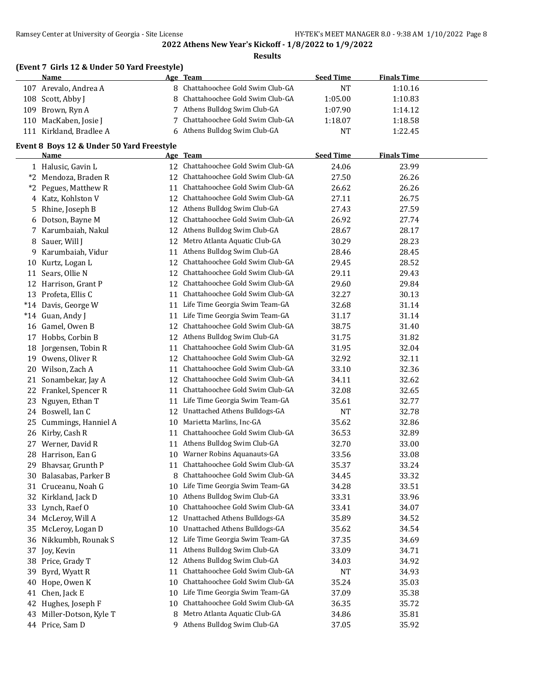#### **Results**

| (Event 7 Girls 12 & Under 50 Yard Freestyle) |  |                                   |                  |                    |  |  |
|----------------------------------------------|--|-----------------------------------|------------------|--------------------|--|--|
| Name                                         |  | Age Team                          | <b>Seed Time</b> | <b>Finals Time</b> |  |  |
| 107 Arevalo, Andrea A                        |  | 8 Chattahoochee Gold Swim Club-GA | NΊ               | 1:10.16            |  |  |
| 108 Scott, Abby J                            |  | 8 Chattahoochee Gold Swim Club-GA | 1:05.00          | 1:10.83            |  |  |
| 109 Brown, Ryn A                             |  | 7 Athens Bulldog Swim Club-GA     | 1:07.90          | 1:14.12            |  |  |
| 110 MacKaben, Josie J                        |  | 7 Chattahoochee Gold Swim Club-GA | 1:18.07          | 1:18.58            |  |  |
| 111 Kirkland, Bradlee A                      |  | 6 Athens Bulldog Swim Club-GA     | NT               | 1:22.45            |  |  |

## **Event 8 Boys 12 & Under 50 Yard Freestyle**

|         | <b>Name</b>           |    | Age Team                          | <b>Seed Time</b> | <b>Finals Time</b> |  |
|---------|-----------------------|----|-----------------------------------|------------------|--------------------|--|
|         | 1 Halusic, Gavin L    | 12 | Chattahoochee Gold Swim Club-GA   | 24.06            | 23.99              |  |
|         | *2 Mendoza, Braden R  | 12 | Chattahoochee Gold Swim Club-GA   | 27.50            | 26.26              |  |
| $*_{2}$ | Pegues, Matthew R     | 11 | Chattahoochee Gold Swim Club-GA   | 26.62            | 26.26              |  |
| 4       | Katz, Kohlston V      | 12 | Chattahoochee Gold Swim Club-GA   | 27.11            | 26.75              |  |
|         | 5 Rhine, Joseph B     | 12 | Athens Bulldog Swim Club-GA       | 27.43            | 27.59              |  |
|         | 6 Dotson, Bayne M     | 12 | Chattahoochee Gold Swim Club-GA   | 26.92            | 27.74              |  |
|         | 7 Karumbaiah, Nakul   | 12 | Athens Bulldog Swim Club-GA       | 28.67            | 28.17              |  |
| 8       | Sauer, Will J         | 12 | Metro Atlanta Aquatic Club-GA     | 30.29            | 28.23              |  |
|         | 9 Karumbaiah, Vidur   | 11 | Athens Bulldog Swim Club-GA       | 28.46            | 28.45              |  |
| 10      | Kurtz, Logan L        | 12 | Chattahoochee Gold Swim Club-GA   | 29.45            | 28.52              |  |
| 11      | Sears, Ollie N        | 12 | Chattahoochee Gold Swim Club-GA   | 29.11            | 29.43              |  |
|         | 12 Harrison, Grant P  | 12 | Chattahoochee Gold Swim Club-GA   | 29.60            | 29.84              |  |
|         | 13 Profeta, Ellis C   | 11 | Chattahoochee Gold Swim Club-GA   | 32.27            | 30.13              |  |
|         | *14 Davis, George W   | 11 | Life Time Georgia Swim Team-GA    | 32.68            | 31.14              |  |
|         | *14 Guan, Andy J      | 11 | Life Time Georgia Swim Team-GA    | 31.17            | 31.14              |  |
| 16      | Gamel, Owen B         | 12 | Chattahoochee Gold Swim Club-GA   | 38.75            | 31.40              |  |
|         | 17 Hobbs, Corbin B    | 12 | Athens Bulldog Swim Club-GA       | 31.75            | 31.82              |  |
| 18      | Jorgensen, Tobin R    | 11 | Chattahoochee Gold Swim Club-GA   | 31.95            | 32.04              |  |
| 19      | Owens, Oliver R       | 12 | Chattahoochee Gold Swim Club-GA   | 32.92            | 32.11              |  |
| 20      | Wilson, Zach A        | 11 | Chattahoochee Gold Swim Club-GA   | 33.10            | 32.36              |  |
| 21      | Sonambekar, Jay A     | 12 | Chattahoochee Gold Swim Club-GA   | 34.11            | 32.62              |  |
|         | 22 Frankel, Spencer R | 11 | Chattahoochee Gold Swim Club-GA   | 32.08            | 32.65              |  |
| 23      | Nguyen, Ethan T       | 11 | Life Time Georgia Swim Team-GA    | 35.61            | 32.77              |  |
|         | 24 Boswell, Ian C     | 12 | Unattached Athens Bulldogs-GA     | <b>NT</b>        | 32.78              |  |
| 25      | Cummings, Hanniel A   | 10 | Marietta Marlins, Inc-GA          | 35.62            | 32.86              |  |
|         | 26 Kirby, Cash R      | 11 | Chattahoochee Gold Swim Club-GA   | 36.53            | 32.89              |  |
|         | 27 Werner, David R    | 11 | Athens Bulldog Swim Club-GA       | 32.70            | 33.00              |  |
| 28      | Harrison, Ean G       | 10 | Warner Robins Aquanauts-GA        | 33.56            | 33.08              |  |
| 29      | Bhavsar, Grunth P     | 11 | Chattahoochee Gold Swim Club-GA   | 35.37            | 33.24              |  |
| 30      | Balasabas, Parker B   | 8  | Chattahoochee Gold Swim Club-GA   | 34.45            | 33.32              |  |
| 31      | Cruceanu, Noah G      |    | 10 Life Time Georgia Swim Team-GA | 34.28            | 33.51              |  |
|         | 32 Kirkland, Jack D   | 10 | Athens Bulldog Swim Club-GA       | 33.31            | 33.96              |  |
|         | 33 Lynch, Raef O      | 10 | Chattahoochee Gold Swim Club-GA   | 33.41            | 34.07              |  |
|         | 34 McLeroy, Will A    | 12 | Unattached Athens Bulldogs-GA     | 35.89            | 34.52              |  |
|         | 35 McLeroy, Logan D   | 10 | Unattached Athens Bulldogs-GA     | 35.62            | 34.54              |  |
|         | 36 Nikkumbh, Rounak S |    | 12 Life Time Georgia Swim Team-GA | 37.35            | 34.69              |  |
|         | 37 Joy, Kevin         |    | 11 Athens Bulldog Swim Club-GA    | 33.09            | 34.71              |  |
|         | 38 Price, Grady T     | 12 | Athens Bulldog Swim Club-GA       | 34.03            | 34.92              |  |
|         | 39 Byrd, Wyatt R      | 11 | Chattahoochee Gold Swim Club-GA   | <b>NT</b>        | 34.93              |  |
|         | 40 Hope, Owen K       | 10 | Chattahoochee Gold Swim Club-GA   | 35.24            | 35.03              |  |
| 41      | Chen, Jack E          | 10 | Life Time Georgia Swim Team-GA    | 37.09            | 35.38              |  |
| 42      | Hughes, Joseph F      | 10 | Chattahoochee Gold Swim Club-GA   | 36.35            | 35.72              |  |
| 43      | Miller-Dotson, Kyle T | 8  | Metro Atlanta Aquatic Club-GA     | 34.86            | 35.81              |  |
|         | 44 Price, Sam D       |    | 9 Athens Bulldog Swim Club-GA     | 37.05            | 35.92              |  |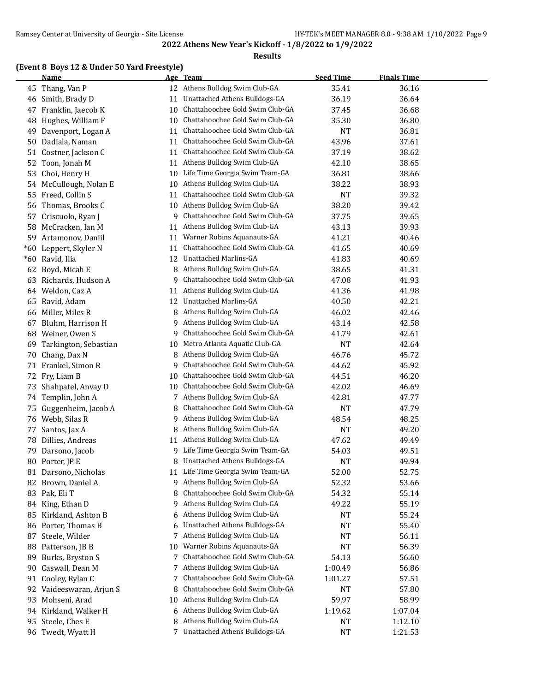#### **Results**

## **(Event 8 Boys 12 & Under 50 Yard Freestyle)**

|       | <b>Name</b>           |    | Age Team                          | <b>Seed Time</b> | <b>Finals Time</b> |  |
|-------|-----------------------|----|-----------------------------------|------------------|--------------------|--|
| 45    | Thang, Van P          | 12 | Athens Bulldog Swim Club-GA       | 35.41            | 36.16              |  |
| 46    | Smith, Brady D        | 11 | Unattached Athens Bulldogs-GA     | 36.19            | 36.64              |  |
| 47    | Franklin, Jaecob K    | 10 | Chattahoochee Gold Swim Club-GA   | 37.45            | 36.68              |  |
| 48    | Hughes, William F     | 10 | Chattahoochee Gold Swim Club-GA   | 35.30            | 36.80              |  |
| 49    | Davenport, Logan A    | 11 | Chattahoochee Gold Swim Club-GA   | <b>NT</b>        | 36.81              |  |
| 50    | Dadiala, Naman        | 11 | Chattahoochee Gold Swim Club-GA   | 43.96            | 37.61              |  |
| 51    | Costner, Jackson C    | 11 | Chattahoochee Gold Swim Club-GA   | 37.19            | 38.62              |  |
| 52    | Toon, Jonah M         | 11 | Athens Bulldog Swim Club-GA       | 42.10            | 38.65              |  |
| 53    | Choi, Henry H         | 10 | Life Time Georgia Swim Team-GA    | 36.81            | 38.66              |  |
| 54    | McCullough, Nolan E   | 10 | Athens Bulldog Swim Club-GA       | 38.22            | 38.93              |  |
| 55    | Freed, Collin S       | 11 | Chattahoochee Gold Swim Club-GA   | <b>NT</b>        | 39.32              |  |
| 56    | Thomas, Brooks C      | 10 | Athens Bulldog Swim Club-GA       | 38.20            | 39.42              |  |
| 57    | Criscuolo, Ryan J     | 9  | Chattahoochee Gold Swim Club-GA   | 37.75            | 39.65              |  |
| 58    | McCracken, Ian M      | 11 | Athens Bulldog Swim Club-GA       | 43.13            | 39.93              |  |
| 59    | Artamonov, Daniil     | 11 | Warner Robins Aquanauts-GA        | 41.21            | 40.46              |  |
| $*60$ | Leppert, Skyler N     | 11 | Chattahoochee Gold Swim Club-GA   | 41.65            | 40.69              |  |
| $*60$ | Ravid, Ilia           | 12 | Unattached Marlins-GA             | 41.83            | 40.69              |  |
| 62    | Boyd, Micah E         | 8  | Athens Bulldog Swim Club-GA       | 38.65            | 41.31              |  |
| 63    | Richards, Hudson A    | 9  | Chattahoochee Gold Swim Club-GA   | 47.08            | 41.93              |  |
|       | 64 Weldon, Caz A      | 11 | Athens Bulldog Swim Club-GA       | 41.36            | 41.98              |  |
| 65    | Ravid, Adam           | 12 | <b>Unattached Marlins-GA</b>      | 40.50            | 42.21              |  |
| 66    | Miller, Miles R       | 8  | Athens Bulldog Swim Club-GA       | 46.02            | 42.46              |  |
| 67    | Bluhm, Harrison H     | 9  | Athens Bulldog Swim Club-GA       | 43.14            | 42.58              |  |
| 68    | Weiner, Owen S        | 9  | Chattahoochee Gold Swim Club-GA   | 41.79            | 42.61              |  |
| 69    | Tarkington, Sebastian | 10 | Metro Atlanta Aquatic Club-GA     | <b>NT</b>        | 42.64              |  |
| 70    | Chang, Dax N          | 8  | Athens Bulldog Swim Club-GA       | 46.76            | 45.72              |  |
| 71    | Frankel, Simon R      | 9  | Chattahoochee Gold Swim Club-GA   | 44.62            | 45.92              |  |
| 72    | Fry, Liam B           | 10 | Chattahoochee Gold Swim Club-GA   | 44.51            | 46.20              |  |
| 73    | Shahpatel, Anvay D    | 10 | Chattahoochee Gold Swim Club-GA   | 42.02            | 46.69              |  |
| 74    | Templin, John A       | 7  | Athens Bulldog Swim Club-GA       | 42.81            | 47.77              |  |
| 75    | Guggenheim, Jacob A   | 8  | Chattahoochee Gold Swim Club-GA   | <b>NT</b>        | 47.79              |  |
| 76    | Webb, Silas R         | 9. | Athens Bulldog Swim Club-GA       | 48.54            | 48.25              |  |
| 77    | Santos, Jax A         | 8  | Athens Bulldog Swim Club-GA       | <b>NT</b>        | 49.20              |  |
| 78    | Dillies, Andreas      |    | 11 Athens Bulldog Swim Club-GA    | 47.62            | 49.49              |  |
| 79    | Darsono, Jacob        | 9. | Life Time Georgia Swim Team-GA    | 54.03            | 49.51              |  |
|       | 80 Porter, JP E       | 8  | Unattached Athens Bulldogs-GA     | <b>NT</b>        | 49.94              |  |
|       | 81 Darsono, Nicholas  |    | 11 Life Time Georgia Swim Team-GA | 52.00            | 52.75              |  |
| 82    | Brown, Daniel A       | 9  | Athens Bulldog Swim Club-GA       | 52.32            | 53.66              |  |
| 83    | Pak, Eli T            | 8  | Chattahoochee Gold Swim Club-GA   | 54.32            | 55.14              |  |
| 84    | King, Ethan D         | 9  | Athens Bulldog Swim Club-GA       | 49.22            | 55.19              |  |
| 85    | Kirkland, Ashton B    | 6  | Athens Bulldog Swim Club-GA       | NT               | 55.24              |  |
| 86    | Porter, Thomas B      | 6  | Unattached Athens Bulldogs-GA     | <b>NT</b>        | 55.40              |  |
| 87    | Steele, Wilder        | 7  | Athens Bulldog Swim Club-GA       | NT               | 56.11              |  |
| 88    | Patterson, JB B       | 10 | Warner Robins Aquanauts-GA        | <b>NT</b>        | 56.39              |  |
| 89    | Burks, Bryston S      | 7  | Chattahoochee Gold Swim Club-GA   | 54.13            | 56.60              |  |
| 90    | Caswall, Dean M       | 7  | Athens Bulldog Swim Club-GA       | 1:00.49          | 56.86              |  |
| 91    | Cooley, Rylan C       | 7  | Chattahoochee Gold Swim Club-GA   | 1:01.27          | 57.51              |  |
| 92    | Vaideeswaran, Arjun S | 8  | Chattahoochee Gold Swim Club-GA   | NT               | 57.80              |  |
| 93    | Mohseni, Arad         | 10 | Athens Bulldog Swim Club-GA       | 59.97            | 58.99              |  |
|       | 94 Kirkland, Walker H | 6  | Athens Bulldog Swim Club-GA       | 1:19.62          | 1:07.04            |  |
|       | 95 Steele, Ches E     | 8  | Athens Bulldog Swim Club-GA       | NT               | 1:12.10            |  |
|       | 96 Twedt, Wyatt H     | 7  | Unattached Athens Bulldogs-GA     | $\bf NT$         | 1:21.53            |  |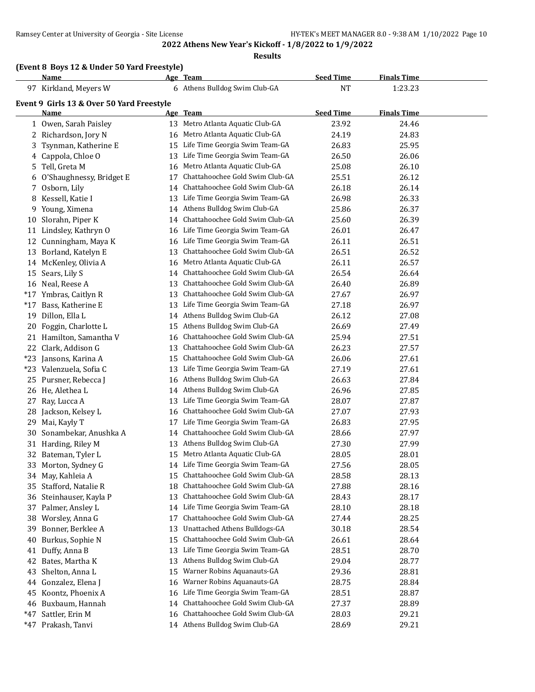**Results**

## **(Event 8 Boys 12 & Under 50 Yard Freestyle)**

|       | Name                                      |    | Age Team                           | <b>Seed Time</b> | <b>Finals Time</b> |  |
|-------|-------------------------------------------|----|------------------------------------|------------------|--------------------|--|
|       | 97 Kirkland, Meyers W                     |    | 6 Athens Bulldog Swim Club-GA      | <b>NT</b>        | 1:23.23            |  |
|       | Event 9 Girls 13 & Over 50 Yard Freestyle |    |                                    |                  |                    |  |
|       | Name                                      |    | Age Team                           | <b>Seed Time</b> | <b>Finals Time</b> |  |
|       | 1 Owen, Sarah Paisley                     |    | 13 Metro Atlanta Aquatic Club-GA   | 23.92            | 24.46              |  |
|       | 2 Richardson, Jory N                      |    | 16 Metro Atlanta Aquatic Club-GA   | 24.19            | 24.83              |  |
| 3     | Tsynman, Katherine E                      |    | 15 Life Time Georgia Swim Team-GA  | 26.83            | 25.95              |  |
| 4     | Cappola, Chloe O                          | 13 | Life Time Georgia Swim Team-GA     | 26.50            | 26.06              |  |
| 5     | Tell, Greta M                             |    | 16 Metro Atlanta Aquatic Club-GA   | 25.08            | 26.10              |  |
|       | 6 O'Shaughnessy, Bridget E                | 17 | Chattahoochee Gold Swim Club-GA    | 25.51            | 26.12              |  |
| 7     | Osborn, Lily                              |    | 14 Chattahoochee Gold Swim Club-GA | 26.18            | 26.14              |  |
| 8     | Kessell, Katie I                          | 13 | Life Time Georgia Swim Team-GA     | 26.98            | 26.33              |  |
| 9     | Young, Ximena                             |    | 14 Athens Bulldog Swim Club-GA     | 25.86            | 26.37              |  |
| 10    | Slorahn, Piper K                          |    | 14 Chattahoochee Gold Swim Club-GA | 25.60            | 26.39              |  |
| 11    | Lindsley, Kathryn O                       |    | 16 Life Time Georgia Swim Team-GA  | 26.01            | 26.47              |  |
|       | 12 Cunningham, Maya K                     |    | 16 Life Time Georgia Swim Team-GA  | 26.11            | 26.51              |  |
|       | 13 Borland, Katelyn E                     | 13 | Chattahoochee Gold Swim Club-GA    | 26.51            | 26.52              |  |
|       | 14 McKenley, Olivia A                     | 16 | Metro Atlanta Aquatic Club-GA      | 26.11            | 26.57              |  |
| 15    | Sears, Lily S                             |    | 14 Chattahoochee Gold Swim Club-GA | 26.54            | 26.64              |  |
|       | 16 Neal, Reese A                          | 13 | Chattahoochee Gold Swim Club-GA    | 26.40            | 26.89              |  |
| $*17$ | Ymbras, Caitlyn R                         | 13 | Chattahoochee Gold Swim Club-GA    | 27.67            | 26.97              |  |
|       | *17 Bass, Katherine E                     | 13 | Life Time Georgia Swim Team-GA     | 27.18            | 26.97              |  |
| 19    | Dillon, Ella L                            | 14 | Athens Bulldog Swim Club-GA        | 26.12            | 27.08              |  |
| 20    | Foggin, Charlotte L                       | 15 | Athens Bulldog Swim Club-GA        | 26.69            | 27.49              |  |
| 21    | Hamilton, Samantha V                      | 16 | Chattahoochee Gold Swim Club-GA    | 25.94            | 27.51              |  |
| 22    | Clark, Addison G                          | 13 | Chattahoochee Gold Swim Club-GA    | 26.23            | 27.57              |  |
| $*23$ | Jansons, Karina A                         | 15 | Chattahoochee Gold Swim Club-GA    | 26.06            | 27.61              |  |
|       | *23 Valenzuela, Sofia C                   | 13 | Life Time Georgia Swim Team-GA     | 27.19            | 27.61              |  |
| 25    | Pursner, Rebecca J                        | 16 | Athens Bulldog Swim Club-GA        | 26.63            | 27.84              |  |
|       | 26 He, Alethea L                          | 14 | Athens Bulldog Swim Club-GA        | 26.96            | 27.85              |  |
| 27    | Ray, Lucca A                              | 13 | Life Time Georgia Swim Team-GA     | 28.07            | 27.87              |  |
| 28    | Jackson, Kelsey L                         | 16 | Chattahoochee Gold Swim Club-GA    | 27.07            | 27.93              |  |
| 29    | Mai, Kayly T                              | 17 | Life Time Georgia Swim Team-GA     | 26.83            | 27.95              |  |
| 30    | Sonambekar, Anushka A                     | 14 | Chattahoochee Gold Swim Club-GA    | 28.66            | 27.97              |  |
|       | 31 Harding, Riley M                       |    | 13 Athens Bulldog Swim Club-GA     | 27.30            | 27.99              |  |
|       | 32 Bateman, Tyler L                       |    | 15 Metro Atlanta Aquatic Club-GA   | 28.05            | 28.01              |  |
|       | 33 Morton, Sydney G                       |    | 14 Life Time Georgia Swim Team-GA  | 27.56            | 28.05              |  |
|       | 34 May, Kahleia A                         |    | 15 Chattahoochee Gold Swim Club-GA | 28.58            | 28.13              |  |
|       | 35 Stafford, Natalie R                    | 18 | Chattahoochee Gold Swim Club-GA    | 27.88            | 28.16              |  |
| 36    | Steinhauser, Kayla P                      | 13 | Chattahoochee Gold Swim Club-GA    | 28.43            | 28.17              |  |
| 37    | Palmer, Ansley L                          | 14 | Life Time Georgia Swim Team-GA     | 28.10            | 28.18              |  |
| 38    | Worsley, Anna G                           | 17 | Chattahoochee Gold Swim Club-GA    | 27.44            | 28.25              |  |
| 39    | Bonner, Berklee A                         | 13 | Unattached Athens Bulldogs-GA      | 30.18            | 28.54              |  |
| 40    | Burkus, Sophie N                          | 15 | Chattahoochee Gold Swim Club-GA    | 26.61            | 28.64              |  |
| 41    | Duffy, Anna B                             | 13 | Life Time Georgia Swim Team-GA     | 28.51            | 28.70              |  |
| 42    | Bates, Martha K                           | 13 | Athens Bulldog Swim Club-GA        | 29.04            | 28.77              |  |
| 43    | Shelton, Anna L                           | 15 | Warner Robins Aquanauts-GA         | 29.36            | 28.81              |  |
| 44    | Gonzalez, Elena J                         | 16 | Warner Robins Aquanauts-GA         | 28.75            | 28.84              |  |
| 45    | Koontz, Phoenix A                         | 16 | Life Time Georgia Swim Team-GA     | 28.51            | 28.87              |  |
|       | 46 Buxbaum, Hannah                        | 14 | Chattahoochee Gold Swim Club-GA    | 27.37            | 28.89              |  |
| $*47$ | Sattler, Erin M                           | 16 | Chattahoochee Gold Swim Club-GA    | 28.03            | 29.21              |  |
|       | *47 Prakash, Tanvi                        |    | 14 Athens Bulldog Swim Club-GA     | 28.69            | 29.21              |  |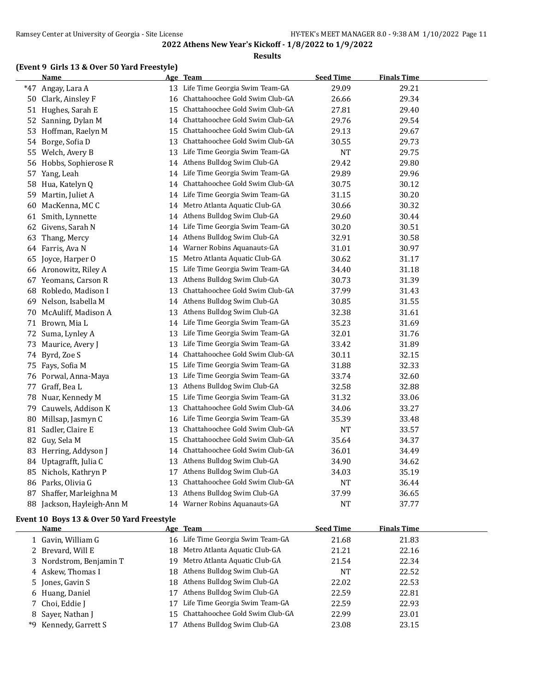#### **Results**

#### **(Event 9 Girls 13 & Over 50 Yard Freestyle)**

|       | Name                    |    | Age Team                          | <b>Seed Time</b> | <b>Finals Time</b> |  |
|-------|-------------------------|----|-----------------------------------|------------------|--------------------|--|
| $*47$ | Angay, Lara A           | 13 | Life Time Georgia Swim Team-GA    | 29.09            | 29.21              |  |
| 50    | Clark, Ainsley F        | 16 | Chattahoochee Gold Swim Club-GA   | 26.66            | 29.34              |  |
| 51    | Hughes, Sarah E         | 15 | Chattahoochee Gold Swim Club-GA   | 27.81            | 29.40              |  |
| 52    | Sanning, Dylan M        | 14 | Chattahoochee Gold Swim Club-GA   | 29.76            | 29.54              |  |
| 53    | Hoffman, Raelyn M       | 15 | Chattahoochee Gold Swim Club-GA   | 29.13            | 29.67              |  |
| 54    | Borge, Sofia D          | 13 | Chattahoochee Gold Swim Club-GA   | 30.55            | 29.73              |  |
| 55    | Welch, Avery B          | 13 | Life Time Georgia Swim Team-GA    | <b>NT</b>        | 29.75              |  |
| 56    | Hobbs, Sophierose R     | 14 | Athens Bulldog Swim Club-GA       | 29.42            | 29.80              |  |
| 57    | Yang, Leah              | 14 | Life Time Georgia Swim Team-GA    | 29.89            | 29.96              |  |
| 58    | Hua, Katelyn Q          | 14 | Chattahoochee Gold Swim Club-GA   | 30.75            | 30.12              |  |
| 59    | Martin, Juliet A        | 14 | Life Time Georgia Swim Team-GA    | 31.15            | 30.20              |  |
| 60    | MacKenna, MCC           | 14 | Metro Atlanta Aquatic Club-GA     | 30.66            | 30.32              |  |
| 61    | Smith, Lynnette         | 14 | Athens Bulldog Swim Club-GA       | 29.60            | 30.44              |  |
| 62    | Givens, Sarah N         | 14 | Life Time Georgia Swim Team-GA    | 30.20            | 30.51              |  |
| 63    | Thang, Mercy            | 14 | Athens Bulldog Swim Club-GA       | 32.91            | 30.58              |  |
|       | 64 Farris, Ava N        | 14 | Warner Robins Aquanauts-GA        | 31.01            | 30.97              |  |
| 65    | Joyce, Harper O         | 15 | Metro Atlanta Aquatic Club-GA     | 30.62            | 31.17              |  |
|       | 66 Aronowitz, Riley A   | 15 | Life Time Georgia Swim Team-GA    | 34.40            | 31.18              |  |
| 67    | Yeomans, Carson R       | 13 | Athens Bulldog Swim Club-GA       | 30.73            | 31.39              |  |
| 68    | Robledo, Madison I      | 13 | Chattahoochee Gold Swim Club-GA   | 37.99            | 31.43              |  |
| 69    | Nelson, Isabella M      | 14 | Athens Bulldog Swim Club-GA       | 30.85            | 31.55              |  |
| 70    | McAuliff, Madison A     | 13 | Athens Bulldog Swim Club-GA       | 32.38            | 31.61              |  |
|       | 71 Brown, Mia L         | 14 | Life Time Georgia Swim Team-GA    | 35.23            | 31.69              |  |
| 72    | Suma, Lynley A          | 13 | Life Time Georgia Swim Team-GA    | 32.01            | 31.76              |  |
| 73    | Maurice, Avery J        | 13 | Life Time Georgia Swim Team-GA    | 33.42            | 31.89              |  |
|       | 74 Byrd, Zoe S          | 14 | Chattahoochee Gold Swim Club-GA   | 30.11            | 32.15              |  |
| 75    | Fays, Sofia M           | 15 | Life Time Georgia Swim Team-GA    | 31.88            | 32.33              |  |
|       | 76 Porwal, Anna-Maya    | 13 | Life Time Georgia Swim Team-GA    | 33.74            | 32.60              |  |
| 77    | Graff, Bea L            | 13 | Athens Bulldog Swim Club-GA       | 32.58            | 32.88              |  |
| 78    | Nuar, Kennedy M         | 15 | Life Time Georgia Swim Team-GA    | 31.32            | 33.06              |  |
| 79    | Cauwels, Addison K      | 13 | Chattahoochee Gold Swim Club-GA   | 34.06            | 33.27              |  |
| 80    | Millsap, Jasmyn C       |    | 16 Life Time Georgia Swim Team-GA | 35.39            | 33.48              |  |
| 81    | Sadler, Claire E        | 13 | Chattahoochee Gold Swim Club-GA   | NT               | 33.57              |  |
| 82    | Guy, Sela M             | 15 | Chattahoochee Gold Swim Club-GA   | 35.64            | 34.37              |  |
| 83    | Herring, Addyson J      | 14 | Chattahoochee Gold Swim Club-GA   | 36.01            | 34.49              |  |
| 84    | Uptagrafft, Julia C     | 13 | Athens Bulldog Swim Club-GA       | 34.90            | 34.62              |  |
| 85    | Nichols, Kathryn P      | 17 | Athens Bulldog Swim Club-GA       | 34.03            | 35.19              |  |
|       | 86 Parks, Olivia G      | 13 | Chattahoochee Gold Swim Club-GA   | <b>NT</b>        | 36.44              |  |
| 87    | Shaffer, Marleighna M   | 13 | Athens Bulldog Swim Club-GA       | 37.99            | 36.65              |  |
| 88    | Jackson, Hayleigh-Ann M |    | 14 Warner Robins Aquanauts-GA     | <b>NT</b>        | 37.77              |  |

#### **Event 10 Boys 13 & Over 50 Yard Freestyle**

|    | Name                    |    | Age Team                           | <b>Seed Time</b> | <b>Finals Time</b> |  |
|----|-------------------------|----|------------------------------------|------------------|--------------------|--|
|    | 1 Gavin, William G      |    | 16 Life Time Georgia Swim Team-GA  | 21.68            | 21.83              |  |
|    | 2 Brevard, Will E       |    | 18 Metro Atlanta Aquatic Club-GA   | 21.21            | 22.16              |  |
|    | 3 Nordstrom, Benjamin T |    | 19 Metro Atlanta Aquatic Club-GA   | 21.54            | 22.34              |  |
|    | 4 Askew, Thomas I       |    | 18 Athens Bulldog Swim Club-GA     | <b>NT</b>        | 22.52              |  |
|    | 5 Jones, Gavin S        |    | 18 Athens Bulldog Swim Club-GA     | 22.02            | 22.53              |  |
|    | 6 Huang, Daniel         | 17 | Athens Bulldog Swim Club-GA        | 22.59            | 22.81              |  |
|    | 7 Choi, Eddie J         | 17 | Life Time Georgia Swim Team-GA     | 22.59            | 22.93              |  |
|    | 8 Saver, Nathan J       |    | 15 Chattahoochee Gold Swim Club-GA | 22.99            | 23.01              |  |
| *9 | Kennedy, Garrett S      | 17 | Athens Bulldog Swim Club-GA        | 23.08            | 23.15              |  |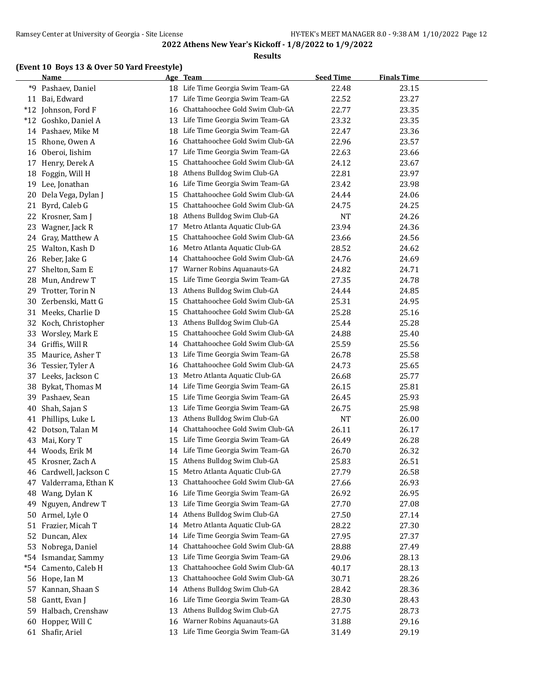#### **Results**

#### **(Event 10 Boys 13 & Over 50 Yard Freestyle)**

|       | <b>Name</b>          |    | Age Team                        | <b>Seed Time</b> | <b>Finals Time</b> |
|-------|----------------------|----|---------------------------------|------------------|--------------------|
| *9    | Pashaev, Daniel      | 18 | Life Time Georgia Swim Team-GA  | 22.48            | 23.15              |
|       | 11 Bai, Edward       | 17 | Life Time Georgia Swim Team-GA  | 22.52            | 23.27              |
|       | *12 Johnson, Ford F  | 16 | Chattahoochee Gold Swim Club-GA | 22.77            | 23.35              |
|       | *12 Goshko, Daniel A | 13 | Life Time Georgia Swim Team-GA  | 23.32            | 23.35              |
|       | 14 Pashaev, Mike M   | 18 | Life Time Georgia Swim Team-GA  | 22.47            | 23.36              |
| 15    | Rhone, Owen A        | 16 | Chattahoochee Gold Swim Club-GA | 22.96            | 23.57              |
| 16    | Oberoi, Iishim       | 17 | Life Time Georgia Swim Team-GA  | 22.63            | 23.66              |
| 17    | Henry, Derek A       | 15 | Chattahoochee Gold Swim Club-GA | 24.12            | 23.67              |
| 18    | Foggin, Will H       | 18 | Athens Bulldog Swim Club-GA     | 22.81            | 23.97              |
| 19    | Lee, Jonathan        | 16 | Life Time Georgia Swim Team-GA  | 23.42            | 23.98              |
| 20    | Dela Vega, Dylan J   | 15 | Chattahoochee Gold Swim Club-GA | 24.44            | 24.06              |
| 21    | Byrd, Caleb G        | 15 | Chattahoochee Gold Swim Club-GA | 24.75            | 24.25              |
| 22    | Krosner, Sam J       | 18 | Athens Bulldog Swim Club-GA     | <b>NT</b>        | 24.26              |
| 23    | Wagner, Jack R       | 17 | Metro Atlanta Aquatic Club-GA   | 23.94            | 24.36              |
| 24    | Gray, Matthew A      | 15 | Chattahoochee Gold Swim Club-GA | 23.66            | 24.56              |
| 25    | Walton, Kash D       | 16 | Metro Atlanta Aquatic Club-GA   | 28.52            | 24.62              |
| 26    | Reber, Jake G        | 14 | Chattahoochee Gold Swim Club-GA | 24.76            | 24.69              |
| 27    | Shelton, Sam E       | 17 | Warner Robins Aquanauts-GA      | 24.82            | 24.71              |
| 28    | Mun, Andrew T        | 15 | Life Time Georgia Swim Team-GA  | 27.35            | 24.78              |
| 29    | Trotter, Torin N     | 13 | Athens Bulldog Swim Club-GA     | 24.44            | 24.85              |
| 30    | Zerbenski, Matt G    | 15 | Chattahoochee Gold Swim Club-GA | 25.31            | 24.95              |
| 31    | Meeks, Charlie D     | 15 | Chattahoochee Gold Swim Club-GA | 25.28            | 25.16              |
|       | 32 Koch, Christopher | 13 | Athens Bulldog Swim Club-GA     | 25.44            | 25.28              |
| 33    | Worsley, Mark E      | 15 | Chattahoochee Gold Swim Club-GA | 24.88            | 25.40              |
| 34    | Griffis, Will R      | 14 | Chattahoochee Gold Swim Club-GA | 25.59            | 25.56              |
| 35    | Maurice, Asher T     | 13 | Life Time Georgia Swim Team-GA  | 26.78            | 25.58              |
| 36    | Tessier, Tyler A     | 16 | Chattahoochee Gold Swim Club-GA | 24.73            | 25.65              |
| 37    | Leeks, Jackson C     | 13 | Metro Atlanta Aquatic Club-GA   | 26.68            | 25.77              |
| 38    | Bykat, Thomas M      | 14 | Life Time Georgia Swim Team-GA  | 26.15            | 25.81              |
| 39    | Pashaev, Sean        | 15 | Life Time Georgia Swim Team-GA  | 26.45            | 25.93              |
| 40    | Shah, Sajan S        | 13 | Life Time Georgia Swim Team-GA  | 26.75            | 25.98              |
| 41    | Phillips, Luke L     | 13 | Athens Bulldog Swim Club-GA     | <b>NT</b>        | 26.00              |
| 42    | Dotson, Talan M      | 14 | Chattahoochee Gold Swim Club-GA | 26.11            | 26.17              |
| 43    | Mai, Kory T          | 15 | Life Time Georgia Swim Team-GA  | 26.49            | 26.28              |
| 44    | Woods, Erik M        | 14 | Life Time Georgia Swim Team-GA  | 26.70            | 26.32              |
| 45    | Krosner, Zach A      | 15 | Athens Bulldog Swim Club-GA     | 25.83            | 26.51              |
| 46    | Cardwell, Jackson C  | 15 | Metro Atlanta Aquatic Club-GA   | 27.79            | 26.58              |
| 47    | Valderrama, Ethan K  | 13 | Chattahoochee Gold Swim Club-GA | 27.66            | 26.93              |
| 48    | Wang, Dylan K        | 16 | Life Time Georgia Swim Team-GA  | 26.92            | 26.95              |
| 49    | Nguyen, Andrew T     | 13 | Life Time Georgia Swim Team-GA  | 27.70            | 27.08              |
| 50    | Armel, Lyle O        | 14 | Athens Bulldog Swim Club-GA     | 27.50            | 27.14              |
| 51    | Frazier, Micah T     | 14 | Metro Atlanta Aquatic Club-GA   | 28.22            | 27.30              |
| 52    | Duncan, Alex         | 14 | Life Time Georgia Swim Team-GA  | 27.95            | 27.37              |
| 53    | Nobrega, Daniel      | 14 | Chattahoochee Gold Swim Club-GA | 28.88            | 27.49              |
| $*54$ | Ismandar, Sammy      | 13 | Life Time Georgia Swim Team-GA  | 29.06            | 28.13              |
| $*54$ | Camento, Caleb H     | 13 | Chattahoochee Gold Swim Club-GA | 40.17            | 28.13              |
|       | 56 Hope, Ian M       | 13 | Chattahoochee Gold Swim Club-GA | 30.71            | 28.26              |
| 57    | Kannan, Shaan S      | 14 | Athens Bulldog Swim Club-GA     | 28.42            | 28.36              |
| 58    | Gantt, Evan J        | 16 | Life Time Georgia Swim Team-GA  | 28.30            | 28.43              |
| 59    | Halbach, Crenshaw    | 13 | Athens Bulldog Swim Club-GA     | 27.75            | 28.73              |
| 60    | Hopper, Will C       | 16 | Warner Robins Aquanauts-GA      | 31.88            | 29.16              |
|       | 61 Shafir, Ariel     | 13 | Life Time Georgia Swim Team-GA  | 31.49            | 29.19              |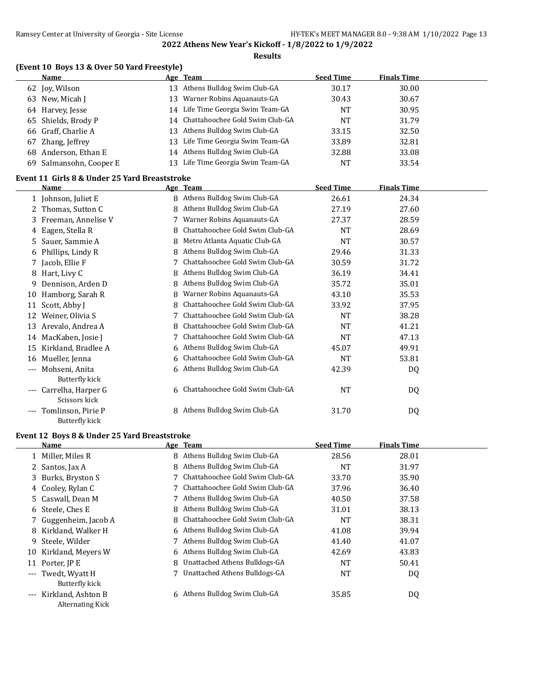#### **Results**

#### **(Event 10 Boys 13 & Over 50 Yard Freestyle)**

| <b>Name</b>             |    | Age Team                           | <b>Seed Time</b> | <b>Finals Time</b> |  |
|-------------------------|----|------------------------------------|------------------|--------------------|--|
| 62 Joy, Wilson          |    | 13 Athens Bulldog Swim Club-GA     | 30.17            | 30.00              |  |
| 63 New, Micah J         | 13 | Warner Robins Aquanauts-GA         | 30.43            | 30.67              |  |
| 64 Harvey, Jesse        |    | 14 Life Time Georgia Swim Team-GA  | NT               | 30.95              |  |
| 65 Shields, Brody P     |    | 14 Chattahoochee Gold Swim Club-GA | <b>NT</b>        | 31.79              |  |
| 66 Graff, Charlie A     |    | 13 Athens Bulldog Swim Club-GA     | 33.15            | 32.50              |  |
| 67 Zhang, Jeffrey       |    | 13 Life Time Georgia Swim Team-GA  | 33.89            | 32.81              |  |
| 68 Anderson, Ethan E    |    | 14 Athens Bulldog Swim Club-GA     | 32.88            | 33.08              |  |
| 69 Salmansohn, Cooper E | 13 | Life Time Georgia Swim Team-GA     | NT               | 33.54              |  |

#### **Event 11 Girls 8 & Under 25 Yard Breaststroke**

|                     | <b>Name</b>         |   | Age Team                          | <b>Seed Time</b> | <b>Finals Time</b> |  |
|---------------------|---------------------|---|-----------------------------------|------------------|--------------------|--|
|                     | 1 Johnson, Juliet E | 8 | Athens Bulldog Swim Club-GA       | 26.61            | 24.34              |  |
| 2                   | Thomas, Sutton C    | 8 | Athens Bulldog Swim Club-GA       | 27.19            | 27.60              |  |
| 3                   | Freeman, Annelise V |   | Warner Robins Aquanauts-GA        | 27.37            | 28.59              |  |
| 4                   | Eagen, Stella R     | 8 | Chattahoochee Gold Swim Club-GA   | <b>NT</b>        | 28.69              |  |
| 5                   | Sauer, Sammie A     | 8 | Metro Atlanta Aquatic Club-GA     | NT               | 30.57              |  |
| 6                   | Phillips, Lindy R   | 8 | Athens Bulldog Swim Club-GA       | 29.46            | 31.33              |  |
| 7                   | Jacob, Ellie F      |   | Chattahoochee Gold Swim Club-GA   | 30.59            | 31.72              |  |
| 8                   | Hart, Livy C        | 8 | Athens Bulldog Swim Club-GA       | 36.19            | 34.41              |  |
| 9                   | Dennison, Arden D   | 8 | Athens Bulldog Swim Club-GA       | 35.72            | 35.01              |  |
| 10                  | Hamborg, Sarah R    | 8 | Warner Robins Aquanauts-GA        | 43.10            | 35.53              |  |
| 11                  | Scott, Abby J       | 8 | Chattahoochee Gold Swim Club-GA   | 33.92            | 37.95              |  |
| 12                  | Weiner, Olivia S    |   | Chattahoochee Gold Swim Club-GA   | <b>NT</b>        | 38.28              |  |
| 13                  | Arevalo, Andrea A   | 8 | Chattahoochee Gold Swim Club-GA   | NT               | 41.21              |  |
| 14                  | MacKaben, Josie J   |   | Chattahoochee Gold Swim Club-GA   | NT               | 47.13              |  |
| 15                  | Kirkland, Bradlee A |   | 6 Athens Bulldog Swim Club-GA     | 45.07            | 49.91              |  |
| 16                  | Mueller, Jenna      | 6 | Chattahoochee Gold Swim Club-GA   | <b>NT</b>        | 53.81              |  |
| $\qquad \qquad - -$ | Mohseni, Anita      |   | 6 Athens Bulldog Swim Club-GA     | 42.39            | DQ.                |  |
|                     | Butterfly kick      |   |                                   |                  |                    |  |
| $---$               | Carrelha, Harper G  |   | 6 Chattahoochee Gold Swim Club-GA | <b>NT</b>        | DQ                 |  |
|                     | Scissors kick       |   |                                   |                  |                    |  |
|                     | Tomlinson, Pirie P  | 8 | Athens Bulldog Swim Club-GA       | 31.70            | DQ                 |  |
|                     | Butterfly kick      |   |                                   |                  |                    |  |

## **Event 12 Boys 8 & Under 25 Yard Breaststroke**

 $\overline{a}$ 

|                     | Name                    |    | Age Team                          | <b>Seed Time</b> | <b>Finals Time</b> |  |
|---------------------|-------------------------|----|-----------------------------------|------------------|--------------------|--|
|                     | Miller, Miles R         | 8  | Athens Bulldog Swim Club-GA       | 28.56            | 28.01              |  |
|                     | 2 Santos, Jax A         | 8  | Athens Bulldog Swim Club-GA       | NT               | 31.97              |  |
|                     | 3 Burks, Bryston S      |    | 7 Chattahoochee Gold Swim Club-GA | 33.70            | 35.90              |  |
|                     | 4 Cooley, Rylan C       |    | 7 Chattahoochee Gold Swim Club-GA | 37.96            | 36.40              |  |
|                     | 5 Caswall, Dean M       |    | 7 Athens Bulldog Swim Club-GA     | 40.50            | 37.58              |  |
| 6                   | Steele, Ches E          | 8  | Athens Bulldog Swim Club-GA       | 31.01            | 38.13              |  |
|                     | Guggenheim, Jacob A     |    | 8 Chattahoochee Gold Swim Club-GA | <b>NT</b>        | 38.31              |  |
| 8                   | Kirkland, Walker H      |    | 6 Athens Bulldog Swim Club-GA     | 41.08            | 39.94              |  |
| 9                   | Steele, Wilder          |    | 7 Athens Bulldog Swim Club-GA     | 41.40            | 41.07              |  |
| 10                  | Kirkland, Meyers W      |    | 6 Athens Bulldog Swim Club-GA     | 42.69            | 43.83              |  |
| 11                  | Porter, JP E            | 8  | Unattached Athens Bulldogs-GA     | <b>NT</b>        | 50.41              |  |
|                     | --- Twedt, Wyatt H      |    | 7 Unattached Athens Bulldogs-GA   | NT               | DQ                 |  |
|                     | Butterfly kick          |    |                                   |                  |                    |  |
| $\qquad \qquad - -$ | Kirkland, Ashton B      | 6. | Athens Bulldog Swim Club-GA       | 35.85            | DQ                 |  |
|                     | <b>Alternating Kick</b> |    |                                   |                  |                    |  |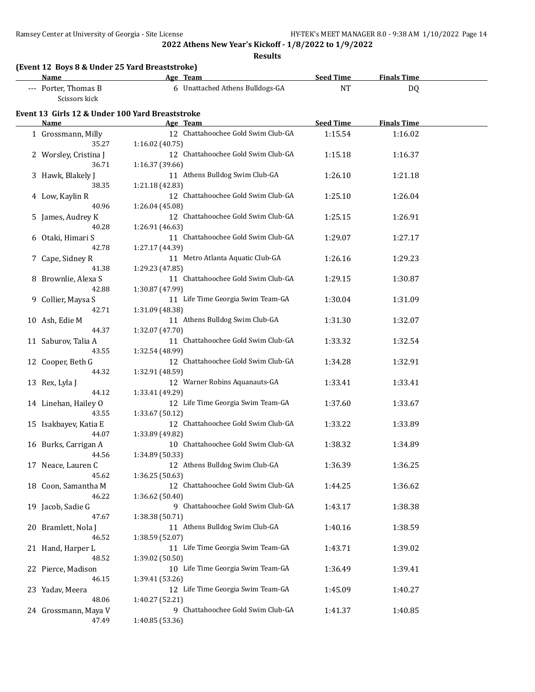**Results**

| (Event 12 Boys 8 & Under 25 Yard Breaststroke)<br><b>Name</b> | Age Team                                              | <b>Seed Time</b> | <b>Finals Time</b> |  |
|---------------------------------------------------------------|-------------------------------------------------------|------------------|--------------------|--|
| --- Porter, Thomas B<br>Scissors kick                         | 6 Unattached Athens Bulldogs-GA                       | <b>NT</b>        | DQ                 |  |
| Event 13 Girls 12 & Under 100 Yard Breaststroke               |                                                       |                  |                    |  |
| Name                                                          | Age Team                                              | <b>Seed Time</b> | <b>Finals Time</b> |  |
| 1 Grossmann, Milly                                            | 12 Chattahoochee Gold Swim Club-GA                    | 1:15.54          | 1:16.02            |  |
| 35.27                                                         | 1:16.02 (40.75)                                       |                  |                    |  |
| 2 Worsley, Cristina J                                         | 12 Chattahoochee Gold Swim Club-GA                    | 1:15.18          | 1:16.37            |  |
| 36.71                                                         | 1:16.37 (39.66)                                       |                  |                    |  |
| 3 Hawk, Blakely J                                             | 11 Athens Bulldog Swim Club-GA                        | 1:26.10          | 1:21.18            |  |
| 38.35                                                         | 1:21.18 (42.83)                                       |                  |                    |  |
| 4 Low, Kaylin R                                               | 12 Chattahoochee Gold Swim Club-GA                    | 1:25.10          | 1:26.04            |  |
| 40.96                                                         | 1:26.04 (45.08)                                       |                  |                    |  |
| 5 James, Audrey K                                             | 12 Chattahoochee Gold Swim Club-GA                    | 1:25.15          | 1:26.91            |  |
| 40.28                                                         | 1:26.91 (46.63)                                       |                  |                    |  |
| 6 Otaki, Himari S                                             | 11 Chattahoochee Gold Swim Club-GA                    | 1:29.07          | 1:27.17            |  |
| 42.78                                                         | 1:27.17 (44.39)                                       |                  |                    |  |
| 7 Cape, Sidney R                                              | 11 Metro Atlanta Aquatic Club-GA                      | 1:26.16          | 1:29.23            |  |
| 41.38                                                         | 1:29.23 (47.85)                                       |                  |                    |  |
| 8 Brownlie, Alexa S                                           | 11 Chattahoochee Gold Swim Club-GA                    | 1:29.15          | 1:30.87            |  |
| 42.88                                                         | 1:30.87 (47.99)                                       |                  |                    |  |
| 9 Collier, Maysa S                                            | 11 Life Time Georgia Swim Team-GA                     | 1:30.04          | 1:31.09            |  |
| 42.71                                                         | 1:31.09 (48.38)                                       |                  |                    |  |
| 10 Ash, Edie M                                                | 11 Athens Bulldog Swim Club-GA                        | 1:31.30          | 1:32.07            |  |
| 44.37                                                         | 1:32.07 (47.70)                                       |                  |                    |  |
| 11 Saburov, Talia A                                           | 11 Chattahoochee Gold Swim Club-GA                    | 1:33.32          | 1:32.54            |  |
| 43.55                                                         | 1:32.54 (48.99)                                       |                  |                    |  |
| 12 Cooper, Beth G                                             | 12 Chattahoochee Gold Swim Club-GA                    | 1:34.28          | 1:32.91            |  |
| 44.32                                                         | 1:32.91 (48.59)                                       |                  |                    |  |
| 13 Rex, Lyla J                                                | 12 Warner Robins Aquanauts-GA                         | 1:33.41          | 1:33.41            |  |
| 44.12                                                         | 1:33.41 (49.29)                                       |                  |                    |  |
| 14 Linehan, Hailey O                                          | 12 Life Time Georgia Swim Team-GA                     | 1:37.60          | 1:33.67            |  |
| 43.55                                                         | 1:33.67 (50.12)                                       |                  |                    |  |
| 15 Isakbayev, Katia E                                         | 12 Chattahoochee Gold Swim Club-GA                    | 1:33.22          | 1:33.89            |  |
| 44.07                                                         | 1:33.89 (49.82)<br>10 Chattahoochee Gold Swim Club-GA |                  |                    |  |
| 16 Burks, Carrigan A<br>44.56                                 |                                                       | 1:38.32          | 1:34.89            |  |
|                                                               | 1:34.89 (50.33)<br>12 Athens Bulldog Swim Club-GA     | 1:36.39          |                    |  |
| 17 Neace, Lauren C<br>45.62                                   | 1:36.25 (50.63)                                       |                  | 1:36.25            |  |
|                                                               | 12 Chattahoochee Gold Swim Club-GA                    |                  | 1:36.62            |  |
| 18 Coon, Samantha M<br>46.22                                  |                                                       | 1:44.25          |                    |  |
|                                                               | 1:36.62 (50.40)<br>9 Chattahoochee Gold Swim Club-GA  |                  |                    |  |
| 19 Jacob, Sadie G<br>47.67                                    |                                                       | 1:43.17          | 1:38.38            |  |
|                                                               | 1:38.38 (50.71)<br>11 Athens Bulldog Swim Club-GA     |                  |                    |  |
| 20 Bramlett, Nola J                                           |                                                       | 1:40.16          | 1:38.59            |  |
| 46.52                                                         | 1:38.59 (52.07)                                       |                  |                    |  |
| 21 Hand, Harper L                                             | 11 Life Time Georgia Swim Team-GA                     | 1:43.71          | 1:39.02            |  |
| 48.52                                                         | 1:39.02 (50.50)<br>10 Life Time Georgia Swim Team-GA  |                  |                    |  |
| 22 Pierce, Madison                                            |                                                       | 1:36.49          | 1:39.41            |  |
| 46.15                                                         | 1:39.41 (53.26)                                       |                  |                    |  |
| 23 Yadav, Meera<br>48.06                                      | 12 Life Time Georgia Swim Team-GA                     | 1:45.09          | 1:40.27            |  |
|                                                               | 1:40.27 (52.21)<br>9 Chattahoochee Gold Swim Club-GA  |                  |                    |  |
| 24 Grossmann, Maya V<br>47.49                                 | 1:40.85 (53.36)                                       | 1:41.37          | 1:40.85            |  |
|                                                               |                                                       |                  |                    |  |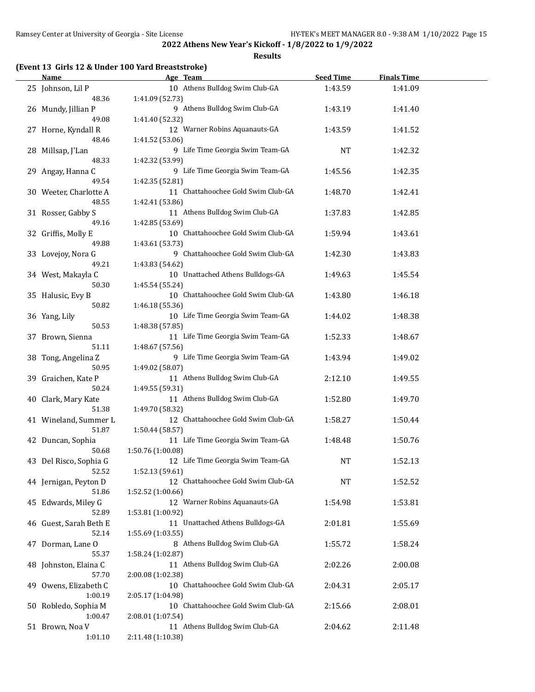**Results**

#### **(Event 13 Girls 12 & Under 100 Yard Breaststroke)**

| <b>Name</b>            | Age Team                           | <b>Seed Time</b> | <b>Finals Time</b> |  |
|------------------------|------------------------------------|------------------|--------------------|--|
| 25 Johnson, Lil P      | 10 Athens Bulldog Swim Club-GA     | 1:43.59          | 1:41.09            |  |
| 48.36                  | 1:41.09 (52.73)                    |                  |                    |  |
| 26 Mundy, Jillian P    | 9 Athens Bulldog Swim Club-GA      | 1:43.19          | 1:41.40            |  |
| 49.08                  | 1:41.40 (52.32)                    |                  |                    |  |
| 27 Horne, Kyndall R    | 12 Warner Robins Aquanauts-GA      | 1:43.59          | 1:41.52            |  |
| 48.46                  | 1:41.52 (53.06)                    |                  |                    |  |
| 28 Millsap, J'Lan      | 9 Life Time Georgia Swim Team-GA   | <b>NT</b>        | 1:42.32            |  |
| 48.33                  | 1:42.32 (53.99)                    |                  |                    |  |
| 29 Angay, Hanna C      | 9 Life Time Georgia Swim Team-GA   | 1:45.56          | 1:42.35            |  |
| 49.54                  | 1:42.35 (52.81)                    |                  |                    |  |
| 30 Weeter, Charlotte A | 11 Chattahoochee Gold Swim Club-GA | 1:48.70          | 1:42.41            |  |
| 48.55                  | 1:42.41 (53.86)                    |                  |                    |  |
| 31 Rosser, Gabby S     | 11 Athens Bulldog Swim Club-GA     | 1:37.83          | 1:42.85            |  |
| 49.16                  | 1:42.85 (53.69)                    |                  |                    |  |
| 32 Griffis, Molly E    | 10 Chattahoochee Gold Swim Club-GA | 1:59.94          | 1:43.61            |  |
| 49.88                  | 1:43.61 (53.73)                    |                  |                    |  |
| 33 Lovejoy, Nora G     | 9 Chattahoochee Gold Swim Club-GA  | 1:42.30          | 1:43.83            |  |
| 49.21                  | 1:43.83 (54.62)                    |                  |                    |  |
| 34 West, Makayla C     | 10 Unattached Athens Bulldogs-GA   | 1:49.63          | 1:45.54            |  |
| 50.30                  | 1:45.54 (55.24)                    |                  |                    |  |
| 35 Halusic, Evy B      | 10 Chattahoochee Gold Swim Club-GA | 1:43.80          | 1:46.18            |  |
| 50.82                  | 1:46.18 (55.36)                    |                  |                    |  |
| 36 Yang, Lily          | 10 Life Time Georgia Swim Team-GA  | 1:44.02          | 1:48.38            |  |
| 50.53                  | 1:48.38 (57.85)                    |                  |                    |  |
| 37 Brown, Sienna       | 11 Life Time Georgia Swim Team-GA  | 1:52.33          | 1:48.67            |  |
| 51.11                  | 1:48.67 (57.56)                    |                  |                    |  |
| 38 Tong, Angelina Z    | 9 Life Time Georgia Swim Team-GA   | 1:43.94          | 1:49.02            |  |
| 50.95                  | 1:49.02 (58.07)                    |                  |                    |  |
| 39 Graichen, Kate P    | 11 Athens Bulldog Swim Club-GA     | 2:12.10          | 1:49.55            |  |
| 50.24                  | 1:49.55 (59.31)                    |                  |                    |  |
| 40 Clark, Mary Kate    | 11 Athens Bulldog Swim Club-GA     | 1:52.80          | 1:49.70            |  |
| 51.38                  | 1:49.70 (58.32)                    |                  |                    |  |
| 41 Wineland, Summer L  | 12 Chattahoochee Gold Swim Club-GA | 1:58.27          | 1:50.44            |  |
| 51.87                  | 1:50.44 (58.57)                    |                  |                    |  |
| 42 Duncan, Sophia      | 11 Life Time Georgia Swim Team-GA  | 1:48.48          | 1:50.76            |  |
| 50.68                  | 1:50.76 (1:00.08)                  |                  |                    |  |
| 43 Del Risco, Sophia G | 12 Life Time Georgia Swim Team-GA  | NT               | 1:52.13            |  |
| 52.52                  | 1:52.13 (59.61)                    |                  |                    |  |
| 44 Jernigan, Peyton D  | 12 Chattahoochee Gold Swim Club-GA | <b>NT</b>        | 1:52.52            |  |
| 51.86                  | 1:52.52 (1:00.66)                  |                  |                    |  |
| 45 Edwards, Miley G    | 12 Warner Robins Aquanauts-GA      | 1:54.98          | 1:53.81            |  |
| 52.89                  | 1:53.81 (1:00.92)                  |                  |                    |  |
| 46 Guest, Sarah Beth E | 11 Unattached Athens Bulldogs-GA   | 2:01.81          | 1:55.69            |  |
| 52.14                  | 1:55.69 (1:03.55)                  |                  |                    |  |
| 47 Dorman, Lane O      | 8 Athens Bulldog Swim Club-GA      | 1:55.72          | 1:58.24            |  |
| 55.37                  | 1:58.24 (1:02.87)                  |                  |                    |  |
| 48 Johnston, Elaina C  | 11 Athens Bulldog Swim Club-GA     | 2:02.26          | 2:00.08            |  |
| 57.70                  | 2:00.08 (1:02.38)                  |                  |                    |  |
| 49 Owens, Elizabeth C  | 10 Chattahoochee Gold Swim Club-GA | 2:04.31          | 2:05.17            |  |
| 1:00.19                | 2:05.17 (1:04.98)                  |                  |                    |  |
| 50 Robledo, Sophia M   | 10 Chattahoochee Gold Swim Club-GA | 2:15.66          | 2:08.01            |  |
| 1:00.47                | 2:08.01 (1:07.54)                  |                  |                    |  |
| 51 Brown, Noa V        | 11 Athens Bulldog Swim Club-GA     | 2:04.62          | 2:11.48            |  |
| 1:01.10                | 2:11.48 (1:10.38)                  |                  |                    |  |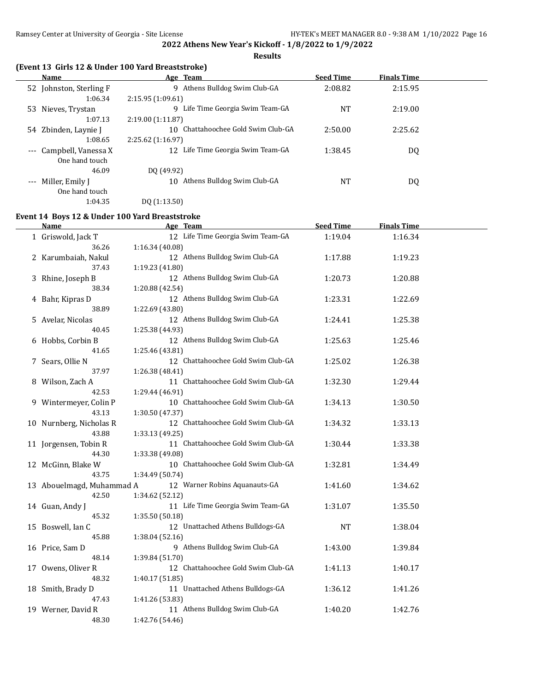**Results**

#### **(Event 13 Girls 12 & Under 100 Yard Breaststroke)**

|          | Name                    | Age Team                              | <b>Seed Time</b> | <b>Finals Time</b> |  |
|----------|-------------------------|---------------------------------------|------------------|--------------------|--|
|          | 52 Johnston, Sterling F | Athens Bulldog Swim Club-GA<br>9      | 2:08.82          | 2:15.95            |  |
|          | 1:06.34                 | 2:15.95(1:09.61)                      |                  |                    |  |
| 53       | Nieves, Trystan         | Life Time Georgia Swim Team-GA<br>q   | NT               | 2:19.00            |  |
|          | 1:07.13                 | 2:19.00(1:11.87)                      |                  |                    |  |
| 54       | Zbinden, Laynie J       | Chattahoochee Gold Swim Club-GA<br>10 | 2:50.00          | 2:25.62            |  |
|          | 1:08.65                 | 2:25.62(1:16.97)                      |                  |                    |  |
| $\cdots$ | Campbell, Vanessa X     | 12 Life Time Georgia Swim Team-GA     | 1:38.45          | DQ                 |  |
|          | One hand touch          |                                       |                  |                    |  |
|          | 46.09                   | DO (49.92)                            |                  |                    |  |
|          | --- Miller, Emily J     | Athens Bulldog Swim Club-GA<br>10     | NT               | DQ                 |  |
|          | One hand touch          |                                       |                  |                    |  |

1:04.35 DQ (1:13.50)

# **Event 14 Boys 12 & Under 100 Yard Breaststroke**

| <b>Name</b>               | Age Team                           | <b>Seed Time</b> | <b>Finals Time</b> |  |
|---------------------------|------------------------------------|------------------|--------------------|--|
| 1 Griswold, Jack T        | 12 Life Time Georgia Swim Team-GA  | 1:19.04          | 1:16.34            |  |
| 36.26                     | 1:16.34 (40.08)                    |                  |                    |  |
| 2 Karumbaiah, Nakul       | 12 Athens Bulldog Swim Club-GA     | 1:17.88          | 1:19.23            |  |
| 37.43                     | 1:19.23 (41.80)                    |                  |                    |  |
| 3 Rhine, Joseph B         | 12 Athens Bulldog Swim Club-GA     | 1:20.73          | 1:20.88            |  |
| 38.34                     | 1:20.88 (42.54)                    |                  |                    |  |
| 4 Bahr, Kipras D          | 12 Athens Bulldog Swim Club-GA     | 1:23.31          | 1:22.69            |  |
| 38.89                     | 1:22.69 (43.80)                    |                  |                    |  |
| 5 Avelar, Nicolas         | 12 Athens Bulldog Swim Club-GA     | 1:24.41          | 1:25.38            |  |
| 40.45                     | 1:25.38 (44.93)                    |                  |                    |  |
| 6 Hobbs, Corbin B         | 12 Athens Bulldog Swim Club-GA     | 1:25.63          | 1:25.46            |  |
| 41.65                     | 1:25.46 (43.81)                    |                  |                    |  |
| 7 Sears, Ollie N          | 12 Chattahoochee Gold Swim Club-GA | 1:25.02          | 1:26.38            |  |
| 37.97                     | 1:26.38 (48.41)                    |                  |                    |  |
| 8 Wilson, Zach A          | 11 Chattahoochee Gold Swim Club-GA | 1:32.30          | 1:29.44            |  |
| 42.53                     | 1:29.44 (46.91)                    |                  |                    |  |
| 9 Wintermeyer, Colin P    | 10 Chattahoochee Gold Swim Club-GA | 1:34.13          | 1:30.50            |  |
| 43.13                     | 1:30.50 (47.37)                    |                  |                    |  |
| 10 Nurnberg, Nicholas R   | 12 Chattahoochee Gold Swim Club-GA | 1:34.32          | 1:33.13            |  |
| 43.88                     | 1:33.13 (49.25)                    |                  |                    |  |
| 11 Jorgensen, Tobin R     | 11 Chattahoochee Gold Swim Club-GA | 1:30.44          | 1:33.38            |  |
| 44.30                     | 1:33.38 (49.08)                    |                  |                    |  |
| 12 McGinn, Blake W        | 10 Chattahoochee Gold Swim Club-GA | 1:32.81          | 1:34.49            |  |
| 43.75                     | 1:34.49 (50.74)                    |                  |                    |  |
| 13 Abouelmagd, Muhammad A | 12 Warner Robins Aquanauts-GA      | 1:41.60          | 1:34.62            |  |
| 42.50                     | 1:34.62 (52.12)                    |                  |                    |  |
| 14 Guan, Andy J           | 11 Life Time Georgia Swim Team-GA  | 1:31.07          | 1:35.50            |  |
| 45.32                     | 1:35.50 (50.18)                    |                  |                    |  |
| 15 Boswell, Ian C         | 12 Unattached Athens Bulldogs-GA   | <b>NT</b>        | 1:38.04            |  |
| 45.88                     | 1:38.04 (52.16)                    |                  |                    |  |
| 16 Price, Sam D           | 9 Athens Bulldog Swim Club-GA      | 1:43.00          | 1:39.84            |  |
| 48.14                     | 1:39.84 (51.70)                    |                  |                    |  |
| 17 Owens, Oliver R        | 12 Chattahoochee Gold Swim Club-GA | 1:41.13          | 1:40.17            |  |
| 48.32                     | 1:40.17 (51.85)                    |                  |                    |  |
| 18 Smith, Brady D         | 11 Unattached Athens Bulldogs-GA   | 1:36.12          | 1:41.26            |  |
| 47.43                     | 1:41.26 (53.83)                    |                  |                    |  |
| 19 Werner, David R        | 11 Athens Bulldog Swim Club-GA     | 1:40.20          | 1:42.76            |  |
| 48.30                     | 1:42.76 (54.46)                    |                  |                    |  |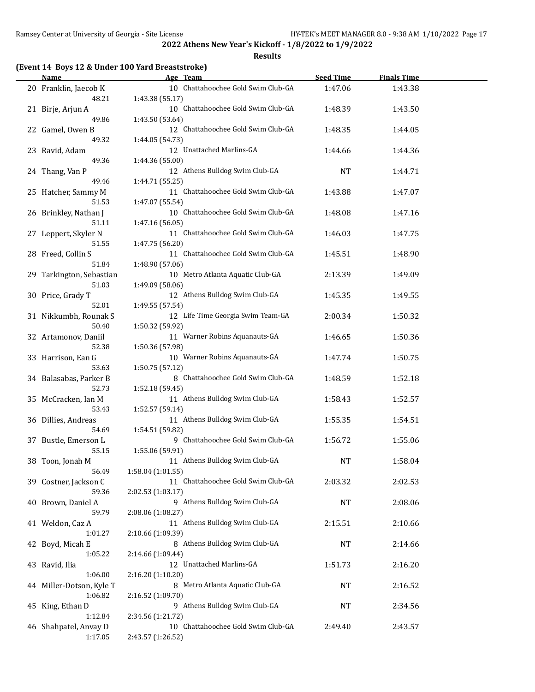**Results**

#### **(Event 14 Boys 12 & Under 100 Yard Breaststroke)**

| <b>Name</b>                         | Age Team                                                | <b>Seed Time</b> | <b>Finals Time</b> |  |
|-------------------------------------|---------------------------------------------------------|------------------|--------------------|--|
| 20 Franklin, Jaecob K<br>48.21      | 10 Chattahoochee Gold Swim Club-GA<br>1:43.38 (55.17)   | 1:47.06          | 1:43.38            |  |
| 21 Birje, Arjun A                   | 10 Chattahoochee Gold Swim Club-GA                      | 1:48.39          | 1:43.50            |  |
| 49.86<br>22 Gamel, Owen B           | 1:43.50 (53.64)<br>12 Chattahoochee Gold Swim Club-GA   | 1:48.35          | 1:44.05            |  |
| 49.32<br>23 Ravid, Adam             | 1:44.05 (54.73)<br>12 Unattached Marlins-GA             | 1:44.66          | 1:44.36            |  |
| 49.36<br>24 Thang, Van P            | 1:44.36 (55.00)<br>12 Athens Bulldog Swim Club-GA       | NT               | 1:44.71            |  |
| 49.46<br>25 Hatcher, Sammy M        | 1:44.71 (55.25)<br>11 Chattahoochee Gold Swim Club-GA   | 1:43.88          | 1:47.07            |  |
| 51.53<br>26 Brinkley, Nathan J      | 1:47.07 (55.54)<br>10 Chattahoochee Gold Swim Club-GA   | 1:48.08          | 1:47.16            |  |
| 51.11<br>27 Leppert, Skyler N       | 1:47.16 (56.05)<br>11 Chattahoochee Gold Swim Club-GA   | 1:46.03          | 1:47.75            |  |
| 51.55<br>28 Freed, Collin S         | 1:47.75 (56.20)<br>11 Chattahoochee Gold Swim Club-GA   | 1:45.51          | 1:48.90            |  |
| 51.84<br>29 Tarkington, Sebastian   | 1:48.90 (57.06)<br>10 Metro Atlanta Aquatic Club-GA     | 2:13.39          | 1:49.09            |  |
| 51.03                               | 1:49.09 (58.06)                                         |                  |                    |  |
| 30 Price, Grady T<br>52.01          | 12 Athens Bulldog Swim Club-GA<br>1:49.55 (57.54)       | 1:45.35          | 1:49.55            |  |
| 31 Nikkumbh, Rounak S<br>50.40      | 12 Life Time Georgia Swim Team-GA<br>1:50.32 (59.92)    | 2:00.34          | 1:50.32            |  |
| 32 Artamonov, Daniil<br>52.38       | 11 Warner Robins Aquanauts-GA<br>1:50.36 (57.98)        | 1:46.65          | 1:50.36            |  |
| 33 Harrison, Ean G<br>53.63         | 10 Warner Robins Aquanauts-GA<br>1:50.75 (57.12)        | 1:47.74          | 1:50.75            |  |
| 34 Balasabas, Parker B<br>52.73     | 8 Chattahoochee Gold Swim Club-GA<br>1:52.18 (59.45)    | 1:48.59          | 1:52.18            |  |
| 35 McCracken, Ian M<br>53.43        | 11 Athens Bulldog Swim Club-GA<br>1:52.57 (59.14)       | 1:58.43          | 1:52.57            |  |
| 36 Dillies, Andreas<br>54.69        | 11 Athens Bulldog Swim Club-GA<br>1:54.51 (59.82)       | 1:55.35          | 1:54.51            |  |
| 37 Bustle, Emerson L<br>55.15       | 9 Chattahoochee Gold Swim Club-GA<br>1:55.06 (59.91)    | 1:56.72          | 1:55.06            |  |
| 38 Toon, Jonah M<br>56.49           | 11 Athens Bulldog Swim Club-GA<br>1:58.04 (1:01.55)     | <b>NT</b>        | 1:58.04            |  |
| 39 Costner, Jackson C<br>59.36      | 11 Chattahoochee Gold Swim Club-GA<br>2:02.53 (1:03.17) | 2:03.32          | 2:02.53            |  |
| 40 Brown, Daniel A                  | 9 Athens Bulldog Swim Club-GA                           | NT               | 2:08.06            |  |
| 59.79<br>41 Weldon, Caz A           | 2:08.06 (1:08.27)<br>11 Athens Bulldog Swim Club-GA     | 2:15.51          | 2:10.66            |  |
| 1:01.27<br>42 Boyd, Micah E         | 2:10.66 (1:09.39)<br>8 Athens Bulldog Swim Club-GA      | NT               | 2:14.66            |  |
| 1:05.22<br>43 Ravid, Ilia           | 2:14.66 (1:09.44)<br>12 Unattached Marlins-GA           | 1:51.73          | 2:16.20            |  |
| 1:06.00<br>44 Miller-Dotson, Kyle T | 2:16.20 (1:10.20)<br>8 Metro Atlanta Aquatic Club-GA    | NT               | 2:16.52            |  |
| 1:06.82<br>45 King, Ethan D         | 2:16.52 (1:09.70)<br>9 Athens Bulldog Swim Club-GA      | NT               | 2:34.56            |  |
| 1:12.84<br>46 Shahpatel, Anvay D    | 2:34.56 (1:21.72)<br>10 Chattahoochee Gold Swim Club-GA | 2:49.40          | 2:43.57            |  |
| 1:17.05                             | 2:43.57 (1:26.52)                                       |                  |                    |  |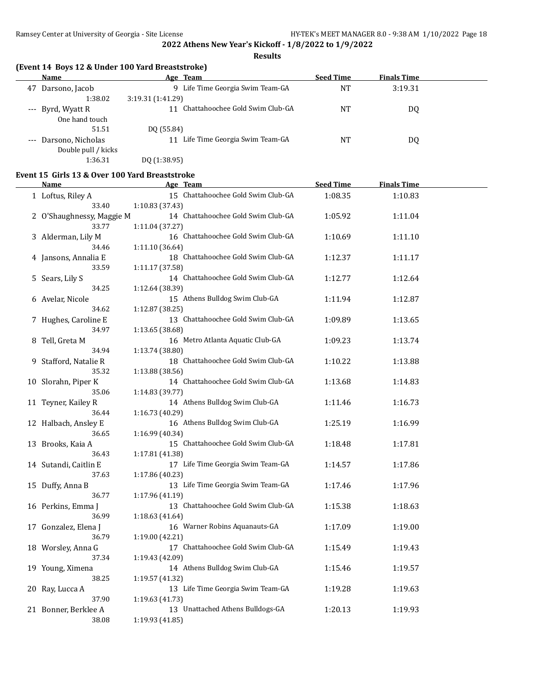**Results**

#### **(Event 14 Boys 12 & Under 100 Yard Breaststroke)**

|    | Name                | Age Team                            | <b>Seed Time</b> | <b>Finals Time</b> |  |
|----|---------------------|-------------------------------------|------------------|--------------------|--|
| 47 | Darsono, Jacob      | Life Time Georgia Swim Team-GA<br>9 | <b>NT</b>        | 3:19.31            |  |
|    | 1:38.02             | 3:19.31 (1:41.29)                   |                  |                    |  |
|    | --- Byrd, Wyatt R   | Chattahoochee Gold Swim Club-GA     | NT               | DQ                 |  |
|    | One hand touch      |                                     |                  |                    |  |
|    | 51.51               | DQ (55.84)                          |                  |                    |  |
|    | Darsono, Nicholas   | Life Time Georgia Swim Team-GA      | NT               | DQ                 |  |
|    | Double pull / kicks |                                     |                  |                    |  |
|    | 1:36.31             | DO (1:38.95)                        |                  |                    |  |

#### **Event 15 Girls 13 & Over 100 Yard Breaststroke**

| <u>Name</u>                  | <b>Example 2</b> Age Team                             | <b>Seed Time</b> | <b>Finals Time</b> |  |
|------------------------------|-------------------------------------------------------|------------------|--------------------|--|
| 1 Loftus, Riley A            | 15 Chattahoochee Gold Swim Club-GA                    | 1:08.35          | 1:10.83            |  |
| 33.40                        | 1:10.83 (37.43)                                       |                  |                    |  |
| 2 O'Shaughnessy, Maggie M    | 14 Chattahoochee Gold Swim Club-GA                    | 1:05.92          | 1:11.04            |  |
| 33.77                        | 1:11.04 (37.27)                                       |                  |                    |  |
| 3 Alderman, Lily M           | 16 Chattahoochee Gold Swim Club-GA                    | 1:10.69          | 1:11.10            |  |
| 34.46                        | 1:11.10 (36.64)                                       |                  |                    |  |
| 4 Jansons, Annalia E         | 18 Chattahoochee Gold Swim Club-GA                    | 1:12.37          | 1:11.17            |  |
| 33.59                        | 1:11.17 (37.58)                                       |                  |                    |  |
| 5 Sears, Lily S              | 14 Chattahoochee Gold Swim Club-GA                    | 1:12.77          | 1:12.64            |  |
| 34.25                        | 1:12.64 (38.39)                                       |                  |                    |  |
| 6 Avelar, Nicole             | 15 Athens Bulldog Swim Club-GA                        | 1:11.94          | 1:12.87            |  |
| 34.62                        | 1:12.87 (38.25)                                       |                  |                    |  |
| 7 Hughes, Caroline E         | 13 Chattahoochee Gold Swim Club-GA                    | 1:09.89          | 1:13.65            |  |
| 34.97                        | 1:13.65 (38.68)                                       |                  |                    |  |
| 8 Tell, Greta M              | 16 Metro Atlanta Aquatic Club-GA                      | 1:09.23          | 1:13.74            |  |
| 34.94                        | 1:13.74 (38.80)                                       |                  |                    |  |
| 9 Stafford, Natalie R        | 18 Chattahoochee Gold Swim Club-GA                    | 1:10.22          | 1:13.88            |  |
| 35.32                        | 1:13.88 (38.56)                                       |                  |                    |  |
| 10 Slorahn, Piper K<br>35.06 | 14 Chattahoochee Gold Swim Club-GA<br>1:14.83 (39.77) | 1:13.68          | 1:14.83            |  |
| 11 Teyner, Kailey R          | 14 Athens Bulldog Swim Club-GA                        | 1:11.46          | 1:16.73            |  |
| 36.44                        | 1:16.73 (40.29)                                       |                  |                    |  |
| 12 Halbach, Ansley E         | 16 Athens Bulldog Swim Club-GA                        | 1:25.19          | 1:16.99            |  |
| 36.65                        | 1:16.99 (40.34)                                       |                  |                    |  |
| 13 Brooks, Kaia A            | 15 Chattahoochee Gold Swim Club-GA                    | 1:18.48          | 1:17.81            |  |
| 36.43                        | 1:17.81 (41.38)                                       |                  |                    |  |
| 14 Sutandi, Caitlin E        | 17 Life Time Georgia Swim Team-GA                     | 1:14.57          | 1:17.86            |  |
| 37.63                        | 1:17.86 (40.23)                                       |                  |                    |  |
| 15 Duffy, Anna B             | 13 Life Time Georgia Swim Team-GA                     | 1:17.46          | 1:17.96            |  |
| 36.77                        | 1:17.96 (41.19)                                       |                  |                    |  |
| 16 Perkins, Emma J           | 13 Chattahoochee Gold Swim Club-GA                    | 1:15.38          | 1:18.63            |  |
| 36.99                        | 1:18.63 (41.64)                                       |                  |                    |  |
| 17 Gonzalez, Elena J         | 16 Warner Robins Aquanauts-GA                         | 1:17.09          | 1:19.00            |  |
| 36.79                        | 1:19.00 (42.21)                                       |                  |                    |  |
| 18 Worsley, Anna G           | 17 Chattahoochee Gold Swim Club-GA                    | 1:15.49          | 1:19.43            |  |
| 37.34                        | 1:19.43 (42.09)                                       |                  |                    |  |
| 19 Young, Ximena             | 14 Athens Bulldog Swim Club-GA                        | 1:15.46          | 1:19.57            |  |
| 38.25                        | 1:19.57 (41.32)                                       |                  |                    |  |
| 20 Ray, Lucca A              | 13 Life Time Georgia Swim Team-GA                     | 1:19.28          | 1:19.63            |  |
| 37.90                        | 1:19.63 (41.73)                                       |                  |                    |  |
| 21 Bonner, Berklee A         | 13 Unattached Athens Bulldogs-GA                      | 1:20.13          | 1:19.93            |  |
| 38.08                        | 1:19.93 (41.85)                                       |                  |                    |  |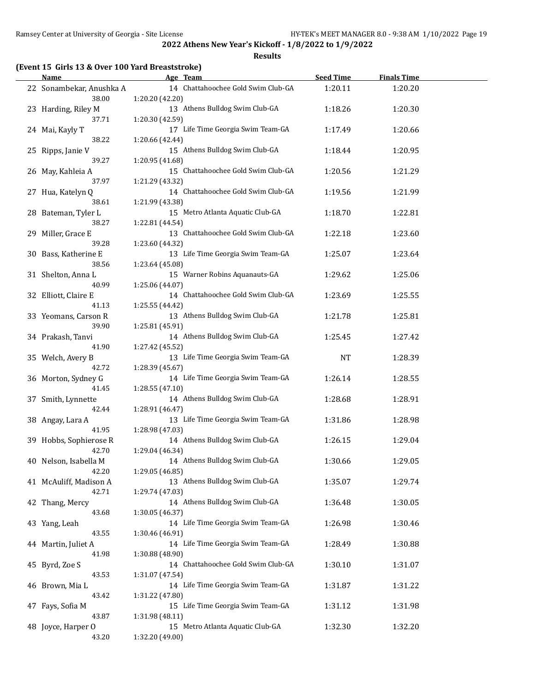**Results**

## **(Event 15 Girls 13 & Over 100 Yard Breaststroke)**

| <b>Name</b>                  | Age Team                                              | <b>Seed Time</b> | <b>Finals Time</b> |  |
|------------------------------|-------------------------------------------------------|------------------|--------------------|--|
| 22 Sonambekar, Anushka A     | 14 Chattahoochee Gold Swim Club-GA                    | 1:20.11          | 1:20.20            |  |
| 38.00                        | 1:20.20 (42.20)                                       |                  |                    |  |
| 23 Harding, Riley M<br>37.71 | 13 Athens Bulldog Swim Club-GA                        | 1:18.26          | 1:20.30            |  |
| 24 Mai, Kayly T              | 1:20.30 (42.59)<br>17 Life Time Georgia Swim Team-GA  | 1:17.49          |                    |  |
| 38.22                        | 1:20.66 (42.44)                                       |                  | 1:20.66            |  |
| 25 Ripps, Janie V            | 15 Athens Bulldog Swim Club-GA                        | 1:18.44          | 1:20.95            |  |
| 39.27                        | 1:20.95 (41.68)                                       |                  |                    |  |
| 26 May, Kahleia A            | 15 Chattahoochee Gold Swim Club-GA                    | 1:20.56          | 1:21.29            |  |
| 37.97                        | 1:21.29 (43.32)                                       |                  |                    |  |
| 27 Hua, Katelyn Q            | 14 Chattahoochee Gold Swim Club-GA                    | 1:19.56          | 1:21.99            |  |
| 38.61                        | 1:21.99 (43.38)                                       |                  |                    |  |
| 28 Bateman, Tyler L          | 15 Metro Atlanta Aquatic Club-GA                      | 1:18.70          | 1:22.81            |  |
| 38.27                        | 1:22.81 (44.54)                                       |                  |                    |  |
| 29 Miller, Grace E           | 13 Chattahoochee Gold Swim Club-GA                    | 1:22.18          | 1:23.60            |  |
| 39.28                        | 1:23.60 (44.32)                                       |                  |                    |  |
| 30 Bass, Katherine E         | 13 Life Time Georgia Swim Team-GA                     | 1:25.07          | 1:23.64            |  |
| 38.56                        | 1:23.64 (45.08)                                       |                  |                    |  |
| 31 Shelton, Anna L           | 15 Warner Robins Aquanauts-GA                         | 1:29.62          | 1:25.06            |  |
| 40.99                        | 1:25.06 (44.07)                                       |                  |                    |  |
| 32 Elliott, Claire E         | 14 Chattahoochee Gold Swim Club-GA                    | 1:23.69          | 1:25.55            |  |
| 41.13                        | 1:25.55 (44.42)                                       |                  |                    |  |
| 33 Yeomans, Carson R         | 13 Athens Bulldog Swim Club-GA                        | 1:21.78          | 1:25.81            |  |
| 39.90                        | 1:25.81 (45.91)                                       |                  |                    |  |
| 34 Prakash, Tanvi<br>41.90   | 14 Athens Bulldog Swim Club-GA                        | 1:25.45          | 1:27.42            |  |
| 35 Welch, Avery B            | 1:27.42 (45.52)<br>13 Life Time Georgia Swim Team-GA  | NT               | 1:28.39            |  |
| 42.72                        | 1:28.39 (45.67)                                       |                  |                    |  |
| 36 Morton, Sydney G          | 14 Life Time Georgia Swim Team-GA                     | 1:26.14          | 1:28.55            |  |
| 41.45                        | 1:28.55 (47.10)                                       |                  |                    |  |
| 37 Smith, Lynnette           | 14 Athens Bulldog Swim Club-GA                        | 1:28.68          | 1:28.91            |  |
| 42.44                        | 1:28.91 (46.47)                                       |                  |                    |  |
| 38 Angay, Lara A             | 13 Life Time Georgia Swim Team-GA                     | 1:31.86          | 1:28.98            |  |
| 41.95                        | 1:28.98 (47.03)                                       |                  |                    |  |
| 39 Hobbs, Sophierose R       | 14 Athens Bulldog Swim Club-GA                        | 1:26.15          | 1:29.04            |  |
| 42.70                        | 1:29.04 (46.34)                                       |                  |                    |  |
| 40 Nelson, Isabella M        | 14 Athens Bulldog Swim Club-GA                        | 1:30.66          | 1:29.05            |  |
| 42.20                        | 1:29.05 (46.85)                                       |                  |                    |  |
| 41 McAuliff, Madison A       | 13 Athens Bulldog Swim Club-GA                        | 1:35.07          | 1:29.74            |  |
| 42.71                        | 1:29.74 (47.03)                                       |                  |                    |  |
| 42 Thang, Mercy              | 14 Athens Bulldog Swim Club-GA                        | 1:36.48          | 1:30.05            |  |
| 43.68                        | 1:30.05 (46.37)                                       |                  |                    |  |
| 43 Yang, Leah                | 14 Life Time Georgia Swim Team-GA                     | 1:26.98          | 1:30.46            |  |
| 43.55                        | 1:30.46 (46.91)                                       |                  |                    |  |
| 44 Martin, Juliet A          | 14 Life Time Georgia Swim Team-GA                     | 1:28.49          | 1:30.88            |  |
| 41.98                        | 1:30.88 (48.90)                                       |                  |                    |  |
| 45 Byrd, Zoe S<br>43.53      | 14 Chattahoochee Gold Swim Club-GA<br>1:31.07 (47.54) | 1:30.10          | 1:31.07            |  |
| 46 Brown, Mia L              | 14 Life Time Georgia Swim Team-GA                     | 1:31.87          | 1:31.22            |  |
| 43.42                        | 1:31.22 (47.80)                                       |                  |                    |  |
| 47 Fays, Sofia M             | 15 Life Time Georgia Swim Team-GA                     | 1:31.12          | 1:31.98            |  |
| 43.87                        | 1:31.98 (48.11)                                       |                  |                    |  |
| 48 Joyce, Harper O           | 15 Metro Atlanta Aquatic Club-GA                      | 1:32.30          | 1:32.20            |  |
| 43.20                        | 1:32.20 (49.00)                                       |                  |                    |  |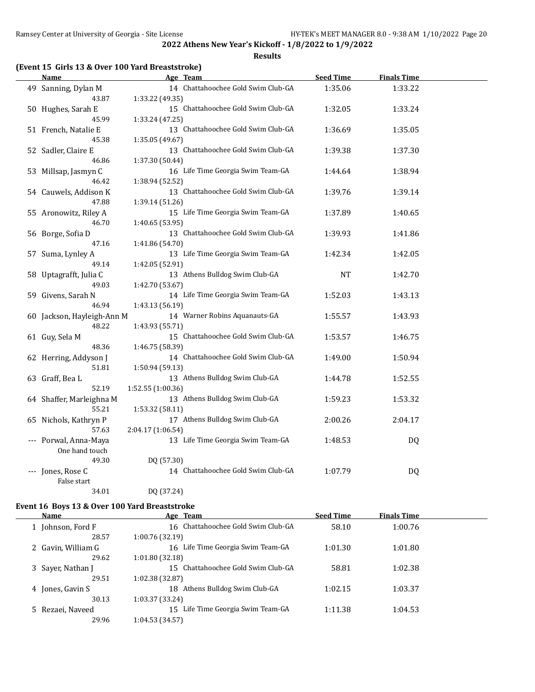**Results**

#### **(Event 15 Girls 13 & Over 100 Yard Breaststroke)**

| <u>Name</u>                | Age Team                                              | <b>Seed Time</b> | <b>Finals Time</b> |  |
|----------------------------|-------------------------------------------------------|------------------|--------------------|--|
| 49 Sanning, Dylan M        | 14 Chattahoochee Gold Swim Club-GA                    | 1:35.06          | 1:33.22            |  |
| 43.87                      | 1:33.22 (49.35)                                       |                  |                    |  |
| 50 Hughes, Sarah E         | 15 Chattahoochee Gold Swim Club-GA                    | 1:32.05          | 1:33.24            |  |
| 45.99                      | 1:33.24 (47.25)                                       |                  |                    |  |
| 51 French, Natalie E       | 13 Chattahoochee Gold Swim Club-GA                    | 1:36.69          | 1:35.05            |  |
| 45.38                      | 1:35.05 (49.67)                                       |                  |                    |  |
| 52 Sadler, Claire E        | 13 Chattahoochee Gold Swim Club-GA                    | 1:39.38          | 1:37.30            |  |
| 46.86                      | 1:37.30 (50.44)                                       |                  |                    |  |
| 53 Millsap, Jasmyn C       | 16 Life Time Georgia Swim Team-GA                     | 1:44.64          | 1:38.94            |  |
| 46.42                      | 1:38.94 (52.52)                                       |                  |                    |  |
| 54 Cauwels, Addison K      | 13 Chattahoochee Gold Swim Club-GA                    | 1:39.76          | 1:39.14            |  |
| 47.88                      | 1:39.14 (51.26)                                       |                  |                    |  |
| 55 Aronowitz, Riley A      | 15 Life Time Georgia Swim Team-GA                     | 1:37.89          | 1:40.65            |  |
| 46.70                      | 1:40.65 (53.95)                                       |                  |                    |  |
| 56 Borge, Sofia D          | 13 Chattahoochee Gold Swim Club-GA                    | 1:39.93          | 1:41.86            |  |
| 47.16                      | 1:41.86 (54.70)                                       |                  |                    |  |
| 57 Suma, Lynley A          | 13 Life Time Georgia Swim Team-GA                     | 1:42.34          | 1:42.05            |  |
| 49.14                      | 1:42.05 (52.91)                                       |                  |                    |  |
| 58 Uptagrafft, Julia C     | 13 Athens Bulldog Swim Club-GA                        | <b>NT</b>        | 1:42.70            |  |
| 49.03                      | 1:42.70 (53.67)                                       |                  |                    |  |
| 59 Givens, Sarah N         | 14 Life Time Georgia Swim Team-GA                     | 1:52.03          | 1:43.13            |  |
| 46.94                      | 1:43.13 (56.19)                                       |                  |                    |  |
| 60 Jackson, Hayleigh-Ann M | 14 Warner Robins Aquanauts-GA                         | 1:55.57          | 1:43.93            |  |
| 48.22                      | 1:43.93 (55.71)<br>15 Chattahoochee Gold Swim Club-GA |                  |                    |  |
| 61 Guy, Sela M<br>48.36    | 1:46.75 (58.39)                                       | 1:53.57          | 1:46.75            |  |
| 62 Herring, Addyson J      | 14 Chattahoochee Gold Swim Club-GA                    | 1:49.00          | 1:50.94            |  |
| 51.81                      | 1:50.94 (59.13)                                       |                  |                    |  |
| 63 Graff, Bea L            | 13 Athens Bulldog Swim Club-GA                        | 1:44.78          | 1:52.55            |  |
| 52.19                      | 1:52.55 (1:00.36)                                     |                  |                    |  |
| 64 Shaffer, Marleighna M   | 13 Athens Bulldog Swim Club-GA                        | 1:59.23          | 1:53.32            |  |
| 55.21                      | 1:53.32 (58.11)                                       |                  |                    |  |
| 65 Nichols, Kathryn P      | 17 Athens Bulldog Swim Club-GA                        | 2:00.26          | 2:04.17            |  |
| 57.63                      | 2:04.17 (1:06.54)                                     |                  |                    |  |
| --- Porwal, Anna-Maya      | 13 Life Time Georgia Swim Team-GA                     | 1:48.53          | DQ                 |  |
| One hand touch             |                                                       |                  |                    |  |
| 49.30                      | DQ (57.30)                                            |                  |                    |  |
| --- Jones, Rose C          | 14 Chattahoochee Gold Swim Club-GA                    | 1:07.79          | DQ                 |  |
| False start                |                                                       |                  |                    |  |
| 34.01                      | DQ (37.24)                                            |                  |                    |  |

## **Event 16 Boys 13 & Over 100 Yard Breaststroke**

| Name               | Age Team                              | <b>Seed Time</b> | <b>Finals Time</b> |  |
|--------------------|---------------------------------------|------------------|--------------------|--|
| 1 Johnson, Ford F  | 16 Chattahoochee Gold Swim Club-GA    | 58.10            | 1:00.76            |  |
| 28.57              | 1:00.76 (32.19)                       |                  |                    |  |
| 2 Gavin, William G | Life Time Georgia Swim Team-GA<br>16  | 1:01.30          | 1:01.80            |  |
| 29.62              | 1:01.80(32.18)                        |                  |                    |  |
| 3 Sayer, Nathan J  | Chattahoochee Gold Swim Club-GA<br>15 | 58.81            | 1:02.38            |  |
| 29.51              | 1:02.38 (32.87)                       |                  |                    |  |
| 4 Jones, Gavin S   | Athens Bulldog Swim Club-GA<br>18     | 1:02.15          | 1:03.37            |  |
| 30.13              | 1:03.37 (33.24)                       |                  |                    |  |
| 5 Rezaei, Naveed   | 15 Life Time Georgia Swim Team-GA     | 1:11.38          | 1:04.53            |  |
| 29.96              | 1:04.53 (34.57)                       |                  |                    |  |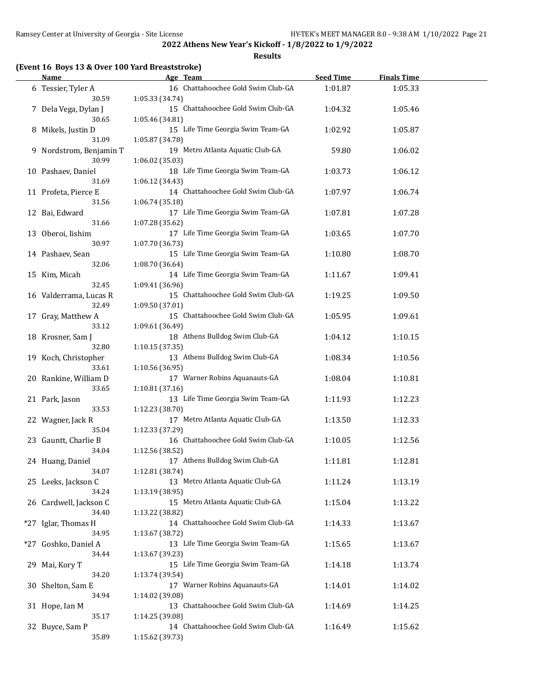**Results**

#### **(Event 16 Boys 13 & Over 100 Yard Breaststroke)**

| Name                             | Age Team                                              | <b>Seed Time</b> | <b>Finals Time</b> |  |
|----------------------------------|-------------------------------------------------------|------------------|--------------------|--|
| 6 Tessier, Tyler A<br>30.59      | 16 Chattahoochee Gold Swim Club-GA<br>1:05.33 (34.74) | 1:01.87          | 1:05.33            |  |
| 7 Dela Vega, Dylan J<br>30.65    | 15 Chattahoochee Gold Swim Club-GA<br>1:05.46 (34.81) | 1:04.32          | 1:05.46            |  |
| 8 Mikels, Justin D<br>31.09      | 15 Life Time Georgia Swim Team-GA<br>1:05.87 (34.78)  | 1:02.92          | 1:05.87            |  |
| 9 Nordstrom, Benjamin T<br>30.99 | 19 Metro Atlanta Aquatic Club-GA<br>1:06.02 (35.03)   | 59.80            | 1:06.02            |  |
| 10 Pashaev, Daniel<br>31.69      | 18 Life Time Georgia Swim Team-GA<br>1:06.12 (34.43)  | 1:03.73          | 1:06.12            |  |
| 11 Profeta, Pierce E<br>31.56    | 14 Chattahoochee Gold Swim Club-GA<br>1:06.74 (35.18) | 1:07.97          | 1:06.74            |  |
| 12 Bai, Edward<br>31.66          | 17 Life Time Georgia Swim Team-GA<br>1:07.28 (35.62)  | 1:07.81          | 1:07.28            |  |
| 13 Oberoi, Iishim<br>30.97       | 17 Life Time Georgia Swim Team-GA<br>1:07.70 (36.73)  | 1:03.65          | 1:07.70            |  |
| 14 Pashaev, Sean<br>32.06        | 15 Life Time Georgia Swim Team-GA<br>1:08.70 (36.64)  | 1:10.80          | 1:08.70            |  |
| 15 Kim, Micah<br>32.45           | 14 Life Time Georgia Swim Team-GA<br>1:09.41 (36.96)  | 1:11.67          | 1:09.41            |  |
| 16 Valderrama, Lucas R<br>32.49  | 15 Chattahoochee Gold Swim Club-GA<br>1:09.50 (37.01) | 1:19.25          | 1:09.50            |  |
| 17 Gray, Matthew A<br>33.12      | 15 Chattahoochee Gold Swim Club-GA<br>1:09.61 (36.49) | 1:05.95          | 1:09.61            |  |
| 18 Krosner, Sam J<br>32.80       | 18 Athens Bulldog Swim Club-GA<br>1:10.15(37.35)      | 1:04.12          | 1:10.15            |  |
| 19 Koch, Christopher<br>33.61    | 13 Athens Bulldog Swim Club-GA<br>1:10.56 (36.95)     | 1:08.34          | 1:10.56            |  |
| 20 Rankine, William D<br>33.65   | 17 Warner Robins Aquanauts-GA<br>1:10.81 (37.16)      | 1:08.04          | 1:10.81            |  |
| 21 Park, Jason<br>33.53          | 13 Life Time Georgia Swim Team-GA<br>1:12.23 (38.70)  | 1:11.93          | 1:12.23            |  |
| 22 Wagner, Jack R<br>35.04       | 17 Metro Atlanta Aquatic Club-GA<br>1:12.33 (37.29)   | 1:13.50          | 1:12.33            |  |
| 23 Gauntt, Charlie B<br>34.04    | 16 Chattahoochee Gold Swim Club-GA<br>1:12.56 (38.52) | 1:10.05          | 1:12.56            |  |
| 24 Huang, Daniel<br>34.07        | 17 Athens Bulldog Swim Club-GA<br>1:12.81 (38.74)     | 1:11.81          | 1:12.81            |  |
| 25 Leeks, Jackson C<br>34.24     | 13 Metro Atlanta Aquatic Club-GA<br>1:13.19 (38.95)   | 1:11.24          | 1:13.19            |  |
| 26 Cardwell, Jackson C<br>34.40  | 15 Metro Atlanta Aquatic Club-GA<br>1:13.22 (38.82)   | 1:15.04          | 1:13.22            |  |
| *27 Iglar, Thomas H<br>34.95     | 14 Chattahoochee Gold Swim Club-GA<br>1:13.67 (38.72) | 1:14.33          | 1:13.67            |  |
| *27 Goshko, Daniel A<br>34.44    | 13 Life Time Georgia Swim Team-GA<br>1:13.67 (39.23)  | 1:15.65          | 1:13.67            |  |
| 29 Mai, Kory T<br>34.20          | 15 Life Time Georgia Swim Team-GA<br>1:13.74 (39.54)  | 1:14.18          | 1:13.74            |  |
| 30 Shelton, Sam E<br>34.94       | 17 Warner Robins Aquanauts-GA<br>1:14.02 (39.08)      | 1:14.01          | 1:14.02            |  |
| 31 Hope, Ian M<br>35.17          | 13 Chattahoochee Gold Swim Club-GA<br>1:14.25 (39.08) | 1:14.69          | 1:14.25            |  |
| 32 Buyce, Sam P<br>35.89         | 14 Chattahoochee Gold Swim Club-GA<br>1:15.62 (39.73) | 1:16.49          | 1:15.62            |  |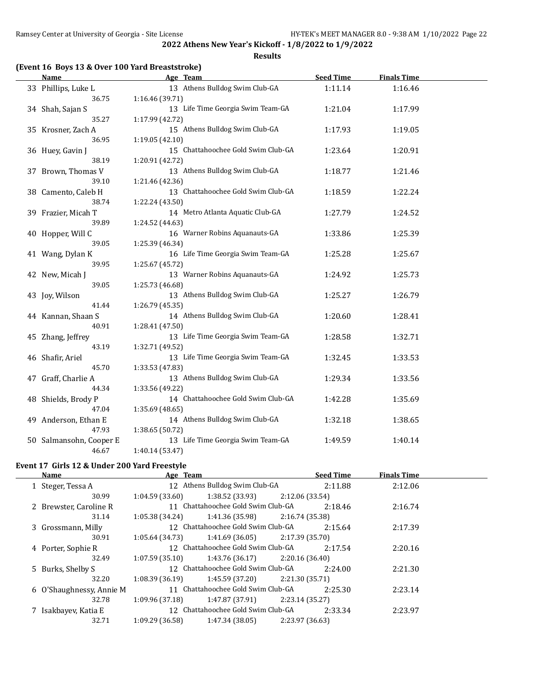**Results**

#### **(Event 16 Boys 13 & Over 100 Yard Breaststroke)**

| <b>Name</b>             | Age Team                           | <b>Seed Time</b> | <b>Finals Time</b> |  |
|-------------------------|------------------------------------|------------------|--------------------|--|
| 33 Phillips, Luke L     | 13 Athens Bulldog Swim Club-GA     | 1:11.14          | 1:16.46            |  |
| 36.75                   | 1:16.46 (39.71)                    |                  |                    |  |
| 34 Shah, Sajan S        | 13 Life Time Georgia Swim Team-GA  | 1:21.04          | 1:17.99            |  |
| 35.27                   | 1:17.99 (42.72)                    |                  |                    |  |
| 35 Krosner, Zach A      | 15 Athens Bulldog Swim Club-GA     | 1:17.93          | 1:19.05            |  |
| 36.95                   | 1:19.05 (42.10)                    |                  |                    |  |
| 36 Huey, Gavin J        | 15 Chattahoochee Gold Swim Club-GA | 1:23.64          | 1:20.91            |  |
| 38.19                   | 1:20.91 (42.72)                    |                  |                    |  |
| 37 Brown, Thomas V      | 13 Athens Bulldog Swim Club-GA     | 1:18.77          | 1:21.46            |  |
| 39.10                   | 1:21.46 (42.36)                    |                  |                    |  |
| 38 Camento, Caleb H     | 13 Chattahoochee Gold Swim Club-GA | 1:18.59          | 1:22.24            |  |
| 38.74                   | 1:22.24 (43.50)                    |                  |                    |  |
| 39 Frazier, Micah T     | 14 Metro Atlanta Aquatic Club-GA   | 1:27.79          | 1:24.52            |  |
| 39.89                   | 1:24.52 (44.63)                    |                  |                    |  |
| 40 Hopper, Will C       | 16 Warner Robins Aquanauts-GA      | 1:33.86          | 1:25.39            |  |
| 39.05                   | 1:25.39 (46.34)                    |                  |                    |  |
| 41 Wang, Dylan K        | 16 Life Time Georgia Swim Team-GA  | 1:25.28          | 1:25.67            |  |
| 39.95                   | 1:25.67 (45.72)                    |                  |                    |  |
| 42 New, Micah J         | 13 Warner Robins Aquanauts-GA      | 1:24.92          | 1:25.73            |  |
| 39.05                   | 1:25.73 (46.68)                    |                  |                    |  |
| 43 Joy, Wilson          | 13 Athens Bulldog Swim Club-GA     | 1:25.27          | 1:26.79            |  |
| 41.44                   | 1:26.79 (45.35)                    |                  |                    |  |
| 44 Kannan, Shaan S      | 14 Athens Bulldog Swim Club-GA     | 1:20.60          | 1:28.41            |  |
| 40.91                   | 1:28.41 (47.50)                    |                  |                    |  |
| 45 Zhang, Jeffrey       | 13 Life Time Georgia Swim Team-GA  | 1:28.58          | 1:32.71            |  |
| 43.19                   | 1:32.71 (49.52)                    |                  |                    |  |
| 46 Shafir, Ariel        | 13 Life Time Georgia Swim Team-GA  | 1:32.45          | 1:33.53            |  |
| 45.70                   | 1:33.53 (47.83)                    |                  |                    |  |
| 47 Graff, Charlie A     | 13 Athens Bulldog Swim Club-GA     | 1:29.34          | 1:33.56            |  |
| 44.34                   | 1:33.56 (49.22)                    |                  |                    |  |
| 48 Shields, Brody P     | 14 Chattahoochee Gold Swim Club-GA | 1:42.28          | 1:35.69            |  |
| 47.04                   | 1:35.69 (48.65)                    |                  |                    |  |
| 49 Anderson, Ethan E    | 14 Athens Bulldog Swim Club-GA     | 1:32.18          | 1:38.65            |  |
| 47.93                   | 1:38.65 (50.72)                    |                  |                    |  |
| 50 Salmansohn, Cooper E | 13 Life Time Georgia Swim Team-GA  | 1:49.59          | 1:40.14            |  |
| 46.67                   | 1:40.14 (53.47)                    |                  |                    |  |

# **Event 17 Girls 12 & Under 200 Yard Freestyle**

| Name                     | Age Team                           |                                    | <b>Seed Time</b> | <b>Finals Time</b> |  |
|--------------------------|------------------------------------|------------------------------------|------------------|--------------------|--|
| 1 Steger, Tessa A        | 12 Athens Bulldog Swim Club-GA     |                                    | 2:11.88          | 2:12.06            |  |
| 30.99                    | 1:38.52 (33.93)<br>1:04.59(33.60)  | 2:12.06 (33.54)                    |                  |                    |  |
| 2 Brewster, Caroline R   | 11 Chattahoochee Gold Swim Club-GA |                                    | 2:18.46          | 2:16.74            |  |
| 31.14                    | 1:41.36 (35.98)<br>1:05.38(34.24)  | 2:16.74 (35.38)                    |                  |                    |  |
| 3 Grossmann, Milly       | 12 Chattahoochee Gold Swim Club-GA |                                    | 2:15.64          | 2:17.39            |  |
| 30.91                    | 1:05.64(34.73)                     | 2:17.39 (35.70)<br>1:41.69 (36.05) |                  |                    |  |
| 4 Porter, Sophie R       | 12 Chattahoochee Gold Swim Club-GA |                                    | 2:17.54          | 2:20.16            |  |
| 32.49                    | 1:07.59(35.10)                     | 1:43.76 (36.17)<br>2:20.16 (36.40) |                  |                    |  |
| 5 Burks, Shelby S        | 12 Chattahoochee Gold Swim Club-GA |                                    | 2:24.00          | 2:21.30            |  |
| 32.20                    | 1:08.39 (36.19)                    | 1:45.59 (37.20)<br>2:21.30 (35.71) |                  |                    |  |
| 6 O'Shaughnessy, Annie M | 11 Chattahoochee Gold Swim Club-GA |                                    | 2:25.30          | 2:23.14            |  |
| 32.78                    | 1:09.96(37.18)                     | 1:47.87 (37.91)<br>2:23.14 (35.27) |                  |                    |  |
| 7 Isakbayev, Katia E     | 12 Chattahoochee Gold Swim Club-GA |                                    | 2:33.34          | 2:23.97            |  |
| 32.71                    | 1:47.34 (38.05)<br>1:09.29(36.58)  | 2:23.97 (36.63)                    |                  |                    |  |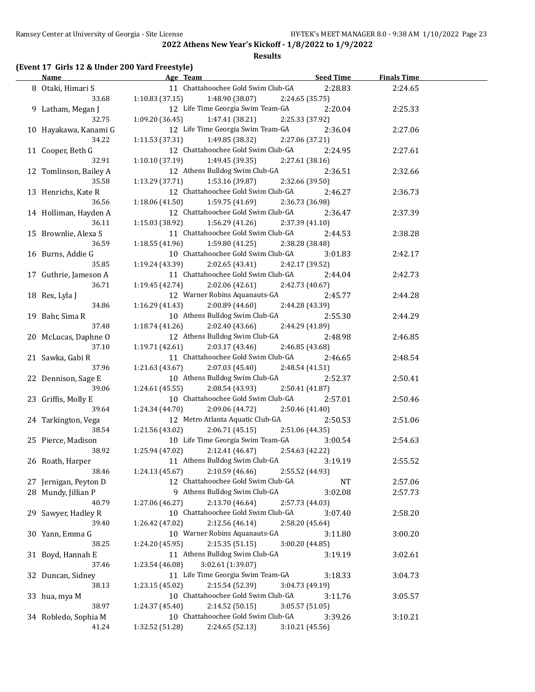#### **Results**

## **(Event 17 Girls 12 & Under 200 Yard Freestyle)**

| <u>Name</u>                | Age Team                                                                | <b>Seed Time</b>           | <b>Finals Time</b> |  |
|----------------------------|-------------------------------------------------------------------------|----------------------------|--------------------|--|
| 8 Otaki, Himari S          | 11 Chattahoochee Gold Swim Club-GA                                      | 2:28.83                    | 2:24.65            |  |
| 33.68                      | 1:10.83(37.15)<br>1:48.90 (38.07)                                       | 2:24.65 (35.75)            |                    |  |
| 9 Latham, Megan J          | 12 Life Time Georgia Swim Team-GA                                       | 2:20.04                    | 2:25.33            |  |
| 32.75                      | 1:09.20(36.45)<br>1:47.41 (38.21)                                       | 2:25.33 (37.92)            |                    |  |
| 10 Hayakawa, Kanami G      | 12 Life Time Georgia Swim Team-GA                                       | 2:36.04                    | 2:27.06            |  |
| 34.22                      | $1:11.53(37.31)$ $1:49.85(38.32)$                                       | 2:27.06 (37.21)            |                    |  |
| 11 Cooper, Beth G          | 12 Chattahoochee Gold Swim Club-GA                                      | 2:24.95                    | 2:27.61            |  |
| 32.91                      | 1:10.10(37.19)<br>1:49.45 (39.35)                                       | 2:27.61 (38.16)            |                    |  |
| 12 Tomlinson, Bailey A     | 12 Athens Bulldog Swim Club-GA                                          | 2:36.51                    | 2:32.66            |  |
| 35.58                      | 1:13.29 (37.71)<br>1:53.16 (39.87)                                      | 2:32.66 (39.50)            |                    |  |
| 13 Henrichs, Kate R        | 12 Chattahoochee Gold Swim Club-GA                                      | 2:46.27                    | 2:36.73            |  |
| 36.56                      | 1:18.06(41.50)<br>1:59.75 (41.69)                                       | 2:36.73 (36.98)            |                    |  |
| 14 Holliman, Hayden A      | 12 Chattahoochee Gold Swim Club-GA                                      | 2:36.47                    | 2:37.39            |  |
| 36.11                      | $1:15.03(38.92)$ $1:56.29(41.26)$                                       | 2:37.39 (41.10)            |                    |  |
| 15 Brownlie, Alexa S       | 11 Chattahoochee Gold Swim Club-GA                                      | 2:44.53                    | 2:38.28            |  |
| 36.59                      | 1:18.55 (41.96)<br>1:59.80 (41.25)                                      | 2:38.28 (38.48)            |                    |  |
| 16 Burns, Addie G          | 10 Chattahoochee Gold Swim Club-GA                                      | 3:01.83                    | 2:42.17            |  |
| 35.85                      | 1:19.24(43.39)<br>2:02.65 (43.41)                                       | 2:42.17 (39.52)            |                    |  |
| 17 Guthrie, Jameson A      | 11 Chattahoochee Gold Swim Club-GA                                      | 2:44.04                    | 2:42.73            |  |
| 36.71                      | 1:19.45 (42.74)<br>2:02.06 (42.61)                                      | 2:42.73 (40.67)            |                    |  |
| 18 Rex, Lyla J             | 12 Warner Robins Aquanauts-GA                                           | 2:45.77                    | 2:44.28            |  |
| 34.86                      | 1:16.29(41.43)<br>2:00.89 (44.60)                                       | 2:44.28 (43.39)            |                    |  |
| 19 Bahr, Sima R            | 10 Athens Bulldog Swim Club-GA                                          | 2:55.30                    | 2:44.29            |  |
| 37.48                      | 1:18.74 (41.26)<br>2:02.40 (43.66)                                      | 2:44.29 (41.89)            |                    |  |
| 20 McLucas, Daphne O       | 12 Athens Bulldog Swim Club-GA                                          | 2:48.98                    | 2:46.85            |  |
| 37.10                      | 1:19.71 (42.61)<br>2:03.17 (43.46)                                      | 2:46.85 (43.68)            |                    |  |
| 21 Sawka, Gabi R           | 11 Chattahoochee Gold Swim Club-GA                                      | 2:46.65                    | 2:48.54            |  |
| 37.96                      | 1:21.63 (43.67)<br>2:07.03 (45.40)                                      | 2:48.54 (41.51)            |                    |  |
| 22 Dennison, Sage E        | 10 Athens Bulldog Swim Club-GA                                          | 2:52.37                    | 2:50.41            |  |
| 39.06                      | 1:24.61 (45.55)<br>2:08.54 (43.93)                                      | 2:50.41 (41.87)            |                    |  |
| 23 Griffis, Molly E        | 10 Chattahoochee Gold Swim Club-GA                                      | 2:57.01                    | 2:50.46            |  |
| 39.64                      | 1:24.34 (44.70)<br>2:09.06 (44.72)                                      | 2:50.46 (41.40)            |                    |  |
| 24 Tarkington, Vega        | 12 Metro Atlanta Aquatic Club-GA                                        | 2:50.53                    | 2:51.06            |  |
| 38.54                      | 1:21.56 (43.02)<br>2:06.71(45.15)                                       | 2:51.06 (44.35)            |                    |  |
| 25 Pierce, Madison         | 10 Life Time Georgia Swim Team-GA                                       | 3:00.54                    | 2:54.63            |  |
| 38.92                      | 2:12.41 (46.47)<br>1:25.94 (47.02)                                      | 2:54.63 (42.22)            |                    |  |
| 26 Roath, Harper           | 11 Athens Bulldog Swim Club-GA                                          | 3:19.19                    | 2:55.52            |  |
| 38.46                      | 2:10.59 (46.46)<br>1:24.13 (45.67)                                      | 2:55.52 (44.93)            |                    |  |
| 27 Jernigan, Peyton D      | 12 Chattahoochee Gold Swim Club-GA                                      | NT                         | 2:57.06            |  |
| 28 Mundy, Jillian P        | 9 Athens Bulldog Swim Club-GA                                           | 3:02.08                    | 2:57.73            |  |
| 40.79                      | 2:13.70 (46.64)<br>1:27.06 (46.27)                                      | 2:57.73 (44.03)            |                    |  |
| 29 Sawyer, Hadley R        | 10 Chattahoochee Gold Swim Club-GA                                      | 3:07.40                    | 2:58.20            |  |
| 39.40                      | 1:26.42 (47.02)<br>2:12.56 (46.14)                                      | 2:58.20 (45.64)            |                    |  |
| 30 Yann, Emma G            | 10 Warner Robins Aquanauts-GA                                           | 3:11.80                    | 3:00.20            |  |
| 38.25                      | 1:24.20 (45.95)<br>2:15.35(51.15)                                       | 3:00.20 (44.85)            |                    |  |
| 31 Boyd, Hannah E          | 11 Athens Bulldog Swim Club-GA                                          | 3:19.19                    | 3:02.61            |  |
| 37.46                      | 1:23.54 (46.08)<br>3:02.61 (1:39.07)                                    |                            |                    |  |
| 32 Duncan, Sidney<br>38.13 | 11 Life Time Georgia Swim Team-GA<br>1:23.15 (45.02)<br>2:15.54 (52.39) | 3:18.33                    | 3:04.73            |  |
|                            | 10 Chattahoochee Gold Swim Club-GA                                      | 3:04.73 (49.19)            |                    |  |
| 33 hua, mya M<br>38.97     | 1:24.37 (45.40)<br>2:14.52 (50.15)                                      | 3:11.76<br>3:05.57 (51.05) | 3:05.57            |  |
| 34 Robledo, Sophia M       | 10 Chattahoochee Gold Swim Club-GA                                      | 3:39.26                    | 3:10.21            |  |
| 41.24                      | 1:32.52 (51.28)<br>2:24.65 (52.13)                                      | 3:10.21 (45.56)            |                    |  |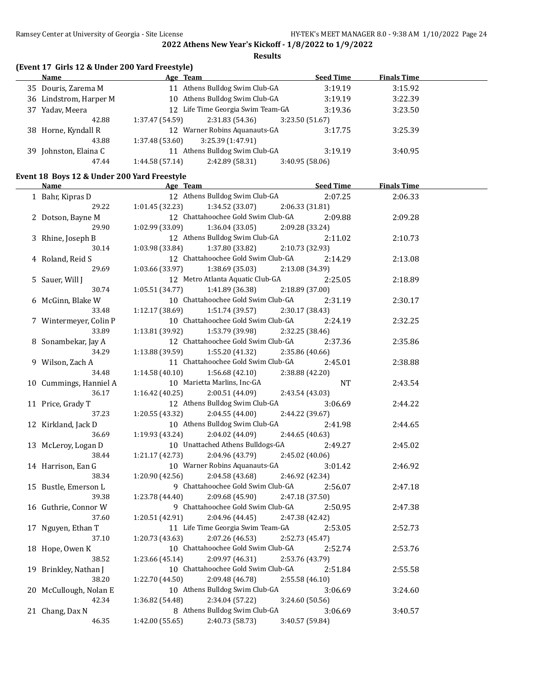**Results**

## **(Event 17 Girls 12 & Under 200 Yard Freestyle)**

|     | Name                   | Age Team       |                                   |                 | <b>Seed Time</b> | <b>Finals Time</b> |  |
|-----|------------------------|----------------|-----------------------------------|-----------------|------------------|--------------------|--|
|     | 35 Douris, Zarema M    |                | 11 Athens Bulldog Swim Club-GA    |                 | 3:19.19          | 3:15.92            |  |
|     | 36 Lindstrom, Harper M |                | 10 Athens Bulldog Swim Club-GA    |                 | 3:19.19          | 3:22.39            |  |
| 37  | Yadav, Meera           |                | 12 Life Time Georgia Swim Team-GA |                 | 3:19.36          | 3:23.50            |  |
|     | 42.88                  | 1:37.47(54.59) | 2:31.83(54.36)                    | 3:23.50 (51.67) |                  |                    |  |
|     | 38 Horne, Kyndall R    |                | 12 Warner Robins Aquanauts-GA     |                 | 3:17.75          | 3:25.39            |  |
|     | 43.88                  | 1:37.48(53.60) | 3:25.39 (1:47.91)                 |                 |                  |                    |  |
| 39. | Johnston, Elaina C     |                | 11 Athens Bulldog Swim Club-GA    |                 | 3:19.19          | 3:40.95            |  |
|     | 47.44                  | 1:44.58(57.14) | 2:42.89 (58.31)                   | 3:40.95(58.06)  |                  |                    |  |

# **Event 18 Boys 12 & Under 200 Yard Freestyle**

| <u>Name</u>            | <b>Example 2</b> Age Team          | <u>Seed Time</u> | <b>Finals Time</b> |  |
|------------------------|------------------------------------|------------------|--------------------|--|
| 1 Bahr, Kipras D       | 12 Athens Bulldog Swim Club-GA     | 2:07.25          | 2:06.33            |  |
| 29.22                  | 1:01.45(32.23)<br>1:34.52 (33.07)  | 2:06.33 (31.81)  |                    |  |
| 2 Dotson, Bayne M      | 12 Chattahoochee Gold Swim Club-GA | 2:09.88          | 2:09.28            |  |
| 29.90                  | 1:02.99 (33.09)<br>1:36.04(33.05)  | 2:09.28 (33.24)  |                    |  |
| 3 Rhine, Joseph B      | 12 Athens Bulldog Swim Club-GA     | 2:11.02          | 2:10.73            |  |
| 30.14                  | 1:03.98 (33.84)<br>1:37.80 (33.82) | 2:10.73 (32.93)  |                    |  |
| 4 Roland, Reid S       | 12 Chattahoochee Gold Swim Club-GA | 2:14.29          | 2:13.08            |  |
| 29.69                  | 1:03.66 (33.97)<br>1:38.69 (35.03) | 2:13.08 (34.39)  |                    |  |
| 5 Sauer, Will J        | 12 Metro Atlanta Aquatic Club-GA   | 2:25.05          | 2:18.89            |  |
| 30.74                  | 1:05.51 (34.77)<br>1:41.89 (36.38) | 2:18.89 (37.00)  |                    |  |
| 6 McGinn, Blake W      | 10 Chattahoochee Gold Swim Club-GA | 2:31.19          | 2:30.17            |  |
| 33.48                  | 1:12.17 (38.69)<br>1:51.74 (39.57) | 2:30.17 (38.43)  |                    |  |
| 7 Wintermeyer, Colin P | 10 Chattahoochee Gold Swim Club-GA | 2:24.19          | 2:32.25            |  |
| 33.89                  | 1:13.81 (39.92)<br>1:53.79 (39.98) | 2:32.25 (38.46)  |                    |  |
| 8 Sonambekar, Jay A    | 12 Chattahoochee Gold Swim Club-GA | 2:37.36          | 2:35.86            |  |
| 34.29                  | 1:13.88(39.59)<br>1:55.20 (41.32)  | 2:35.86 (40.66)  |                    |  |
| 9 Wilson, Zach A       | 11 Chattahoochee Gold Swim Club-GA | 2:45.01          | 2:38.88            |  |
| 34.48                  | 1:14.58(40.10)<br>1:56.68(42.10)   | 2:38.88 (42.20)  |                    |  |
| 10 Cummings, Hanniel A | 10 Marietta Marlins, Inc-GA        | <b>NT</b>        | 2:43.54            |  |
| 36.17                  | 1:16.42(40.25)<br>2:00.51 (44.09)  | 2:43.54 (43.03)  |                    |  |
| 11 Price, Grady T      | 12 Athens Bulldog Swim Club-GA     | 3:06.69          | 2:44.22            |  |
| 37.23                  | 1:20.55 (43.32)<br>2:04.55 (44.00) | 2:44.22 (39.67)  |                    |  |
| 12 Kirkland, Jack D    | 10 Athens Bulldog Swim Club-GA     | 2:41.98          | 2:44.65            |  |
| 36.69                  | 1:19.93 (43.24)<br>2:04.02 (44.09) | 2:44.65 (40.63)  |                    |  |
| 13 McLeroy, Logan D    | 10 Unattached Athens Bulldogs-GA   | 2:49.27          | 2:45.02            |  |
| 38.44                  | 1:21.17(42.73)<br>2:04.96 (43.79)  | 2:45.02 (40.06)  |                    |  |
| 14 Harrison, Ean G     | 10 Warner Robins Aquanauts-GA      | 3:01.42          | 2:46.92            |  |
| 38.34                  | 1:20.90 (42.56)<br>2:04.58 (43.68) | 2:46.92 (42.34)  |                    |  |
| 15 Bustle, Emerson L   | 9 Chattahoochee Gold Swim Club-GA  | 2:56.07          | 2:47.18            |  |
| 39.38                  | 1:23.78 (44.40)<br>2:09.68(45.90)  | 2:47.18 (37.50)  |                    |  |
| 16 Guthrie, Connor W   | 9 Chattahoochee Gold Swim Club-GA  | 2:50.95          | 2:47.38            |  |
| 37.60                  | 1:20.51 (42.91)<br>2:04.96 (44.45) | 2:47.38 (42.42)  |                    |  |
| 17 Nguyen, Ethan T     | 11 Life Time Georgia Swim Team-GA  | 2:53.05          | 2:52.73            |  |
| 37.10                  | 1:20.73(43.63)<br>2:07.26 (46.53)  | 2:52.73 (45.47)  |                    |  |
| 18 Hope, Owen K        | 10 Chattahoochee Gold Swim Club-GA | 2:52.74          | 2:53.76            |  |
| 38.52                  | 1:23.66(45.14)<br>2:09.97 (46.31)  | 2:53.76 (43.79)  |                    |  |
| 19 Brinkley, Nathan J  | 10 Chattahoochee Gold Swim Club-GA | 2:51.84          | 2:55.58            |  |
| 38.20                  | 1:22.70 (44.50)<br>2:09.48 (46.78) | 2:55.58 (46.10)  |                    |  |
| 20 McCullough, Nolan E | 10 Athens Bulldog Swim Club-GA     | 3:06.69          | 3:24.60            |  |
| 42.34                  | 1:36.82 (54.48)<br>2:34.04 (57.22) | 3:24.60 (50.56)  |                    |  |
| 21 Chang, Dax N        | 8 Athens Bulldog Swim Club-GA      | 3:06.69          | 3:40.57            |  |
| 46.35                  | 2:40.73 (58.73)<br>1:42.00 (55.65) | 3:40.57 (59.84)  |                    |  |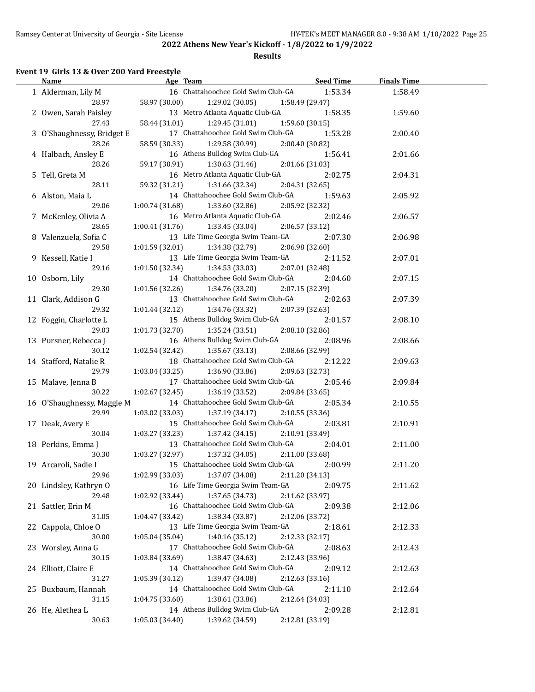#### **Results**

## **Event 19 Girls 13 & Over 200 Yard Freestyle**

| Name                       | Age Team                           | <b>Seed Time</b> | <b>Finals Time</b> |  |
|----------------------------|------------------------------------|------------------|--------------------|--|
| 1 Alderman, Lily M         | 16 Chattahoochee Gold Swim Club-GA | 1:53.34          | 1:58.49            |  |
| 28.97                      | 58.97 (30.00)<br>1:29.02(30.05)    | 1:58.49 (29.47)  |                    |  |
| 2 Owen, Sarah Paisley      | 13 Metro Atlanta Aquatic Club-GA   | 1:58.35          | 1:59.60            |  |
| 27.43                      | 58.44 (31.01)<br>1:29.45(31.01)    | 1:59.60 (30.15)  |                    |  |
| 3 O'Shaughnessy, Bridget E | 17 Chattahoochee Gold Swim Club-GA | 1:53.28          | 2:00.40            |  |
| 28.26                      | 58.59 (30.33)<br>1:29.58 (30.99)   | 2:00.40 (30.82)  |                    |  |
| 4 Halbach, Ansley E        | 16 Athens Bulldog Swim Club-GA     | 1:56.41          | 2:01.66            |  |
| 28.26                      | 59.17 (30.91)<br>1:30.63 (31.46)   | 2:01.66 (31.03)  |                    |  |
|                            | 16 Metro Atlanta Aquatic Club-GA   |                  |                    |  |
| 5 Tell, Greta M            |                                    | 2:02.75          | 2:04.31            |  |
| 28.11                      | 1:31.66 (32.34)<br>59.32 (31.21)   | 2:04.31 (32.65)  |                    |  |
| 6 Alston, Maia L           | 14 Chattahoochee Gold Swim Club-GA | 1:59.63          | 2:05.92            |  |
| 29.06                      | 1:00.74 (31.68)<br>1:33.60 (32.86) | 2:05.92 (32.32)  |                    |  |
| 7 McKenley, Olivia A       | 16 Metro Atlanta Aquatic Club-GA   | 2:02.46          | 2:06.57            |  |
| 28.65                      | 1:00.41 (31.76)<br>1:33.45 (33.04) | 2:06.57 (33.12)  |                    |  |
| 8 Valenzuela, Sofia C      | 13 Life Time Georgia Swim Team-GA  | 2:07.30          | 2:06.98            |  |
| 29.58                      | 1:01.59 (32.01)<br>1:34.38 (32.79) | 2:06.98 (32.60)  |                    |  |
| 9 Kessell, Katie I         | 13 Life Time Georgia Swim Team-GA  | 2:11.52          | 2:07.01            |  |
| 29.16                      | 1:01.50(32.34)<br>1:34.53(33.03)   | 2:07.01 (32.48)  |                    |  |
| 10 Osborn, Lily            | 14 Chattahoochee Gold Swim Club-GA | 2:04.60          | 2:07.15            |  |
| 29.30                      | 1:01.56 (32.26)<br>1:34.76 (33.20) | 2:07.15 (32.39)  |                    |  |
| 11 Clark, Addison G        | 13 Chattahoochee Gold Swim Club-GA | 2:02.63          | 2:07.39            |  |
| 29.32                      | 1:01.44(32.12)<br>1:34.76 (33.32)  | 2:07.39 (32.63)  |                    |  |
| 12 Foggin, Charlotte L     | 15 Athens Bulldog Swim Club-GA     | 2:01.57          | 2:08.10            |  |
| 29.03                      | 1:01.73(32.70)<br>1:35.24 (33.51)  | 2:08.10 (32.86)  |                    |  |
| 13 Pursner, Rebecca J      | 16 Athens Bulldog Swim Club-GA     | 2:08.96          | 2:08.66            |  |
| 30.12                      | 1:35.67(33.13)<br>1:02.54 (32.42)  | 2:08.66 (32.99)  |                    |  |
| 14 Stafford, Natalie R     | 18 Chattahoochee Gold Swim Club-GA | 2:12.22          | 2:09.63            |  |
| 29.79                      | 1:03.04(33.25)<br>1:36.90 (33.86)  | 2:09.63 (32.73)  |                    |  |
| 15 Malave, Jenna B         | 17 Chattahoochee Gold Swim Club-GA | 2:05.46          | 2:09.84            |  |
| 30.22                      | 1:02.67(32.45)<br>1:36.19 (33.52)  | 2:09.84 (33.65)  |                    |  |
|                            | 14 Chattahoochee Gold Swim Club-GA |                  |                    |  |
| 16 O'Shaughnessy, Maggie M |                                    | 2:05.34          | 2:10.55            |  |
| 29.99                      | 1:03.02 (33.03)<br>1:37.19 (34.17) | 2:10.55 (33.36)  |                    |  |
| 17 Deak, Avery E           | 15 Chattahoochee Gold Swim Club-GA | 2:03.81          | 2:10.91            |  |
| 30.04                      | 1:03.27 (33.23)<br>1:37.42 (34.15) | 2:10.91 (33.49)  |                    |  |
| 18 Perkins, Emma J         | 13 Chattahoochee Gold Swim Club-GA | 2:04.01          | 2:11.00            |  |
| 30.30                      | 1:03.27(32.97)<br>1:37.32(34.05)   | 2:11.00 (33.68)  |                    |  |
| 19 Arcaroli, Sadie I       | 15 Chattahoochee Gold Swim Club-GA | 2:00.99          | 2:11.20            |  |
| 29.96                      | 1:37.07 (34.08)<br>1:02.99 (33.03) | 2:11.20 (34.13)  |                    |  |
| 20 Lindsley, Kathryn O     | 16 Life Time Georgia Swim Team-GA  | 2:09.75          | 2:11.62            |  |
| 29.48                      | 1:37.65 (34.73)<br>1:02.92 (33.44) | 2:11.62 (33.97)  |                    |  |
| 21 Sattler, Erin M         | 16 Chattahoochee Gold Swim Club-GA | 2:09.38          | 2:12.06            |  |
| 31.05                      | 1:38.34 (33.87)<br>1:04.47 (33.42) | 2:12.06 (33.72)  |                    |  |
| 22 Cappola, Chloe O        | 13 Life Time Georgia Swim Team-GA  | 2:18.61          | 2:12.33            |  |
| 30.00                      | 1:40.16 (35.12)<br>1:05.04 (35.04) | 2:12.33 (32.17)  |                    |  |
| 23 Worsley, Anna G         | 17 Chattahoochee Gold Swim Club-GA | 2:08.63          | 2:12.43            |  |
| 30.15                      | 1:03.84 (33.69)<br>1:38.47 (34.63) | 2:12.43 (33.96)  |                    |  |
| 24 Elliott, Claire E       | 14 Chattahoochee Gold Swim Club-GA | 2:09.12          | 2:12.63            |  |
| 31.27                      | 1:39.47 (34.08)<br>1:05.39 (34.12) | 2:12.63 (33.16)  |                    |  |
| 25 Buxbaum, Hannah         | 14 Chattahoochee Gold Swim Club-GA | 2:11.10          | 2:12.64            |  |
| 31.15                      | 1:38.61 (33.86)<br>1:04.75 (33.60) | 2:12.64 (34.03)  |                    |  |
| 26 He, Alethea L           | 14 Athens Bulldog Swim Club-GA     | 2:09.28          | 2:12.81            |  |
| 30.63                      | 1:05.03 (34.40)<br>1:39.62 (34.59) | 2:12.81 (33.19)  |                    |  |
|                            |                                    |                  |                    |  |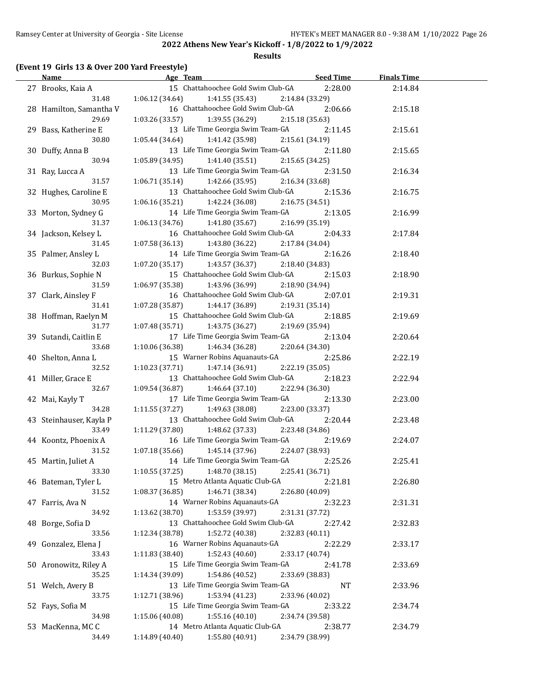#### **Results**

#### **(Event 19 Girls 13 & Over 200 Yard Freestyle)**

| <b>Name</b>                 | Age Team                                                                 | <b>Seed Time</b> | <b>Finals Time</b> |  |
|-----------------------------|--------------------------------------------------------------------------|------------------|--------------------|--|
| 27 Brooks, Kaia A           | 15 Chattahoochee Gold Swim Club-GA                                       | 2:28.00          | 2:14.84            |  |
| 31.48                       | $1:06.12(34.64)$ $1:41.55(35.43)$                                        | 2:14.84 (33.29)  |                    |  |
| 28 Hamilton, Samantha V     | 16 Chattahoochee Gold Swim Club-GA                                       | 2:06.66          | 2:15.18            |  |
| 29.69                       | $1:03.26(33.57)$ $1:39.55(36.29)$                                        | 2:15.18 (35.63)  |                    |  |
| 29 Bass, Katherine E        | 13 Life Time Georgia Swim Team-GA                                        | 2:11.45          | 2:15.61            |  |
| 30.80                       | $1:05.44(34.64)$ $1:41.42(35.98)$                                        | 2:15.61 (34.19)  |                    |  |
| 30 Duffy, Anna B            | 13 Life Time Georgia Swim Team-GA                                        | 2:11.80          | 2:15.65            |  |
| 30.94                       | 1:05.89(34.95)<br>1:41.40 (35.51)                                        | 2:15.65 (34.25)  |                    |  |
| 31 Ray, Lucca A             | 13 Life Time Georgia Swim Team-GA                                        | 2:31.50          | 2:16.34            |  |
| 31.57                       | $1:06.71(35.14)$ $1:42.66(35.95)$                                        | 2:16.34 (33.68)  |                    |  |
| 32 Hughes, Caroline E       | 13 Chattahoochee Gold Swim Club-GA                                       | 2:15.36          | 2:16.75            |  |
| 30.95                       | $1:06.16(35.21)$ $1:42.24(36.08)$                                        | 2:16.75 (34.51)  |                    |  |
| 33 Morton, Sydney G         | 14 Life Time Georgia Swim Team-GA                                        | 2:13.05          | 2:16.99            |  |
| 31.37                       | 1:06.13 (34.76)<br>1:41.80 (35.67)                                       | 2:16.99 (35.19)  |                    |  |
| 34 Jackson, Kelsey L        | 16 Chattahoochee Gold Swim Club-GA                                       | 2:04.33          | 2:17.84            |  |
| 31.45                       | 1:07.58(36.13)<br>1:43.80 (36.22)                                        | 2:17.84 (34.04)  |                    |  |
| 35 Palmer, Ansley L         | 14 Life Time Georgia Swim Team-GA                                        | 2:16.26          | 2:18.40            |  |
| 32.03                       | 1:07.20 (35.17)<br>1:43.57 (36.37)                                       | 2:18.40 (34.83)  |                    |  |
| 36 Burkus, Sophie N         | 15 Chattahoochee Gold Swim Club-GA                                       | 2:15.03          | 2:18.90            |  |
| 31.59                       | 1:06.97 (35.38)<br>1:43.96 (36.99)                                       | 2:18.90 (34.94)  |                    |  |
| 37 Clark, Ainsley F         | 16 Chattahoochee Gold Swim Club-GA                                       | 2:07.01          | 2:19.31            |  |
| 31.41                       | 1:07.28 (35.87)<br>1:44.17 (36.89)                                       | 2:19.31 (35.14)  |                    |  |
| 38 Hoffman, Raelyn M        | 15 Chattahoochee Gold Swim Club-GA                                       | 2:18.85          | 2:19.69            |  |
| 31.77                       | 1:43.75 (36.27)<br>1:07.48 (35.71)                                       | 2:19.69 (35.94)  |                    |  |
| 39 Sutandi, Caitlin E       | 17 Life Time Georgia Swim Team-GA                                        | 2:13.04          |                    |  |
| 33.68                       | 1:10.06 (36.38)                                                          |                  | 2:20.64            |  |
|                             | 1:46.34 (36.28)                                                          | 2:20.64 (34.30)  |                    |  |
| 40 Shelton, Anna L<br>32.52 | 15 Warner Robins Aquanauts-GA                                            | 2:25.86          | 2:22.19            |  |
|                             | 1:10.23 (37.71)<br>1:47.14 (36.91)<br>13 Chattahoochee Gold Swim Club-GA | 2:22.19 (35.05)  |                    |  |
| 41 Miller, Grace E          |                                                                          | 2:18.23          | 2:22.94            |  |
| 32.67                       | $1:09.54(36.87)$ $1:46.64(37.10)$                                        | 2:22.94 (36.30)  |                    |  |
| 42 Mai, Kayly T             | 17 Life Time Georgia Swim Team-GA                                        | 2:13.30          | 2:23.00            |  |
| 34.28                       | 1:11.55 (37.27)<br>1:49.63 (38.08)                                       | 2:23.00 (33.37)  |                    |  |
| 43 Steinhauser, Kayla P     | 13 Chattahoochee Gold Swim Club-GA                                       | 2:20.44          | 2:23.48            |  |
| 33.49                       | 1:48.62 (37.33)<br>1:11.29(37.80)                                        | 2:23.48 (34.86)  |                    |  |
| 44 Koontz, Phoenix A        | 16 Life Time Georgia Swim Team-GA                                        | 2:19.69          | 2:24.07            |  |
| 31.52                       | 1:07.18(35.66)<br>1:45.14 (37.96)                                        | 2:24.07 (38.93)  |                    |  |
| 45 Martin, Juliet A         | 14 Life Time Georgia Swim Team-GA                                        | 2:25.26          | 2:25.41            |  |
| 33.30                       | 1:48.70 (38.15)<br>1:10.55(37.25)                                        | 2:25.41 (36.71)  |                    |  |
| 46 Bateman, Tyler L         | 15 Metro Atlanta Aquatic Club-GA                                         | 2:21.81          | 2:26.80            |  |
| 31.52                       | 1:08.37 (36.85)<br>1:46.71 (38.34)                                       | 2:26.80 (40.09)  |                    |  |
| 47 Farris, Ava N            | 14 Warner Robins Aquanauts-GA                                            | 2:32.23          | 2:31.31            |  |
| 34.92                       | 1:53.59 (39.97)<br>1:13.62 (38.70)                                       | 2:31.31 (37.72)  |                    |  |
| 48 Borge, Sofia D           | 13 Chattahoochee Gold Swim Club-GA                                       | 2:27.42          | 2:32.83            |  |
| 33.56                       | 1:12.34 (38.78)<br>1:52.72 (40.38)                                       | 2:32.83 (40.11)  |                    |  |
| 49 Gonzalez, Elena J        | 16 Warner Robins Aquanauts-GA                                            | 2:22.29          | 2:33.17            |  |
| 33.43                       | 1:52.43 (40.60)<br>1:11.83 (38.40)                                       | 2:33.17 (40.74)  |                    |  |
| 50 Aronowitz, Riley A       | 15 Life Time Georgia Swim Team-GA                                        | 2:41.78          | 2:33.69            |  |
| 35.25                       | 1:14.34 (39.09)<br>1:54.86 (40.52)                                       | 2:33.69 (38.83)  |                    |  |
| 51 Welch, Avery B           | 13 Life Time Georgia Swim Team-GA                                        | NT               | 2:33.96            |  |
| 33.75                       | 1:53.94 (41.23)<br>1:12.71 (38.96)                                       | 2:33.96 (40.02)  |                    |  |
| 52 Fays, Sofia M            | 15 Life Time Georgia Swim Team-GA                                        | 2:33.22          | 2:34.74            |  |
| 34.98                       | 1:15.06 (40.08)<br>1:55.16(40.10)                                        | 2:34.74 (39.58)  |                    |  |
| 53 MacKenna, MCC            | 14 Metro Atlanta Aquatic Club-GA                                         | 2:38.77          | 2:34.79            |  |
| 34.49                       | 1:55.80 (40.91)<br>1:14.89 (40.40)                                       | 2:34.79 (38.99)  |                    |  |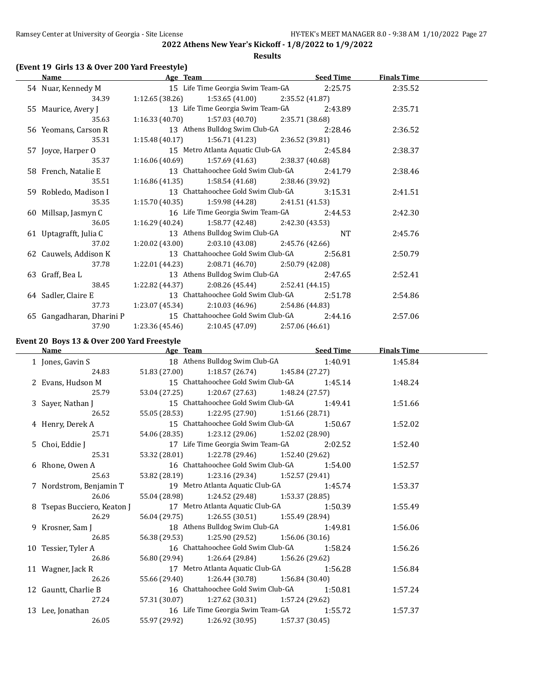**Results**

#### **(Event 19 Girls 13 & Over 200 Yard Freestyle)**

| Name                      | Age Team                                                     | Seed Time | <b>Finals Time</b> |  |
|---------------------------|--------------------------------------------------------------|-----------|--------------------|--|
|                           | 54 Nuar, Kennedy M 15 Life Time Georgia Swim Team-GA 2:25.75 |           | 2:35.52            |  |
| 34.39                     | $1:12.65(38.26)$ $1:53.65(41.00)$ $2:35.52(41.87)$           |           |                    |  |
| 55 Maurice, Avery J       | 13 Life Time Georgia Swim Team-GA                            | 2:43.89   | 2:35.71            |  |
| 35.63                     | $1:16.33(40.70)$ $1:57.03(40.70)$ $2:35.71(38.68)$           |           |                    |  |
| 56 Yeomans, Carson R      | 13 Athens Bulldog Swim Club-GA                               | 2:28.46   | 2:36.52            |  |
| 35.31                     | 1:15.48 (40.17) 1:56.71 (41.23) 2:36.52 (39.81)              |           |                    |  |
| 57 Joyce, Harper O        | 15 Metro Atlanta Aquatic Club-GA                             | 2:45.84   | 2:38.37            |  |
| 35.37                     | $1:16.06(40.69)$ $1:57.69(41.63)$ $2:38.37(40.68)$           |           |                    |  |
| 58 French, Natalie E      | 13 Chattahoochee Gold Swim Club-GA                           | 2:41.79   | 2:38.46            |  |
| 35.51                     | $1:16.86(41.35)$ $1:58.54(41.68)$ $2:38.46(39.92)$           |           |                    |  |
| 59 Robledo, Madison I     | 13 Chattahoochee Gold Swim Club-GA                           | 3:15.31   | 2:41.51            |  |
| 35.35                     | $1:15.70(40.35)$ $1:59.98(44.28)$ $2:41.51(41.53)$           |           |                    |  |
| 60 Millsap, Jasmyn C      | 16 Life Time Georgia Swim Team-GA 2:44.53                    |           | 2:42.30            |  |
| 36.05                     | $1:16.29(40.24)$ $1:58.77(42.48)$ $2:42.30(43.53)$           |           |                    |  |
| 61 Uptagrafft, Julia C    | 13 Athens Bulldog Swim Club-GA                               | NT.       | 2:45.76            |  |
| 37.02                     | 1:20.02 (43.00) $2:03.10$ (43.08) $2:45.76$ (42.66)          |           |                    |  |
| 62 Cauwels, Addison K     | 13 Chattahoochee Gold Swim Club-GA                           | 2:56.81   | 2:50.79            |  |
| 37.78                     | 1:22.01 (44.23) 2:08.71 (46.70) 2:50.79 (42.08)              |           |                    |  |
| 63 Graff, Bea L           | 13 Athens Bulldog Swim Club-GA                               | 2:47.65   | 2:52.41            |  |
| 38.45                     | $1:22.82$ (44.37) $2:08.26$ (45.44) $2:52.41$ (44.15)        |           |                    |  |
| 64 Sadler, Claire E       | 13 Chattahoochee Gold Swim Club-GA                           | 2:51.78   | 2:54.86            |  |
| 37.73                     | $1:23.07(45.34)$ $2:10.03(46.96)$ $2:54.86(44.83)$           |           |                    |  |
| 65 Gangadharan, Dharini P | 15 Chattahoochee Gold Swim Club-GA 2:44.16                   |           | 2:57.06            |  |
| 37.90                     | $1:23.36(45.46)$ $2:10.45(47.09)$ $2:57.06(46.61)$           |           |                    |  |

## **Event 20 Boys 13 & Over 200 Yard Freestyle**

| Name                        | Age Team Seed Time                            |  | <b>Finals Time</b> |  |
|-----------------------------|-----------------------------------------------|--|--------------------|--|
| 1 Jones, Gavin S            | 18 Athens Bulldog Swim Club-GA 1:40.91        |  | 1:45.84            |  |
| 24.83                       | 51.83 (27.00) 1:18.57 (26.74) 1:45.84 (27.27) |  |                    |  |
| 2 Evans, Hudson M           | 15 Chattahoochee Gold Swim Club-GA 1:45.14    |  | 1:48.24            |  |
| 25.79                       | 53.04 (27.25) 1:20.67 (27.63) 1:48.24 (27.57) |  |                    |  |
| 3 Sayer, Nathan J           | 15 Chattahoochee Gold Swim Club-GA 1:49.41    |  | 1:51.66            |  |
| 26.52                       | 55.05 (28.53) 1:22.95 (27.90) 1:51.66 (28.71) |  |                    |  |
| 4 Henry, Derek A            | 15 Chattahoochee Gold Swim Club-GA 1:50.67    |  | 1:52.02            |  |
| 25.71                       | 54.06 (28.35) 1:23.12 (29.06) 1:52.02 (28.90) |  |                    |  |
| 5 Choi, Eddie J             | 17 Life Time Georgia Swim Team-GA 2:02.52     |  | 1:52.40            |  |
| 25.31                       | 53.32 (28.01) 1:22.78 (29.46) 1:52.40 (29.62) |  |                    |  |
| 6 Rhone, Owen A             | 16 Chattahoochee Gold Swim Club-GA 1:54.00    |  | 1:52.57            |  |
| 25.63                       | 53.82 (28.19) 1:23.16 (29.34) 1:52.57 (29.41) |  |                    |  |
| 7 Nordstrom, Benjamin T     | 19 Metro Atlanta Aquatic Club-GA 1:45.74      |  | 1:53.37            |  |
| 26.06                       | 55.04 (28.98) 1:24.52 (29.48) 1:53.37 (28.85) |  |                    |  |
| 8 Tsepas Bucciero, Keaton J | 17 Metro Atlanta Aquatic Club-GA 1:50.39      |  | 1:55.49            |  |
| 26.29                       | 56.04 (29.75) 1:26.55 (30.51) 1:55.49 (28.94) |  |                    |  |
| 9 Krosner, Sam J            | 18 Athens Bulldog Swim Club-GA 1:49.81        |  | 1:56.06            |  |
| 26.85                       | 56.38 (29.53) 1:25.90 (29.52) 1:56.06 (30.16) |  |                    |  |
| 10 Tessier, Tyler A         | 16 Chattahoochee Gold Swim Club-GA 1:58.24    |  | 1:56.26            |  |
| 26.86                       | 56.80 (29.94) 1:26.64 (29.84) 1:56.26 (29.62) |  |                    |  |
| 11 Wagner, Jack R           | 17 Metro Atlanta Aquatic Club-GA 1:56.28      |  | 1:56.84            |  |
| 26.26                       | 55.66 (29.40) 1:26.44 (30.78) 1:56.84 (30.40) |  |                    |  |
| 12 Gauntt, Charlie B        | 16 Chattahoochee Gold Swim Club-GA 1:50.81    |  | 1:57.24            |  |
| 27.24                       | 57.31 (30.07) 1:27.62 (30.31) 1:57.24 (29.62) |  |                    |  |
| 13 Lee, Jonathan            | 16 Life Time Georgia Swim Team-GA 1:55.72     |  | 1:57.37            |  |
| 26.05                       | 55.97 (29.92) 1:26.92 (30.95) 1:57.37 (30.45) |  |                    |  |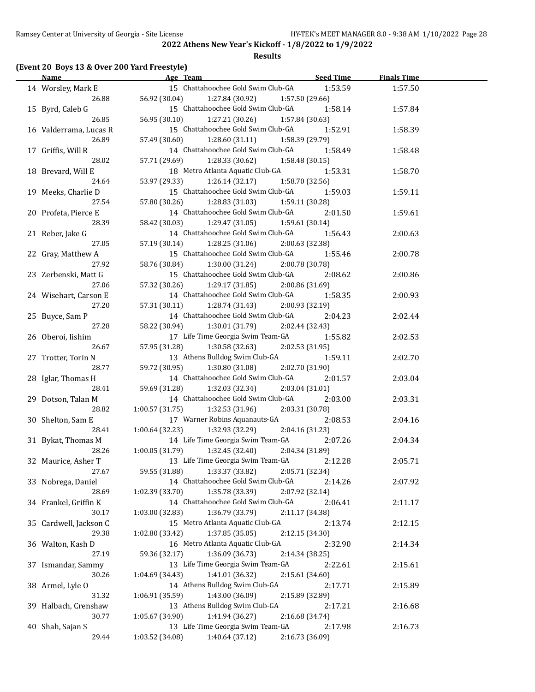#### **Results**

#### **(Event 20 Boys 13 & Over 200 Yard Freestyle)**

| <b>Name</b>            | Age Team                                                               | Seed Time       | <b>Finals Time</b> |  |
|------------------------|------------------------------------------------------------------------|-----------------|--------------------|--|
| 14 Worsley, Mark E     | 15 Chattahoochee Gold Swim Club-GA                                     | 1:53.59         | 1:57.50            |  |
| 26.88                  | 56.92 (30.04) 1:27.84 (30.92)                                          | 1:57.50(29.66)  |                    |  |
| 15 Byrd, Caleb G       | 15 Chattahoochee Gold Swim Club-GA                                     | 1:58.14         | 1:57.84            |  |
| 26.85                  | 56.95 (30.10) 1:27.21 (30.26)                                          | 1:57.84 (30.63) |                    |  |
| 16 Valderrama, Lucas R | 15 Chattahoochee Gold Swim Club-GA                                     | 1:52.91         | 1:58.39            |  |
| 26.89                  | 57.49 (30.60) 1:28.60 (31.11)                                          | 1:58.39 (29.79) |                    |  |
| 17 Griffis, Will R     | 14 Chattahoochee Gold Swim Club-GA                                     | 1:58.49         | 1:58.48            |  |
| 28.02                  | 57.71 (29.69) 1:28.33 (30.62)                                          | 1:58.48 (30.15) |                    |  |
| 18 Brevard, Will E     | 18 Metro Atlanta Aquatic Club-GA                                       | 1:53.31         | 1:58.70            |  |
| 24.64                  | 53.97 (29.33) 1:26.14 (32.17)                                          | 1:58.70 (32.56) |                    |  |
| 19 Meeks, Charlie D    | 15 Chattahoochee Gold Swim Club-GA                                     | 1:59.03         | 1:59.11            |  |
| 27.54                  | 57.80 (30.26) 1:28.83 (31.03)                                          | 1:59.11 (30.28) |                    |  |
| 20 Profeta, Pierce E   | 14 Chattahoochee Gold Swim Club-GA                                     | 2:01.50         | 1:59.61            |  |
| 28.39                  | 1:29.47 (31.05)<br>58.42 (30.03)                                       | 1:59.61 (30.14) |                    |  |
| 21 Reber, Jake G       | 14 Chattahoochee Gold Swim Club-GA                                     | 1:56.43         | 2:00.63            |  |
| 27.05                  | 57.19 (30.14) 1:28.25 (31.06)                                          | 2:00.63 (32.38) |                    |  |
| 22 Gray, Matthew A     | 15 Chattahoochee Gold Swim Club-GA                                     | 1:55.46         | 2:00.78            |  |
| 27.92                  | 58.76 (30.84)<br>1:30.00 (31.24)                                       | 2:00.78 (30.78) |                    |  |
| 23 Zerbenski, Matt G   | 15 Chattahoochee Gold Swim Club-GA                                     | 2:08.62         | 2:00.86            |  |
| 27.06                  | 57.32 (30.26) 1:29.17 (31.85)                                          | 2:00.86 (31.69) |                    |  |
| 24 Wisehart, Carson E  | 14 Chattahoochee Gold Swim Club-GA                                     | 1:58.35         | 2:00.93            |  |
| 27.20                  | $57.31(30.11)$ $1:28.74(31.43)$                                        | 2:00.93 (32.19) |                    |  |
| 25 Buyce, Sam P        | 14 Chattahoochee Gold Swim Club-GA                                     | 2:04.23         | 2:02.44            |  |
| 27.28                  | 58.22 (30.94) 1:30.01 (31.79)                                          | 2:02.44 (32.43) |                    |  |
| 26 Oberoi, Iishim      | 17 Life Time Georgia Swim Team-GA                                      | 1:55.82         | 2:02.53            |  |
| 26.67                  | 57.95 (31.28) 1:30.58 (32.63)                                          | 2:02.53 (31.95) |                    |  |
| 27 Trotter, Torin N    | 13 Athens Bulldog Swim Club-GA                                         | 1:59.11         | 2:02.70            |  |
| 28.77                  | 59.72 (30.95)<br>1:30.80 (31.08)                                       | 2:02.70 (31.90) |                    |  |
| 28 Iglar, Thomas H     | 14 Chattahoochee Gold Swim Club-GA                                     | 2:01.57         | 2:03.04            |  |
| 28.41                  | 59.69 (31.28)<br>1:32.03 (32.34)                                       | 2:03.04 (31.01) |                    |  |
| 29 Dotson, Talan M     | 14 Chattahoochee Gold Swim Club-GA                                     | 2:03.00         | 2:03.31            |  |
| 28.82                  | $1:00.57(31.75)$ $1:32.53(31.96)$                                      | 2:03.31 (30.78) |                    |  |
| 30 Shelton, Sam E      | 17 Warner Robins Aquanauts-GA                                          | 2:08.53         | 2:04.16            |  |
| 28.41                  | $1:00.64$ (32.23) $1:32.93$ (32.29)                                    | 2:04.16 (31.23) |                    |  |
| 31 Bykat, Thomas M     | 14 Life Time Georgia Swim Team-GA                                      | 2:07.26         |                    |  |
| 28.26                  | $1:00.05(31.79)$ $1:32.45(32.40)$                                      | 2:04.34 (31.89) | 2:04.34            |  |
| 32 Maurice, Asher T    | 13 Life Time Georgia Swim Team-GA                                      | 2:12.28         | 2:05.71            |  |
| 27.67                  | 59.55 (31.88)<br>1:33.37 (33.82)                                       | 2:05.71 (32.34) |                    |  |
| 33 Nobrega, Daniel     | 14 Chattahoochee Gold Swim Club-GA                                     | 2:14.26         |                    |  |
| 28.69                  | 1:02.39 (33.70)<br>1:35.78 (33.39)                                     | 2:07.92 (32.14) | 2:07.92            |  |
|                        | 14 Chattahoochee Gold Swim Club-GA                                     | 2:06.41         |                    |  |
| 34 Frankel, Griffin K  |                                                                        |                 | 2:11.17            |  |
| 30.17                  | 1:03.00 (32.83)<br>1:36.79 (33.79)<br>15 Metro Atlanta Aquatic Club-GA | 2:11.17 (34.38) |                    |  |
| 35 Cardwell, Jackson C |                                                                        | 2:13.74         | 2:12.15            |  |
| 29.38                  | 1:02.80 (33.42)<br>1:37.85(35.05)                                      | 2:12.15 (34.30) |                    |  |
| 36 Walton, Kash D      | 16 Metro Atlanta Aquatic Club-GA                                       | 2:32.90         | 2:14.34            |  |
| 27.19                  | 59.36 (32.17)<br>1:36.09 (36.73)                                       | 2:14.34 (38.25) |                    |  |
| 37 Ismandar, Sammy     | 13 Life Time Georgia Swim Team-GA                                      | 2:22.61         | 2:15.61            |  |
| 30.26                  | 1:41.01 (36.32)<br>1:04.69 (34.43)                                     | 2:15.61 (34.60) |                    |  |
| 38 Armel, Lyle O       | 14 Athens Bulldog Swim Club-GA                                         | 2:17.71         | 2:15.89            |  |
| 31.32                  | 1:43.00 (36.09)<br>1:06.91 (35.59)                                     | 2:15.89 (32.89) |                    |  |
| 39 Halbach, Crenshaw   | 13 Athens Bulldog Swim Club-GA                                         | 2:17.21         | 2:16.68            |  |
| 30.77                  | 1:41.94 (36.27)<br>1:05.67 (34.90)                                     | 2:16.68 (34.74) |                    |  |
| 40 Shah, Sajan S       | 13 Life Time Georgia Swim Team-GA                                      | 2:17.98         | 2:16.73            |  |
| 29.44                  | 1:03.52 (34.08)<br>1:40.64 (37.12)                                     | 2:16.73 (36.09) |                    |  |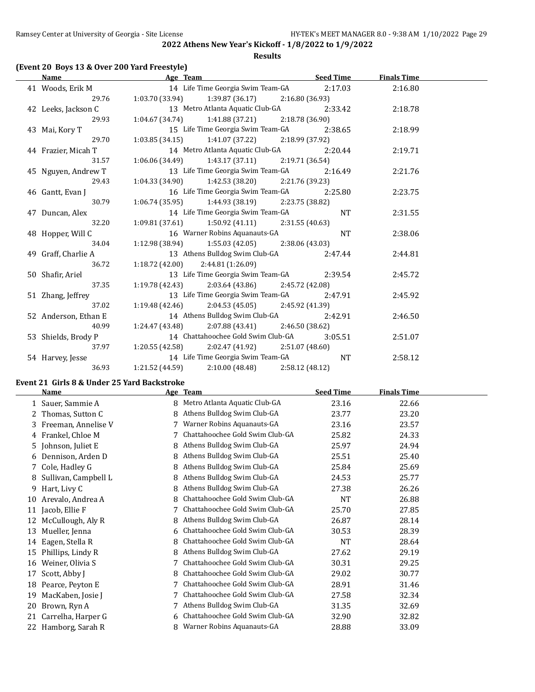#### **Results**

#### **(Event 20 Boys 13 & Over 200 Yard Freestyle)**

| Name                 | Age Team Seed Time                                 |           | <b>Finals Time</b> |  |
|----------------------|----------------------------------------------------|-----------|--------------------|--|
| 41 Woods, Erik M     | 14 Life Time Georgia Swim Team-GA 2:17.03          |           | 2:16.80            |  |
| 29.76                | $1:03.70(33.94)$ $1:39.87(36.17)$ $2:16.80(36.93)$ |           |                    |  |
| 42 Leeks, Jackson C  | 13 Metro Atlanta Aquatic Club-GA 2:33.42           |           | 2:18.78            |  |
| 29.93                | $1:04.67(34.74)$ $1:41.88(37.21)$ $2:18.78(36.90)$ |           |                    |  |
| 43 Mai, Kory T       | 15 Life Time Georgia Swim Team-GA                  | 2:38.65   | 2:18.99            |  |
| 29.70                | $1:03.85(34.15)$ $1:41.07(37.22)$ $2:18.99(37.92)$ |           |                    |  |
| 44 Frazier, Micah T  | 14 Metro Atlanta Aquatic Club-GA 2:20.44           |           | 2:19.71            |  |
| 31.57                | $1:06.06(34.49)$ $1:43.17(37.11)$ $2:19.71(36.54)$ |           |                    |  |
| 45 Nguyen, Andrew T  | 13 Life Time Georgia Swim Team-GA                  | 2:16.49   | 2:21.76            |  |
| 29.43                | $1:04.33(34.90)$ $1:42.53(38.20)$ $2:21.76(39.23)$ |           |                    |  |
| 46 Gantt, Evan J     | 16 Life Time Georgia Swim Team-GA                  | 2:25.80   | 2:23.75            |  |
| 30.79                | $1:06.74(35.95)$ $1:44.93(38.19)$ $2:23.75(38.82)$ |           |                    |  |
| 47 Duncan, Alex      | 14 Life Time Georgia Swim Team-GA                  | NT        | 2:31.55            |  |
| 32.20                | 1:09.81 (37.61) 1:50.92 (41.11) 2:31.55 (40.63)    |           |                    |  |
| 48 Hopper, Will C    | 16 Warner Robins Aquanauts-GA                      | <b>NT</b> | 2:38.06            |  |
| 34.04                | $1:12.98(38.94)$ $1:55.03(42.05)$ $2:38.06(43.03)$ |           |                    |  |
| 49 Graff, Charlie A  | 13 Athens Bulldog Swim Club-GA 2:47.44             |           | 2:44.81            |  |
| 36.72                | $1:18.72(42.00)$ $2:44.81(1:26.09)$                |           |                    |  |
| 50 Shafir, Ariel     | 13 Life Time Georgia Swim Team-GA 2:39.54          |           | 2:45.72            |  |
| 37.35                | $1:19.78(42.43)$ $2:03.64(43.86)$ $2:45.72(42.08)$ |           |                    |  |
| 51 Zhang, Jeffrey    | 13 Life Time Georgia Swim Team-GA                  | 2:47.91   | 2:45.92            |  |
| 37.02                | 1:19.48 (42.46) 2:04.53 (45.05) 2:45.92 (41.39)    |           |                    |  |
| 52 Anderson, Ethan E | 14 Athens Bulldog Swim Club-GA                     | 2:42.91   | 2:46.50            |  |
| 40.99                | $1:24.47(43.48)$ $2:07.88(43.41)$ $2:46.50(38.62)$ |           |                    |  |
| 53 Shields, Brody P  | 14 Chattahoochee Gold Swim Club-GA                 | 3:05.51   | 2:51.07            |  |
| 37.97                | $1:20.55(42.58)$ $2:02.47(41.92)$ $2:51.07(48.60)$ |           |                    |  |
| 54 Harvey, Jesse     | 14 Life Time Georgia Swim Team-GA                  | <b>NT</b> | 2:58.12            |  |
| 36.93                | $1:21.52(44.59)$ $2:10.00(48.48)$ $2:58.12(48.12)$ |           |                    |  |

## **Event 21 Girls 8 & Under 25 Yard Backstroke**

|    | Name                   |   | Age Team                        | <b>Seed Time</b> | <b>Finals Time</b> |
|----|------------------------|---|---------------------------------|------------------|--------------------|
|    | Sauer, Sammie A        | 8 | Metro Atlanta Aquatic Club-GA   | 23.16            | 22.66              |
|    | Thomas, Sutton C       | 8 | Athens Bulldog Swim Club-GA     | 23.77            | 23.20              |
| 3  | Freeman, Annelise V    |   | Warner Robins Aquanauts-GA      | 23.16            | 23.57              |
|    | 4 Frankel, Chloe M     |   | Chattahoochee Gold Swim Club-GA | 25.82            | 24.33              |
|    | 5 Johnson, Juliet E    | 8 | Athens Bulldog Swim Club-GA     | 25.97            | 24.94              |
|    | 6 Dennison, Arden D    | 8 | Athens Bulldog Swim Club-GA     | 25.51            | 25.40              |
|    | 7 Cole, Hadley G       | 8 | Athens Bulldog Swim Club-GA     | 25.84            | 25.69              |
|    | 8 Sullivan, Campbell L | 8 | Athens Bulldog Swim Club-GA     | 24.53            | 25.77              |
| 9  | Hart, Livy C           | 8 | Athens Bulldog Swim Club-GA     | 27.38            | 26.26              |
| 10 | Arevalo, Andrea A      | 8 | Chattahoochee Gold Swim Club-GA | NT               | 26.88              |
| 11 | Jacob, Ellie F         |   | Chattahoochee Gold Swim Club-GA | 25.70            | 27.85              |
| 12 | McCullough, Aly R      | 8 | Athens Bulldog Swim Club-GA     | 26.87            | 28.14              |
| 13 | Mueller, Jenna         | 6 | Chattahoochee Gold Swim Club-GA | 30.53            | 28.39              |
| 14 | Eagen, Stella R        | 8 | Chattahoochee Gold Swim Club-GA | NT               | 28.64              |
| 15 | Phillips, Lindy R      | 8 | Athens Bulldog Swim Club-GA     | 27.62            | 29.19              |
| 16 | Weiner, Olivia S       |   | Chattahoochee Gold Swim Club-GA | 30.31            | 29.25              |
| 17 | Scott, Abby J          | 8 | Chattahoochee Gold Swim Club-GA | 29.02            | 30.77              |
| 18 | Pearce, Peyton E       |   | Chattahoochee Gold Swim Club-GA | 28.91            | 31.46              |
| 19 | MacKaben, Josie J      |   | Chattahoochee Gold Swim Club-GA | 27.58            | 32.34              |
| 20 | Brown, Ryn A           |   | Athens Bulldog Swim Club-GA     | 31.35            | 32.69              |
| 21 | Carrelha, Harper G     | 6 | Chattahoochee Gold Swim Club-GA | 32.90            | 32.82              |
|    | 22 Hamborg, Sarah R    | 8 | Warner Robins Aquanauts-GA      | 28.88            | 33.09              |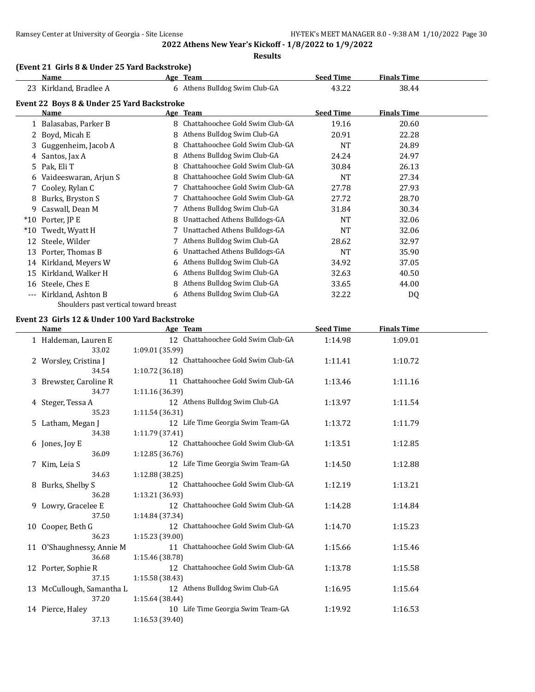**Results**

#### **(Event 21 Girls 8 & Under 25 Yard Backstroke)**

|              | Name                                       |   | Age Team                        | <b>Seed Time</b> | <b>Finals Time</b> |  |
|--------------|--------------------------------------------|---|---------------------------------|------------------|--------------------|--|
|              | 23 Kirkland, Bradlee A                     |   | 6 Athens Bulldog Swim Club-GA   | 43.22            | 38.44              |  |
|              | Event 22 Boys 8 & Under 25 Yard Backstroke |   |                                 |                  |                    |  |
|              | Name                                       |   | Age Team                        | <b>Seed Time</b> | <b>Finals Time</b> |  |
|              | 1 Balasabas, Parker B                      | 8 | Chattahoochee Gold Swim Club-GA | 19.16            | 20.60              |  |
| $\mathbf{Z}$ | Boyd, Micah E                              | 8 | Athens Bulldog Swim Club-GA     | 20.91            | 22.28              |  |
| 3.           | Guggenheim, Jacob A                        | 8 | Chattahoochee Gold Swim Club-GA | <b>NT</b>        | 24.89              |  |
| 4            | Santos, Jax A                              | 8 | Athens Bulldog Swim Club-GA     | 24.24            | 24.97              |  |
| 5.           | Pak, Eli T                                 | 8 | Chattahoochee Gold Swim Club-GA | 30.84            | 26.13              |  |
| 6            | Vaideeswaran, Arjun S                      |   | Chattahoochee Gold Swim Club-GA | <b>NT</b>        | 27.34              |  |
|              | 7 Cooley, Rylan C                          |   | Chattahoochee Gold Swim Club-GA | 27.78            | 27.93              |  |
| 8            | Burks, Bryston S                           |   | Chattahoochee Gold Swim Club-GA | 27.72            | 28.70              |  |
| 9            | Caswall, Dean M                            |   | Athens Bulldog Swim Club-GA     | 31.84            | 30.34              |  |
| $*10$        | Porter, JP E                               | 8 | Unattached Athens Bulldogs-GA   | <b>NT</b>        | 32.06              |  |
| $*10$        | Twedt, Wyatt H                             |   | Unattached Athens Bulldogs-GA   | <b>NT</b>        | 32.06              |  |
| 12           | Steele, Wilder                             |   | Athens Bulldog Swim Club-GA     | 28.62            | 32.97              |  |
| 13           | Porter, Thomas B                           | 6 | Unattached Athens Bulldogs-GA   | <b>NT</b>        | 35.90              |  |
| 14           | Kirkland, Meyers W                         | 6 | Athens Bulldog Swim Club-GA     | 34.92            | 37.05              |  |
| 15           | Kirkland, Walker H                         | 6 | Athens Bulldog Swim Club-GA     | 32.63            | 40.50              |  |
| 16           | Steele, Ches E                             | 8 | Athens Bulldog Swim Club-GA     | 33.65            | 44.00              |  |
|              | --- Kirkland, Ashton B                     | 6 | Athens Bulldog Swim Club-GA     | 32.22            | DQ                 |  |
|              |                                            |   |                                 |                  |                    |  |

Shoulders past vertical toward breast

# **Event 23 Girls 12 & Under 100 Yard Backstroke**

 $\overline{a}$ 

| Name                      | Age Team                           | <b>Seed Time</b> | <b>Finals Time</b> |  |
|---------------------------|------------------------------------|------------------|--------------------|--|
| 1 Haldeman, Lauren E      | 12 Chattahoochee Gold Swim Club-GA | 1:14.98          | 1:09.01            |  |
| 33.02                     | 1:09.01 (35.99)                    |                  |                    |  |
| 2 Worsley, Cristina J     | 12 Chattahoochee Gold Swim Club-GA | 1:11.41          | 1:10.72            |  |
| 34.54                     | 1:10.72 (36.18)                    |                  |                    |  |
| 3 Brewster, Caroline R    | 11 Chattahoochee Gold Swim Club-GA | 1:13.46          | 1:11.16            |  |
| 34.77                     | 1:11.16 (36.39)                    |                  |                    |  |
| 4 Steger, Tessa A         | 12 Athens Bulldog Swim Club-GA     | 1:13.97          | 1:11.54            |  |
| 35.23                     | 1:11.54 (36.31)                    |                  |                    |  |
| 5 Latham, Megan J         | 12 Life Time Georgia Swim Team-GA  | 1:13.72          | 1:11.79            |  |
| 34.38                     | 1:11.79 (37.41)                    |                  |                    |  |
| 6 Jones, Joy E            | 12 Chattahoochee Gold Swim Club-GA | 1:13.51          | 1:12.85            |  |
| 36.09                     | 1:12.85(36.76)                     |                  |                    |  |
| 7 Kim, Leia S             | 12 Life Time Georgia Swim Team-GA  | 1:14.50          | 1:12.88            |  |
| 34.63                     | 1:12.88 (38.25)                    |                  |                    |  |
| 8 Burks, Shelby S         | 12 Chattahoochee Gold Swim Club-GA | 1:12.19          | 1:13.21            |  |
| 36.28                     | 1:13.21 (36.93)                    |                  |                    |  |
| 9 Lowry, Gracelee E       | 12 Chattahoochee Gold Swim Club-GA | 1:14.28          | 1:14.84            |  |
| 37.50                     | 1:14.84 (37.34)                    |                  |                    |  |
| 10 Cooper, Beth G         | 12 Chattahoochee Gold Swim Club-GA | 1:14.70          | 1:15.23            |  |
| 36.23                     | 1:15.23 (39.00)                    |                  |                    |  |
| 11 O'Shaughnessy, Annie M | 11 Chattahoochee Gold Swim Club-GA | 1:15.66          | 1:15.46            |  |
| 36.68                     | 1:15.46 (38.78)                    |                  |                    |  |
| 12 Porter, Sophie R       | 12 Chattahoochee Gold Swim Club-GA | 1:13.78          | 1:15.58            |  |
| 37.15                     | 1:15.58 (38.43)                    |                  |                    |  |
| 13 McCullough, Samantha L | 12 Athens Bulldog Swim Club-GA     | 1:16.95          | 1:15.64            |  |
| 37.20                     | 1:15.64 (38.44)                    |                  |                    |  |
| 14 Pierce, Haley          | 10 Life Time Georgia Swim Team-GA  | 1:19.92          | 1:16.53            |  |
| 37.13                     | 1:16.53 (39.40)                    |                  |                    |  |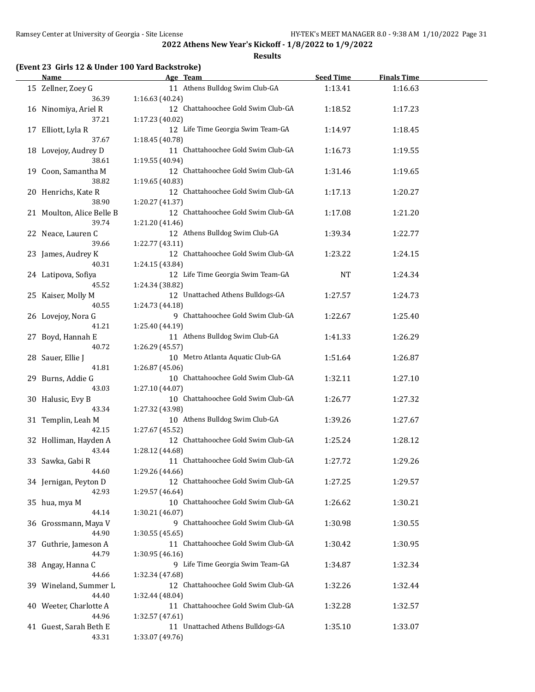**Results**

# **(Event 23 Girls 12 & Under 100 Yard Backstroke)**

|    | Name                      | Age Team                           | <b>Seed Time</b> | <b>Finals Time</b> |  |
|----|---------------------------|------------------------------------|------------------|--------------------|--|
|    | 15 Zellner, Zoey G        | 11 Athens Bulldog Swim Club-GA     | 1:13.41          | 1:16.63            |  |
|    | 36.39                     | 1:16.63 (40.24)                    |                  |                    |  |
|    | 16 Ninomiya, Ariel R      | 12 Chattahoochee Gold Swim Club-GA | 1:18.52          | 1:17.23            |  |
|    | 37.21                     | 1:17.23 (40.02)                    |                  |                    |  |
|    | 17 Elliott, Lyla R        | 12 Life Time Georgia Swim Team-GA  | 1:14.97          | 1:18.45            |  |
|    | 37.67                     | 1:18.45 (40.78)                    |                  |                    |  |
|    | 18 Lovejoy, Audrey D      | 11 Chattahoochee Gold Swim Club-GA | 1:16.73          | 1:19.55            |  |
|    | 38.61                     | 1:19.55 (40.94)                    |                  |                    |  |
|    | 19 Coon, Samantha M       | 12 Chattahoochee Gold Swim Club-GA | 1:31.46          | 1:19.65            |  |
|    | 38.82                     | 1:19.65 (40.83)                    |                  |                    |  |
|    | 20 Henrichs, Kate R       | 12 Chattahoochee Gold Swim Club-GA | 1:17.13          | 1:20.27            |  |
|    | 38.90                     | 1:20.27 (41.37)                    |                  |                    |  |
|    | 21 Moulton, Alice Belle B | 12 Chattahoochee Gold Swim Club-GA | 1:17.08          | 1:21.20            |  |
|    | 39.74                     | 1:21.20 (41.46)                    |                  |                    |  |
|    | 22 Neace, Lauren C        | 12 Athens Bulldog Swim Club-GA     | 1:39.34          | 1:22.77            |  |
|    | 39.66                     | 1:22.77 (43.11)                    |                  |                    |  |
|    | 23 James, Audrey K        | 12 Chattahoochee Gold Swim Club-GA | 1:23.22          | 1:24.15            |  |
|    | 40.31                     | 1:24.15 (43.84)                    |                  |                    |  |
|    | 24 Latipova, Sofiya       | 12 Life Time Georgia Swim Team-GA  | <b>NT</b>        | 1:24.34            |  |
|    | 45.52                     | 1:24.34 (38.82)                    |                  |                    |  |
|    | 25 Kaiser, Molly M        | 12 Unattached Athens Bulldogs-GA   | 1:27.57          | 1:24.73            |  |
|    | 40.55                     | 1:24.73 (44.18)                    |                  |                    |  |
|    | 26 Lovejoy, Nora G        | 9 Chattahoochee Gold Swim Club-GA  | 1:22.67          | 1:25.40            |  |
|    | 41.21                     | 1:25.40 (44.19)                    |                  |                    |  |
|    | 27 Boyd, Hannah E         | 11 Athens Bulldog Swim Club-GA     | 1:41.33          | 1:26.29            |  |
|    | 40.72                     | 1:26.29 (45.57)                    |                  |                    |  |
|    | 28 Sauer, Ellie J         | 10 Metro Atlanta Aquatic Club-GA   | 1:51.64          | 1:26.87            |  |
|    | 41.81                     | 1:26.87 (45.06)                    |                  |                    |  |
|    | 29 Burns, Addie G         | 10 Chattahoochee Gold Swim Club-GA | 1:32.11          | 1:27.10            |  |
|    | 43.03                     | 1:27.10 (44.07)                    |                  |                    |  |
|    | 30 Halusic, Evy B         | 10 Chattahoochee Gold Swim Club-GA | 1:26.77          | 1:27.32            |  |
|    | 43.34                     | 1:27.32 (43.98)                    |                  |                    |  |
|    | 31 Templin, Leah M        | 10 Athens Bulldog Swim Club-GA     | 1:39.26          | 1:27.67            |  |
|    | 42.15                     | 1:27.67 (45.52)                    |                  |                    |  |
|    | 32 Holliman, Hayden A     | 12 Chattahoochee Gold Swim Club-GA | 1:25.24          | 1:28.12            |  |
|    | 43.44                     | 1:28.12 (44.68)                    |                  |                    |  |
|    | 33 Sawka, Gabi R          | 11 Chattahoochee Gold Swim Club-GA | 1:27.72          | 1:29.26            |  |
|    | 44.60                     | 1:29.26 (44.66)                    |                  |                    |  |
|    | 34 Jernigan, Peyton D     | 12 Chattahoochee Gold Swim Club-GA | 1:27.25          | 1:29.57            |  |
|    | 42.93                     | 1:29.57 (46.64)                    |                  |                    |  |
|    | 35 hua, mya M             | 10 Chattahoochee Gold Swim Club-GA | 1:26.62          | 1:30.21            |  |
|    | 44.14                     | 1:30.21 (46.07)                    |                  |                    |  |
|    | 36 Grossmann, Maya V      | 9 Chattahoochee Gold Swim Club-GA  | 1:30.98          | 1:30.55            |  |
|    | 44.90                     | 1:30.55 (45.65)                    |                  |                    |  |
| 37 | Guthrie, Jameson A        | 11 Chattahoochee Gold Swim Club-GA | 1:30.42          | 1:30.95            |  |
|    | 44.79                     | 1:30.95 (46.16)                    |                  |                    |  |
|    | 38 Angay, Hanna C         | 9 Life Time Georgia Swim Team-GA   | 1:34.87          | 1:32.34            |  |
|    | 44.66                     | 1:32.34 (47.68)                    |                  |                    |  |
|    | 39 Wineland, Summer L     | 12 Chattahoochee Gold Swim Club-GA | 1:32.26          | 1:32.44            |  |
|    | 44.40                     | 1:32.44 (48.04)                    |                  |                    |  |
|    | 40 Weeter, Charlotte A    | 11 Chattahoochee Gold Swim Club-GA | 1:32.28          | 1:32.57            |  |
|    | 44.96                     | 1:32.57 (47.61)                    |                  |                    |  |
|    | 41 Guest, Sarah Beth E    | 11 Unattached Athens Bulldogs-GA   | 1:35.10          | 1:33.07            |  |
|    | 43.31                     | 1:33.07 (49.76)                    |                  |                    |  |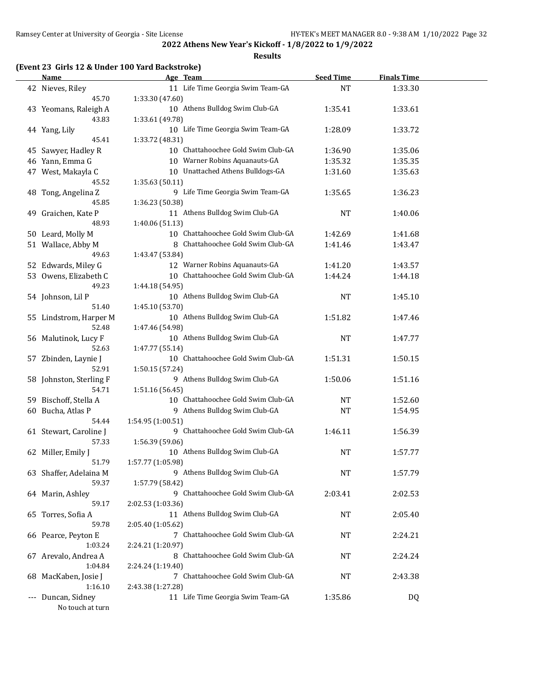**Results**

## **(Event 23 Girls 12 & Under 100 Yard Backstroke)**

| <b>Name</b>             |                   | Age Team                           | <b>Seed Time</b> | <b>Finals Time</b> |  |
|-------------------------|-------------------|------------------------------------|------------------|--------------------|--|
| 42 Nieves, Riley        |                   | 11 Life Time Georgia Swim Team-GA  | <b>NT</b>        | 1:33.30            |  |
| 45.70                   | 1:33.30 (47.60)   |                                    |                  |                    |  |
| 43 Yeomans, Raleigh A   |                   | 10 Athens Bulldog Swim Club-GA     | 1:35.41          | 1:33.61            |  |
| 43.83                   | 1:33.61 (49.78)   |                                    |                  |                    |  |
| 44 Yang, Lily           |                   | 10 Life Time Georgia Swim Team-GA  | 1:28.09          | 1:33.72            |  |
| 45.41                   | 1:33.72 (48.31)   |                                    |                  |                    |  |
| 45 Sawyer, Hadley R     |                   | 10 Chattahoochee Gold Swim Club-GA | 1:36.90          | 1:35.06            |  |
| 46 Yann, Emma G         |                   | 10 Warner Robins Aquanauts-GA      | 1:35.32          | 1:35.35            |  |
| 47 West, Makayla C      |                   | 10 Unattached Athens Bulldogs-GA   | 1:31.60          | 1:35.63            |  |
| 45.52                   | 1:35.63(50.11)    |                                    |                  |                    |  |
| 48 Tong, Angelina Z     |                   | 9 Life Time Georgia Swim Team-GA   | 1:35.65          | 1:36.23            |  |
| 45.85                   | 1:36.23 (50.38)   |                                    |                  |                    |  |
| 49 Graichen, Kate P     |                   | 11 Athens Bulldog Swim Club-GA     | <b>NT</b>        | 1:40.06            |  |
| 48.93                   | 1:40.06 (51.13)   |                                    |                  |                    |  |
| 50 Leard, Molly M       |                   | 10 Chattahoochee Gold Swim Club-GA | 1:42.69          | 1:41.68            |  |
| 51 Wallace, Abby M      |                   | 8 Chattahoochee Gold Swim Club-GA  | 1:41.46          | 1:43.47            |  |
| 49.63                   | 1:43.47 (53.84)   |                                    |                  |                    |  |
| 52 Edwards, Miley G     |                   | 12 Warner Robins Aquanauts-GA      | 1:41.20          | 1:43.57            |  |
| 53 Owens, Elizabeth C   |                   | 10 Chattahoochee Gold Swim Club-GA | 1:44.24          | 1:44.18            |  |
| 49.23                   | 1:44.18 (54.95)   |                                    |                  |                    |  |
| 54 Johnson, Lil P       |                   | 10 Athens Bulldog Swim Club-GA     | <b>NT</b>        | 1:45.10            |  |
| 51.40                   | 1:45.10 (53.70)   |                                    |                  |                    |  |
| 55 Lindstrom, Harper M  |                   | 10 Athens Bulldog Swim Club-GA     | 1:51.82          | 1:47.46            |  |
| 52.48                   | 1:47.46 (54.98)   |                                    |                  |                    |  |
| 56 Malutinok, Lucy F    |                   | 10 Athens Bulldog Swim Club-GA     | <b>NT</b>        | 1:47.77            |  |
| 52.63                   | 1:47.77 (55.14)   |                                    |                  |                    |  |
| 57 Zbinden, Laynie J    |                   | 10 Chattahoochee Gold Swim Club-GA | 1:51.31          | 1:50.15            |  |
| 52.91                   | 1:50.15 (57.24)   |                                    |                  |                    |  |
| 58 Johnston, Sterling F |                   | 9 Athens Bulldog Swim Club-GA      | 1:50.06          | 1:51.16            |  |
| 54.71                   | 1:51.16 (56.45)   |                                    |                  |                    |  |
| 59 Bischoff, Stella A   |                   | 10 Chattahoochee Gold Swim Club-GA | <b>NT</b>        | 1:52.60            |  |
| 60 Bucha, Atlas P       |                   | 9 Athens Bulldog Swim Club-GA      | <b>NT</b>        | 1:54.95            |  |
| 54.44                   | 1:54.95 (1:00.51) |                                    |                  |                    |  |
| 61 Stewart, Caroline J  |                   | 9 Chattahoochee Gold Swim Club-GA  | 1:46.11          | 1:56.39            |  |
| 57.33                   | 1:56.39 (59.06)   |                                    |                  |                    |  |
| 62 Miller, Emily J      |                   | 10 Athens Bulldog Swim Club-GA     | NT               | 1:57.77            |  |
| 51.79                   | 1:57.77 (1:05.98) |                                    |                  |                    |  |
| 63 Shaffer, Adelaina M  |                   | 9 Athens Bulldog Swim Club-GA      | <b>NT</b>        | 1:57.79            |  |
| 59.37                   | 1:57.79 (58.42)   |                                    |                  |                    |  |
| 64 Marin, Ashley        |                   | 9 Chattahoochee Gold Swim Club-GA  | 2:03.41          | 2:02.53            |  |
| 59.17                   | 2:02.53 (1:03.36) |                                    |                  |                    |  |
| 65 Torres, Sofia A      |                   | 11 Athens Bulldog Swim Club-GA     | NT               | 2:05.40            |  |
| 59.78                   | 2:05.40 (1:05.62) |                                    |                  |                    |  |
| 66 Pearce, Peyton E     |                   | 7 Chattahoochee Gold Swim Club-GA  | NT               | 2:24.21            |  |
| 1:03.24                 | 2:24.21 (1:20.97) |                                    |                  |                    |  |
| 67 Arevalo, Andrea A    |                   | 8 Chattahoochee Gold Swim Club-GA  | NT               | 2:24.24            |  |
| 1:04.84                 | 2:24.24 (1:19.40) |                                    |                  |                    |  |
| 68 MacKaben, Josie J    |                   | 7 Chattahoochee Gold Swim Club-GA  | NT               | 2:43.38            |  |
| 1:16.10                 | 2:43.38 (1:27.28) |                                    |                  |                    |  |
| --- Duncan, Sidney      |                   | 11 Life Time Georgia Swim Team-GA  | 1:35.86          | DQ                 |  |
| No touch at turn        |                   |                                    |                  |                    |  |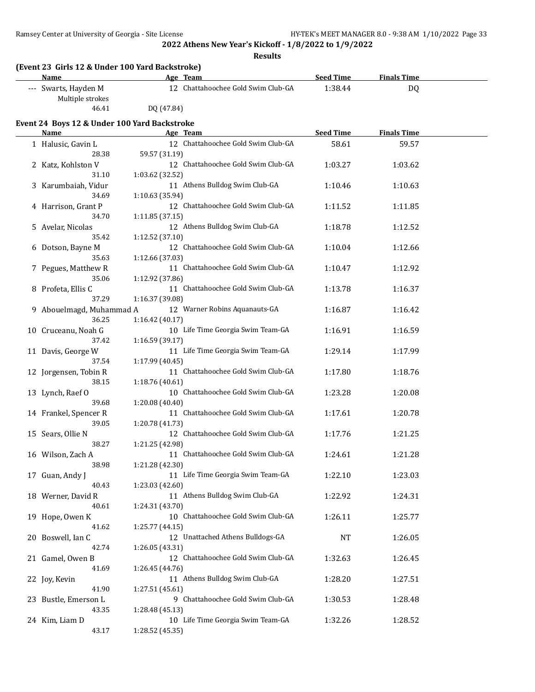**Results**

| (Event 23 Girls 12 & Under 100 Yard Backstroke)                                                                                                                                                                                                                                                                                                                                      |                                    |                  |                    |  |  |  |  |  |
|--------------------------------------------------------------------------------------------------------------------------------------------------------------------------------------------------------------------------------------------------------------------------------------------------------------------------------------------------------------------------------------|------------------------------------|------------------|--------------------|--|--|--|--|--|
| Name                                                                                                                                                                                                                                                                                                                                                                                 | Age Team                           | <b>Seed Time</b> | <b>Finals Time</b> |  |  |  |  |  |
| --- Swarts, Hayden M<br>Multiple strokes                                                                                                                                                                                                                                                                                                                                             | 12 Chattahoochee Gold Swim Club-GA | 1:38.44          | DQ                 |  |  |  |  |  |
| 46.41                                                                                                                                                                                                                                                                                                                                                                                | DO (47.84)                         |                  |                    |  |  |  |  |  |
| Event 24 Boys 12 & Under 100 Yard Backstroke                                                                                                                                                                                                                                                                                                                                         |                                    |                  |                    |  |  |  |  |  |
| Name                                                                                                                                                                                                                                                                                                                                                                                 | Age Team                           | <b>Seed Time</b> | <b>Finals Time</b> |  |  |  |  |  |
| $\overline{1}$ $\overline{1}$ $\overline{1}$ $\overline{1}$ $\overline{1}$ $\overline{1}$ $\overline{1}$ $\overline{1}$ $\overline{1}$ $\overline{1}$ $\overline{1}$ $\overline{1}$ $\overline{1}$ $\overline{1}$ $\overline{1}$ $\overline{1}$ $\overline{1}$ $\overline{1}$ $\overline{1}$ $\overline{1}$ $\overline{1}$ $\overline{1}$ $\overline{1}$ $\overline{1}$ $\overline{$ | 12 Chattabasahas Cald Cuim Club CA | $F \cap A$       | FO F7              |  |  |  |  |  |

| 1 Halusic, Gavin L       |                 | 12 Chattahoochee Gold Swim Club-GA | 58.61   | 59.57   |  |
|--------------------------|-----------------|------------------------------------|---------|---------|--|
| 28.38                    | 59.57 (31.19)   |                                    |         |         |  |
| 2 Katz, Kohlston V       |                 | 12 Chattahoochee Gold Swim Club-GA | 1:03.27 | 1:03.62 |  |
| 31.10                    | 1:03.62 (32.52) |                                    |         |         |  |
| 3 Karumbaiah, Vidur      |                 | 11 Athens Bulldog Swim Club-GA     | 1:10.46 | 1:10.63 |  |
| 34.69                    | 1:10.63 (35.94) |                                    |         |         |  |
| 4 Harrison, Grant P      |                 | 12 Chattahoochee Gold Swim Club-GA | 1:11.52 | 1:11.85 |  |
| 34.70                    | 1:11.85(37.15)  |                                    |         |         |  |
| 5 Avelar, Nicolas        |                 | 12 Athens Bulldog Swim Club-GA     | 1:18.78 | 1:12.52 |  |
| 35.42                    | 1:12.52 (37.10) |                                    |         |         |  |
| 6 Dotson, Bayne M        |                 | 12 Chattahoochee Gold Swim Club-GA | 1:10.04 | 1:12.66 |  |
| 35.63                    | 1:12.66 (37.03) |                                    |         |         |  |
|                          |                 | 11 Chattahoochee Gold Swim Club-GA |         |         |  |
| 7 Pegues, Matthew R      |                 |                                    | 1:10.47 | 1:12.92 |  |
| 35.06                    | 1:12.92 (37.86) |                                    |         |         |  |
| 8 Profeta, Ellis C       |                 | 11 Chattahoochee Gold Swim Club-GA | 1:13.78 | 1:16.37 |  |
| 37.29                    | 1:16.37 (39.08) |                                    |         |         |  |
| 9 Abouelmagd, Muhammad A |                 | 12 Warner Robins Aquanauts-GA      | 1:16.87 | 1:16.42 |  |
| 36.25                    | 1:16.42 (40.17) |                                    |         |         |  |
| 10 Cruceanu, Noah G      |                 | 10 Life Time Georgia Swim Team-GA  | 1:16.91 | 1:16.59 |  |
| 37.42                    | 1:16.59 (39.17) |                                    |         |         |  |
| 11 Davis, George W       |                 | 11 Life Time Georgia Swim Team-GA  | 1:29.14 | 1:17.99 |  |
| 37.54                    | 1:17.99 (40.45) |                                    |         |         |  |
| 12 Jorgensen, Tobin R    |                 | 11 Chattahoochee Gold Swim Club-GA | 1:17.80 | 1:18.76 |  |
| 38.15                    | 1:18.76 (40.61) |                                    |         |         |  |
| 13 Lynch, Raef O         |                 | 10 Chattahoochee Gold Swim Club-GA | 1:23.28 | 1:20.08 |  |
| 39.68                    | 1:20.08 (40.40) |                                    |         |         |  |
| 14 Frankel, Spencer R    |                 | 11 Chattahoochee Gold Swim Club-GA | 1:17.61 | 1:20.78 |  |
| 39.05                    | 1:20.78 (41.73) |                                    |         |         |  |
| 15 Sears, Ollie N        |                 | 12 Chattahoochee Gold Swim Club-GA | 1:17.76 | 1:21.25 |  |
| 38.27                    | 1:21.25 (42.98) |                                    |         |         |  |
| 16 Wilson, Zach A        |                 | 11 Chattahoochee Gold Swim Club-GA | 1:24.61 | 1:21.28 |  |
| 38.98                    | 1:21.28 (42.30) |                                    |         |         |  |
| 17 Guan, Andy J          |                 | 11 Life Time Georgia Swim Team-GA  | 1:22.10 | 1:23.03 |  |
| 40.43                    | 1:23.03 (42.60) |                                    |         |         |  |
| 18 Werner, David R       |                 | 11 Athens Bulldog Swim Club-GA     | 1:22.92 | 1:24.31 |  |
| 40.61                    | 1:24.31 (43.70) |                                    |         |         |  |
|                          |                 | 10 Chattahoochee Gold Swim Club-GA | 1:26.11 |         |  |
| 19 Hope, Owen K<br>41.62 |                 |                                    |         | 1:25.77 |  |
|                          | 1:25.77 (44.15) |                                    |         |         |  |
| 20 Boswell, Ian C        |                 | 12 Unattached Athens Bulldogs-GA   | NT      | 1:26.05 |  |
| 42.74                    | 1:26.05 (43.31) |                                    |         |         |  |
| 21 Gamel, Owen B         |                 | 12 Chattahoochee Gold Swim Club-GA | 1:32.63 | 1:26.45 |  |
| 41.69                    | 1:26.45 (44.76) |                                    |         |         |  |
| 22 Joy, Kevin            |                 | 11 Athens Bulldog Swim Club-GA     | 1:28.20 | 1:27.51 |  |
| 41.90                    | 1:27.51 (45.61) |                                    |         |         |  |
| 23 Bustle, Emerson L     |                 | 9 Chattahoochee Gold Swim Club-GA  | 1:30.53 | 1:28.48 |  |
| 43.35                    | 1:28.48 (45.13) |                                    |         |         |  |
| 24 Kim, Liam D           |                 | 10 Life Time Georgia Swim Team-GA  | 1:32.26 | 1:28.52 |  |
| 43.17                    | 1:28.52 (45.35) |                                    |         |         |  |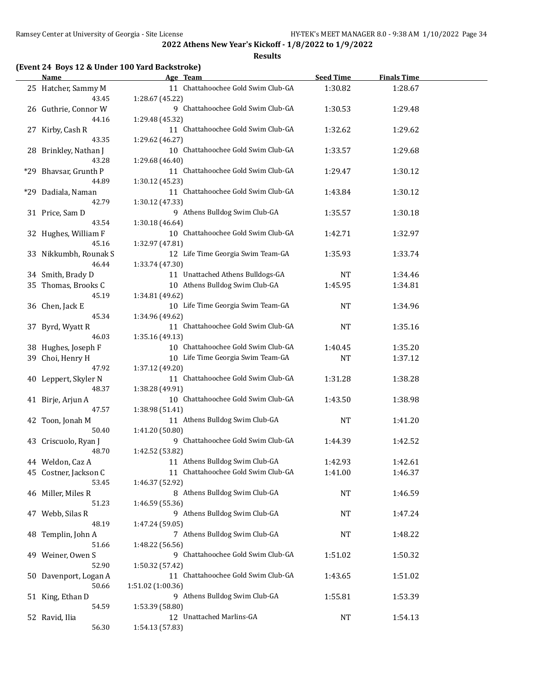**Results**

#### **(Event 24 Boys 12 & Under 100 Yard Backstroke)**

| Name                           | Age Team                                             | <b>Seed Time</b> | <b>Finals Time</b> |  |
|--------------------------------|------------------------------------------------------|------------------|--------------------|--|
| 25 Hatcher, Sammy M<br>43.45   | 11 Chattahoochee Gold Swim Club-GA                   | 1:30.82          | 1:28.67            |  |
| 26 Guthrie, Connor W           | 1:28.67 (45.22)<br>9 Chattahoochee Gold Swim Club-GA | 1:30.53          | 1:29.48            |  |
| 44.16                          | 1:29.48 (45.32)                                      |                  |                    |  |
| 27 Kirby, Cash R               | 11 Chattahoochee Gold Swim Club-GA                   | 1:32.62          | 1:29.62            |  |
| 43.35                          | 1:29.62 (46.27)                                      |                  |                    |  |
| 28 Brinkley, Nathan J          | 10 Chattahoochee Gold Swim Club-GA                   | 1:33.57          | 1:29.68            |  |
| 43.28                          | 1:29.68 (46.40)                                      |                  |                    |  |
| *29 Bhavsar, Grunth P          | 11 Chattahoochee Gold Swim Club-GA                   | 1:29.47          | 1:30.12            |  |
| 44.89                          | 1:30.12 (45.23)                                      |                  |                    |  |
| *29 Dadiala, Naman             | 11 Chattahoochee Gold Swim Club-GA                   | 1:43.84          | 1:30.12            |  |
| 42.79                          | 1:30.12 (47.33)                                      |                  |                    |  |
| 31 Price, Sam D                | 9 Athens Bulldog Swim Club-GA                        | 1:35.57          | 1:30.18            |  |
| 43.54                          | 1:30.18 (46.64)                                      |                  |                    |  |
| 32 Hughes, William F           | 10 Chattahoochee Gold Swim Club-GA                   | 1:42.71          | 1:32.97            |  |
| 45.16                          | 1:32.97 (47.81)                                      |                  |                    |  |
| 33 Nikkumbh, Rounak S          | 12 Life Time Georgia Swim Team-GA                    | 1:35.93          | 1:33.74            |  |
| 46.44                          | 1:33.74 (47.30)<br>11 Unattached Athens Bulldogs-GA  |                  |                    |  |
| 34 Smith, Brady D              | 10 Athens Bulldog Swim Club-GA                       | NT               | 1:34.46            |  |
| 35 Thomas, Brooks C<br>45.19   | 1:34.81 (49.62)                                      | 1:45.95          | 1:34.81            |  |
| 36 Chen, Jack E                | 10 Life Time Georgia Swim Team-GA                    | <b>NT</b>        | 1:34.96            |  |
| 45.34                          | 1:34.96 (49.62)                                      |                  |                    |  |
| 37 Byrd, Wyatt R               | 11 Chattahoochee Gold Swim Club-GA                   | <b>NT</b>        | 1:35.16            |  |
| 46.03                          | 1:35.16 (49.13)                                      |                  |                    |  |
| 38 Hughes, Joseph F            | 10 Chattahoochee Gold Swim Club-GA                   | 1:40.45          | 1:35.20            |  |
| 39 Choi, Henry H               | 10 Life Time Georgia Swim Team-GA                    | <b>NT</b>        | 1:37.12            |  |
| 47.92                          | 1:37.12 (49.20)                                      |                  |                    |  |
| 40 Leppert, Skyler N           | 11 Chattahoochee Gold Swim Club-GA                   | 1:31.28          | 1:38.28            |  |
| 48.37                          | 1:38.28 (49.91)                                      |                  |                    |  |
| 41 Birje, Arjun A              | 10 Chattahoochee Gold Swim Club-GA                   | 1:43.50          | 1:38.98            |  |
| 47.57                          | 1:38.98 (51.41)                                      |                  |                    |  |
| 42 Toon, Jonah M               | 11 Athens Bulldog Swim Club-GA                       | <b>NT</b>        | 1:41.20            |  |
| 50.40                          | 1:41.20 (50.80)                                      |                  |                    |  |
| 43 Criscuolo, Ryan J           | 9 Chattahoochee Gold Swim Club-GA                    | 1:44.39          | 1:42.52            |  |
| 48.70                          | 1:42.52 (53.82)                                      |                  |                    |  |
| 44 Weldon, Caz A               | 11 Athens Bulldog Swim Club-GA                       | 1:42.93          | 1:42.61            |  |
| 45 Costner, Jackson C<br>53.45 | 11 Chattahoochee Gold Swim Club-GA                   | 1:41.00          | 1:46.37            |  |
| 46 Miller, Miles R             | 1:46.37 (52.92)<br>8 Athens Bulldog Swim Club-GA     | NT               | 1:46.59            |  |
| 51.23                          | 1:46.59 (55.36)                                      |                  |                    |  |
| 47 Webb, Silas R               | 9 Athens Bulldog Swim Club-GA                        | <b>NT</b>        | 1:47.24            |  |
| 48.19                          | 1:47.24 (59.05)                                      |                  |                    |  |
| 48 Templin, John A             | 7 Athens Bulldog Swim Club-GA                        | NT               | 1:48.22            |  |
| 51.66                          | 1:48.22 (56.56)                                      |                  |                    |  |
| 49 Weiner, Owen S              | 9 Chattahoochee Gold Swim Club-GA                    | 1:51.02          | 1:50.32            |  |
| 52.90                          | 1:50.32 (57.42)                                      |                  |                    |  |
| 50 Davenport, Logan A          | 11 Chattahoochee Gold Swim Club-GA                   | 1:43.65          | 1:51.02            |  |
| 50.66                          | 1:51.02 (1:00.36)                                    |                  |                    |  |
| 51 King, Ethan D               | 9 Athens Bulldog Swim Club-GA                        | 1:55.81          | 1:53.39            |  |
| 54.59                          | 1:53.39 (58.80)                                      |                  |                    |  |
| 52 Ravid, Ilia                 | 12 Unattached Marlins-GA                             | NT               | 1:54.13            |  |
| 56.30                          | 1:54.13 (57.83)                                      |                  |                    |  |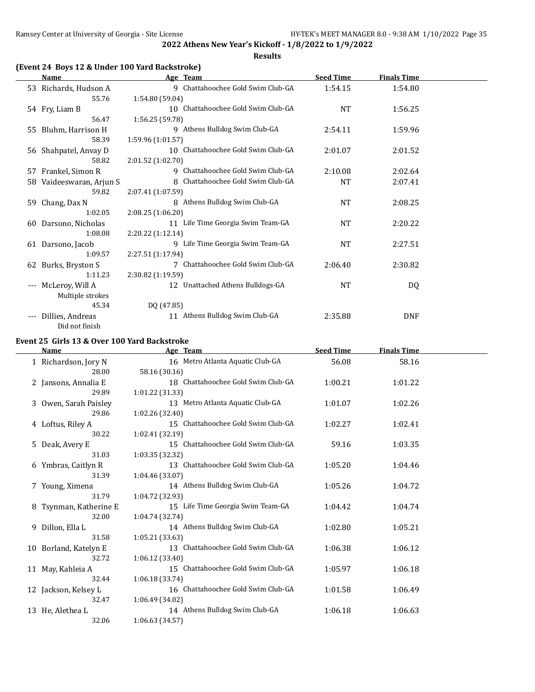**Results**

## **(Event 24 Boys 12 & Under 100 Yard Backstroke)**

|                     | <b>Name</b>           |                   | Age Team                           | <b>Seed Time</b> | <u>Finals Time</u> |  |
|---------------------|-----------------------|-------------------|------------------------------------|------------------|--------------------|--|
|                     | 53 Richards, Hudson A |                   | 9 Chattahoochee Gold Swim Club-GA  | 1:54.15          | 1:54.80            |  |
|                     | 55.76                 | 1:54.80 (59.04)   |                                    |                  |                    |  |
|                     | 54 Fry, Liam B        |                   | 10 Chattahoochee Gold Swim Club-GA | NT               | 1:56.25            |  |
|                     | 56.47                 | 1:56.25 (59.78)   |                                    |                  |                    |  |
|                     | 55 Bluhm, Harrison H  |                   | 9 Athens Bulldog Swim Club-GA      | 2:54.11          | 1:59.96            |  |
|                     | 58.39                 | 1:59.96 (1:01.57) |                                    |                  |                    |  |
|                     | 56 Shahpatel, Anvay D | 10                | Chattahoochee Gold Swim Club-GA    | 2:01.07          | 2:01.52            |  |
|                     | 58.82                 | 2:01.52 (1:02.70) |                                    |                  |                    |  |
| 57                  | Frankel, Simon R      | 9                 | Chattahoochee Gold Swim Club-GA    | 2:10.08          | 2:02.64            |  |
| 58                  | Vaideeswaran, Arjun S |                   | 8 Chattahoochee Gold Swim Club-GA  | <b>NT</b>        | 2:07.41            |  |
|                     | 59.82                 | 2:07.41 (1:07.59) |                                    |                  |                    |  |
| 59.                 | Chang, Dax N          |                   | 8 Athens Bulldog Swim Club-GA      | NT               | 2:08.25            |  |
|                     | 1:02.05               | 2:08.25(1:06.20)  |                                    |                  |                    |  |
| 60                  | Darsono, Nicholas     |                   | 11 Life Time Georgia Swim Team-GA  | NT               | 2:20.22            |  |
|                     | 1:08.08               | 2:20.22(1:12.14)  |                                    |                  |                    |  |
|                     | 61 Darsono, Jacob     |                   | 9 Life Time Georgia Swim Team-GA   | NT               | 2:27.51            |  |
|                     | 1:09.57               | 2:27.51 (1:17.94) |                                    |                  |                    |  |
|                     | 62 Burks, Bryston S   |                   | 7 Chattahoochee Gold Swim Club-GA  | 2:06.40          | 2:30.82            |  |
|                     | 1:11.23               | 2:30.82 (1:19.59) |                                    |                  |                    |  |
| $\qquad \qquad - -$ | McLeroy, Will A       |                   | 12 Unattached Athens Bulldogs-GA   | <b>NT</b>        | DQ                 |  |
|                     | Multiple strokes      |                   |                                    |                  |                    |  |
|                     | 45.34                 | DQ (47.85)        |                                    |                  |                    |  |
| $---$               | Dillies, Andreas      |                   | 11 Athens Bulldog Swim Club-GA     | 2:35.88          | <b>DNF</b>         |  |
|                     | Did not finish        |                   |                                    |                  |                    |  |

## **Event 25 Girls 13 & Over 100 Yard Backstroke**

| Name                   | Age Team                              | <b>Seed Time</b> | <b>Finals Time</b> |  |
|------------------------|---------------------------------------|------------------|--------------------|--|
| 1 Richardson, Jory N   | 16 Metro Atlanta Aquatic Club-GA      | 56.08            | 58.16              |  |
| 28.00                  | 58.16 (30.16)                         |                  |                    |  |
| 2 Jansons, Annalia E   | 18 Chattahoochee Gold Swim Club-GA    | 1:00.21          | 1:01.22            |  |
| 29.89                  | 1:01.22 (31.33)                       |                  |                    |  |
| 3 Owen, Sarah Paisley  | 13 Metro Atlanta Aquatic Club-GA      | 1:01.07          | 1:02.26            |  |
| 29.86                  | 1:02.26 (32.40)                       |                  |                    |  |
| 4 Loftus, Riley A      | 15 Chattahoochee Gold Swim Club-GA    | 1:02.27          | 1:02.41            |  |
| 30.22                  | 1:02.41 (32.19)                       |                  |                    |  |
| 5 Deak, Avery E        | 15 Chattahoochee Gold Swim Club-GA    | 59.16            | 1:03.35            |  |
| 31.03                  | 1:03.35 (32.32)                       |                  |                    |  |
| 6 Ymbras, Caitlyn R    | 13 Chattahoochee Gold Swim Club-GA    | 1:05.20          | 1:04.46            |  |
| 31.39                  | 1:04.46 (33.07)                       |                  |                    |  |
| 7 Young, Ximena        | 14 Athens Bulldog Swim Club-GA        | 1:05.26          | 1:04.72            |  |
| 31.79                  | 1:04.72 (32.93)                       |                  |                    |  |
| 8 Tsynman, Katherine E | 15 Life Time Georgia Swim Team-GA     | 1:04.42          | 1:04.74            |  |
| 32.00                  | 1:04.74 (32.74)                       |                  |                    |  |
| 9 Dillon, Ella L       | 14 Athens Bulldog Swim Club-GA        | 1:02.80          | 1:05.21            |  |
| 31.58                  | 1:05.21 (33.63)                       |                  |                    |  |
| 10 Borland, Katelyn E  | Chattahoochee Gold Swim Club-GA<br>13 | 1:06.38          | 1:06.12            |  |
| 32.72                  | 1:06.12(33.40)                        |                  |                    |  |
| 11 May, Kahleia A      | 15 Chattahoochee Gold Swim Club-GA    | 1:05.97          | 1:06.18            |  |
| 32.44                  | 1:06.18 (33.74)                       |                  |                    |  |
| 12 Jackson, Kelsey L   | 16 Chattahoochee Gold Swim Club-GA    | 1:01.58          | 1:06.49            |  |
| 32.47                  | 1:06.49 (34.02)                       |                  |                    |  |
| 13 He, Alethea L       | 14 Athens Bulldog Swim Club-GA        | 1:06.18          | 1:06.63            |  |
| 32.06                  | 1:06.63 (34.57)                       |                  |                    |  |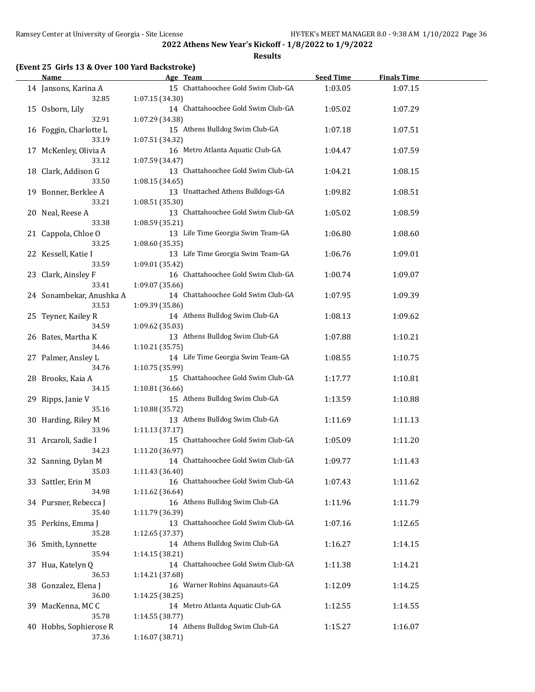**Results**

## **(Event 25 Girls 13 & Over 100 Yard Backstroke)**

| Name                         | Age Team                           | <b>Seed Time</b> | <b>Finals Time</b> |  |
|------------------------------|------------------------------------|------------------|--------------------|--|
| 14 Jansons, Karina A         | 15 Chattahoochee Gold Swim Club-GA | 1:03.05          | 1:07.15            |  |
| 32.85                        | 1:07.15 (34.30)                    |                  |                    |  |
| 15 Osborn, Lily              | 14 Chattahoochee Gold Swim Club-GA | 1:05.02          | 1:07.29            |  |
| 32.91                        | 1:07.29 (34.38)                    |                  |                    |  |
| 16 Foggin, Charlotte L       | 15 Athens Bulldog Swim Club-GA     | 1:07.18          | 1:07.51            |  |
| 33.19                        | 1:07.51 (34.32)                    |                  |                    |  |
| 17 McKenley, Olivia A        | 16 Metro Atlanta Aquatic Club-GA   | 1:04.47          | 1:07.59            |  |
| 33.12                        |                                    |                  |                    |  |
|                              | 1:07.59 (34.47)                    |                  |                    |  |
| 18 Clark, Addison G          | 13 Chattahoochee Gold Swim Club-GA | 1:04.21          | 1:08.15            |  |
| 33.50                        | 1:08.15 (34.65)                    |                  |                    |  |
| 19 Bonner, Berklee A         | 13 Unattached Athens Bulldogs-GA   | 1:09.82          | 1:08.51            |  |
| 33.21                        | 1:08.51 (35.30)                    |                  |                    |  |
| 20 Neal, Reese A             | 13 Chattahoochee Gold Swim Club-GA | 1:05.02          | 1:08.59            |  |
| 33.38                        | 1:08.59 (35.21)                    |                  |                    |  |
| 21 Cappola, Chloe O          | 13 Life Time Georgia Swim Team-GA  | 1:06.80          | 1:08.60            |  |
| 33.25                        | 1:08.60 (35.35)                    |                  |                    |  |
| 22 Kessell, Katie I          | 13 Life Time Georgia Swim Team-GA  | 1:06.76          | 1:09.01            |  |
| 33.59                        | 1:09.01 (35.42)                    |                  |                    |  |
| 23 Clark, Ainsley F          | 16 Chattahoochee Gold Swim Club-GA | 1:00.74          | 1:09.07            |  |
| 33.41                        | 1:09.07 (35.66)                    |                  |                    |  |
| 24 Sonambekar, Anushka A     | 14 Chattahoochee Gold Swim Club-GA | 1:07.95          | 1:09.39            |  |
| 33.53                        | 1:09.39 (35.86)                    |                  |                    |  |
| 25 Teyner, Kailey R          | 14 Athens Bulldog Swim Club-GA     | 1:08.13          | 1:09.62            |  |
| 34.59                        | 1:09.62 (35.03)                    |                  |                    |  |
| 26 Bates, Martha K           | 13 Athens Bulldog Swim Club-GA     | 1:07.88          | 1:10.21            |  |
| 34.46                        | 1:10.21 (35.75)                    |                  |                    |  |
|                              | 14 Life Time Georgia Swim Team-GA  |                  |                    |  |
| 27 Palmer, Ansley L<br>34.76 |                                    | 1:08.55          | 1:10.75            |  |
|                              | 1:10.75 (35.99)                    |                  |                    |  |
| 28 Brooks, Kaia A            | 15 Chattahoochee Gold Swim Club-GA | 1:17.77          | 1:10.81            |  |
| 34.15                        | 1:10.81 (36.66)                    |                  |                    |  |
| 29 Ripps, Janie V            | 15 Athens Bulldog Swim Club-GA     | 1:13.59          | 1:10.88            |  |
| 35.16                        | 1:10.88 (35.72)                    |                  |                    |  |
| 30 Harding, Riley M          | 13 Athens Bulldog Swim Club-GA     | 1:11.69          | 1:11.13            |  |
| 33.96                        | 1:11.13 (37.17)                    |                  |                    |  |
| 31 Arcaroli, Sadie I         | 15 Chattahoochee Gold Swim Club-GA | 1:05.09          | 1:11.20            |  |
| 34.23                        | 1:11.20 (36.97)                    |                  |                    |  |
| 32 Sanning, Dylan M          | 14 Chattahoochee Gold Swim Club-GA | 1:09.77          | 1:11.43            |  |
| 35.03                        | 1:11.43 (36.40)                    |                  |                    |  |
| 33 Sattler, Erin M           | 16 Chattahoochee Gold Swim Club-GA | 1:07.43          | 1:11.62            |  |
| 34.98                        | 1:11.62 (36.64)                    |                  |                    |  |
| 34 Pursner, Rebecca J        | 16 Athens Bulldog Swim Club-GA     | 1:11.96          | 1:11.79            |  |
| 35.40                        | 1:11.79 (36.39)                    |                  |                    |  |
| 35 Perkins, Emma J           | 13 Chattahoochee Gold Swim Club-GA | 1:07.16          | 1:12.65            |  |
| 35.28                        | 1:12.65 (37.37)                    |                  |                    |  |
| 36 Smith, Lynnette           | 14 Athens Bulldog Swim Club-GA     | 1:16.27          | 1:14.15            |  |
| 35.94                        | 1:14.15 (38.21)                    |                  |                    |  |
| 37 Hua, Katelyn Q            | 14 Chattahoochee Gold Swim Club-GA | 1:11.38          | 1:14.21            |  |
| 36.53                        | 1:14.21 (37.68)                    |                  |                    |  |
| 38 Gonzalez, Elena J         | 16 Warner Robins Aquanauts-GA      | 1:12.09          | 1:14.25            |  |
| 36.00                        |                                    |                  |                    |  |
|                              | 1:14.25 (38.25)                    |                  |                    |  |
| 39 MacKenna, MCC             | 14 Metro Atlanta Aquatic Club-GA   | 1:12.55          | 1:14.55            |  |
| 35.78                        | 1:14.55 (38.77)                    |                  |                    |  |
| 40 Hobbs, Sophierose R       | 14 Athens Bulldog Swim Club-GA     | 1:15.27          | 1:16.07            |  |
| 37.36                        | 1:16.07 (38.71)                    |                  |                    |  |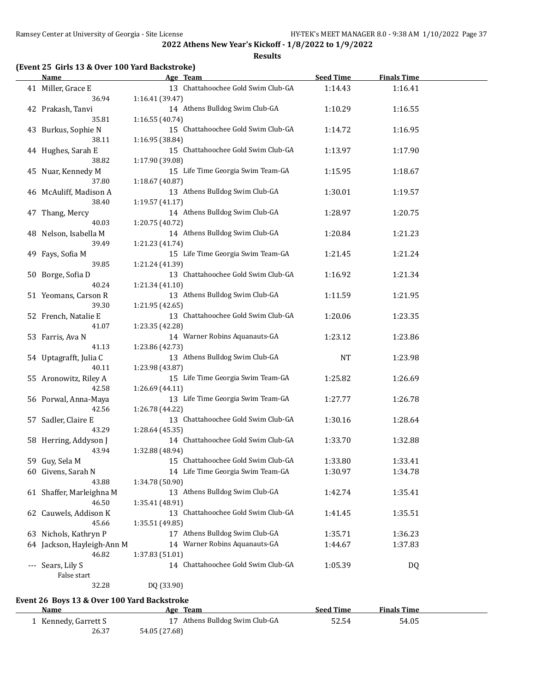**Results**

### **(Event 25 Girls 13 & Over 100 Yard Backstroke)**

|       | <b>Name</b>                | Age Team                           | <b>Seed Time</b> | <b>Finals Time</b> |  |
|-------|----------------------------|------------------------------------|------------------|--------------------|--|
|       | 41 Miller, Grace E         | 13 Chattahoochee Gold Swim Club-GA | 1:14.43          | 1:16.41            |  |
|       | 36.94                      | 1:16.41 (39.47)                    |                  |                    |  |
|       | 42 Prakash, Tanvi          | 14 Athens Bulldog Swim Club-GA     | 1:10.29          | 1:16.55            |  |
|       | 35.81                      | 1:16.55(40.74)                     |                  |                    |  |
|       | 43 Burkus, Sophie N        | 15 Chattahoochee Gold Swim Club-GA | 1:14.72          | 1:16.95            |  |
|       | 38.11                      | 1:16.95 (38.84)                    |                  |                    |  |
|       | 44 Hughes, Sarah E         | 15 Chattahoochee Gold Swim Club-GA | 1:13.97          | 1:17.90            |  |
|       | 38.82                      | 1:17.90 (39.08)                    |                  |                    |  |
|       | 45 Nuar, Kennedy M         | 15 Life Time Georgia Swim Team-GA  | 1:15.95          | 1:18.67            |  |
|       | 37.80                      | 1:18.67 (40.87)                    |                  |                    |  |
|       |                            | 13 Athens Bulldog Swim Club-GA     |                  |                    |  |
|       | 46 McAuliff, Madison A     |                                    | 1:30.01          | 1:19.57            |  |
|       | 38.40                      | 1:19.57(41.17)                     |                  |                    |  |
|       | 47 Thang, Mercy            | 14 Athens Bulldog Swim Club-GA     | 1:28.97          | 1:20.75            |  |
|       | 40.03                      | 1:20.75 (40.72)                    |                  |                    |  |
|       | 48 Nelson, Isabella M      | 14 Athens Bulldog Swim Club-GA     | 1:20.84          | 1:21.23            |  |
|       | 39.49                      | 1:21.23 (41.74)                    |                  |                    |  |
|       | 49 Fays, Sofia M           | 15 Life Time Georgia Swim Team-GA  | 1:21.45          | 1:21.24            |  |
|       | 39.85                      | 1:21.24 (41.39)                    |                  |                    |  |
|       | 50 Borge, Sofia D          | 13 Chattahoochee Gold Swim Club-GA | 1:16.92          | 1:21.34            |  |
|       | 40.24                      | 1:21.34(41.10)                     |                  |                    |  |
|       | 51 Yeomans, Carson R       | 13 Athens Bulldog Swim Club-GA     | 1:11.59          | 1:21.95            |  |
|       | 39.30                      | 1:21.95 (42.65)                    |                  |                    |  |
|       | 52 French, Natalie E       | 13 Chattahoochee Gold Swim Club-GA | 1:20.06          | 1:23.35            |  |
|       | 41.07                      | 1:23.35 (42.28)                    |                  |                    |  |
|       | 53 Farris, Ava N           | 14 Warner Robins Aquanauts-GA      | 1:23.12          | 1:23.86            |  |
|       | 41.13                      | 1:23.86 (42.73)                    |                  |                    |  |
|       | 54 Uptagrafft, Julia C     | 13 Athens Bulldog Swim Club-GA     | <b>NT</b>        | 1:23.98            |  |
|       | 40.11                      | 1:23.98 (43.87)                    |                  |                    |  |
|       | 55 Aronowitz, Riley A      | 15 Life Time Georgia Swim Team-GA  | 1:25.82          | 1:26.69            |  |
|       | 42.58                      | 1:26.69 (44.11)                    |                  |                    |  |
|       | 56 Porwal, Anna-Maya       | 13 Life Time Georgia Swim Team-GA  | 1:27.77          | 1:26.78            |  |
|       | 42.56                      | 1:26.78 (44.22)                    |                  |                    |  |
|       | 57 Sadler, Claire E        | 13 Chattahoochee Gold Swim Club-GA | 1:30.16          | 1:28.64            |  |
|       | 43.29                      | 1:28.64(45.35)                     |                  |                    |  |
|       | 58 Herring, Addyson J      | 14 Chattahoochee Gold Swim Club-GA | 1:33.70          | 1:32.88            |  |
|       | 43.94                      | 1:32.88 (48.94)                    |                  |                    |  |
|       |                            | 15 Chattahoochee Gold Swim Club-GA | 1:33.80          | 1:33.41            |  |
|       | 59 Guy, Sela M             | 14 Life Time Georgia Swim Team-GA  |                  |                    |  |
|       | 60 Givens, Sarah N         |                                    | 1:30.97          | 1:34.78            |  |
|       | 43.88                      | 1:34.78 (50.90)                    |                  |                    |  |
|       | 61 Shaffer, Marleighna M   | 13 Athens Bulldog Swim Club-GA     | 1:42.74          | 1:35.41            |  |
|       | 46.50                      | 1:35.41 (48.91)                    |                  |                    |  |
|       | 62 Cauwels, Addison K      | 13 Chattahoochee Gold Swim Club-GA | 1:41.45          | 1:35.51            |  |
|       | 45.66                      | 1:35.51 (49.85)                    |                  |                    |  |
|       | 63 Nichols, Kathryn P      | 17 Athens Bulldog Swim Club-GA     | 1:35.71          | 1:36.23            |  |
|       | 64 Jackson, Hayleigh-Ann M | 14 Warner Robins Aquanauts-GA      | 1:44.67          | 1:37.83            |  |
|       | 46.82                      | 1:37.83 (51.01)                    |                  |                    |  |
| $---$ | Sears, Lily S              | 14 Chattahoochee Gold Swim Club-GA | 1:05.39          | <b>DQ</b>          |  |
|       | False start                |                                    |                  |                    |  |
|       | 32.28                      | DQ (33.90)                         |                  |                    |  |
|       |                            |                                    |                  |                    |  |

### **Event 26 Boys 13 & Over 100 Yard Backstroke**

| Name                 | Age Team                       | <b>Seed Time</b> | <b>Finals Time</b> |  |
|----------------------|--------------------------------|------------------|--------------------|--|
| . Kennedy, Garrett S | 17 Athens Bulldog Swim Club-GA | 52.54            | 54.05              |  |
| 26.37                | 54.05 (27.68)                  |                  |                    |  |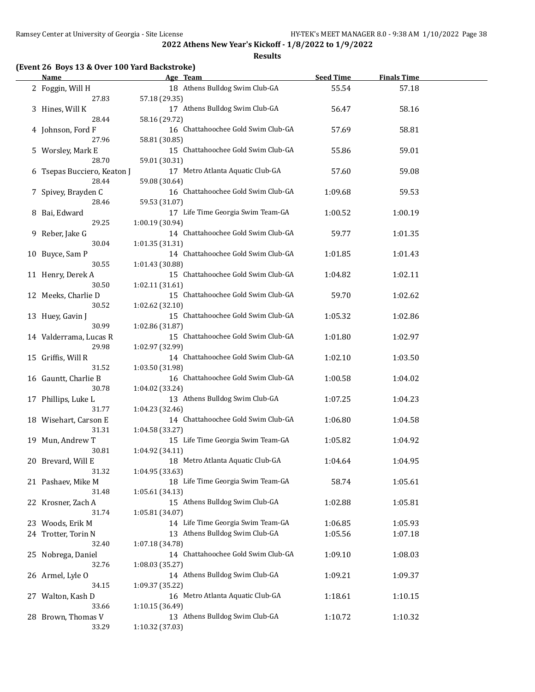**Results**

### **(Event 26 Boys 13 & Over 100 Yard Backstroke)**

| <b>Name</b>                 |                 | Age Team                           | <b>Seed Time</b> | <b>Finals Time</b> |  |
|-----------------------------|-----------------|------------------------------------|------------------|--------------------|--|
| 2 Foggin, Will H            |                 | 18 Athens Bulldog Swim Club-GA     | 55.54            | 57.18              |  |
| 27.83                       | 57.18 (29.35)   |                                    |                  |                    |  |
| 3 Hines, Will K             |                 | 17 Athens Bulldog Swim Club-GA     | 56.47            | 58.16              |  |
| 28.44                       | 58.16 (29.72)   |                                    |                  |                    |  |
| 4 Johnson, Ford F           |                 | 16 Chattahoochee Gold Swim Club-GA | 57.69            | 58.81              |  |
| 27.96                       | 58.81 (30.85)   |                                    |                  |                    |  |
| 5 Worsley, Mark E           |                 | 15 Chattahoochee Gold Swim Club-GA | 55.86            | 59.01              |  |
| 28.70                       | 59.01 (30.31)   |                                    |                  |                    |  |
| 6 Tsepas Bucciero, Keaton J |                 | 17 Metro Atlanta Aquatic Club-GA   | 57.60            | 59.08              |  |
| 28.44                       | 59.08 (30.64)   |                                    |                  |                    |  |
| 7 Spivey, Brayden C         |                 | 16 Chattahoochee Gold Swim Club-GA | 1:09.68          | 59.53              |  |
| 28.46                       | 59.53 (31.07)   |                                    |                  |                    |  |
| 8 Bai, Edward               |                 | 17 Life Time Georgia Swim Team-GA  | 1:00.52          | 1:00.19            |  |
| 29.25                       | 1:00.19 (30.94) |                                    |                  |                    |  |
| 9 Reber, Jake G             |                 | 14 Chattahoochee Gold Swim Club-GA | 59.77            | 1:01.35            |  |
| 30.04                       | 1:01.35 (31.31) |                                    |                  |                    |  |
| 10 Buyce, Sam P             |                 | 14 Chattahoochee Gold Swim Club-GA | 1:01.85          | 1:01.43            |  |
| 30.55                       | 1:01.43 (30.88) |                                    |                  |                    |  |
| 11 Henry, Derek A           |                 | 15 Chattahoochee Gold Swim Club-GA | 1:04.82          | 1:02.11            |  |
| 30.50                       | 1:02.11 (31.61) |                                    |                  |                    |  |
| 12 Meeks, Charlie D         |                 | 15 Chattahoochee Gold Swim Club-GA | 59.70            | 1:02.62            |  |
| 30.52                       | 1:02.62 (32.10) |                                    |                  |                    |  |
| 13 Huey, Gavin J            |                 | 15 Chattahoochee Gold Swim Club-GA | 1:05.32          | 1:02.86            |  |
| 30.99                       | 1:02.86 (31.87) |                                    |                  |                    |  |
| 14 Valderrama, Lucas R      |                 | 15 Chattahoochee Gold Swim Club-GA | 1:01.80          | 1:02.97            |  |
| 29.98                       | 1:02.97 (32.99) |                                    |                  |                    |  |
| 15 Griffis, Will R          |                 | 14 Chattahoochee Gold Swim Club-GA | 1:02.10          | 1:03.50            |  |
| 31.52                       | 1:03.50 (31.98) |                                    |                  |                    |  |
| 16 Gauntt, Charlie B        |                 | 16 Chattahoochee Gold Swim Club-GA | 1:00.58          | 1:04.02            |  |
| 30.78                       | 1:04.02 (33.24) |                                    |                  |                    |  |
| 17 Phillips, Luke L         |                 | 13 Athens Bulldog Swim Club-GA     | 1:07.25          | 1:04.23            |  |
| 31.77                       | 1:04.23 (32.46) |                                    |                  |                    |  |
| 18 Wisehart, Carson E       |                 | 14 Chattahoochee Gold Swim Club-GA | 1:06.80          | 1:04.58            |  |
| 31.31                       | 1:04.58 (33.27) |                                    |                  |                    |  |
| 19 Mun, Andrew T            |                 | 15 Life Time Georgia Swim Team-GA  | 1:05.82          | 1:04.92            |  |
| 30.81                       | 1:04.92 (34.11) |                                    |                  |                    |  |
| 20 Brevard, Will E          |                 | 18 Metro Atlanta Aquatic Club-GA   | 1:04.64          | 1:04.95            |  |
| 31.32                       | 1:04.95 (33.63) |                                    |                  |                    |  |
| 21 Pashaev, Mike M          |                 | 18 Life Time Georgia Swim Team-GA  | 58.74            | 1:05.61            |  |
| 31.48                       | 1:05.61(34.13)  |                                    |                  |                    |  |
| 22 Krosner, Zach A          |                 | 15 Athens Bulldog Swim Club-GA     | 1:02.88          | 1:05.81            |  |
| 31.74                       | 1:05.81 (34.07) |                                    |                  |                    |  |
| 23 Woods, Erik M            |                 | 14 Life Time Georgia Swim Team-GA  | 1:06.85          | 1:05.93            |  |
| 24 Trotter, Torin N         |                 | 13 Athens Bulldog Swim Club-GA     | 1:05.56          | 1:07.18            |  |
| 32.40                       | 1:07.18 (34.78) |                                    |                  |                    |  |
| 25 Nobrega, Daniel          |                 | 14 Chattahoochee Gold Swim Club-GA | 1:09.10          | 1:08.03            |  |
| 32.76                       | 1:08.03 (35.27) |                                    |                  |                    |  |
| 26 Armel, Lyle O            |                 | 14 Athens Bulldog Swim Club-GA     | 1:09.21          | 1:09.37            |  |
| 34.15                       | 1:09.37 (35.22) |                                    |                  |                    |  |
| 27 Walton, Kash D           |                 | 16 Metro Atlanta Aquatic Club-GA   | 1:18.61          | 1:10.15            |  |
| 33.66                       | 1:10.15 (36.49) |                                    |                  |                    |  |
| 28 Brown, Thomas V          |                 | 13 Athens Bulldog Swim Club-GA     | 1:10.72          | 1:10.32            |  |
| 33.29                       | 1:10.32 (37.03) |                                    |                  |                    |  |
|                             |                 |                                    |                  |                    |  |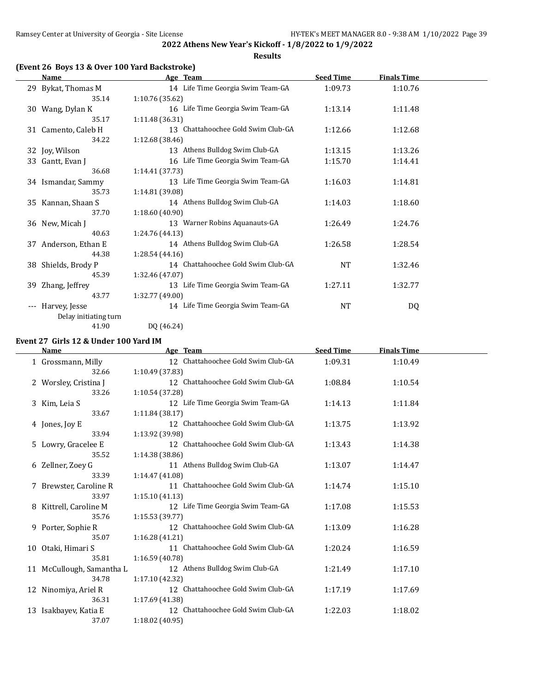**Results**

### **(Event 26 Boys 13 & Over 100 Yard Backstroke)**

|                     | <b>Name</b>           |                 | Age Team                           | <b>Seed Time</b> | <b>Finals Time</b> |  |
|---------------------|-----------------------|-----------------|------------------------------------|------------------|--------------------|--|
|                     | 29 Bykat, Thomas M    |                 | 14 Life Time Georgia Swim Team-GA  | 1:09.73          | 1:10.76            |  |
|                     | 35.14                 | 1:10.76 (35.62) |                                    |                  |                    |  |
|                     | 30 Wang, Dylan K      |                 | 16 Life Time Georgia Swim Team-GA  | 1:13.14          | 1:11.48            |  |
|                     | 35.17                 | 1:11.48 (36.31) |                                    |                  |                    |  |
|                     | 31 Camento, Caleb H   |                 | 13 Chattahoochee Gold Swim Club-GA | 1:12.66          | 1:12.68            |  |
|                     | 34.22                 | 1:12.68 (38.46) |                                    |                  |                    |  |
|                     | 32 Joy, Wilson        |                 | 13 Athens Bulldog Swim Club-GA     | 1:13.15          | 1:13.26            |  |
|                     | 33 Gantt, Evan J      |                 | 16 Life Time Georgia Swim Team-GA  | 1:15.70          | 1:14.41            |  |
|                     | 36.68                 | 1:14.41 (37.73) |                                    |                  |                    |  |
|                     | 34 Ismandar, Sammy    |                 | 13 Life Time Georgia Swim Team-GA  | 1:16.03          | 1:14.81            |  |
|                     | 35.73                 | 1:14.81 (39.08) |                                    |                  |                    |  |
|                     | 35 Kannan, Shaan S    |                 | 14 Athens Bulldog Swim Club-GA     | 1:14.03          | 1:18.60            |  |
|                     | 37.70                 | 1:18.60 (40.90) |                                    |                  |                    |  |
|                     | 36 New, Micah J       |                 | 13 Warner Robins Aquanauts-GA      | 1:26.49          | 1:24.76            |  |
|                     | 40.63                 | 1:24.76 (44.13) |                                    |                  |                    |  |
|                     | 37 Anderson, Ethan E  |                 | 14 Athens Bulldog Swim Club-GA     | 1:26.58          | 1:28.54            |  |
|                     | 44.38                 | 1:28.54 (44.16) |                                    |                  |                    |  |
|                     | 38 Shields, Brody P   |                 | 14 Chattahoochee Gold Swim Club-GA | NT               | 1:32.46            |  |
|                     | 45.39                 | 1:32.46 (47.07) |                                    |                  |                    |  |
|                     | 39 Zhang, Jeffrey     |                 | 13 Life Time Georgia Swim Team-GA  | 1:27.11          | 1:32.77            |  |
|                     | 43.77                 | 1:32.77 (49.00) |                                    |                  |                    |  |
| $\qquad \qquad - -$ | Harvey, Jesse         |                 | 14 Life Time Georgia Swim Team-GA  | <b>NT</b>        | DQ                 |  |
|                     | Delay initiating turn |                 |                                    |                  |                    |  |
|                     | 41.90                 | DQ (46.24)      |                                    |                  |                    |  |

### **Event 27 Girls 12 & Under 100 Yard IM**

|    | Name                      | Age Team                              | <b>Seed Time</b> | <b>Finals Time</b> |  |
|----|---------------------------|---------------------------------------|------------------|--------------------|--|
|    | 1 Grossmann, Milly        | 12 Chattahoochee Gold Swim Club-GA    | 1:09.31          | 1:10.49            |  |
|    | 32.66                     | 1:10.49 (37.83)                       |                  |                    |  |
|    | 2 Worsley, Cristina J     | 12 Chattahoochee Gold Swim Club-GA    | 1:08.84          | 1:10.54            |  |
|    | 33.26                     | 1:10.54 (37.28)                       |                  |                    |  |
|    | 3 Kim, Leia S             | 12 Life Time Georgia Swim Team-GA     | 1:14.13          | 1:11.84            |  |
|    | 33.67                     | 1:11.84(38.17)                        |                  |                    |  |
|    | 4 Jones, Joy E            | 12 Chattahoochee Gold Swim Club-GA    | 1:13.75          | 1:13.92            |  |
|    | 33.94                     | 1:13.92 (39.98)                       |                  |                    |  |
|    | 5 Lowry, Gracelee E       | 12 Chattahoochee Gold Swim Club-GA    | 1:13.43          | 1:14.38            |  |
|    | 35.52                     | 1:14.38 (38.86)                       |                  |                    |  |
|    | 6 Zellner, Zoey G         | 11 Athens Bulldog Swim Club-GA        | 1:13.07          | 1:14.47            |  |
|    | 33.39                     | 1:14.47 (41.08)                       |                  |                    |  |
|    | 7 Brewster, Caroline R    | 11 Chattahoochee Gold Swim Club-GA    | 1:14.74          | 1:15.10            |  |
|    | 33.97                     | 1:15.10(41.13)                        |                  |                    |  |
|    | 8 Kittrell, Caroline M    | 12 Life Time Georgia Swim Team-GA     | 1:17.08          | 1:15.53            |  |
|    | 35.76                     | 1:15.53 (39.77)                       |                  |                    |  |
|    | 9 Porter, Sophie R        | 12 Chattahoochee Gold Swim Club-GA    | 1:13.09          | 1:16.28            |  |
|    | 35.07                     | 1:16.28(41.21)                        |                  |                    |  |
|    | 10 Otaki, Himari S        | Chattahoochee Gold Swim Club-GA<br>11 | 1:20.24          | 1:16.59            |  |
|    | 35.81                     | 1:16.59 (40.78)                       |                  |                    |  |
|    | 11 McCullough, Samantha L | 12 Athens Bulldog Swim Club-GA        | 1:21.49          | 1:17.10            |  |
|    | 34.78                     | 1:17.10 (42.32)                       |                  |                    |  |
|    | 12 Ninomiya, Ariel R      | 12 Chattahoochee Gold Swim Club-GA    | 1:17.19          | 1:17.69            |  |
|    | 36.31                     | 1:17.69(41.38)                        |                  |                    |  |
| 13 | Isakbayev, Katia E        | 12 Chattahoochee Gold Swim Club-GA    | 1:22.03          | 1:18.02            |  |
|    | 37.07                     | 1:18.02 (40.95)                       |                  |                    |  |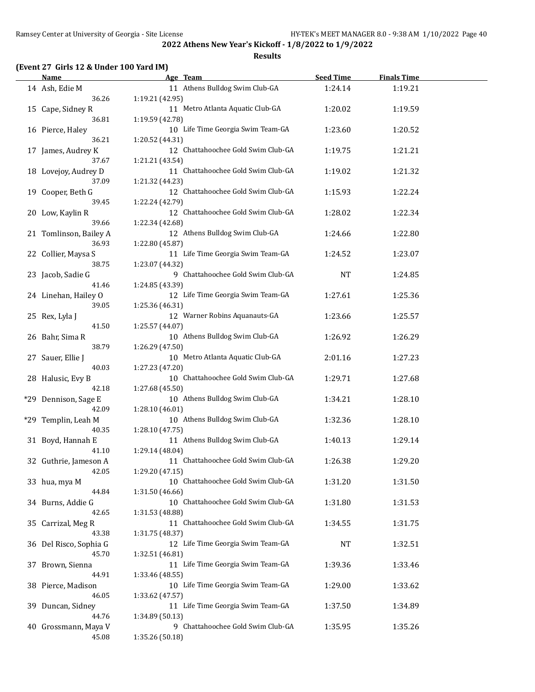**Results**

### **(Event 27 Girls 12 & Under 100 Yard IM)**

| <b>Name</b>                | Age Team                                              | <b>Seed Time</b> | <b>Finals Time</b> |  |
|----------------------------|-------------------------------------------------------|------------------|--------------------|--|
| 14 Ash, Edie M             | 11 Athens Bulldog Swim Club-GA                        | 1:24.14          | 1:19.21            |  |
| 36.26                      | 1:19.21 (42.95)                                       |                  |                    |  |
| 15 Cape, Sidney R          | 11 Metro Atlanta Aquatic Club-GA                      | 1:20.02          | 1:19.59            |  |
| 36.81                      | 1:19.59 (42.78)                                       |                  |                    |  |
| 16 Pierce, Haley           | 10 Life Time Georgia Swim Team-GA                     | 1:23.60          | 1:20.52            |  |
| 36.21                      | 1:20.52 (44.31)                                       |                  |                    |  |
| 17 James, Audrey K         | 12 Chattahoochee Gold Swim Club-GA                    | 1:19.75          | 1:21.21            |  |
| 37.67                      | 1:21.21 (43.54)                                       |                  |                    |  |
| 18 Lovejoy, Audrey D       | 11 Chattahoochee Gold Swim Club-GA                    | 1:19.02          | 1:21.32            |  |
| 37.09                      | 1:21.32 (44.23)                                       |                  |                    |  |
| 19 Cooper, Beth G          | 12 Chattahoochee Gold Swim Club-GA                    | 1:15.93          | 1:22.24            |  |
| 39.45                      | 1:22.24 (42.79)                                       |                  |                    |  |
| 20 Low, Kaylin R           | 12 Chattahoochee Gold Swim Club-GA                    | 1:28.02          | 1:22.34            |  |
| 39.66                      | 1:22.34 (42.68)                                       |                  |                    |  |
| 21 Tomlinson, Bailey A     | 12 Athens Bulldog Swim Club-GA                        | 1:24.66          | 1:22.80            |  |
| 36.93                      | 1:22.80 (45.87)                                       |                  |                    |  |
| 22 Collier, Maysa S        | 11 Life Time Georgia Swim Team-GA                     | 1:24.52          | 1:23.07            |  |
| 38.75                      | 1:23.07 (44.32)                                       |                  |                    |  |
| 23 Jacob, Sadie G          | 9 Chattahoochee Gold Swim Club-GA                     | <b>NT</b>        | 1:24.85            |  |
| 41.46                      | 1:24.85 (43.39)                                       |                  |                    |  |
| 24 Linehan, Hailey O       | 12 Life Time Georgia Swim Team-GA                     | 1:27.61          | 1:25.36            |  |
| 39.05                      | 1:25.36 (46.31)<br>12 Warner Robins Aquanauts-GA      |                  |                    |  |
| 25 Rex, Lyla J<br>41.50    | 1:25.57 (44.07)                                       | 1:23.66          | 1:25.57            |  |
| 26 Bahr, Sima R            | 10 Athens Bulldog Swim Club-GA                        | 1:26.92          | 1:26.29            |  |
| 38.79                      | 1:26.29 (47.50)                                       |                  |                    |  |
| 27 Sauer, Ellie J          | 10 Metro Atlanta Aquatic Club-GA                      | 2:01.16          | 1:27.23            |  |
| 40.03                      | 1:27.23 (47.20)                                       |                  |                    |  |
| 28 Halusic, Evy B          | 10 Chattahoochee Gold Swim Club-GA                    | 1:29.71          | 1:27.68            |  |
| 42.18                      | 1:27.68 (45.50)                                       |                  |                    |  |
| *29 Dennison, Sage E       | 10 Athens Bulldog Swim Club-GA                        | 1:34.21          | 1:28.10            |  |
| 42.09                      | 1:28.10 (46.01)                                       |                  |                    |  |
| *29 Templin, Leah M        | 10 Athens Bulldog Swim Club-GA                        | 1:32.36          | 1:28.10            |  |
| 40.35                      | 1:28.10 (47.75)                                       |                  |                    |  |
| 31 Boyd, Hannah E          | 11 Athens Bulldog Swim Club-GA                        | 1:40.13          | 1:29.14            |  |
| 41.10                      | 1:29.14 (48.04)                                       |                  |                    |  |
| 32 Guthrie, Jameson A      | 11 Chattahoochee Gold Swim Club-GA                    | 1:26.38          | 1:29.20            |  |
| 42.05                      | 1:29.20 (47.15)                                       |                  |                    |  |
| 33 hua, mya M              | 10 Chattahoochee Gold Swim Club-GA                    | 1:31.20          | 1:31.50            |  |
| 44.84                      | 1:31.50 (46.66)<br>10 Chattahoochee Gold Swim Club-GA |                  |                    |  |
| 34 Burns, Addie G<br>42.65 | 1:31.53 (48.88)                                       | 1:31.80          | 1:31.53            |  |
| 35 Carrizal, Meg R         | 11 Chattahoochee Gold Swim Club-GA                    | 1:34.55          | 1:31.75            |  |
| 43.38                      | 1:31.75 (48.37)                                       |                  |                    |  |
| 36 Del Risco, Sophia G     | 12 Life Time Georgia Swim Team-GA                     | <b>NT</b>        | 1:32.51            |  |
| 45.70                      | 1:32.51 (46.81)                                       |                  |                    |  |
| 37 Brown, Sienna           | 11 Life Time Georgia Swim Team-GA                     | 1:39.36          | 1:33.46            |  |
| 44.91                      | 1:33.46 (48.55)                                       |                  |                    |  |
| 38 Pierce, Madison         | 10 Life Time Georgia Swim Team-GA                     | 1:29.00          | 1:33.62            |  |
| 46.05                      | 1:33.62 (47.57)                                       |                  |                    |  |
| 39 Duncan, Sidney          | 11 Life Time Georgia Swim Team-GA                     | 1:37.50          | 1:34.89            |  |
| 44.76                      | 1:34.89 (50.13)                                       |                  |                    |  |
| 40 Grossmann, Maya V       | 9 Chattahoochee Gold Swim Club-GA                     | 1:35.95          | 1:35.26            |  |
| 45.08                      | 1:35.26 (50.18)                                       |                  |                    |  |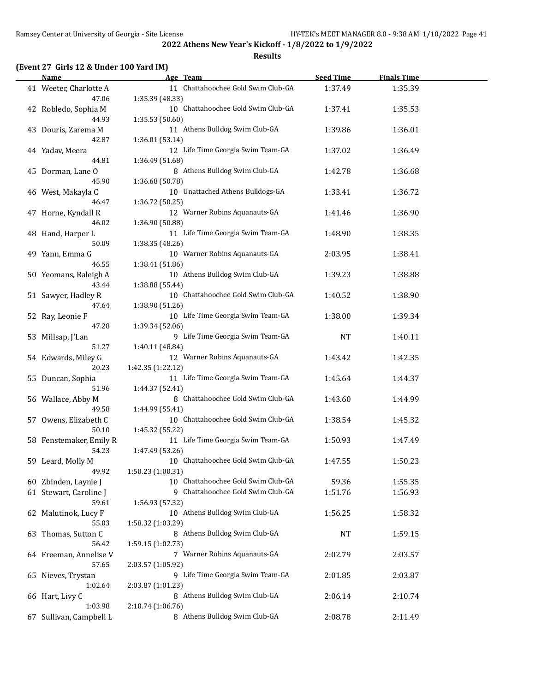**Results**

### **(Event 27 Girls 12 & Under 100 Yard IM)**

| <b>Name</b>             | Age Team                           | <b>Seed Time</b> | <b>Finals Time</b> |  |
|-------------------------|------------------------------------|------------------|--------------------|--|
| 41 Weeter, Charlotte A  | 11 Chattahoochee Gold Swim Club-GA | 1:37.49          | 1:35.39            |  |
| 47.06                   | 1:35.39 (48.33)                    |                  |                    |  |
| 42 Robledo, Sophia M    | 10 Chattahoochee Gold Swim Club-GA | 1:37.41          | 1:35.53            |  |
| 44.93                   | 1:35.53 (50.60)                    |                  |                    |  |
|                         | 11 Athens Bulldog Swim Club-GA     |                  |                    |  |
| 43 Douris, Zarema M     |                                    | 1:39.86          | 1:36.01            |  |
| 42.87                   | 1:36.01 (53.14)                    |                  |                    |  |
| 44 Yadav, Meera         | 12 Life Time Georgia Swim Team-GA  | 1:37.02          | 1:36.49            |  |
| 44.81                   | 1:36.49 (51.68)                    |                  |                    |  |
| 45 Dorman, Lane O       | 8 Athens Bulldog Swim Club-GA      | 1:42.78          | 1:36.68            |  |
| 45.90                   | 1:36.68 (50.78)                    |                  |                    |  |
| 46 West, Makayla C      | 10 Unattached Athens Bulldogs-GA   | 1:33.41          | 1:36.72            |  |
| 46.47                   | 1:36.72 (50.25)                    |                  |                    |  |
| 47 Horne, Kyndall R     | 12 Warner Robins Aquanauts-GA      | 1:41.46          | 1:36.90            |  |
| 46.02                   | 1:36.90 (50.88)                    |                  |                    |  |
| 48 Hand, Harper L       | 11 Life Time Georgia Swim Team-GA  | 1:48.90          | 1:38.35            |  |
| 50.09                   | 1:38.35 (48.26)                    |                  |                    |  |
| 49 Yann, Emma G         | 10 Warner Robins Aquanauts-GA      | 2:03.95          | 1:38.41            |  |
| 46.55                   | 1:38.41 (51.86)                    |                  |                    |  |
| 50 Yeomans, Raleigh A   | 10 Athens Bulldog Swim Club-GA     | 1:39.23          | 1:38.88            |  |
| 43.44                   |                                    |                  |                    |  |
|                         | 1:38.88 (55.44)                    |                  |                    |  |
| 51 Sawyer, Hadley R     | 10 Chattahoochee Gold Swim Club-GA | 1:40.52          | 1:38.90            |  |
| 47.64                   | 1:38.90 (51.26)                    |                  |                    |  |
| 52 Ray, Leonie F        | 10 Life Time Georgia Swim Team-GA  | 1:38.00          | 1:39.34            |  |
| 47.28                   | 1:39.34 (52.06)                    |                  |                    |  |
| 53 Millsap, J'Lan       | 9 Life Time Georgia Swim Team-GA   | <b>NT</b>        | 1:40.11            |  |
| 51.27                   | 1:40.11 (48.84)                    |                  |                    |  |
| 54 Edwards, Miley G     | 12 Warner Robins Aquanauts-GA      | 1:43.42          | 1:42.35            |  |
| 20.23                   | 1:42.35 (1:22.12)                  |                  |                    |  |
| 55 Duncan, Sophia       | 11 Life Time Georgia Swim Team-GA  | 1:45.64          | 1:44.37            |  |
| 51.96                   | 1:44.37 (52.41)                    |                  |                    |  |
| 56 Wallace, Abby M      | 8 Chattahoochee Gold Swim Club-GA  | 1:43.60          | 1:44.99            |  |
| 49.58                   | 1:44.99 (55.41)                    |                  |                    |  |
| 57 Owens, Elizabeth C   | 10 Chattahoochee Gold Swim Club-GA | 1:38.54          | 1:45.32            |  |
| 50.10                   | 1:45.32 (55.22)                    |                  |                    |  |
| 58 Fenstemaker, Emily R | 11 Life Time Georgia Swim Team-GA  | 1:50.93          | 1:47.49            |  |
| 54.23                   | 1:47.49 (53.26)                    |                  |                    |  |
| 59 Leard, Molly M       | 10 Chattahoochee Gold Swim Club-GA | 1:47.55          | 1:50.23            |  |
| 49.92                   | 1:50.23 (1:00.31)                  |                  |                    |  |
| 60 Zbinden, Laynie J    | 10 Chattahoochee Gold Swim Club-GA | 59.36            | 1:55.35            |  |
| 61 Stewart, Caroline J  | 9 Chattahoochee Gold Swim Club-GA  |                  |                    |  |
|                         |                                    | 1:51.76          | 1:56.93            |  |
| 59.61                   | 1:56.93 (57.32)                    |                  |                    |  |
| 62 Malutinok, Lucy F    | 10 Athens Bulldog Swim Club-GA     | 1:56.25          | 1:58.32            |  |
| 55.03                   | 1:58.32 (1:03.29)                  |                  |                    |  |
| 63 Thomas, Sutton C     | 8 Athens Bulldog Swim Club-GA      | NT               | 1:59.15            |  |
| 56.42                   | 1:59.15 (1:02.73)                  |                  |                    |  |
| 64 Freeman, Annelise V  | 7 Warner Robins Aquanauts-GA       | 2:02.79          | 2:03.57            |  |
| 57.65                   | 2:03.57 (1:05.92)                  |                  |                    |  |
| 65 Nieves, Trystan      | 9 Life Time Georgia Swim Team-GA   | 2:01.85          | 2:03.87            |  |
| 1:02.64                 | 2:03.87 (1:01.23)                  |                  |                    |  |
| 66 Hart, Livy C         | 8 Athens Bulldog Swim Club-GA      | 2:06.14          | 2:10.74            |  |
| 1:03.98                 | 2:10.74 (1:06.76)                  |                  |                    |  |
| 67 Sullivan, Campbell L | 8 Athens Bulldog Swim Club-GA      | 2:08.78          | 2:11.49            |  |
|                         |                                    |                  |                    |  |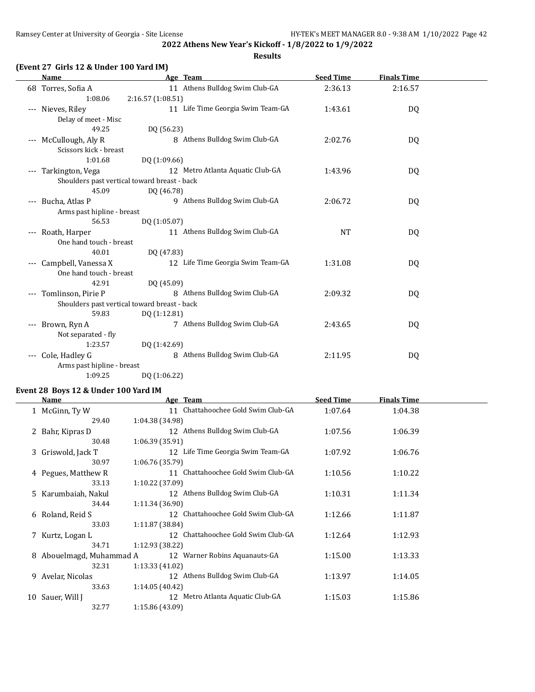### **(Event 27 Girls 12 & Under 100 Yard IM)**

| <b>Name</b>                | Age Team                                     | <b>Seed Time</b> | <b>Finals Time</b> |  |
|----------------------------|----------------------------------------------|------------------|--------------------|--|
| 68 Torres, Sofia A         | 11 Athens Bulldog Swim Club-GA               | 2:36.13          | 2:16.57            |  |
| 1:08.06                    | 2:16.57 (1:08.51)                            |                  |                    |  |
| --- Nieves, Riley          | 11 Life Time Georgia Swim Team-GA            | 1:43.61          | DQ                 |  |
| Delay of meet - Misc       |                                              |                  |                    |  |
| 49.25                      | DQ (56.23)                                   |                  |                    |  |
| --- McCullough, Aly R      | 8 Athens Bulldog Swim Club-GA                | 2:02.76          | DQ                 |  |
| Scissors kick - breast     |                                              |                  |                    |  |
| 1:01.68                    | DQ (1:09.66)                                 |                  |                    |  |
| --- Tarkington, Vega       | 12 Metro Atlanta Aquatic Club-GA             | 1:43.96          | DQ                 |  |
|                            | Shoulders past vertical toward breast - back |                  |                    |  |
| 45.09                      | DQ (46.78)                                   |                  |                    |  |
| --- Bucha, Atlas P         | 9 Athens Bulldog Swim Club-GA                | 2:06.72          | DQ                 |  |
| Arms past hipline - breast |                                              |                  |                    |  |
| 56.53                      | DQ (1:05.07)                                 |                  |                    |  |
| --- Roath, Harper          | 11 Athens Bulldog Swim Club-GA               | <b>NT</b>        | DQ                 |  |
| One hand touch - breast    |                                              |                  |                    |  |
| 40.01                      | DQ (47.83)                                   |                  |                    |  |
| Campbell, Vanessa X        | 12 Life Time Georgia Swim Team-GA            | 1:31.08          | DQ                 |  |
| One hand touch - breast    |                                              |                  |                    |  |
| 42.91                      | DQ (45.09)                                   |                  |                    |  |
| --- Tomlinson, Pirie P     | 8 Athens Bulldog Swim Club-GA                | 2:09.32          | DQ                 |  |
|                            | Shoulders past vertical toward breast - back |                  |                    |  |
| 59.83                      | DQ (1:12.81)                                 |                  |                    |  |
| --- Brown, Ryn A           | 7 Athens Bulldog Swim Club-GA                | 2:43.65          | DQ                 |  |
| Not separated - fly        |                                              |                  |                    |  |
| 1:23.57                    | DQ (1:42.69)                                 |                  |                    |  |
| --- Cole, Hadley G         | 8 Athens Bulldog Swim Club-GA                | 2:11.95          | DQ                 |  |
| Arms past hipline - breast |                                              |                  |                    |  |
| 1:09.25                    | DQ (1:06.22)                                 |                  |                    |  |

### **Event 28 Boys 12 & Under 100 Yard IM**

|    | Name                     | Age Team                                           | <b>Seed Time</b> | <b>Finals Time</b> |  |
|----|--------------------------|----------------------------------------------------|------------------|--------------------|--|
|    | 1 McGinn, Ty W           | Chattahoochee Gold Swim Club-GA<br>11              | 1:07.64          | 1:04.38            |  |
|    | 29.40                    | 1:04.38 (34.98)                                    |                  |                    |  |
|    | 2 Bahr, Kipras D         | 12 Athens Bulldog Swim Club-GA                     | 1:07.56          | 1:06.39            |  |
|    | 30.48                    | 1:06.39 (35.91)                                    |                  |                    |  |
|    | 3 Griswold, Jack T       | 12 Life Time Georgia Swim Team-GA                  | 1:07.92          | 1:06.76            |  |
|    | 30.97                    | 1:06.76 (35.79)                                    |                  |                    |  |
|    | 4 Pegues, Matthew R      | Chattahoochee Gold Swim Club-GA<br>11              | 1:10.56          | 1:10.22            |  |
|    | 33.13                    | 1:10.22(37.09)                                     |                  |                    |  |
|    | 5 Karumbaiah, Nakul      | 12 Athens Bulldog Swim Club-GA                     | 1:10.31          | 1:11.34            |  |
|    | 34.44                    | 1:11.34 (36.90)                                    |                  |                    |  |
|    | 6 Roland, Reid S         | Chattahoochee Gold Swim Club-GA<br>12 <sup>1</sup> | 1:12.66          | 1:11.87            |  |
|    | 33.03                    | 1:11.87 (38.84)                                    |                  |                    |  |
|    | 7 Kurtz, Logan L         | Chattahoochee Gold Swim Club-GA<br>12              | 1:12.64          | 1:12.93            |  |
|    | 34.71                    | 1:12.93 (38.22)                                    |                  |                    |  |
|    | 8 Abouelmagd, Muhammad A | Warner Robins Aquanauts-GA<br>12                   | 1:15.00          | 1:13.33            |  |
|    | 32.31                    | 1:13.33 (41.02)                                    |                  |                    |  |
| 9  | Avelar, Nicolas          | 12 Athens Bulldog Swim Club-GA                     | 1:13.97          | 1:14.05            |  |
|    | 33.63                    | 1:14.05 (40.42)                                    |                  |                    |  |
| 10 | Sauer, Will J            | Metro Atlanta Aquatic Club-GA<br>12                | 1:15.03          | 1:15.86            |  |
|    | 32.77                    | 1:15.86 (43.09)                                    |                  |                    |  |

**Results**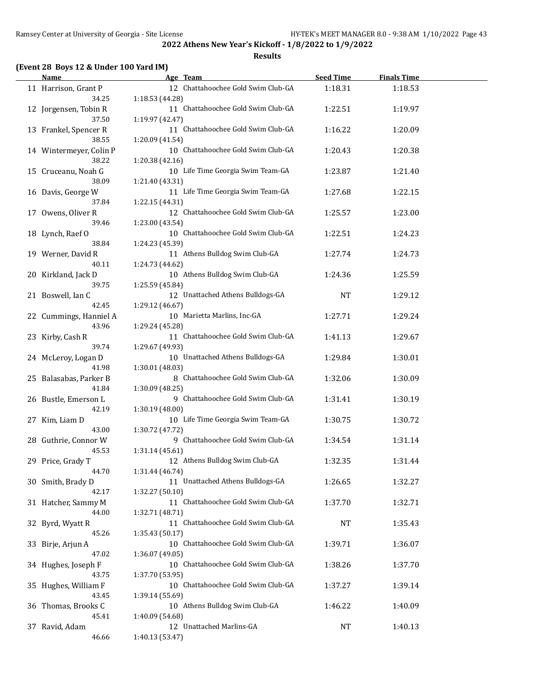**Results**

### **(Event 28 Boys 12 & Under 100 Yard IM)**

| <b>Name</b>             | Age Team                           | <b>Seed Time</b> | <b>Finals Time</b> |  |
|-------------------------|------------------------------------|------------------|--------------------|--|
| 11 Harrison, Grant P    | 12 Chattahoochee Gold Swim Club-GA | 1:18.31          | 1:18.53            |  |
| 34.25                   | 1:18.53 (44.28)                    |                  |                    |  |
| 12 Jorgensen, Tobin R   | 11 Chattahoochee Gold Swim Club-GA | 1:22.51          | 1:19.97            |  |
| 37.50                   | 1:19.97 (42.47)                    |                  |                    |  |
| 13 Frankel, Spencer R   | 11 Chattahoochee Gold Swim Club-GA | 1:16.22          | 1:20.09            |  |
| 38.55                   | 1:20.09 (41.54)                    |                  |                    |  |
| 14 Wintermeyer, Colin P | 10 Chattahoochee Gold Swim Club-GA |                  |                    |  |
| 38.22                   |                                    | 1:20.43          | 1:20.38            |  |
|                         | 1:20.38 (42.16)                    |                  |                    |  |
| 15 Cruceanu, Noah G     | 10 Life Time Georgia Swim Team-GA  | 1:23.87          | 1:21.40            |  |
| 38.09                   | 1:21.40 (43.31)                    |                  |                    |  |
| 16 Davis, George W      | 11 Life Time Georgia Swim Team-GA  | 1:27.68          | 1:22.15            |  |
| 37.84                   | 1:22.15 (44.31)                    |                  |                    |  |
| 17 Owens, Oliver R      | 12 Chattahoochee Gold Swim Club-GA | 1:25.57          | 1:23.00            |  |
| 39.46                   | 1:23.00 (43.54)                    |                  |                    |  |
| 18 Lynch, Raef O        | 10 Chattahoochee Gold Swim Club-GA | 1:22.51          | 1:24.23            |  |
| 38.84                   | 1:24.23 (45.39)                    |                  |                    |  |
| 19 Werner, David R      | 11 Athens Bulldog Swim Club-GA     | 1:27.74          | 1:24.73            |  |
| 40.11                   | 1:24.73 (44.62)                    |                  |                    |  |
| 20 Kirkland, Jack D     | 10 Athens Bulldog Swim Club-GA     | 1:24.36          | 1:25.59            |  |
| 39.75                   | 1:25.59 (45.84)                    |                  |                    |  |
| 21 Boswell, Ian C       | 12 Unattached Athens Bulldogs-GA   | <b>NT</b>        | 1:29.12            |  |
| 42.45                   | 1:29.12 (46.67)                    |                  |                    |  |
| 22 Cummings, Hanniel A  | 10 Marietta Marlins, Inc-GA        | 1:27.71          | 1:29.24            |  |
| 43.96                   | 1:29.24 (45.28)                    |                  |                    |  |
| 23 Kirby, Cash R        | 11 Chattahoochee Gold Swim Club-GA | 1:41.13          | 1:29.67            |  |
| 39.74                   | 1:29.67 (49.93)                    |                  |                    |  |
| 24 McLeroy, Logan D     | 10 Unattached Athens Bulldogs-GA   | 1:29.84          | 1:30.01            |  |
| 41.98                   | 1:30.01 (48.03)                    |                  |                    |  |
| 25 Balasabas, Parker B  | 8 Chattahoochee Gold Swim Club-GA  | 1:32.06          | 1:30.09            |  |
| 41.84                   | 1:30.09 (48.25)                    |                  |                    |  |
| 26 Bustle, Emerson L    | 9 Chattahoochee Gold Swim Club-GA  | 1:31.41          | 1:30.19            |  |
| 42.19                   | 1:30.19 (48.00)                    |                  |                    |  |
| 27 Kim, Liam D          | 10 Life Time Georgia Swim Team-GA  | 1:30.75          | 1:30.72            |  |
| 43.00                   | 1:30.72 (47.72)                    |                  |                    |  |
| 28 Guthrie, Connor W    | 9 Chattahoochee Gold Swim Club-GA  | 1:34.54          | 1:31.14            |  |
| 45.53                   | 1:31.14(45.61)                     |                  |                    |  |
| 29 Price, Grady T       | 12 Athens Bulldog Swim Club-GA     | 1:32.35          | 1:31.44            |  |
| 44.70                   | 1:31.44 (46.74)                    |                  |                    |  |
| 30 Smith, Brady D       | 11 Unattached Athens Bulldogs-GA   | 1:26.65          | 1:32.27            |  |
| 42.17                   | 1:32.27 (50.10)                    |                  |                    |  |
| 31 Hatcher, Sammy M     | 11 Chattahoochee Gold Swim Club-GA | 1:37.70          | 1:32.71            |  |
| 44.00                   | 1:32.71 (48.71)                    |                  |                    |  |
|                         | 11 Chattahoochee Gold Swim Club-GA |                  |                    |  |
| 32 Byrd, Wyatt R        |                                    | <b>NT</b>        | 1:35.43            |  |
| 45.26                   | 1:35.43 (50.17)                    |                  |                    |  |
| 33 Birje, Arjun A       | 10 Chattahoochee Gold Swim Club-GA | 1:39.71          | 1:36.07            |  |
| 47.02                   | 1:36.07 (49.05)                    |                  |                    |  |
| 34 Hughes, Joseph F     | 10 Chattahoochee Gold Swim Club-GA | 1:38.26          | 1:37.70            |  |
| 43.75                   | 1:37.70 (53.95)                    |                  |                    |  |
| 35 Hughes, William F    | 10 Chattahoochee Gold Swim Club-GA | 1:37.27          | 1:39.14            |  |
| 43.45                   | 1:39.14 (55.69)                    |                  |                    |  |
| 36 Thomas, Brooks C     | 10 Athens Bulldog Swim Club-GA     | 1:46.22          | 1:40.09            |  |
| 45.41                   | 1:40.09 (54.68)                    |                  |                    |  |
| 37 Ravid, Adam          | 12 Unattached Marlins-GA           | NT               | 1:40.13            |  |
| 46.66                   | 1:40.13 (53.47)                    |                  |                    |  |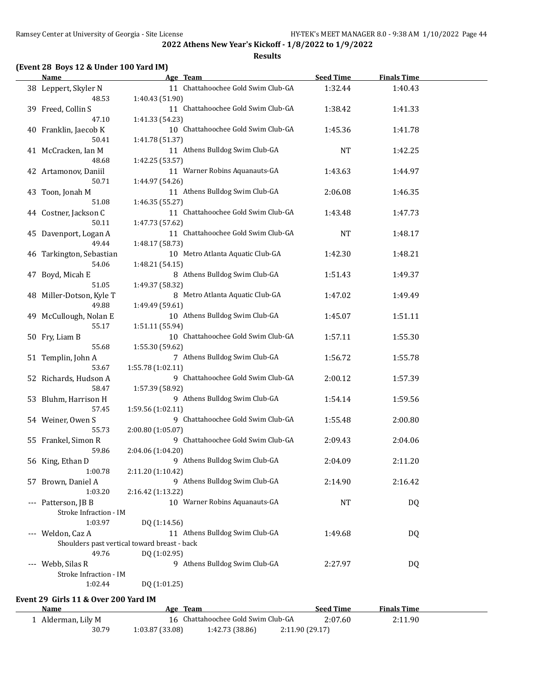**Results**

### **(Event 28 Boys 12 & Under 100 Yard IM)**

| <b>Name</b>                           | Age Team                                                                                                                                                                                                          | <b>Seed Time</b>                                                                                                                                                                                                                                                                                                                                                                                                                                                                                            | <b>Finals Time</b>                         |                                     |
|---------------------------------------|-------------------------------------------------------------------------------------------------------------------------------------------------------------------------------------------------------------------|-------------------------------------------------------------------------------------------------------------------------------------------------------------------------------------------------------------------------------------------------------------------------------------------------------------------------------------------------------------------------------------------------------------------------------------------------------------------------------------------------------------|--------------------------------------------|-------------------------------------|
| 38 Leppert, Skyler N                  | 11 Chattahoochee Gold Swim Club-GA                                                                                                                                                                                | 1:32.44                                                                                                                                                                                                                                                                                                                                                                                                                                                                                                     | 1:40.43                                    |                                     |
| 39 Freed, Collin S                    | 11 Chattahoochee Gold Swim Club-GA                                                                                                                                                                                | 1:38.42                                                                                                                                                                                                                                                                                                                                                                                                                                                                                                     | 1:41.33                                    |                                     |
| 40 Franklin, Jaecob K                 | 10 Chattahoochee Gold Swim Club-GA                                                                                                                                                                                | 1:45.36                                                                                                                                                                                                                                                                                                                                                                                                                                                                                                     | 1:41.78                                    |                                     |
| 41 McCracken, Ian M                   | 11 Athens Bulldog Swim Club-GA                                                                                                                                                                                    | <b>NT</b>                                                                                                                                                                                                                                                                                                                                                                                                                                                                                                   | 1:42.25                                    |                                     |
| 48.68<br>42 Artamonov, Daniil         | 1:42.25 (53.57)<br>11 Warner Robins Aquanauts-GA                                                                                                                                                                  | 1:43.63                                                                                                                                                                                                                                                                                                                                                                                                                                                                                                     | 1:44.97                                    |                                     |
| 50.71<br>43 Toon, Jonah M             | 1:44.97 (54.26)<br>11 Athens Bulldog Swim Club-GA                                                                                                                                                                 | 2:06.08                                                                                                                                                                                                                                                                                                                                                                                                                                                                                                     | 1:46.35                                    |                                     |
| 51.08                                 | 1:46.35 (55.27)                                                                                                                                                                                                   |                                                                                                                                                                                                                                                                                                                                                                                                                                                                                                             |                                            |                                     |
| 50.11                                 | 1:47.73 (57.62)                                                                                                                                                                                                   |                                                                                                                                                                                                                                                                                                                                                                                                                                                                                                             |                                            |                                     |
| 45 Davenport, Logan A<br>49.44        | 11 Chattahoochee Gold Swim Club-GA<br>1:48.17 (58.73)                                                                                                                                                             | <b>NT</b>                                                                                                                                                                                                                                                                                                                                                                                                                                                                                                   | 1:48.17                                    |                                     |
| 46 Tarkington, Sebastian              | 10 Metro Atlanta Aquatic Club-GA                                                                                                                                                                                  | 1:42.30                                                                                                                                                                                                                                                                                                                                                                                                                                                                                                     | 1:48.21                                    |                                     |
| 47 Boyd, Micah E                      | 8 Athens Bulldog Swim Club-GA                                                                                                                                                                                     | 1:51.43                                                                                                                                                                                                                                                                                                                                                                                                                                                                                                     | 1:49.37                                    |                                     |
| 48 Miller-Dotson, Kyle T              | 8 Metro Atlanta Aquatic Club-GA                                                                                                                                                                                   | 1:47.02                                                                                                                                                                                                                                                                                                                                                                                                                                                                                                     | 1:49.49                                    |                                     |
| 49 McCullough, Nolan E                | 10 Athens Bulldog Swim Club-GA                                                                                                                                                                                    | 1:45.07                                                                                                                                                                                                                                                                                                                                                                                                                                                                                                     | 1:51.11                                    |                                     |
| 50 Fry, Liam B                        | 10 Chattahoochee Gold Swim Club-GA                                                                                                                                                                                | 1:57.11                                                                                                                                                                                                                                                                                                                                                                                                                                                                                                     | 1:55.30                                    |                                     |
| 51 Templin, John A                    | 7 Athens Bulldog Swim Club-GA                                                                                                                                                                                     | 1:56.72                                                                                                                                                                                                                                                                                                                                                                                                                                                                                                     | 1:55.78                                    |                                     |
| 52 Richards, Hudson A                 | 9 Chattahoochee Gold Swim Club-GA                                                                                                                                                                                 | 2:00.12                                                                                                                                                                                                                                                                                                                                                                                                                                                                                                     | 1:57.39                                    |                                     |
| 53 Bluhm, Harrison H                  | 9 Athens Bulldog Swim Club-GA                                                                                                                                                                                     | 1:54.14                                                                                                                                                                                                                                                                                                                                                                                                                                                                                                     | 1:59.56                                    |                                     |
| 57.45                                 | 1:59.56 (1:02.11)                                                                                                                                                                                                 |                                                                                                                                                                                                                                                                                                                                                                                                                                                                                                             |                                            |                                     |
| 55.73                                 | 2:00.80 (1:05.07)                                                                                                                                                                                                 |                                                                                                                                                                                                                                                                                                                                                                                                                                                                                                             |                                            |                                     |
|                                       |                                                                                                                                                                                                                   |                                                                                                                                                                                                                                                                                                                                                                                                                                                                                                             |                                            |                                     |
| 56 King, Ethan D                      | 9 Athens Bulldog Swim Club-GA                                                                                                                                                                                     | 2:04.09                                                                                                                                                                                                                                                                                                                                                                                                                                                                                                     | 2:11.20                                    |                                     |
| 57 Brown, Daniel A                    | 9 Athens Bulldog Swim Club-GA                                                                                                                                                                                     | 2:14.90                                                                                                                                                                                                                                                                                                                                                                                                                                                                                                     | 2:16.42                                    |                                     |
| 1:03.20                               | 2:16.42 (1:13.22)                                                                                                                                                                                                 |                                                                                                                                                                                                                                                                                                                                                                                                                                                                                                             |                                            |                                     |
|                                       |                                                                                                                                                                                                                   |                                                                                                                                                                                                                                                                                                                                                                                                                                                                                                             |                                            |                                     |
| --- Weldon, Caz A                     | 11 Athens Bulldog Swim Club-GA                                                                                                                                                                                    | 1:49.68                                                                                                                                                                                                                                                                                                                                                                                                                                                                                                     | DQ                                         |                                     |
| 49.76<br>--- Webb, Silas R<br>1:02.44 | DQ (1:02.95)<br>9 Athens Bulldog Swim Club-GA<br>DQ (1:01.25)                                                                                                                                                     | 2:27.97                                                                                                                                                                                                                                                                                                                                                                                                                                                                                                     | DQ                                         |                                     |
|                                       | 48.53<br>47.10<br>50.41<br>44 Costner, Jackson C<br>54.06<br>51.05<br>49.88<br>55.17<br>55.68<br>53.67<br>58.47<br>54 Weiner, Owen S<br>55 Frankel, Simon R<br>59.86<br>1:00.78<br>--- Patterson, JB B<br>1:03.97 | 1:40.43 (51.90)<br>1:41.33 (54.23)<br>1:41.78 (51.37)<br>11 Chattahoochee Gold Swim Club-GA<br>1:48.21 (54.15)<br>1:49.37 (58.32)<br>1:49.49 (59.61)<br>1:51.11 (55.94)<br>1:55.30 (59.62)<br>1:55.78 (1:02.11)<br>1:57.39 (58.92)<br>9 Chattahoochee Gold Swim Club-GA<br>9 Chattahoochee Gold Swim Club-GA<br>2:04.06 (1:04.20)<br>2:11.20 (1:10.42)<br>10 Warner Robins Aquanauts-GA<br>Stroke Infraction - IM<br>DQ (1:14.56)<br>Shoulders past vertical toward breast - back<br>Stroke Infraction - IM | 1:43.48<br>1:55.48<br>2:09.43<br><b>NT</b> | 1:47.73<br>2:00.80<br>2:04.06<br>DQ |

**Event 29 Girls 11 & Over 200 Yard IM**

J.

| Name             | Team<br>Age    |                                    |                | <b>Seed Time</b> | <b>Finals Time</b> |  |
|------------------|----------------|------------------------------------|----------------|------------------|--------------------|--|
| Alderman, Lily M |                | 16 Chattahoochee Gold Swim Club-GA |                | 2:07.60          | 2:11.90            |  |
| 30.79            | 1:03.87(33.08) | 1:42.73 (38.86)                    | 2:11.90(29.17) |                  |                    |  |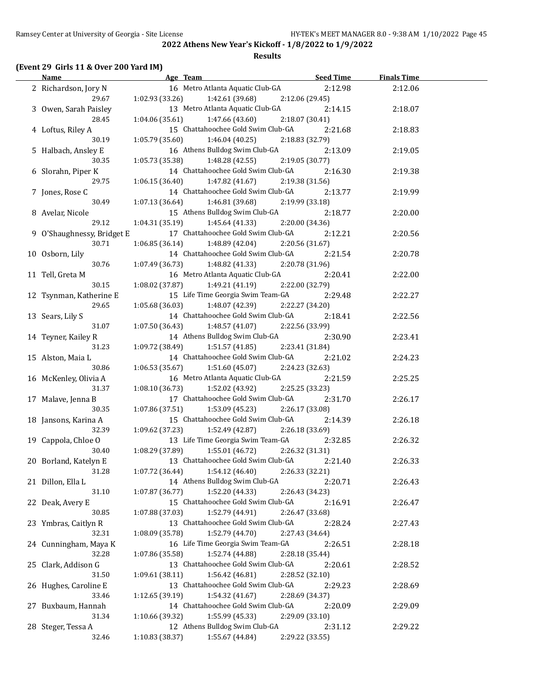**2022 Athens New Year's Kickoff - 1/8/2022 to 1/9/2022 Results**

| <b>Name</b>                 |                   | Age Team                                              | Seed Time                  | <b>Finals Time</b> |  |
|-----------------------------|-------------------|-------------------------------------------------------|----------------------------|--------------------|--|
| 2 Richardson, Jory N        |                   | 16 Metro Atlanta Aquatic Club-GA                      | 2:12.98                    | 2:12.06            |  |
| 29.67                       | 1:02.93(33.26)    | 1:42.61 (39.68)                                       | 2:12.06 (29.45)            |                    |  |
| 3 Owen, Sarah Paisley       |                   | 13 Metro Atlanta Aquatic Club-GA                      | 2:14.15                    | 2:18.07            |  |
| 28.45                       |                   | $1:04.06(35.61)$ $1:47.66(43.60)$                     | 2:18.07 (30.41)            |                    |  |
| 4 Loftus, Riley A           |                   | 15 Chattahoochee Gold Swim Club-GA                    | 2:21.68                    | 2:18.83            |  |
| 30.19                       | 1:05.79 (35.60)   | 1:46.04 (40.25)                                       | 2:18.83 (32.79)            |                    |  |
| 5 Halbach, Ansley E         |                   | 16 Athens Bulldog Swim Club-GA                        | 2:13.09                    | 2:19.05            |  |
| 30.35                       |                   | $1:05.73(35.38)$ $1:48.28(42.55)$                     | 2:19.05 (30.77)            |                    |  |
| 6 Slorahn, Piper K          |                   | 14 Chattahoochee Gold Swim Club-GA                    | 2:16.30                    | 2:19.38            |  |
| 29.75                       |                   | $1:06.15(36.40)$ $1:47.82(41.67)$                     | 2:19.38 (31.56)            |                    |  |
| 7 Jones, Rose C             |                   | 14 Chattahoochee Gold Swim Club-GA                    | 2:13.77                    | 2:19.99            |  |
| 30.49                       | 1:07.13 (36.64)   | 1:46.81 (39.68)                                       | 2:19.99 (33.18)            |                    |  |
| 8 Avelar, Nicole            |                   | 15 Athens Bulldog Swim Club-GA                        | 2:18.77                    | 2:20.00            |  |
| 29.12                       | 1:04.31(35.19)    | 1:45.64(41.33)                                        | 2:20.00 (34.36)            |                    |  |
| 9 O'Shaughnessy, Bridget E  |                   | 17 Chattahoochee Gold Swim Club-GA                    | 2:12.21                    | 2:20.56            |  |
| 30.71                       | 1:06.85(36.14)    | 1:48.89 (42.04)                                       | 2:20.56 (31.67)            |                    |  |
| 10 Osborn, Lily             |                   | 14 Chattahoochee Gold Swim Club-GA                    | 2:21.54                    | 2:20.78            |  |
| 30.76                       | 1:07.49 (36.73)   | 1:48.82 (41.33)                                       | 2:20.78 (31.96)            |                    |  |
| 11 Tell, Greta M            |                   | 16 Metro Atlanta Aquatic Club-GA                      | 2:20.41                    | 2:22.00            |  |
| 30.15                       | $1:08.02$ (37.87) | 1:49.21 (41.19)                                       | 2:22.00 (32.79)            |                    |  |
| 12 Tsynman, Katherine E     |                   | 15 Life Time Georgia Swim Team-GA                     | 2:29.48                    | 2:22.27            |  |
| 29.65                       | 1:05.68(36.03)    | 1:48.07 (42.39)                                       | 2:22.27 (34.20)            |                    |  |
| 13 Sears, Lily S            |                   | 14 Chattahoochee Gold Swim Club-GA                    | 2:18.41                    | 2:22.56            |  |
| 31.07                       | 1:07.50(36.43)    | 1:48.57(41.07)                                        | 2:22.56 (33.99)            |                    |  |
| 14 Teyner, Kailey R         |                   | 14 Athens Bulldog Swim Club-GA                        | 2:30.90                    | 2:23.41            |  |
| 31.23                       | 1:09.72 (38.49)   | 1:51.57 (41.85)<br>14 Chattahoochee Gold Swim Club-GA | 2:23.41 (31.84)            |                    |  |
| 15 Alston, Maia L<br>30.86  | 1:06.53(35.67)    | 1:51.60 (45.07)                                       | 2:21.02<br>2:24.23 (32.63) | 2:24.23            |  |
| 16 McKenley, Olivia A       |                   | 16 Metro Atlanta Aquatic Club-GA                      | 2:21.59                    | 2:25.25            |  |
| 31.37                       | 1:08.10(36.73)    | 1:52.02 (43.92)                                       | 2:25.25 (33.23)            |                    |  |
| 17 Malave, Jenna B          |                   | 17 Chattahoochee Gold Swim Club-GA                    | 2:31.70                    | 2:26.17            |  |
| 30.35                       | 1:07.86(37.51)    | 1:53.09 (45.23)                                       | 2:26.17 (33.08)            |                    |  |
| 18 Jansons, Karina A        |                   | 15 Chattahoochee Gold Swim Club-GA                    | 2:14.39                    | 2:26.18            |  |
| 32.39                       |                   | $1:09.62(37.23)$ $1:52.49(42.87)$                     | 2:26.18 (33.69)            |                    |  |
| 19 Cappola, Chloe O         |                   | 13 Life Time Georgia Swim Team-GA                     | 2:32.85                    | 2:26.32            |  |
| 30.40                       | 1:08.29(37.89)    | 1:55.01 (46.72)                                       | 2:26.32 (31.31)            |                    |  |
| 20 Borland, Katelyn E       |                   | 13 Chattahoochee Gold Swim Club-GA                    | 2:21.40                    | 2:26.33            |  |
| 31.28                       | 1:07.72 (36.44)   | 1:54.12 (46.40)                                       | 2:26.33 (32.21)            |                    |  |
| 21 Dillon, Ella L           |                   | 14 Athens Bulldog Swim Club-GA                        | 2:20.71                    | 2:26.43            |  |
| 31.10                       | 1:07.87 (36.77)   | 1:52.20 (44.33)                                       | 2:26.43 (34.23)            |                    |  |
| 22 Deak, Avery E            |                   | 15 Chattahoochee Gold Swim Club-GA                    | 2:16.91                    | 2:26.47            |  |
| 30.85                       | 1:07.88 (37.03)   | 1:52.79 (44.91)                                       | 2:26.47 (33.68)            |                    |  |
| 23 Ymbras, Caitlyn R        |                   | 13 Chattahoochee Gold Swim Club-GA                    | 2:28.24                    | 2:27.43            |  |
| 32.31                       | 1:08.09 (35.78)   | 1:52.79 (44.70)                                       | 2:27.43 (34.64)            |                    |  |
| 24 Cunningham, Maya K       |                   | 16 Life Time Georgia Swim Team-GA                     | 2:26.51                    | 2:28.18            |  |
| 32.28                       | 1:07.86 (35.58)   | 1:52.74 (44.88)                                       | 2:28.18 (35.44)            |                    |  |
| 25 Clark, Addison G         |                   | 13 Chattahoochee Gold Swim Club-GA                    | 2:20.61                    | 2:28.52            |  |
| 31.50                       | 1:09.61 (38.11)   | 1:56.42(46.81)                                        | 2:28.52 (32.10)            |                    |  |
| 26 Hughes, Caroline E       |                   | 13 Chattahoochee Gold Swim Club-GA                    | 2:29.23                    | 2:28.69            |  |
| 33.46                       | 1:12.65 (39.19)   | 1:54.32 (41.67)                                       | 2:28.69 (34.37)            |                    |  |
| 27 Buxbaum, Hannah          |                   | 14 Chattahoochee Gold Swim Club-GA                    | 2:20.09                    | 2:29.09            |  |
| 31.34                       | 1:10.66 (39.32)   | 1:55.99 (45.33)<br>12 Athens Bulldog Swim Club-GA     | 2:29.09 (33.10)            | 2:29.22            |  |
| 28 Steger, Tessa A<br>32.46 | 1:10.83 (38.37)   | 1:55.67 (44.84)                                       | 2:31.12<br>2:29.22 (33.55) |                    |  |
|                             |                   |                                                       |                            |                    |  |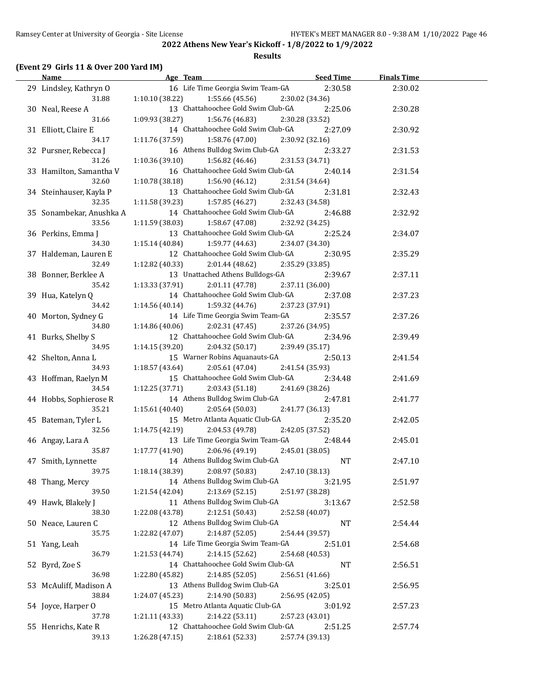### **Results**

### **(Event 29 Girls 11 & Over 200 Yard IM)**

| <b>Name</b>              | Age Team                                            | Seed Time       | <b>Finals Time</b> |  |
|--------------------------|-----------------------------------------------------|-----------------|--------------------|--|
| 29 Lindsley, Kathryn O   | 16 Life Time Georgia Swim Team-GA                   | 2:30.58         | 2:30.02            |  |
| 31.88                    | $1:10.10(38.22)$ $1:55.66(45.56)$                   | 2:30.02 (34.36) |                    |  |
| 30 Neal, Reese A         | 13 Chattahoochee Gold Swim Club-GA                  | 2:25.06         | 2:30.28            |  |
| 31.66                    | $1:09.93(38.27)$ $1:56.76(46.83)$                   | 2:30.28 (33.52) |                    |  |
| 31 Elliott, Claire E     | 14 Chattahoochee Gold Swim Club-GA                  | 2:27.09         | 2:30.92            |  |
| 34.17                    | $1:11.76(37.59)$ $1:58.76(47.00)$                   | 2:30.92 (32.16) |                    |  |
| 32 Pursner, Rebecca J    | 16 Athens Bulldog Swim Club-GA                      | 2:33.27         | 2:31.53            |  |
| 31.26                    | $1:10.36(39.10)$ $1:56.82(46.46)$                   | 2:31.53 (34.71) |                    |  |
| 33 Hamilton, Samantha V  | 16 Chattahoochee Gold Swim Club-GA                  | 2:40.14         | 2:31.54            |  |
| 32.60                    | $1:10.78(38.18)$ $1:56.90(46.12)$                   | 2:31.54 (34.64) |                    |  |
| 34 Steinhauser, Kayla P  | 13 Chattahoochee Gold Swim Club-GA                  | 2:31.81         | 2:32.43            |  |
| 32.35                    | $1:11.58(39.23)$ $1:57.85(46.27)$                   | 2:32.43 (34.58) |                    |  |
| 35 Sonambekar, Anushka A | 14 Chattahoochee Gold Swim Club-GA                  | 2:46.88         | 2:32.92            |  |
| 33.56                    | 1:11.59 (38.03)<br>1:58.67 (47.08)                  | 2:32.92 (34.25) |                    |  |
| 36 Perkins, Emma J       | 13 Chattahoochee Gold Swim Club-GA                  | 2:25.24         | 2:34.07            |  |
| 34.30                    | $1:15.14(40.84)$ $1:59.77(44.63)$                   | 2:34.07 (34.30) |                    |  |
| 37 Haldeman, Lauren E    | 12 Chattahoochee Gold Swim Club-GA                  | 2:30.95         | 2:35.29            |  |
| 32.49                    | 1:12.82(40.33)<br>2:01.44 (48.62)                   | 2:35.29 (33.85) |                    |  |
|                          |                                                     |                 |                    |  |
| 38 Bonner, Berklee A     | 13 Unattached Athens Bulldogs-GA<br>1:13.33 (37.91) | 2:39.67         | 2:37.11            |  |
| 35.42                    | 2:01.11 (47.78)                                     | 2:37.11 (36.00) |                    |  |
| 39 Hua, Katelyn Q        | 14 Chattahoochee Gold Swim Club-GA                  | 2:37.08         | 2:37.23            |  |
| 34.42                    | $1:14.56(40.14)$ $1:59.32(44.76)$                   | 2:37.23 (37.91) |                    |  |
| 40 Morton, Sydney G      | 14 Life Time Georgia Swim Team-GA                   | 2:35.57         | 2:37.26            |  |
| 34.80                    | 1:14.86(40.06)<br>2:02.31 (47.45)                   | 2:37.26 (34.95) |                    |  |
| 41 Burks, Shelby S       | 12 Chattahoochee Gold Swim Club-GA                  | 2:34.96         | 2:39.49            |  |
| 34.95                    | 1:14.15(39.20)<br>2:04.32 (50.17)                   | 2:39.49 (35.17) |                    |  |
| 42 Shelton, Anna L       | 15 Warner Robins Aquanauts-GA                       | 2:50.13         | 2:41.54            |  |
| 34.93                    | 1:18.57(43.64)<br>2:05.61(47.04)                    | 2:41.54 (35.93) |                    |  |
| 43 Hoffman, Raelyn M     | 15 Chattahoochee Gold Swim Club-GA                  | 2:34.48         | 2:41.69            |  |
| 34.54                    | 1:12.25(37.71)<br>2:03.43 (51.18)                   | 2:41.69 (38.26) |                    |  |
| 44 Hobbs, Sophierose R   | 14 Athens Bulldog Swim Club-GA                      | 2:47.81         | 2:41.77            |  |
| 35.21                    | 1:15.61(40.40)<br>2:05.64(50.03)                    | 2:41.77 (36.13) |                    |  |
| 45 Bateman, Tyler L      | 15 Metro Atlanta Aquatic Club-GA                    | 2:35.20         | 2:42.05            |  |
| 32.56                    | $1:14.75(42.19)$ $2:04.53(49.78)$                   | 2:42.05 (37.52) |                    |  |
| 46 Angay, Lara A         | 13 Life Time Georgia Swim Team-GA                   | 2:48.44         | 2:45.01            |  |
| 35.87                    | 1:17.77 (41.90)<br>2:06.96(49.19)                   | 2:45.01 (38.05) |                    |  |
| 47 Smith, Lynnette       | 14 Athens Bulldog Swim Club-GA                      | <b>NT</b>       | 2:47.10            |  |
| 39.75                    | 1:18.14 (38.39)<br>2:08.97 (50.83)                  | 2:47.10 (38.13) |                    |  |
| 48 Thang, Mercy          | 14 Athens Bulldog Swim Club-GA                      | 3:21.95         | 2:51.97            |  |
| 39.50                    | 1:21.54 (42.04)<br>2:13.69 (52.15)                  | 2:51.97 (38.28) |                    |  |
| 49 Hawk, Blakely J       | 11 Athens Bulldog Swim Club-GA                      | 3:13.67         | 2:52.58            |  |
| 38.30                    | 1:22.08 (43.78)<br>2:12.51 (50.43)                  | 2:52.58 (40.07) |                    |  |
| 50 Neace, Lauren C       | 12 Athens Bulldog Swim Club-GA                      | NT              | 2:54.44            |  |
| 35.75                    | 1:22.82 (47.07)<br>2:14.87 (52.05)                  | 2:54.44 (39.57) |                    |  |
| 51 Yang, Leah            | 14 Life Time Georgia Swim Team-GA                   | 2:51.01         | 2:54.68            |  |
| 36.79                    | 2:14.15 (52.62)<br>1:21.53 (44.74)                  | 2:54.68 (40.53) |                    |  |
| 52 Byrd, Zoe S           | 14 Chattahoochee Gold Swim Club-GA                  | <b>NT</b>       | 2:56.51            |  |
| 36.98                    | 1:22.80 (45.82)<br>2:14.85(52.05)                   | 2:56.51 (41.66) |                    |  |
| 53 McAuliff, Madison A   | 13 Athens Bulldog Swim Club-GA                      | 3:25.01         | 2:56.95            |  |
| 38.84                    | 2:14.90 (50.83)<br>1:24.07 (45.23)                  | 2:56.95 (42.05) |                    |  |
| 54 Joyce, Harper O       | 15 Metro Atlanta Aquatic Club-GA                    | 3:01.92         | 2:57.23            |  |
| 37.78                    | 2:14.22 (53.11)<br>1:21.11 (43.33)                  | 2:57.23 (43.01) |                    |  |
| 55 Henrichs, Kate R      | 12 Chattahoochee Gold Swim Club-GA                  | 2:51.25         | 2:57.74            |  |
| 39.13                    | 1:26.28 (47.15)<br>2:18.61 (52.33)                  | 2:57.74 (39.13) |                    |  |
|                          |                                                     |                 |                    |  |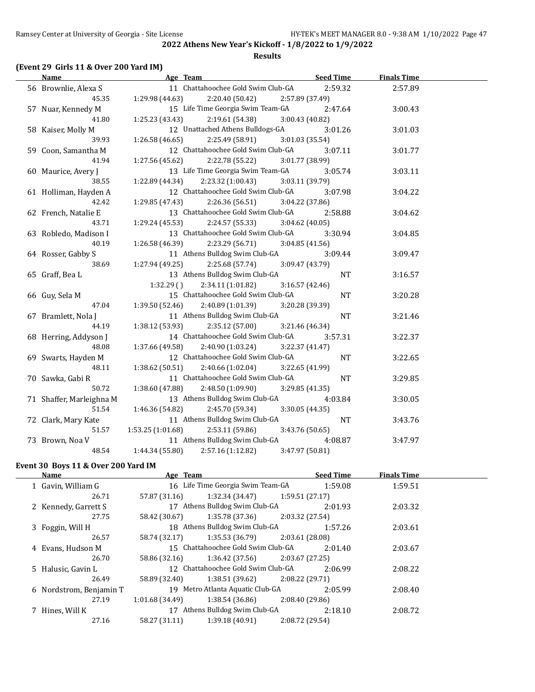### **Results**

# **(Event 29 Girls 11 & Over 200 Yard IM)**

| <b>Name</b>              | Age Team                             | <b>Seed Time</b> | <b>Finals Time</b> |  |
|--------------------------|--------------------------------------|------------------|--------------------|--|
| 56 Brownlie, Alexa S     | 11 Chattahoochee Gold Swim Club-GA   | 2:59.32          | 2:57.89            |  |
| 45.35                    | 1:29.98 (44.63)<br>2:20.40 (50.42)   | 2:57.89 (37.49)  |                    |  |
| 57 Nuar, Kennedy M       | 15 Life Time Georgia Swim Team-GA    | 2:47.64          | 3:00.43            |  |
| 41.80                    | 1:25.23 (43.43)<br>2:19.61 (54.38)   | 3:00.43 (40.82)  |                    |  |
| 58 Kaiser, Molly M       | 12 Unattached Athens Bulldogs-GA     | 3:01.26          | 3:01.03            |  |
| 39.93                    | $1:26.58(46.65)$ $2:25.49(58.91)$    | 3:01.03 (35.54)  |                    |  |
| 59 Coon, Samantha M      | 12 Chattahoochee Gold Swim Club-GA   | 3:07.11          | 3:01.77            |  |
| 41.94                    | $1:27.56(45.62)$ $2:22.78(55.22)$    | 3:01.77 (38.99)  |                    |  |
| 60 Maurice, Avery J      | 13 Life Time Georgia Swim Team-GA    | 3:05.74          | 3:03.11            |  |
| 38.55                    | $1:22.89(44.34)$ $2:23.32(1:00.43)$  | 3:03.11 (39.79)  |                    |  |
| 61 Holliman, Hayden A    | 12 Chattahoochee Gold Swim Club-GA   | 3:07.98          | 3:04.22            |  |
| 42.42                    | 1:29.85 (47.43)<br>2:26.36 (56.51)   | 3:04.22 (37.86)  |                    |  |
| 62 French, Natalie E     | 13 Chattahoochee Gold Swim Club-GA   | 2:58.88          | 3:04.62            |  |
| 43.71                    | 2:24.57 (55.33)<br>1:29.24(45.53)    | 3:04.62 (40.05)  |                    |  |
| 63 Robledo, Madison I    | 13 Chattahoochee Gold Swim Club-GA   | 3:30.94          | 3:04.85            |  |
| 40.19                    | 1:26.58(46.39)<br>2:23.29 (56.71)    | 3:04.85 (41.56)  |                    |  |
| 64 Rosser, Gabby S       | 11 Athens Bulldog Swim Club-GA       | 3:09.44          | 3:09.47            |  |
| 38.69                    | 1:27.94(49.25)<br>2:25.68 (57.74)    | 3:09.47 (43.79)  |                    |  |
| 65 Graff, Bea L          | 13 Athens Bulldog Swim Club-GA       | <b>NT</b>        | 3:16.57            |  |
|                          | 1:32.29()<br>2:34.11 (1:01.82)       | 3:16.57 (42.46)  |                    |  |
| 66 Guy, Sela M           | 15 Chattahoochee Gold Swim Club-GA   | $\rm{NT}$        | 3:20.28            |  |
| 47.04                    | 1:39.50(52.46)<br>2:40.89 (1:01.39)  | 3:20.28 (39.39)  |                    |  |
| 67 Bramlett, Nola J      | 11 Athens Bulldog Swim Club-GA       | NT               | 3:21.46            |  |
| 44.19                    | 1:38.12 (53.93)<br>2:35.12 (57.00)   | 3:21.46 (46.34)  |                    |  |
| 68 Herring, Addyson J    | 14 Chattahoochee Gold Swim Club-GA   | 3:57.31          | 3:22.37            |  |
| 48.08                    | 1:37.66 (49.58)<br>2:40.90 (1:03.24) | 3:22.37 (41.47)  |                    |  |
| 69 Swarts, Hayden M      | 12 Chattahoochee Gold Swim Club-GA   | NT               | 3:22.65            |  |
| 48.11                    | 1:38.62 (50.51)<br>2:40.66 (1:02.04) | 3:22.65 (41.99)  |                    |  |
| 70 Sawka, Gabi R         | 11 Chattahoochee Gold Swim Club-GA   | NT               | 3:29.85            |  |
| 50.72                    | 1:38.60 (47.88)<br>2:48.50 (1:09.90) | 3:29.85 (41.35)  |                    |  |
| 71 Shaffer, Marleighna M | 13 Athens Bulldog Swim Club-GA       | 4:03.84          | 3:30.05            |  |
| 51.54                    | 1:46.36 (54.82)<br>2:45.70 (59.34)   | 3:30.05 (44.35)  |                    |  |
| 72 Clark, Mary Kate      | 11 Athens Bulldog Swim Club-GA       | NT               | 3:43.76            |  |
| 51.57                    | 1:53.25 (1:01.68)<br>2:53.11 (59.86) | 3:43.76 (50.65)  |                    |  |
| 73 Brown, Noa V          | 11 Athens Bulldog Swim Club-GA       | 4:08.87          | 3:47.97            |  |
| 48.54                    | 1:44.34 (55.80)<br>2:57.16 (1:12.82) | 3:47.97 (50.81)  |                    |  |

### **Event 30 Boys 11 & Over 200 Yard IM**

| Name                    | Age Team        |                                    |                 | <b>Seed Time</b> | <b>Finals Time</b> |  |
|-------------------------|-----------------|------------------------------------|-----------------|------------------|--------------------|--|
| 1 Gavin, William G      |                 | 16 Life Time Georgia Swim Team-GA  |                 | 1:59.08          | 1:59.51            |  |
| 26.71                   | 57.87 (31.16)   | 1:32.34 (34.47)                    | 1:59.51(27.17)  |                  |                    |  |
| 2 Kennedy, Garrett S    |                 | 17 Athens Bulldog Swim Club-GA     |                 | 2:01.93          | 2:03.32            |  |
| 27.75                   | 58.42 (30.67)   | 1:35.78 (37.36)                    | 2:03.32 (27.54) |                  |                    |  |
| 3 Foggin, Will H        |                 | 18 Athens Bulldog Swim Club-GA     |                 | 1:57.26          | 2:03.61            |  |
| 26.57                   | 58.74 (32.17)   | 1:35.53 (36.79)                    | 2:03.61 (28.08) |                  |                    |  |
| 4 Evans, Hudson M       |                 | 15 Chattahoochee Gold Swim Club-GA |                 | 2:01.40          | 2:03.67            |  |
| 26.70                   | 58.86 (32.16)   | 1:36.42 (37.56)                    | 2:03.67 (27.25) |                  |                    |  |
| 5 Halusic, Gavin L      |                 | 12 Chattahoochee Gold Swim Club-GA |                 | 2:06.99          | 2:08.22            |  |
| 26.49                   | 58.89 (32.40)   | $1:38.51(39.62)$ $2:08.22(29.71)$  |                 |                  |                    |  |
| 6 Nordstrom, Benjamin T |                 | 19 Metro Atlanta Aquatic Club-GA   |                 | 2:05.99          | 2:08.40            |  |
| 27.19                   | 1:01.68 (34.49) | 1:38.54 (36.86)                    | 2:08.40(29.86)  |                  |                    |  |
| 7 Hines, Will K         |                 | 17 Athens Bulldog Swim Club-GA     |                 | 2:18.10          | 2:08.72            |  |
| 27.16                   | 58.27 (31.11)   | 1:39.18 (40.91)                    | 2:08.72 (29.54) |                  |                    |  |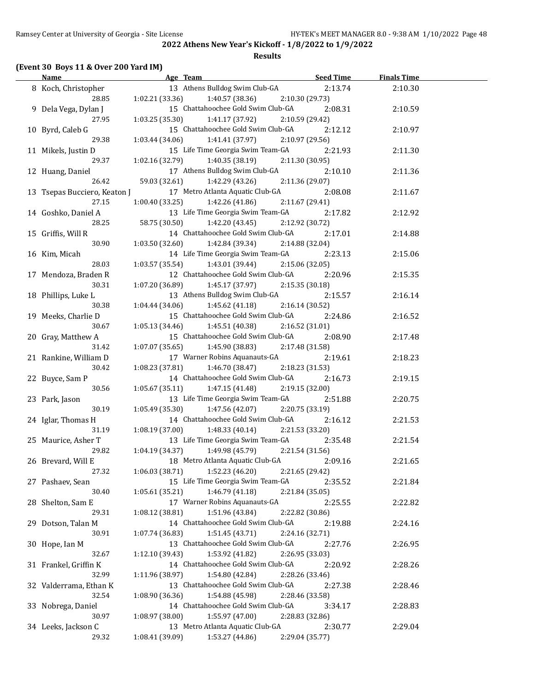### **Results**

### **(Event 30 Boys 11 & Over 200 Yard IM)**

| <u>Name</u>                  |                 | Age Team Seed Time                                   |                            | <b>Finals Time</b> |  |
|------------------------------|-----------------|------------------------------------------------------|----------------------------|--------------------|--|
| 8 Koch, Christopher          |                 | 13 Athens Bulldog Swim Club-GA                       | 2:13.74                    | 2:10.30            |  |
| 28.85                        | 1:02.21(33.36)  | 1:40.57 (38.36)                                      | 2:10.30 (29.73)            |                    |  |
| 9 Dela Vega, Dylan J         |                 | 15 Chattahoochee Gold Swim Club-GA                   | 2:08.31                    | 2:10.59            |  |
| 27.95                        | 1:03.25(35.30)  | 1:41.17 (37.92)                                      | 2:10.59 (29.42)            |                    |  |
| 10 Byrd, Caleb G             |                 | 15 Chattahoochee Gold Swim Club-GA                   | 2:12.12                    | 2:10.97            |  |
| 29.38                        | 1:03.44(34.06)  | 1:41.41 (37.97)                                      | 2:10.97 (29.56)            |                    |  |
| 11 Mikels, Justin D          |                 | 15 Life Time Georgia Swim Team-GA                    | 2:21.93                    | 2:11.30            |  |
| 29.37                        | 1:02.16 (32.79) | 1:40.35 (38.19)                                      | 2:11.30 (30.95)            |                    |  |
| 12 Huang, Daniel             |                 | 17 Athens Bulldog Swim Club-GA                       | 2:10.10                    | 2:11.36            |  |
| 26.42                        | 59.03 (32.61)   | 1:42.29 (43.26)                                      | 2:11.36 (29.07)            |                    |  |
| 13 Tsepas Bucciero, Keaton J |                 | 17 Metro Atlanta Aquatic Club-GA                     | 2:08.08                    | 2:11.67            |  |
| 27.15                        | 1:00.40(33.25)  | 1:42.26 (41.86)                                      | 2:11.67 (29.41)            |                    |  |
| 14 Goshko, Daniel A          |                 | 13 Life Time Georgia Swim Team-GA                    | 2:17.82                    | 2:12.92            |  |
| 28.25                        |                 | 58.75 (30.50) 1:42.20 (43.45)                        | 2:12.92 (30.72)            |                    |  |
| 15 Griffis, Will R           |                 | 14 Chattahoochee Gold Swim Club-GA                   | 2:17.01                    | 2:14.88            |  |
| 30.90                        |                 | $1:03.50(32.60)$ $1:42.84(39.34)$                    | 2:14.88 (32.04)            |                    |  |
| 16 Kim, Micah                |                 | 14 Life Time Georgia Swim Team-GA                    | 2:23.13                    | 2:15.06            |  |
| 28.03                        | 1:03.57 (35.54) | 1:43.01 (39.44)                                      | 2:15.06 (32.05)            |                    |  |
| 17 Mendoza, Braden R         |                 | 12 Chattahoochee Gold Swim Club-GA                   | 2:20.96                    | 2:15.35            |  |
| 30.31                        | 1:07.20 (36.89) | 1:45.17 (37.97)                                      | 2:15.35 (30.18)            |                    |  |
| 18 Phillips, Luke L          |                 | 13 Athens Bulldog Swim Club-GA                       | 2:15.57                    | 2:16.14            |  |
| 30.38                        | 1:04.44 (34.06) | 1:45.62 (41.18)                                      | 2:16.14 (30.52)            |                    |  |
| 19 Meeks, Charlie D          |                 | 15 Chattahoochee Gold Swim Club-GA                   | 2:24.86                    | 2:16.52            |  |
| 30.67                        | 1:05.13(34.46)  | 1:45.51 (40.38)                                      | 2:16.52 (31.01)            |                    |  |
| 20 Gray, Matthew A           |                 | 15 Chattahoochee Gold Swim Club-GA                   | 2:08.90                    | 2:17.48            |  |
| 31.42                        | 1:07.07(35.65)  | 1:45.90 (38.83)                                      | 2:17.48 (31.58)            |                    |  |
| 21 Rankine, William D        |                 | 17 Warner Robins Aquanauts-GA                        | 2:19.61                    | 2:18.23            |  |
| 30.42                        | 1:08.23(37.81)  | 1:46.70 (38.47)                                      | 2:18.23 (31.53)            |                    |  |
| 22 Buyce, Sam P              |                 | 14 Chattahoochee Gold Swim Club-GA                   | 2:16.73                    | 2:19.15            |  |
| 30.56                        | 1:05.67(35.11)  | 1:47.15 (41.48)                                      | 2:19.15 (32.00)            |                    |  |
| 23 Park, Jason               |                 | 13 Life Time Georgia Swim Team-GA                    | 2:51.88                    | 2:20.75            |  |
| 30.19                        | 1:05.49(35.30)  | 1:47.56 (42.07)                                      | 2:20.75 (33.19)            |                    |  |
| 24 Iglar, Thomas H           |                 | 14 Chattahoochee Gold Swim Club-GA                   | 2:16.12                    | 2:21.53            |  |
| 31.19                        | 1:08.19 (37.00) | 1:48.33(40.14)                                       | 2:21.53 (33.20)            |                    |  |
| 25 Maurice, Asher T          |                 | 13 Life Time Georgia Swim Team-GA                    | 2:35.48                    | 2:21.54            |  |
| 29.82                        |                 | $1:04.19(34.37)$ $1:49.98(45.79)$                    | 2:21.54 (31.56)            |                    |  |
| 26 Brevard, Will E           |                 | 18 Metro Atlanta Aquatic Club-GA                     | 2:09.16                    | 2:21.65            |  |
| 27.32                        | 1:06.03 (38.71) | 1:52.23 (46.20)                                      | 2:21.65 (29.42)            |                    |  |
| 27 Pashaev, Sean<br>30.40    | 1:05.61 (35.21) | 15 Life Time Georgia Swim Team-GA<br>1:46.79 (41.18) | 2:35.52                    | 2:21.84            |  |
|                              |                 | 17 Warner Robins Aquanauts-GA                        | 2:21.84 (35.05)            |                    |  |
| 28 Shelton, Sam E<br>29.31   | 1:08.12 (38.81) | 1:51.96 (43.84)                                      | 2:25.55                    | 2:22.82            |  |
|                              |                 | 14 Chattahoochee Gold Swim Club-GA                   | 2:22.82 (30.86)<br>2:19.88 | 2:24.16            |  |
| 29 Dotson, Talan M<br>30.91  | 1:07.74 (36.83) | 1:51.45 (43.71)                                      |                            |                    |  |
|                              |                 | 13 Chattahoochee Gold Swim Club-GA                   | 2:24.16 (32.71)            |                    |  |
| 30 Hope, Ian M<br>32.67      | 1:12.10 (39.43) | 1:53.92 (41.82)                                      | 2:27.76                    | 2:26.95            |  |
| 31 Frankel, Griffin K        |                 | 14 Chattahoochee Gold Swim Club-GA                   | 2:26.95 (33.03)<br>2:20.92 | 2:28.26            |  |
| 32.99                        | 1:11.96 (38.97) | 1:54.80 (42.84)                                      | 2:28.26 (33.46)            |                    |  |
| 32 Valderrama, Ethan K       |                 | 13 Chattahoochee Gold Swim Club-GA                   | 2:27.38                    | 2:28.46            |  |
| 32.54                        | 1:08.90 (36.36) | 1:54.88 (45.98)                                      | 2:28.46 (33.58)            |                    |  |
| 33 Nobrega, Daniel           |                 | 14 Chattahoochee Gold Swim Club-GA                   | 3:34.17                    | 2:28.83            |  |
| 30.97                        | 1:08.97 (38.00) | 1:55.97 (47.00)                                      | 2:28.83 (32.86)            |                    |  |
| 34 Leeks, Jackson C          |                 | 13 Metro Atlanta Aquatic Club-GA                     | 2:30.77                    | 2:29.04            |  |
| 29.32                        | 1:08.41 (39.09) | 1:53.27 (44.86)                                      | 2:29.04 (35.77)            |                    |  |
|                              |                 |                                                      |                            |                    |  |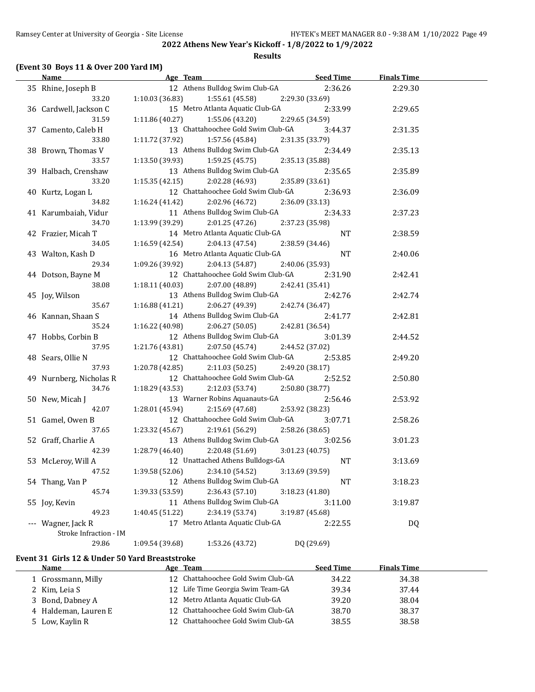### **Results**

### **(Event 30 Boys 11 & Over 200 Yard IM)**

|          | <b>Name</b>             | <b>Example 2016</b> Age Team       | <u>Seed Time</u> | <b>Finals Time</b> |  |
|----------|-------------------------|------------------------------------|------------------|--------------------|--|
|          | 35 Rhine, Joseph B      | 12 Athens Bulldog Swim Club-GA     | 2:36.26          | 2:29.30            |  |
|          | 33.20                   | 1:10.03 (36.83)<br>1:55.61(45.58)  | 2:29.30 (33.69)  |                    |  |
|          | 36 Cardwell, Jackson C  | 15 Metro Atlanta Aquatic Club-GA   | 2:33.99          | 2:29.65            |  |
|          | 31.59                   | 1:11.86 (40.27)<br>1:55.06 (43.20) | 2:29.65 (34.59)  |                    |  |
|          | 37 Camento, Caleb H     | 13 Chattahoochee Gold Swim Club-GA | 3:44.37          | 2:31.35            |  |
|          | 33.80                   | 1:11.72 (37.92)<br>1:57.56 (45.84) | 2:31.35 (33.79)  |                    |  |
|          | 38 Brown, Thomas V      | 13 Athens Bulldog Swim Club-GA     | 2:34.49          | 2:35.13            |  |
|          | 33.57                   | 1:13.50 (39.93)<br>1:59.25 (45.75) | 2:35.13 (35.88)  |                    |  |
|          | 39 Halbach, Crenshaw    | 13 Athens Bulldog Swim Club-GA     | 2:35.65          | 2:35.89            |  |
|          | 33.20                   | 1:15.35(42.15)<br>2:02.28 (46.93)  | 2:35.89 (33.61)  |                    |  |
|          | 40 Kurtz, Logan L       | 12 Chattahoochee Gold Swim Club-GA | 2:36.93          | 2:36.09            |  |
|          | 34.82                   | $1:16.24(41.42)$ $2:02.96(46.72)$  | 2:36.09(33.13)   |                    |  |
|          | 41 Karumbaiah, Vidur    | 11 Athens Bulldog Swim Club-GA     | 2:34.33          | 2:37.23            |  |
|          | 34.70                   | 1:13.99 (39.29)<br>2:01.25(47.26)  | 2:37.23 (35.98)  |                    |  |
|          | 42 Frazier, Micah T     | 14 Metro Atlanta Aquatic Club-GA   | NT               | 2:38.59            |  |
|          | 34.05                   | $1:16.59(42.54)$ $2:04.13(47.54)$  | 2:38.59 (34.46)  |                    |  |
|          | 43 Walton, Kash D       | 16 Metro Atlanta Aquatic Club-GA   | <b>NT</b>        | 2:40.06            |  |
|          | 29.34                   | 1:09.26 (39.92)<br>2:04.13 (54.87) | 2:40.06 (35.93)  |                    |  |
|          | 44 Dotson, Bayne M      | 12 Chattahoochee Gold Swim Club-GA | 2:31.90          | 2:42.41            |  |
|          | 38.08                   | $1:18.11(40.03)$ $2:07.00(48.89)$  | 2:42.41 (35.41)  |                    |  |
|          | 45 Joy, Wilson          | 13 Athens Bulldog Swim Club-GA     | 2:42.76          | 2:42.74            |  |
|          | 35.67                   | $1:16.88(41.21)$ $2:06.27(49.39)$  | 2:42.74 (36.47)  |                    |  |
|          | 46 Kannan, Shaan S      | 14 Athens Bulldog Swim Club-GA     | 2:41.77          | 2:42.81            |  |
|          | 35.24                   | 1:16.22 (40.98)<br>2:06.27(50.05)  | 2:42.81 (36.54)  |                    |  |
|          | 47 Hobbs, Corbin B      | 12 Athens Bulldog Swim Club-GA     | 3:01.39          | 2:44.52            |  |
|          | 37.95                   | 1:21.76 (43.81)<br>2:07.50 (45.74) | 2:44.52 (37.02)  |                    |  |
|          | 48 Sears, Ollie N       | 12 Chattahoochee Gold Swim Club-GA | 2:53.85          | 2:49.20            |  |
|          | 37.93                   | 1:20.78 (42.85)<br>2:11.03 (50.25) | 2:49.20 (38.17)  |                    |  |
|          | 49 Nurnberg, Nicholas R | 12 Chattahoochee Gold Swim Club-GA | 2:52.52          | 2:50.80            |  |
|          | 34.76                   | 1:18.29 (43.53)<br>2:12.03 (53.74) | 2:50.80 (38.77)  |                    |  |
|          | 50 New, Micah J         | 13 Warner Robins Aquanauts-GA      | 2:56.46          | 2:53.92            |  |
|          | 42.07                   | 1:28.01 (45.94)<br>2:15.69 (47.68) | 2:53.92 (38.23)  |                    |  |
|          | 51 Gamel, Owen B        | 12 Chattahoochee Gold Swim Club-GA | 3:07.71          | 2:58.26            |  |
|          | 37.65                   | 1:23.32 (45.67)<br>2:19.61 (56.29) | 2:58.26 (38.65)  |                    |  |
|          | 52 Graff, Charlie A     | 13 Athens Bulldog Swim Club-GA     | 3:02.56          | 3:01.23            |  |
|          | 42.39                   | 1:28.79 (46.40)<br>2:20.48 (51.69) | 3:01.23 (40.75)  |                    |  |
|          | 53 McLeroy, Will A      | 12 Unattached Athens Bulldogs-GA   | NT               | 3:13.69            |  |
|          | 47.52                   | 2:34.10 (54.52)<br>1:39.58 (52.06) | 3:13.69 (39.59)  |                    |  |
|          | 54 Thang, Van P         | 12 Athens Bulldog Swim Club-GA     | NT               | 3:18.23            |  |
|          | 45.74                   | 2:36.43 (57.10)<br>1:39.33 (53.59) | 3:18.23 (41.80)  |                    |  |
|          | 55 Joy, Kevin           | 11 Athens Bulldog Swim Club-GA     | 3:11.00          | 3:19.87            |  |
|          | 49.23                   | 2:34.19 (53.74)<br>1:40.45 (51.22) | 3:19.87 (45.68)  |                    |  |
| $\cdots$ | Wagner, Jack R          | 17 Metro Atlanta Aquatic Club-GA   | 2:22.55          | <b>DQ</b>          |  |
|          | Stroke Infraction - IM  |                                    |                  |                    |  |
|          | 29.86                   | 1:09.54 (39.68)<br>1:53.26 (43.72) | DQ (29.69)       |                    |  |

### **Event 31 Girls 12 & Under 50 Yard Breaststroke**

| <b>Name</b>          | Age Team                           | <b>Seed Time</b> | <b>Finals Time</b> |  |
|----------------------|------------------------------------|------------------|--------------------|--|
| Grossmann, Milly     | 12 Chattahoochee Gold Swim Club-GA | 34.22            | 34.38              |  |
| 2 Kim, Leia S        | 12 Life Time Georgia Swim Team-GA  | 39.34            | 37.44              |  |
| 3 Bond, Dabney A     | 12 Metro Atlanta Aquatic Club-GA   | 39.20            | 38.04              |  |
| 4 Haldeman, Lauren E | 12 Chattahoochee Gold Swim Club-GA | 38.70            | 38.37              |  |
| 5 Low, Kaylin R      | 12 Chattahoochee Gold Swim Club-GA | 38.55            | 38.58              |  |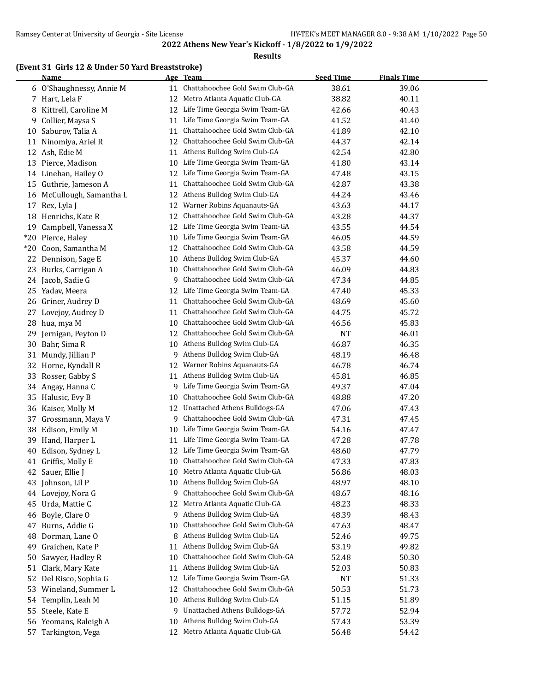### **Results**

### **(Event 31 Girls 12 & Under 50 Yard Breaststroke)**

|          | <b>Name</b>                      |          | Age Team                                                       | <b>Seed Time</b> | <b>Finals Time</b> |  |
|----------|----------------------------------|----------|----------------------------------------------------------------|------------------|--------------------|--|
| 6        | O'Shaughnessy, Annie M           | 11       | Chattahoochee Gold Swim Club-GA                                | 38.61            | 39.06              |  |
|          | 7 Hart, Lela F                   | 12       | Metro Atlanta Aquatic Club-GA                                  | 38.82            | 40.11              |  |
| 8        | Kittrell, Caroline M             | 12       | Life Time Georgia Swim Team-GA                                 | 42.66            | 40.43              |  |
| 9        | Collier, Maysa S                 | 11       | Life Time Georgia Swim Team-GA                                 | 41.52            | 41.40              |  |
| 10       | Saburov, Talia A                 | 11       | Chattahoochee Gold Swim Club-GA                                | 41.89            | 42.10              |  |
| 11       | Ninomiya, Ariel R                | 12       | Chattahoochee Gold Swim Club-GA                                | 44.37            | 42.14              |  |
| 12       | Ash, Edie M                      | 11       | Athens Bulldog Swim Club-GA                                    | 42.54            | 42.80              |  |
| 13       | Pierce, Madison                  | 10       | Life Time Georgia Swim Team-GA                                 | 41.80            | 43.14              |  |
|          | 14 Linehan, Hailey O             | 12       | Life Time Georgia Swim Team-GA                                 | 47.48            | 43.15              |  |
| 15       | Guthrie, Jameson A               | 11       | Chattahoochee Gold Swim Club-GA                                | 42.87            | 43.38              |  |
|          | 16 McCullough, Samantha L        | 12       | Athens Bulldog Swim Club-GA                                    | 44.24            | 43.46              |  |
| 17       | Rex, Lyla J                      | 12       | Warner Robins Aquanauts-GA                                     | 43.63            | 44.17              |  |
|          | 18 Henrichs, Kate R              | 12       | Chattahoochee Gold Swim Club-GA                                | 43.28            | 44.37              |  |
| 19       | Campbell, Vanessa X              | 12       | Life Time Georgia Swim Team-GA                                 | 43.55            | 44.54              |  |
| $*20$    | Pierce, Haley                    | 10       | Life Time Georgia Swim Team-GA                                 | 46.05            | 44.59              |  |
| $*20$    | Coon, Samantha M                 | 12       | Chattahoochee Gold Swim Club-GA                                | 43.58            | 44.59              |  |
| 22       | Dennison, Sage E                 | 10       | Athens Bulldog Swim Club-GA                                    | 45.37            | 44.60              |  |
| 23       | Burks, Carrigan A                | 10       | Chattahoochee Gold Swim Club-GA                                | 46.09            | 44.83              |  |
|          | 24 Jacob, Sadie G                | 9.       | Chattahoochee Gold Swim Club-GA                                | 47.34            | 44.85              |  |
|          | 25 Yadav, Meera                  | 12       | Life Time Georgia Swim Team-GA                                 | 47.40            | 45.33              |  |
| 26       | Griner, Audrey D                 | 11       | Chattahoochee Gold Swim Club-GA                                | 48.69            | 45.60              |  |
| 27       | Lovejoy, Audrey D                | 11       | Chattahoochee Gold Swim Club-GA                                | 44.75            | 45.72              |  |
|          | 28 hua, mya M                    | 10       | Chattahoochee Gold Swim Club-GA                                | 46.56            | 45.83              |  |
|          | 29 Jernigan, Peyton D            | 12       | Chattahoochee Gold Swim Club-GA                                | <b>NT</b>        | 46.01              |  |
|          | 30 Bahr, Sima R                  | 10       | Athens Bulldog Swim Club-GA                                    | 46.87            | 46.35              |  |
| 31       | Mundy, Jillian P                 | 9.       | Athens Bulldog Swim Club-GA                                    | 48.19            | 46.48              |  |
|          | 32 Horne, Kyndall R              | 12       | Warner Robins Aquanauts-GA                                     | 46.78            | 46.74              |  |
| 33       | Rosser, Gabby S                  | 11       | Athens Bulldog Swim Club-GA                                    | 45.81            | 46.85              |  |
| 34       | Angay, Hanna C                   | 9.       | Life Time Georgia Swim Team-GA                                 | 49.37            | 47.04              |  |
| 35       | Halusic, Evy B                   | 10       | Chattahoochee Gold Swim Club-GA                                | 48.88            | 47.20              |  |
| 36       | Kaiser, Molly M                  | 12       | Unattached Athens Bulldogs-GA                                  | 47.06            | 47.43              |  |
| 37       | Grossmann, Maya V                | 9        | Chattahoochee Gold Swim Club-GA                                | 47.31            | 47.45              |  |
| 38       | Edison, Emily M                  | 10       | Life Time Georgia Swim Team-GA                                 | 54.16            | 47.47              |  |
| 39       | Hand, Harper L                   | 11       | Life Time Georgia Swim Team-GA                                 | 47.28            | 47.78              |  |
|          |                                  | 12       | Life Time Georgia Swim Team-GA                                 |                  | 47.79              |  |
| 40       | Edison, Sydney L                 | 10       | Chattahoochee Gold Swim Club-GA                                | 48.60            |                    |  |
|          | 41 Griffis, Molly E              |          | Metro Atlanta Aquatic Club-GA                                  | 47.33            | 47.83              |  |
| 42<br>43 | Sauer, Ellie J<br>Johnson, Lil P | 10<br>10 | Athens Bulldog Swim Club-GA                                    | 56.86<br>48.97   | 48.03<br>48.10     |  |
|          |                                  | 9        | Chattahoochee Gold Swim Club-GA                                |                  | 48.16              |  |
|          | 44 Lovejoy, Nora G               |          | Metro Atlanta Aquatic Club-GA                                  | 48.67            |                    |  |
| 45       | Urda, Mattie C                   | 12       | Athens Bulldog Swim Club-GA                                    | 48.23            | 48.33              |  |
| 46       | Boyle, Clare O                   | 9.       | Chattahoochee Gold Swim Club-GA                                | 48.39            | 48.43              |  |
| 47       | Burns, Addie G                   | 10       |                                                                | 47.63            | 48.47              |  |
| 48       | Dorman, Lane O                   | 8        | Athens Bulldog Swim Club-GA                                    | 52.46            | 49.75              |  |
| 49       | Graichen, Kate P                 | 11       | Athens Bulldog Swim Club-GA<br>Chattahoochee Gold Swim Club-GA | 53.19            | 49.82              |  |
| 50       | Sawyer, Hadley R                 | 10       |                                                                | 52.48            | 50.30              |  |
| 51       | Clark, Mary Kate                 | 11       | Athens Bulldog Swim Club-GA                                    | 52.03            | 50.83              |  |
| 52       | Del Risco, Sophia G              | 12       | Life Time Georgia Swim Team-GA                                 | NT               | 51.33              |  |
| 53       | Wineland, Summer L               | 12       | Chattahoochee Gold Swim Club-GA                                | 50.53            | 51.73              |  |
| 54       | Templin, Leah M                  | 10       | Athens Bulldog Swim Club-GA                                    | 51.15            | 51.89              |  |
| 55       | Steele, Kate E                   | 9        | Unattached Athens Bulldogs-GA                                  | 57.72            | 52.94              |  |
|          | 56 Yeomans, Raleigh A            | 10       | Athens Bulldog Swim Club-GA                                    | 57.43            | 53.39              |  |
|          | 57 Tarkington, Vega              |          | 12 Metro Atlanta Aquatic Club-GA                               | 56.48            | 54.42              |  |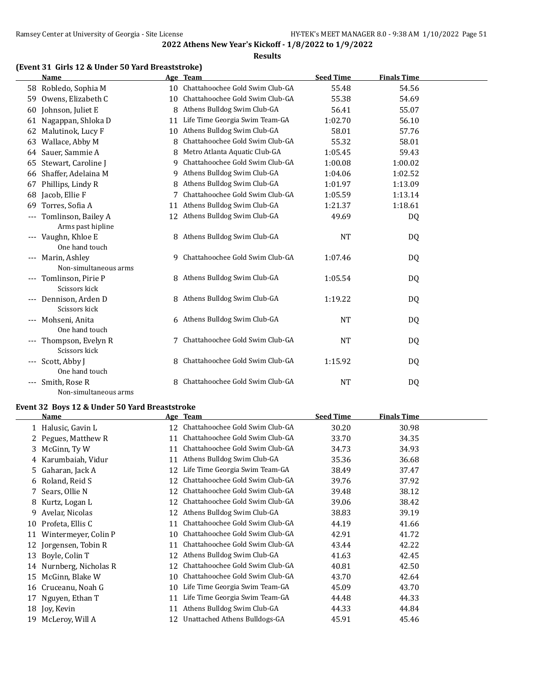### **Results**

### **(Event 31 Girls 12 & Under 50 Yard Breaststroke)**

|                     | <b>Name</b>                              |    | Age Team                           | <b>Seed Time</b> | <b>Finals Time</b> |  |
|---------------------|------------------------------------------|----|------------------------------------|------------------|--------------------|--|
|                     | 58 Robledo, Sophia M                     |    | 10 Chattahoochee Gold Swim Club-GA | 55.48            | 54.56              |  |
| 59                  | Owens, Elizabeth C                       | 10 | Chattahoochee Gold Swim Club-GA    | 55.38            | 54.69              |  |
| 60                  | Johnson, Juliet E                        | 8  | Athens Bulldog Swim Club-GA        | 56.41            | 55.07              |  |
| 61                  | Nagappan, Shloka D                       | 11 | Life Time Georgia Swim Team-GA     | 1:02.70          | 56.10              |  |
| 62                  | Malutinok, Lucy F                        | 10 | Athens Bulldog Swim Club-GA        | 58.01            | 57.76              |  |
| 63                  | Wallace, Abby M                          | 8  | Chattahoochee Gold Swim Club-GA    | 55.32            | 58.01              |  |
| 64                  | Sauer, Sammie A                          | 8  | Metro Atlanta Aquatic Club-GA      | 1:05.45          | 59.43              |  |
| 65                  | Stewart, Caroline J                      | 9  | Chattahoochee Gold Swim Club-GA    | 1:00.08          | 1:00.02            |  |
| 66                  | Shaffer, Adelaina M                      | 9  | Athens Bulldog Swim Club-GA        | 1:04.06          | 1:02.52            |  |
| 67                  | Phillips, Lindy R                        | 8  | Athens Bulldog Swim Club-GA        | 1:01.97          | 1:13.09            |  |
| 68                  | Jacob, Ellie F                           |    | Chattahoochee Gold Swim Club-GA    | 1:05.59          | 1:13.14            |  |
| 69                  | Torres, Sofia A                          | 11 | Athens Bulldog Swim Club-GA        | 1:21.37          | 1:18.61            |  |
| $---$               | Tomlinson, Bailey A<br>Arms past hipline |    | 12 Athens Bulldog Swim Club-GA     | 49.69            | DQ                 |  |
|                     | --- Vaughn, Khloe E<br>One hand touch    |    | 8 Athens Bulldog Swim Club-GA      | <b>NT</b>        | DQ                 |  |
|                     | Marin, Ashley<br>Non-simultaneous arms   | 9  | Chattahoochee Gold Swim Club-GA    | 1:07.46          | DQ                 |  |
| $\qquad \qquad - -$ | Tomlinson, Pirie P<br>Scissors kick      |    | 8 Athens Bulldog Swim Club-GA      | 1:05.54          | DQ                 |  |
|                     | --- Dennison, Arden D<br>Scissors kick   |    | 8 Athens Bulldog Swim Club-GA      | 1:19.22          | DQ.                |  |
|                     | Mohseni, Anita<br>One hand touch         |    | 6 Athens Bulldog Swim Club-GA      | NT               | DQ                 |  |
| $---$               | Thompson, Evelyn R<br>Scissors kick      |    | Chattahoochee Gold Swim Club-GA    | <b>NT</b>        | DQ                 |  |
| $\qquad \qquad - -$ | Scott, Abby J<br>One hand touch          | 8  | Chattahoochee Gold Swim Club-GA    | 1:15.92          | DQ                 |  |
| $---$               | Smith, Rose R<br>Non-simultaneous arms   | 8  | Chattahoochee Gold Swim Club-GA    | <b>NT</b>        | DQ                 |  |

### **Event 32 Boys 12 & Under 50 Yard Breaststroke**

|    | Name                 | Age | Team                            | <b>Seed Time</b> | <b>Finals Time</b> |
|----|----------------------|-----|---------------------------------|------------------|--------------------|
|    | 1 Halusic, Gavin L   | 12  | Chattahoochee Gold Swim Club-GA | 30.20            | 30.98              |
|    | 2 Pegues, Matthew R  | 11  | Chattahoochee Gold Swim Club-GA | 33.70            | 34.35              |
|    | 3 McGinn, Ty W       | 11  | Chattahoochee Gold Swim Club-GA | 34.73            | 34.93              |
|    | 4 Karumbaiah, Vidur  | 11  | Athens Bulldog Swim Club-GA     | 35.36            | 36.68              |
|    | 5 Gaharan, Jack A    | 12  | Life Time Georgia Swim Team-GA  | 38.49            | 37.47              |
|    | 6 Roland, Reid S     | 12  | Chattahoochee Gold Swim Club-GA | 39.76            | 37.92              |
|    | 7 Sears, Ollie N     | 12  | Chattahoochee Gold Swim Club-GA | 39.48            | 38.12              |
|    | 8 Kurtz, Logan L     | 12  | Chattahoochee Gold Swim Club-GA | 39.06            | 38.42              |
| 9  | Avelar, Nicolas      | 12  | Athens Bulldog Swim Club-GA     | 38.83            | 39.19              |
| 10 | Profeta, Ellis C     | 11  | Chattahoochee Gold Swim Club-GA | 44.19            | 41.66              |
| 11 | Wintermeyer, Colin P | 10  | Chattahoochee Gold Swim Club-GA | 42.91            | 41.72              |
| 12 | Jorgensen, Tobin R   | 11  | Chattahoochee Gold Swim Club-GA | 43.44            | 42.22              |
| 13 | Boyle, Colin T       | 12  | Athens Bulldog Swim Club-GA     | 41.63            | 42.45              |
| 14 | Nurnberg, Nicholas R | 12  | Chattahoochee Gold Swim Club-GA | 40.81            | 42.50              |
| 15 | McGinn, Blake W      | 10  | Chattahoochee Gold Swim Club-GA | 43.70            | 42.64              |
| 16 | Cruceanu, Noah G     | 10  | Life Time Georgia Swim Team-GA  | 45.09            | 43.70              |
| 17 | Nguyen, Ethan T      | 11  | Life Time Georgia Swim Team-GA  | 44.48            | 44.33              |
|    | 18 Joy, Kevin        | 11  | Athens Bulldog Swim Club-GA     | 44.33            | 44.84              |
| 19 | McLeroy, Will A      | 12  | Unattached Athens Bulldogs-GA   | 45.91            | 45.46              |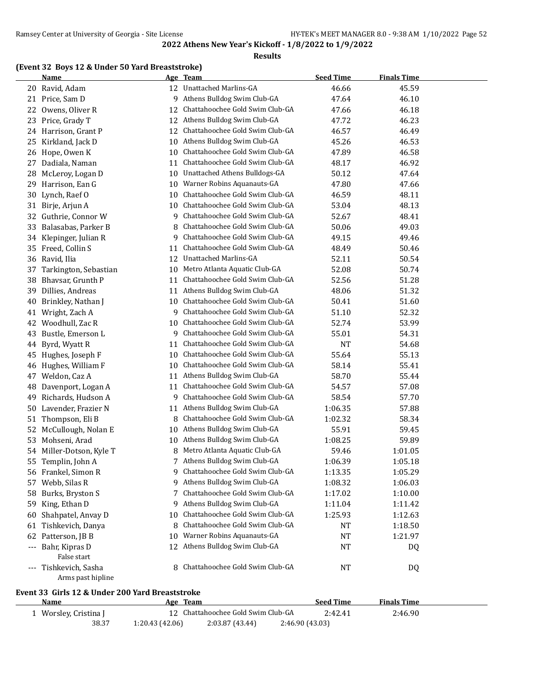### **Results**

### **(Event 32 Boys 12 & Under 50 Yard Breaststroke)**

|    | <b>Name</b>                                                     |                 | Age Team                           | <b>Seed Time</b> | <b>Finals Time</b> |  |
|----|-----------------------------------------------------------------|-----------------|------------------------------------|------------------|--------------------|--|
|    | 20 Ravid, Adam                                                  |                 | 12 Unattached Marlins-GA           | 46.66            | 45.59              |  |
| 21 | Price, Sam D                                                    | 9               | Athens Bulldog Swim Club-GA        | 47.64            | 46.10              |  |
| 22 | Owens, Oliver R                                                 | 12              | Chattahoochee Gold Swim Club-GA    | 47.66            | 46.18              |  |
| 23 | Price, Grady T                                                  | 12              | Athens Bulldog Swim Club-GA        | 47.72            | 46.23              |  |
| 24 | Harrison, Grant P                                               | 12              | Chattahoochee Gold Swim Club-GA    | 46.57            | 46.49              |  |
| 25 | Kirkland, Jack D                                                | 10              | Athens Bulldog Swim Club-GA        | 45.26            | 46.53              |  |
| 26 | Hope, Owen K                                                    | 10              | Chattahoochee Gold Swim Club-GA    | 47.89            | 46.58              |  |
| 27 | Dadiala, Naman                                                  | 11              | Chattahoochee Gold Swim Club-GA    | 48.17            | 46.92              |  |
| 28 | McLeroy, Logan D                                                | 10              | Unattached Athens Bulldogs-GA      | 50.12            | 47.64              |  |
| 29 | Harrison, Ean G                                                 | 10              | Warner Robins Aquanauts-GA         | 47.80            | 47.66              |  |
| 30 | Lynch, Raef O                                                   | 10              | Chattahoochee Gold Swim Club-GA    | 46.59            | 48.11              |  |
| 31 | Birje, Arjun A                                                  | 10              | Chattahoochee Gold Swim Club-GA    | 53.04            | 48.13              |  |
| 32 | Guthrie, Connor W                                               | 9               | Chattahoochee Gold Swim Club-GA    | 52.67            | 48.41              |  |
| 33 | Balasabas, Parker B                                             | 8               | Chattahoochee Gold Swim Club-GA    | 50.06            | 49.03              |  |
| 34 | Klepinger, Julian R                                             | 9               | Chattahoochee Gold Swim Club-GA    | 49.15            | 49.46              |  |
| 35 | Freed, Collin S                                                 | 11              | Chattahoochee Gold Swim Club-GA    | 48.49            | 50.46              |  |
| 36 | Ravid, Ilia                                                     | 12              | <b>Unattached Marlins-GA</b>       | 52.11            | 50.54              |  |
| 37 | Tarkington, Sebastian                                           | 10              | Metro Atlanta Aquatic Club-GA      | 52.08            | 50.74              |  |
| 38 | Bhavsar, Grunth P                                               | 11              | Chattahoochee Gold Swim Club-GA    | 52.56            | 51.28              |  |
| 39 | Dillies, Andreas                                                | 11              | Athens Bulldog Swim Club-GA        | 48.06            | 51.32              |  |
| 40 | Brinkley, Nathan J                                              | 10              | Chattahoochee Gold Swim Club-GA    | 50.41            | 51.60              |  |
| 41 | Wright, Zach A                                                  | 9               | Chattahoochee Gold Swim Club-GA    | 51.10            | 52.32              |  |
| 42 | Woodhull, Zac R                                                 | 10              | Chattahoochee Gold Swim Club-GA    | 52.74            | 53.99              |  |
| 43 | Bustle, Emerson L                                               | 9               | Chattahoochee Gold Swim Club-GA    | 55.01            | 54.31              |  |
| 44 | Byrd, Wyatt R                                                   | 11              | Chattahoochee Gold Swim Club-GA    | <b>NT</b>        | 54.68              |  |
| 45 | Hughes, Joseph F                                                | 10              | Chattahoochee Gold Swim Club-GA    | 55.64            | 55.13              |  |
| 46 | Hughes, William F                                               | 10              | Chattahoochee Gold Swim Club-GA    | 58.14            | 55.41              |  |
| 47 | Weldon, Caz A                                                   | 11              | Athens Bulldog Swim Club-GA        | 58.70            | 55.44              |  |
| 48 | Davenport, Logan A                                              | 11              | Chattahoochee Gold Swim Club-GA    | 54.57            | 57.08              |  |
| 49 | Richards, Hudson A                                              | 9               | Chattahoochee Gold Swim Club-GA    | 58.54            | 57.70              |  |
| 50 | Lavender, Frazier N                                             | 11              | Athens Bulldog Swim Club-GA        | 1:06.35          | 57.88              |  |
| 51 | Thompson, Eli B                                                 | 8               | Chattahoochee Gold Swim Club-GA    | 1:02.32          | 58.34              |  |
| 52 | McCullough, Nolan E                                             | 10              | Athens Bulldog Swim Club-GA        | 55.91            | 59.45              |  |
| 53 | Mohseni, Arad                                                   | 10              | Athens Bulldog Swim Club-GA        | 1:08.25          | 59.89              |  |
| 54 | Miller-Dotson, Kyle T                                           | 8               | Metro Atlanta Aquatic Club-GA      | 59.46            | 1:01.05            |  |
| 55 | Templin, John A                                                 | 7               | Athens Bulldog Swim Club-GA        | 1:06.39          | 1:05.18            |  |
|    | 56 Frankel, Simon R                                             | 9.              | Chattahoochee Gold Swim Club-GA    | 1:13.35          | 1:05.29            |  |
| 57 | Webb, Silas R                                                   | 9.              | Athens Bulldog Swim Club-GA        | 1:08.32          | 1:06.03            |  |
| 58 | Burks, Bryston S                                                | 7               | Chattahoochee Gold Swim Club-GA    | 1:17.02          | 1:10.00            |  |
|    | 59 King, Ethan D                                                | 9               | Athens Bulldog Swim Club-GA        | 1:11.04          | 1:11.42            |  |
| 60 | Shahpatel, Anvay D                                              | 10              | Chattahoochee Gold Swim Club-GA    | 1:25.93          | 1:12.63            |  |
| 61 | Tishkevich, Danya                                               | 8               | Chattahoochee Gold Swim Club-GA    | NT               | 1:18.50            |  |
|    | 62 Patterson, JB B                                              | 10              | Warner Robins Aquanauts-GA         | <b>NT</b>        | 1:21.97            |  |
|    | --- Bahr, Kipras D                                              |                 | 12 Athens Bulldog Swim Club-GA     | <b>NT</b>        | DQ                 |  |
|    | False start                                                     |                 |                                    |                  |                    |  |
|    | --- Tishkevich, Sasha<br>Arms past hipline                      |                 | 8 Chattahoochee Gold Swim Club-GA  | NT               | DQ                 |  |
|    |                                                                 |                 |                                    |                  |                    |  |
|    | Event 33  Girls 12 & Under 200 Yard Breaststroke<br><u>Name</u> |                 | Age Team                           | <b>Seed Time</b> | <b>Finals Time</b> |  |
|    | 1 Worsley, Cristina J                                           |                 | 12 Chattahoochee Gold Swim Club-GA | 2:42.41          | 2:46.90            |  |
|    | 38.37                                                           | 1:20.43 (42.06) | 2:03.87 (43.44)                    | 2:46.90 (43.03)  |                    |  |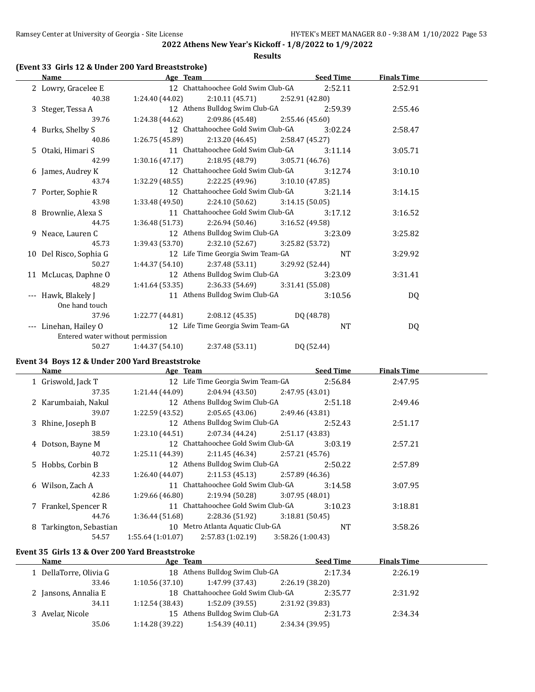**Results**

### **(Event 33 Girls 12 & Under 200 Yard Breaststroke)**

| Name                                                           | Age Team       | <u>Seed Time</u>                                    |            | <b>Finals Time</b> |  |
|----------------------------------------------------------------|----------------|-----------------------------------------------------|------------|--------------------|--|
| 2 Lowry, Gracelee E 12 Chattahoochee Gold Swim Club-GA 2:52.11 |                |                                                     |            | 2:52.91            |  |
| 40.38                                                          |                | $1:24.40(44.02)$ $2:10.11(45.71)$ $2:52.91(42.80)$  |            |                    |  |
| 3 Steger, Tessa A                                              |                | 12 Athens Bulldog Swim Club-GA 2:59.39              |            | 2:55.46            |  |
| 39.76                                                          |                | $1:24.38(44.62)$ $2:09.86(45.48)$ $2:55.46(45.60)$  |            |                    |  |
| 4 Burks, Shelby S                                              |                | 12 Chattahoochee Gold Swim Club-GA 3:02.24          |            | 2:58.47            |  |
| 40.86                                                          |                | $1:26.75(45.89)$ $2:13.20(46.45)$ $2:58.47(45.27)$  |            |                    |  |
| 5 Otaki, Himari S                                              |                | 11 Chattahoochee Gold Swim Club-GA                  | 3:11.14    | 3:05.71            |  |
| 42.99                                                          |                | $1:30.16(47.17)$ $2:18.95(48.79)$ $3:05.71(46.76)$  |            |                    |  |
| 6 James, Audrey K                                              |                | 12 Chattahoochee Gold Swim Club-GA                  | 3:12.74    | 3:10.10            |  |
| 43.74                                                          |                | 1:32.29 (48.55) $2:22.25$ (49.96) $3:10.10$ (47.85) |            |                    |  |
| 7 Porter, Sophie R                                             |                | 12 Chattahoochee Gold Swim Club-GA 3:21.14          |            | 3:14.15            |  |
| 43.98                                                          |                | $1:33.48(49.50)$ $2:24.10(50.62)$ $3:14.15(50.05)$  |            |                    |  |
| 8 Brownlie, Alexa S                                            |                | 11 Chattahoochee Gold Swim Club-GA 3:17.12          |            | 3:16.52            |  |
| 44.75                                                          |                | $1:36.48(51.73)$ $2:26.94(50.46)$ $3:16.52(49.58)$  |            |                    |  |
| 9 Neace, Lauren C                                              |                | 12 Athens Bulldog Swim Club-GA 3:23.09              |            | 3:25.82            |  |
| 45.73                                                          |                | $1:39.43(53.70)$ $2:32.10(52.67)$ $3:25.82(53.72)$  |            |                    |  |
| 10 Del Risco, Sophia G                                         |                | 12 Life Time Georgia Swim Team-GA NT                |            | 3:29.92            |  |
| 50.27                                                          |                | $1:44.37(54.10)$ $2:37.48(53.11)$ $3:29.92(52.44)$  |            |                    |  |
| 11 McLucas, Daphne O                                           |                | 12 Athens Bulldog Swim Club-GA                      | 3:23.09    | 3:31.41            |  |
| 48.29                                                          |                | $1:41.64(53.35)$ $2:36.33(54.69)$ $3:31.41(55.08)$  |            |                    |  |
| --- Hawk, Blakely J                                            |                | 11 Athens Bulldog Swim Club-GA 3:10.56              |            | DQ                 |  |
| One hand touch                                                 |                |                                                     |            |                    |  |
| 37.96                                                          |                | 1:22.77 (44.81) $2:08.12$ (45.35) $DQ$ (48.78)      |            |                    |  |
| --- Linehan, Hailey O 12 Life Time Georgia Swim Team-GA        |                |                                                     | <b>NT</b>  | <b>DQ</b>          |  |
| Entered water without permission                               |                |                                                     |            |                    |  |
| 50.27                                                          | 1:44.37(54.10) | 2:37.48 (53.11)                                     | DQ (52.44) |                    |  |

### **Event 34 Boys 12 & Under 200 Yard Breaststroke**

 $\overline{\phantom{a}}$ 

| <b>Name</b>             | Age Team         |                                    |                  | <b>Seed Time</b> | <b>Finals Time</b> |  |
|-------------------------|------------------|------------------------------------|------------------|------------------|--------------------|--|
| 1 Griswold, Jack T      |                  | 12 Life Time Georgia Swim Team-GA  |                  | 2:56.84          | 2:47.95            |  |
| 37.35                   | 1:21.44 (44.09)  | 2:04.94 (43.50)                    | 2:47.95 (43.01)  |                  |                    |  |
| 2 Karumbaiah, Nakul     |                  | 12 Athens Bulldog Swim Club-GA     |                  | 2:51.18          | 2:49.46            |  |
| 39.07                   | 1:22.59 (43.52)  | 2:05.65 (43.06)                    | 2:49.46 (43.81)  |                  |                    |  |
| 3 Rhine, Joseph B       |                  | 12 Athens Bulldog Swim Club-GA     |                  | 2:52.43          | 2:51.17            |  |
| 38.59                   | 1:23.10(44.51)   | 2:07.34 (44.24)                    | 2:51.17 (43.83)  |                  |                    |  |
| 4 Dotson, Bayne M       |                  | 12 Chattahoochee Gold Swim Club-GA |                  | 3:03.19          | 2:57.21            |  |
| 40.72                   | 1:25.11 (44.39)  | 2:11.45 (46.34)                    | 2:57.21 (45.76)  |                  |                    |  |
| 5 Hobbs, Corbin B       |                  | 12 Athens Bulldog Swim Club-GA     |                  | 2:50.22          | 2:57.89            |  |
| 42.33                   | 1:26.40(44.07)   | 2:11.53(45.13)                     | 2:57.89 (46.36)  |                  |                    |  |
| 6 Wilson, Zach A        |                  | 11 Chattahoochee Gold Swim Club-GA |                  | 3:14.58          | 3:07.95            |  |
| 42.86                   | 1:29.66 (46.80)  | 2:19.94 (50.28)                    | 3:07.95(48.01)   |                  |                    |  |
| 7 Frankel, Spencer R    |                  | 11 Chattahoochee Gold Swim Club-GA |                  | 3:10.23          | 3:18.81            |  |
| 44.76                   | 1:36.44 (51.68)  | 2:28.36 (51.92)                    | 3:18.81(50.45)   |                  |                    |  |
| 8 Tarkington, Sebastian |                  | 10 Metro Atlanta Aquatic Club-GA   |                  | <b>NT</b>        | 3:58.26            |  |
| 54.57                   | 1:55.64(1:01.07) | 2:57.83(1:02.19)                   | 3:58.26(1:00.43) |                  |                    |  |

### **Event 35 Girls 13 & Over 200 Yard Breaststroke**

| <b>Name</b>            | Age Team       |                                    |                 | <b>Seed Time</b> | <b>Finals Time</b> |  |
|------------------------|----------------|------------------------------------|-----------------|------------------|--------------------|--|
| 1 DellaTorre, Olivia G |                | 18 Athens Bulldog Swim Club-GA     |                 | 2:17.34          | 2:26.19            |  |
| 33.46                  | 1:10.56(37.10) | 1:47.99 (37.43)                    | 2:26.19 (38.20) |                  |                    |  |
| 2 Jansons, Annalia E   |                | 18 Chattahoochee Gold Swim Club-GA |                 | 2:35.77          | 2:31.92            |  |
| 34.11                  | 1:12.54(38.43) | 1:52.09 (39.55)                    | 2:31.92 (39.83) |                  |                    |  |
| 3 Avelar, Nicole       |                | 15 Athens Bulldog Swim Club-GA     |                 | 2:31.73          | 2:34.34            |  |
| 35.06                  | 1:14.28(39.22) | 1:54.39(40.11)                     | 2:34.34 (39.95) |                  |                    |  |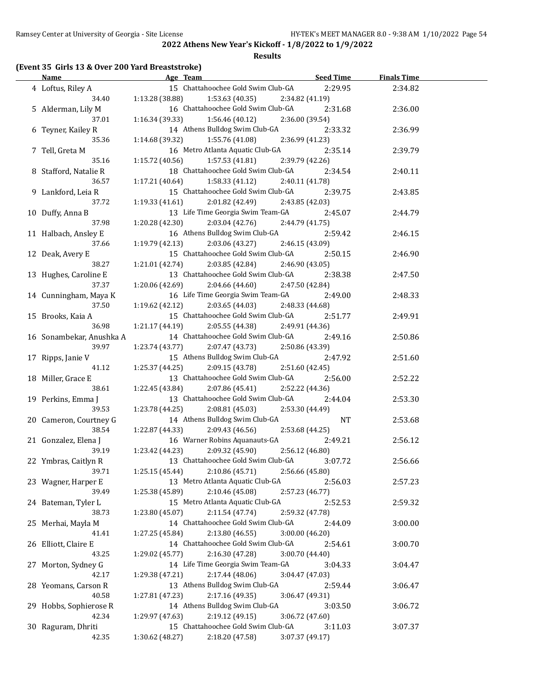### **Results**

## **(Event 35 Girls 13 & Over 200 Yard Breaststroke)**

| <b>Name</b>                 | Age Team                                             | <b>Seed Time</b> | <b>Finals Time</b> |  |
|-----------------------------|------------------------------------------------------|------------------|--------------------|--|
| 4 Loftus, Riley A           | 15 Chattahoochee Gold Swim Club-GA                   | 2:29.95          | 2:34.82            |  |
| 34.40                       | 1:13.28(38.88)<br>1:53.63 (40.35)                    | 2:34.82 (41.19)  |                    |  |
| 5 Alderman, Lily M          | 16 Chattahoochee Gold Swim Club-GA                   | 2:31.68          | 2:36.00            |  |
| 37.01                       | 1:16.34 (39.33)<br>1:56.46(40.12)                    | 2:36.00 (39.54)  |                    |  |
| 6 Teyner, Kailey R          | 14 Athens Bulldog Swim Club-GA                       | 2:33.32          | 2:36.99            |  |
| 35.36                       | 1:14.68 (39.32)<br>1:55.76 (41.08)                   | 2:36.99 (41.23)  |                    |  |
| 7 Tell, Greta M             | 16 Metro Atlanta Aquatic Club-GA                     | 2:35.14          | 2:39.79            |  |
| 35.16                       | 1:15.72 (40.56)<br>1:57.53(41.81)                    | 2:39.79 (42.26)  |                    |  |
| 8 Stafford, Natalie R       | 18 Chattahoochee Gold Swim Club-GA                   | 2:34.54          | 2:40.11            |  |
| 36.57                       | 1:17.21 (40.64)<br>1:58.33 (41.12)                   | 2:40.11 (41.78)  |                    |  |
|                             | 15 Chattahoochee Gold Swim Club-GA                   |                  |                    |  |
| 9 Lankford, Leia R<br>37.72 | 1:19.33(41.61)                                       | 2:39.75          | 2:43.85            |  |
|                             | 2:01.82 (42.49)<br>13 Life Time Georgia Swim Team-GA | 2:43.85 (42.03)  |                    |  |
| 10 Duffy, Anna B            |                                                      | 2:45.07          | 2:44.79            |  |
| 37.98                       | 1:20.28 (42.30)<br>2:03.04(42.76)                    | 2:44.79 (41.75)  |                    |  |
| 11 Halbach, Ansley E        | 16 Athens Bulldog Swim Club-GA                       | 2:59.42          | 2:46.15            |  |
| 37.66                       | 1:19.79 (42.13)<br>2:03.06 (43.27)                   | 2:46.15 (43.09)  |                    |  |
| 12 Deak, Avery E            | 15 Chattahoochee Gold Swim Club-GA                   | 2:50.15          | 2:46.90            |  |
| 38.27                       | 1:21.01 (42.74)<br>2:03.85 (42.84)                   | 2:46.90 (43.05)  |                    |  |
| 13 Hughes, Caroline E       | 13 Chattahoochee Gold Swim Club-GA                   | 2:38.38          | 2:47.50            |  |
| 37.37                       | 1:20.06 (42.69)<br>2:04.66 (44.60)                   | 2:47.50 (42.84)  |                    |  |
| 14 Cunningham, Maya K       | 16 Life Time Georgia Swim Team-GA                    | 2:49.00          | 2:48.33            |  |
| 37.50                       | 1:19.62 (42.12)<br>2:03.65(44.03)                    | 2:48.33 (44.68)  |                    |  |
| 15 Brooks, Kaia A           | 15 Chattahoochee Gold Swim Club-GA                   | 2:51.77          | 2:49.91            |  |
| 36.98                       | 1:21.17(44.19)<br>2:05.55 (44.38)                    | 2:49.91 (44.36)  |                    |  |
| 16 Sonambekar, Anushka A    | 14 Chattahoochee Gold Swim Club-GA                   | 2:49.16          | 2:50.86            |  |
| 39.97                       | 1:23.74 (43.77)<br>2:07.47 (43.73)                   | 2:50.86 (43.39)  |                    |  |
| 17 Ripps, Janie V           | 15 Athens Bulldog Swim Club-GA                       | 2:47.92          | 2:51.60            |  |
| 41.12                       | 2:09.15 (43.78)<br>1:25.37 (44.25)                   | 2:51.60 (42.45)  |                    |  |
| 18 Miller, Grace E          | 13 Chattahoochee Gold Swim Club-GA                   | 2:56.00          | 2:52.22            |  |
| 38.61                       | 1:22.45 (43.84)<br>2:07.86 (45.41)                   | 2:52.22 (44.36)  |                    |  |
| 19 Perkins, Emma J          | 13 Chattahoochee Gold Swim Club-GA                   | 2:44.04          | 2:53.30            |  |
| 39.53                       | 1:23.78 (44.25)<br>2:08.81 (45.03)                   | 2:53.30 (44.49)  |                    |  |
| 20 Cameron, Courtney G      | 14 Athens Bulldog Swim Club-GA                       | <b>NT</b>        | 2:53.68            |  |
| 38.54                       | 1:22.87 (44.33)<br>2:09.43 (46.56)                   | 2:53.68 (44.25)  |                    |  |
| 21 Gonzalez, Elena J        | 16 Warner Robins Aquanauts-GA                        | 2:49.21          | 2:56.12            |  |
| 39.19                       | 1:23.42 (44.23)<br>2:09.32 (45.90)                   | 2:56.12 (46.80)  |                    |  |
| 22 Ymbras, Caitlyn R        | 13 Chattahoochee Gold Swim Club-GA                   | 3:07.72          | 2:56.66            |  |
| 39.71                       | 2:10.86 (45.71)<br>1:25.15 (45.44)                   | 2:56.66 (45.80)  |                    |  |
| 23 Wagner, Harper E         | 13 Metro Atlanta Aquatic Club-GA                     | 2:56.03          | 2:57.23            |  |
| 39.49                       | 2:10.46 (45.08)<br>1:25.38 (45.89)                   | 2:57.23 (46.77)  |                    |  |
| 24 Bateman, Tyler L         | 15 Metro Atlanta Aquatic Club-GA                     | 2:52.53          | 2:59.32            |  |
| 38.73                       | 2:11.54 (47.74)<br>1:23.80 (45.07)                   | 2:59.32 (47.78)  |                    |  |
| 25 Merhai, Mayla M          | 14 Chattahoochee Gold Swim Club-GA                   | 2:44.09          | 3:00.00            |  |
| 41.41                       | 2:13.80 (46.55)<br>1:27.25 (45.84)                   | 3:00.00 (46.20)  |                    |  |
|                             | 14 Chattahoochee Gold Swim Club-GA                   |                  |                    |  |
| 26 Elliott, Claire E        |                                                      | 2:54.61          | 3:00.70            |  |
| 43.25                       | 1:29.02 (45.77)<br>2:16.30 (47.28)                   | 3:00.70 (44.40)  |                    |  |
| 27 Morton, Sydney G         | 14 Life Time Georgia Swim Team-GA                    | 3:04.33          | 3:04.47            |  |
| 42.17                       | 1:29.38 (47.21)<br>2:17.44 (48.06)                   | 3:04.47 (47.03)  |                    |  |
| 28 Yeomans, Carson R        | 13 Athens Bulldog Swim Club-GA                       | 2:59.44          | 3:06.47            |  |
| 40.58                       | 1:27.81 (47.23)<br>2:17.16 (49.35)                   | 3:06.47 (49.31)  |                    |  |
| 29 Hobbs, Sophierose R      | 14 Athens Bulldog Swim Club-GA                       | 3:03.50          | 3:06.72            |  |
| 42.34                       | 1:29.97 (47.63)<br>2:19.12 (49.15)                   | 3:06.72 (47.60)  |                    |  |
| 30 Raguram, Dhriti          | 15 Chattahoochee Gold Swim Club-GA                   | 3:11.03          | 3:07.37            |  |
| 42.35                       | 1:30.62 (48.27)<br>2:18.20 (47.58)                   | 3:07.37 (49.17)  |                    |  |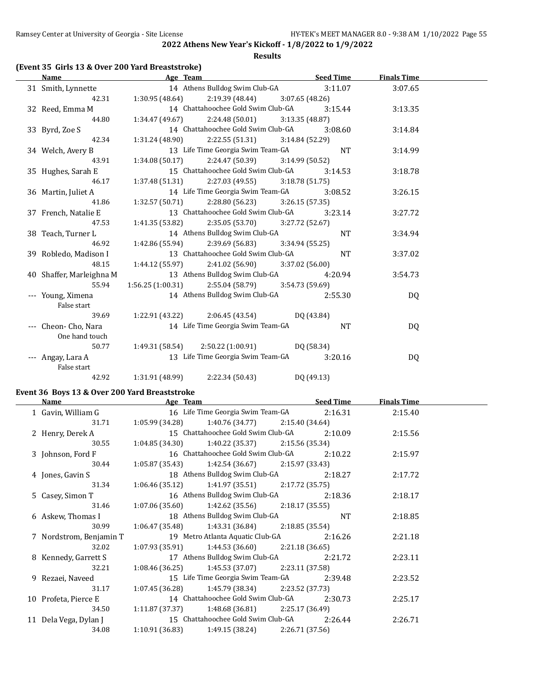**Results**

## **(Event 35 Girls 13 & Over 200 Yard Breaststroke)**

| Name                     |                 |                 |          |                                                                        | <b>Finals Time</b>                                                                                                                                                                                                                                                                                                                                                                                                                                                                                                                                                                                                                                                                                                                                                                                                                                                                                                                                                                                                                                                                                                                |         |
|--------------------------|-----------------|-----------------|----------|------------------------------------------------------------------------|-----------------------------------------------------------------------------------------------------------------------------------------------------------------------------------------------------------------------------------------------------------------------------------------------------------------------------------------------------------------------------------------------------------------------------------------------------------------------------------------------------------------------------------------------------------------------------------------------------------------------------------------------------------------------------------------------------------------------------------------------------------------------------------------------------------------------------------------------------------------------------------------------------------------------------------------------------------------------------------------------------------------------------------------------------------------------------------------------------------------------------------|---------|
| 31 Smith, Lynnette       |                 |                 |          |                                                                        | 3:07.65                                                                                                                                                                                                                                                                                                                                                                                                                                                                                                                                                                                                                                                                                                                                                                                                                                                                                                                                                                                                                                                                                                                           |         |
|                          |                 |                 |          |                                                                        |                                                                                                                                                                                                                                                                                                                                                                                                                                                                                                                                                                                                                                                                                                                                                                                                                                                                                                                                                                                                                                                                                                                                   |         |
| 32 Reed, Emma M          |                 |                 |          | 3:15.44                                                                | 3:13.35                                                                                                                                                                                                                                                                                                                                                                                                                                                                                                                                                                                                                                                                                                                                                                                                                                                                                                                                                                                                                                                                                                                           |         |
| 44.80                    |                 |                 |          |                                                                        |                                                                                                                                                                                                                                                                                                                                                                                                                                                                                                                                                                                                                                                                                                                                                                                                                                                                                                                                                                                                                                                                                                                                   |         |
| 33 Byrd, Zoe S           |                 |                 |          | 3:08.60                                                                | 3:14.84                                                                                                                                                                                                                                                                                                                                                                                                                                                                                                                                                                                                                                                                                                                                                                                                                                                                                                                                                                                                                                                                                                                           |         |
| 42.34                    |                 |                 |          |                                                                        |                                                                                                                                                                                                                                                                                                                                                                                                                                                                                                                                                                                                                                                                                                                                                                                                                                                                                                                                                                                                                                                                                                                                   |         |
| 34 Welch, Avery B        |                 |                 |          |                                                                        | 3:14.99                                                                                                                                                                                                                                                                                                                                                                                                                                                                                                                                                                                                                                                                                                                                                                                                                                                                                                                                                                                                                                                                                                                           |         |
| 43.91                    |                 |                 |          |                                                                        |                                                                                                                                                                                                                                                                                                                                                                                                                                                                                                                                                                                                                                                                                                                                                                                                                                                                                                                                                                                                                                                                                                                                   |         |
| 35 Hughes, Sarah E       |                 |                 |          | 3:14.53                                                                | 3:18.78                                                                                                                                                                                                                                                                                                                                                                                                                                                                                                                                                                                                                                                                                                                                                                                                                                                                                                                                                                                                                                                                                                                           |         |
| 46.17                    |                 |                 |          |                                                                        |                                                                                                                                                                                                                                                                                                                                                                                                                                                                                                                                                                                                                                                                                                                                                                                                                                                                                                                                                                                                                                                                                                                                   |         |
| 36 Martin, Juliet A      |                 |                 |          |                                                                        | 3:26.15                                                                                                                                                                                                                                                                                                                                                                                                                                                                                                                                                                                                                                                                                                                                                                                                                                                                                                                                                                                                                                                                                                                           |         |
| 41.86                    |                 |                 |          |                                                                        |                                                                                                                                                                                                                                                                                                                                                                                                                                                                                                                                                                                                                                                                                                                                                                                                                                                                                                                                                                                                                                                                                                                                   |         |
| 37 French, Natalie E     |                 |                 |          | 3:23.14                                                                | 3:27.72                                                                                                                                                                                                                                                                                                                                                                                                                                                                                                                                                                                                                                                                                                                                                                                                                                                                                                                                                                                                                                                                                                                           |         |
| 47.53                    |                 |                 |          |                                                                        |                                                                                                                                                                                                                                                                                                                                                                                                                                                                                                                                                                                                                                                                                                                                                                                                                                                                                                                                                                                                                                                                                                                                   |         |
| 38 Teach, Turner L       |                 |                 |          | <b>NT</b>                                                              | 3:34.94                                                                                                                                                                                                                                                                                                                                                                                                                                                                                                                                                                                                                                                                                                                                                                                                                                                                                                                                                                                                                                                                                                                           |         |
| 46.92                    |                 |                 |          |                                                                        |                                                                                                                                                                                                                                                                                                                                                                                                                                                                                                                                                                                                                                                                                                                                                                                                                                                                                                                                                                                                                                                                                                                                   |         |
| 39 Robledo, Madison I    |                 |                 |          | <b>NT</b>                                                              | 3:37.02                                                                                                                                                                                                                                                                                                                                                                                                                                                                                                                                                                                                                                                                                                                                                                                                                                                                                                                                                                                                                                                                                                                           |         |
| 48.15                    |                 |                 |          |                                                                        |                                                                                                                                                                                                                                                                                                                                                                                                                                                                                                                                                                                                                                                                                                                                                                                                                                                                                                                                                                                                                                                                                                                                   |         |
| 40 Shaffer, Marleighna M |                 |                 |          |                                                                        | 3:54.73                                                                                                                                                                                                                                                                                                                                                                                                                                                                                                                                                                                                                                                                                                                                                                                                                                                                                                                                                                                                                                                                                                                           |         |
| 55.94                    |                 |                 |          |                                                                        |                                                                                                                                                                                                                                                                                                                                                                                                                                                                                                                                                                                                                                                                                                                                                                                                                                                                                                                                                                                                                                                                                                                                   |         |
| --- Young, Ximena        |                 |                 |          | 2:55.30                                                                | DQ                                                                                                                                                                                                                                                                                                                                                                                                                                                                                                                                                                                                                                                                                                                                                                                                                                                                                                                                                                                                                                                                                                                                |         |
| False start              |                 |                 |          |                                                                        |                                                                                                                                                                                                                                                                                                                                                                                                                                                                                                                                                                                                                                                                                                                                                                                                                                                                                                                                                                                                                                                                                                                                   |         |
| 39.69                    |                 |                 |          |                                                                        |                                                                                                                                                                                                                                                                                                                                                                                                                                                                                                                                                                                                                                                                                                                                                                                                                                                                                                                                                                                                                                                                                                                                   |         |
| --- Cheon- Cho, Nara     |                 |                 |          | <b>NT</b>                                                              | DQ                                                                                                                                                                                                                                                                                                                                                                                                                                                                                                                                                                                                                                                                                                                                                                                                                                                                                                                                                                                                                                                                                                                                |         |
| One hand touch           |                 |                 |          |                                                                        |                                                                                                                                                                                                                                                                                                                                                                                                                                                                                                                                                                                                                                                                                                                                                                                                                                                                                                                                                                                                                                                                                                                                   |         |
| 50.77                    |                 |                 |          |                                                                        |                                                                                                                                                                                                                                                                                                                                                                                                                                                                                                                                                                                                                                                                                                                                                                                                                                                                                                                                                                                                                                                                                                                                   |         |
| --- Angay, Lara A        |                 |                 |          | 3:20.16                                                                | DQ                                                                                                                                                                                                                                                                                                                                                                                                                                                                                                                                                                                                                                                                                                                                                                                                                                                                                                                                                                                                                                                                                                                                |         |
| 42.92                    | 1:31.91 (48.99) | 2:22.34 (50.43) |          |                                                                        |                                                                                                                                                                                                                                                                                                                                                                                                                                                                                                                                                                                                                                                                                                                                                                                                                                                                                                                                                                                                                                                                                                                                   |         |
|                          | False start     | 42.31           | Age Team | $1:32.57(50.71)$ $2:28.80(56.23)$<br>$1:42.86(55.94)$ $2:39.69(56.83)$ | <u>Seed Time</u><br>14 Athens Bulldog Swim Club-GA<br>$1:30.95(48.64)$ $2:19.39(48.44)$ $3:07.65(48.26)$<br>14 Chattahoochee Gold Swim Club-GA<br>$1:34.47(49.67)$ $2:24.48(50.01)$ $3:13.35(48.87)$<br>14 Chattahoochee Gold Swim Club-GA<br>$1:31.24(48.90)$ $2:22.55(51.31)$ $3:14.84(52.29)$<br>13 Life Time Georgia Swim Team-GA NT<br>$1:34.08(50.17)$ $2:24.47(50.39)$ $3:14.99(50.52)$<br>15 Chattahoochee Gold Swim Club-GA<br>$1:37.48(51.31)$ $2:27.03(49.55)$ $3:18.78(51.75)$<br>14 Life Time Georgia Swim Team-GA 3:08.52<br>3:26.15(57.35)<br>13 Chattahoochee Gold Swim Club-GA<br>1:41.35 (53.82) 2:35.05 (53.70) 3:27.72 (52.67)<br>14 Athens Bulldog Swim Club-GA<br>3:34.94 (55.25)<br>13 Chattahoochee Gold Swim Club-GA<br>$1:44.12(55.97)$ $2:41.02(56.90)$ $3:37.02(56.00)$<br>13 Athens Bulldog Swim Club-GA 4:20.94<br>$1:56.25(1:00.31)$ $2:55.04(58.79)$ $3:54.73(59.69)$<br>14 Athens Bulldog Swim Club-GA<br>1:22.91 (43.22) $2:06.45$ (43.54) $DQ$ (43.84)<br>14 Life Time Georgia Swim Team-GA<br>1:49.31 (58.54) 2:50.22 (1:00.91) DQ (58.34)<br>13 Life Time Georgia Swim Team-GA<br>DQ (49.13) | 3:11.07 |

### **Event 36 Boys 13 & Over 200 Yard Breaststroke**

| Name                    | Age Team                                           | <b>Seed Time</b> | <b>Finals Time</b> |  |
|-------------------------|----------------------------------------------------|------------------|--------------------|--|
| 1 Gavin, William G      | 16 Life Time Georgia Swim Team-GA                  | 2:16.31          | 2:15.40            |  |
| 31.71                   | $1:05.99(34.28)$ $1:40.76(34.77)$                  | 2:15.40 (34.64)  |                    |  |
| 2 Henry, Derek A        | 15 Chattahoochee Gold Swim Club-GA                 | 2:10.09          | 2:15.56            |  |
| 30.55                   | $1:04.85(34.30)$ $1:40.22(35.37)$                  | 2:15.56 (35.34)  |                    |  |
| 3 Johnson, Ford F       | 16 Chattahoochee Gold Swim Club-GA                 | 2:10.22          | 2:15.97            |  |
| 30.44                   | $1:05.87(35.43)$ $1:42.54(36.67)$ $2:15.97(33.43)$ |                  |                    |  |
| 4 Jones, Gavin S        | 18 Athens Bulldog Swim Club-GA                     | 2:18.27          | 2:17.72            |  |
| 31.34                   | $1:06.46(35.12)$ $1:41.97(35.51)$ $2:17.72(35.75)$ |                  |                    |  |
| 5 Casey, Simon T        | 16 Athens Bulldog Swim Club-GA                     | 2:18.36          | 2:18.17            |  |
| 31.46                   | $1:07.06(35.60)$ $1:42.62(35.56)$                  | 2:18.17 (35.55)  |                    |  |
| 6 Askew, Thomas I       | 18 Athens Bulldog Swim Club-GA                     | NT               | 2:18.85            |  |
| 30.99                   | $1:06.47(35.48)$ $1:43.31(36.84)$ $2:18.85(35.54)$ |                  |                    |  |
| 7 Nordstrom, Benjamin T | 19 Metro Atlanta Aquatic Club-GA                   | 2:16.26          | 2:21.18            |  |
| 32.02                   | $1:07.93(35.91)$ $1:44.53(36.60)$ $2:21.18(36.65)$ |                  |                    |  |
| 8 Kennedy, Garrett S    | 17 Athens Bulldog Swim Club-GA                     | 2:21.72          | 2:23.11            |  |
| 32.21                   | $1:08.46(36.25)$ $1:45.53(37.07)$                  | 2:23.11 (37.58)  |                    |  |
| 9 Rezaei, Naveed        | 15 Life Time Georgia Swim Team-GA                  | 2:39.48          | 2:23.52            |  |
| 31.17                   | $1:07.45(36.28)$ $1:45.79(38.34)$                  | 2:23.52 (37.73)  |                    |  |
| 10 Profeta, Pierce E    | 14 Chattahoochee Gold Swim Club-GA                 | 2:30.73          | 2:25.17            |  |
| 34.50                   | $1:11.87(37.37)$ $1:48.68(36.81)$ $2:25.17(36.49)$ |                  |                    |  |
| 11 Dela Vega, Dylan J   | 15 Chattahoochee Gold Swim Club-GA                 | 2:26.44          | 2:26.71            |  |
| 34.08                   | 1:10.91(36.83)<br>1:49.15 (38.24)                  | 2:26.71 (37.56)  |                    |  |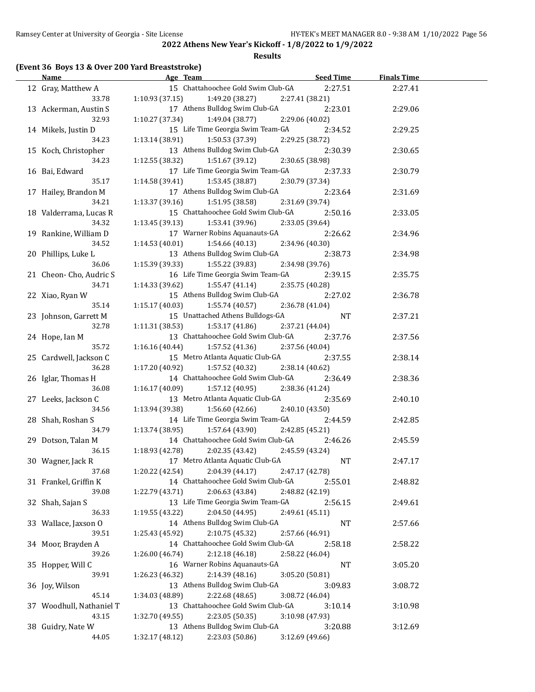### **Results**

### **(Event 36 Boys 13 & Over 200 Yard Breaststroke)**

| <u>Name</u>                  | Age Team                           | Seed Time                  | <b>Finals Time</b> |  |
|------------------------------|------------------------------------|----------------------------|--------------------|--|
| 12 Gray, Matthew A           | 15 Chattahoochee Gold Swim Club-GA | 2:27.51                    | 2:27.41            |  |
| 33.78                        | $1:10.93(37.15)$ $1:49.20(38.27)$  | 2:27.41 (38.21)            |                    |  |
| 13 Ackerman, Austin S        | 17 Athens Bulldog Swim Club-GA     | 2:23.01                    | 2:29.06            |  |
| 32.93                        | $1:10.27(37.34)$ $1:49.04(38.77)$  | 2:29.06 (40.02)            |                    |  |
| 14 Mikels, Justin D          | 15 Life Time Georgia Swim Team-GA  | 2:34.52                    | 2:29.25            |  |
| 34.23                        | 1:13.14 (38.91)<br>1:50.53 (37.39) | 2:29.25 (38.72)            |                    |  |
| 15 Koch, Christopher         | 13 Athens Bulldog Swim Club-GA     | 2:30.39                    | 2:30.65            |  |
| 34.23                        | 1:12.55 (38.32)<br>1:51.67 (39.12) | 2:30.65 (38.98)            |                    |  |
| 16 Bai, Edward               | 17 Life Time Georgia Swim Team-GA  | 2:37.33                    | 2:30.79            |  |
| 35.17                        | 1:14.58 (39.41)<br>1:53.45 (38.87) | 2:30.79 (37.34)            |                    |  |
| 17 Hailey, Brandon M         | 17 Athens Bulldog Swim Club-GA     | 2:23.64                    | 2:31.69            |  |
| 34.21                        | $1:13.37(39.16)$ $1:51.95(38.58)$  | 2:31.69 (39.74)            |                    |  |
| 18 Valderrama, Lucas R       | 15 Chattahoochee Gold Swim Club-GA | 2:50.16                    | 2:33.05            |  |
| 34.32                        | 1:13.45 (39.13)<br>1:53.41 (39.96) | 2:33.05 (39.64)            |                    |  |
| 19 Rankine, William D        | 17 Warner Robins Aquanauts-GA      | 2:26.62                    | 2:34.96            |  |
| 34.52                        | 1:14.53 (40.01)<br>1:54.66(40.13)  | 2:34.96 (40.30)            |                    |  |
|                              | 13 Athens Bulldog Swim Club-GA     |                            |                    |  |
| 20 Phillips, Luke L<br>36.06 | 1:15.39 (39.33)<br>1:55.22 (39.83) | 2:38.73<br>2:34.98 (39.76) | 2:34.98            |  |
|                              | 16 Life Time Georgia Swim Team-GA  |                            |                    |  |
| 21 Cheon-Cho, Audric S       |                                    | 2:39.15                    | 2:35.75            |  |
| 34.71                        | 1:14.33 (39.62)<br>1:55.47 (41.14) | 2:35.75 (40.28)            |                    |  |
| 22 Xiao, Ryan W              | 15 Athens Bulldog Swim Club-GA     | 2:27.02                    | 2:36.78            |  |
| 35.14                        | 1:15.17(40.03)<br>1:55.74 (40.57)  | 2:36.78 (41.04)            |                    |  |
| 23 Johnson, Garrett M        | 15 Unattached Athens Bulldogs-GA   | NT                         | 2:37.21            |  |
| 32.78                        | 1:11.31(38.53)<br>1:53.17(41.86)   | 2:37.21 (44.04)            |                    |  |
| 24 Hope, Ian M               | 13 Chattahoochee Gold Swim Club-GA | 2:37.76                    | 2:37.56            |  |
| 35.72                        | 1:16.16(40.44)<br>1:57.52 (41.36)  | 2:37.56 (40.04)            |                    |  |
| 25 Cardwell, Jackson C       | 15 Metro Atlanta Aquatic Club-GA   | 2:37.55                    | 2:38.14            |  |
| 36.28                        | 1:17.20 (40.92)<br>1:57.52 (40.32) | 2:38.14 (40.62)            |                    |  |
| 26 Iglar, Thomas H           | 14 Chattahoochee Gold Swim Club-GA | 2:36.49                    | 2:38.36            |  |
| 36.08                        | 1:16.17(40.09)<br>1:57.12 (40.95)  | 2:38.36 (41.24)            |                    |  |
| 27 Leeks, Jackson C          | 13 Metro Atlanta Aquatic Club-GA   | 2:35.69                    | 2:40.10            |  |
| 34.56                        | 1:13.94 (39.38)<br>1:56.60 (42.66) | 2:40.10 (43.50)            |                    |  |
| 28 Shah, Roshan S            | 14 Life Time Georgia Swim Team-GA  | 2:44.59                    | 2:42.85            |  |
| 34.79                        | 1:57.64 (43.90)<br>1:13.74 (38.95) | 2:42.85 (45.21)            |                    |  |
| 29 Dotson, Talan M           | 14 Chattahoochee Gold Swim Club-GA | 2:46.26                    | 2:45.59            |  |
| 36.15                        | 1:18.93 (42.78)<br>2:02.35 (43.42) | 2:45.59 (43.24)            |                    |  |
| 30 Wagner, Jack R            | 17 Metro Atlanta Aquatic Club-GA   | <b>NT</b>                  | 2:47.17            |  |
| 37.68                        | 2:04.39 (44.17)<br>1:20.22 (42.54) | 2:47.17 (42.78)            |                    |  |
| 31 Frankel, Griffin K        | 14 Chattahoochee Gold Swim Club-GA | 2:55.01                    | 2:48.82            |  |
| 39.08                        | 2:06.63 (43.84)<br>1:22.79 (43.71) | 2:48.82 (42.19)            |                    |  |
| 32 Shah, Sajan S             | 13 Life Time Georgia Swim Team-GA  | 2:56.15                    | 2:49.61            |  |
| 36.33                        | 1:19.55 (43.22)<br>2:04.50 (44.95) | 2:49.61 (45.11)            |                    |  |
| 33 Wallace, Jaxson O         | 14 Athens Bulldog Swim Club-GA     | NT                         | 2:57.66            |  |
| 39.51                        | 2:10.75 (45.32)<br>1:25.43 (45.92) | 2:57.66 (46.91)            |                    |  |
| 34 Moor, Brayden A           | 14 Chattahoochee Gold Swim Club-GA | 2:58.18                    | 2:58.22            |  |
| 39.26                        | 2:12.18 (46.18)<br>1:26.00 (46.74) | 2:58.22 (46.04)            |                    |  |
| 35 Hopper, Will C            | 16 Warner Robins Aquanauts-GA      | NT                         | 3:05.20            |  |
| 39.91                        | 1:26.23 (46.32)<br>2:14.39 (48.16) | 3:05.20 (50.81)            |                    |  |
| 36 Joy, Wilson               | 13 Athens Bulldog Swim Club-GA     | 3:09.83                    | 3:08.72            |  |
| 45.14                        | 1:34.03 (48.89)<br>2:22.68 (48.65) | 3:08.72 (46.04)            |                    |  |
| 37 Woodhull, Nathaniel T     | 13 Chattahoochee Gold Swim Club-GA | 3:10.14                    | 3:10.98            |  |
| 43.15                        | 2:23.05 (50.35)<br>1:32.70 (49.55) | 3:10.98 (47.93)            |                    |  |
| 38 Guidry, Nate W            | 13 Athens Bulldog Swim Club-GA     |                            | 3:12.69            |  |
| 44.05                        | 1:32.17 (48.12)<br>2:23.03 (50.86) | 3:20.88<br>3:12.69 (49.66) |                    |  |
|                              |                                    |                            |                    |  |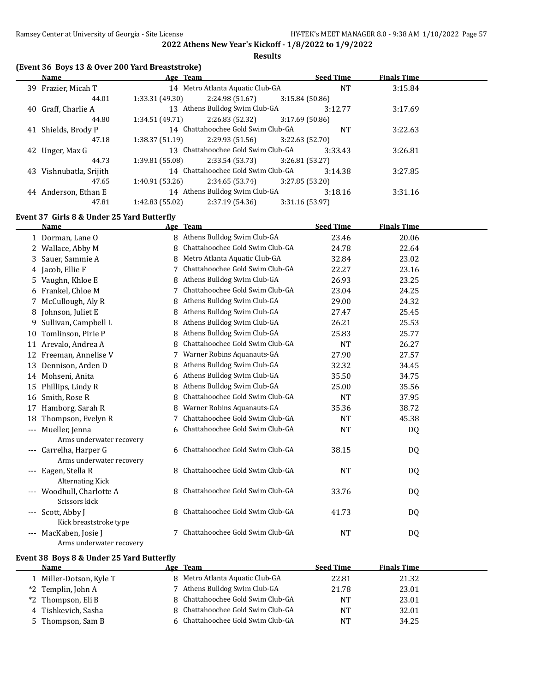**Results**

### **(Event 36 Boys 13 & Over 200 Yard Breaststroke)**

|    | Name                 | Age Team        |                                    |                 | <b>Seed Time</b> | <b>Finals Time</b> |  |
|----|----------------------|-----------------|------------------------------------|-----------------|------------------|--------------------|--|
|    | 39 Frazier, Micah T  |                 | 14 Metro Atlanta Aquatic Club-GA   |                 | <b>NT</b>        | 3:15.84            |  |
|    | 44.01                | 1:33.31(49.30)  | 2:24.98(51.67)                     | 3:15.84(50.86)  |                  |                    |  |
|    | 40 Graff, Charlie A  |                 | 13 Athens Bulldog Swim Club-GA     |                 | 3:12.77          | 3:17.69            |  |
|    | 44.80                | 1:34.51(49.71)  | 2:26.83 (52.32)                    | 3:17.69(50.86)  |                  |                    |  |
| 41 | Shields, Brody P     |                 | 14 Chattahoochee Gold Swim Club-GA |                 | <b>NT</b>        | 3:22.63            |  |
|    | 47.18                | 1:38.37(51.19)  | 2:29.93 (51.56)                    | 3:22.63 (52.70) |                  |                    |  |
|    | 42 Unger, Max G      |                 | 13 Chattahoochee Gold Swim Club-GA |                 | 3:33.43          | 3:26.81            |  |
|    | 44.73                | 1:39.81 (55.08) | 2:33.54 (53.73)                    | 3:26.81(53.27)  |                  |                    |  |
| 43 | Vishnubatla, Srijith |                 | 14 Chattahoochee Gold Swim Club-GA |                 | 3:14.38          | 3:27.85            |  |
|    | 47.65                | 1:40.91(53.26)  | 2:34.65(53.74)                     | 3:27.85 (53.20) |                  |                    |  |
| 44 | Anderson, Ethan E    |                 | 14 Athens Bulldog Swim Club-GA     |                 | 3:18.16          | 3:31.16            |  |
|    | 47.81                | 1:42.83 (55.02) | 2:37.19(54.36)                     | 3:31.16 (53.97) |                  |                    |  |
|    |                      |                 |                                    |                 |                  |                    |  |

### **Event 37 Girls 8 & Under 25 Yard Butterfly**

|                     | <b>Name</b>               |   | Age Team                        | <b>Seed Time</b> | <b>Finals Time</b> |  |
|---------------------|---------------------------|---|---------------------------------|------------------|--------------------|--|
|                     | 1 Dorman, Lane O          | 8 | Athens Bulldog Swim Club-GA     | 23.46            | 20.06              |  |
|                     | 2 Wallace, Abby M         | 8 | Chattahoochee Gold Swim Club-GA | 24.78            | 22.64              |  |
| 3                   | Sauer, Sammie A           | 8 | Metro Atlanta Aquatic Club-GA   | 32.84            | 23.02              |  |
|                     | 4 Jacob, Ellie F          | 7 | Chattahoochee Gold Swim Club-GA | 22.27            | 23.16              |  |
| 5.                  | Vaughn, Khloe E           | 8 | Athens Bulldog Swim Club-GA     | 26.93            | 23.25              |  |
|                     | 6 Frankel, Chloe M        |   | Chattahoochee Gold Swim Club-GA | 23.04            | 24.25              |  |
|                     | McCullough, Aly R         | 8 | Athens Bulldog Swim Club-GA     | 29.00            | 24.32              |  |
| 8                   | Johnson, Juliet E         | 8 | Athens Bulldog Swim Club-GA     | 27.47            | 25.45              |  |
| 9                   | Sullivan, Campbell L      |   | Athens Bulldog Swim Club-GA     | 26.21            | 25.53              |  |
| 10                  | Tomlinson, Pirie P        | 8 | Athens Bulldog Swim Club-GA     | 25.83            | 25.77              |  |
| 11                  | Arevalo, Andrea A         | 8 | Chattahoochee Gold Swim Club-GA | <b>NT</b>        | 26.27              |  |
| 12                  | Freeman, Annelise V       | 7 | Warner Robins Aquanauts-GA      | 27.90            | 27.57              |  |
| 13                  | Dennison, Arden D         | 8 | Athens Bulldog Swim Club-GA     | 32.32            | 34.45              |  |
| 14                  | Mohseni, Anita            | 6 | Athens Bulldog Swim Club-GA     | 35.50            | 34.75              |  |
| 15                  | Phillips, Lindy R         | 8 | Athens Bulldog Swim Club-GA     | 25.00            | 35.56              |  |
| 16                  | Smith, Rose R             | 8 | Chattahoochee Gold Swim Club-GA | <b>NT</b>        | 37.95              |  |
| 17                  | Hamborg, Sarah R          | 8 | Warner Robins Aquanauts-GA      | 35.36            | 38.72              |  |
| 18                  | Thompson, Evelyn R        |   | Chattahoochee Gold Swim Club-GA | <b>NT</b>        | 45.38              |  |
| $\qquad \qquad - -$ | Mueller, Jenna            | 6 | Chattahoochee Gold Swim Club-GA | <b>NT</b>        | DQ                 |  |
|                     | Arms underwater recovery  |   |                                 |                  |                    |  |
| $\qquad \qquad - -$ | Carrelha, Harper G        | 6 | Chattahoochee Gold Swim Club-GA | 38.15            | DQ                 |  |
|                     | Arms underwater recovery  |   |                                 |                  |                    |  |
|                     | Eagen, Stella R           | 8 | Chattahoochee Gold Swim Club-GA | <b>NT</b>        | DQ                 |  |
|                     | <b>Alternating Kick</b>   |   |                                 |                  |                    |  |
|                     | --- Woodhull, Charlotte A |   | Chattahoochee Gold Swim Club-GA | 33.76            | DQ                 |  |
|                     | Scissors kick             |   |                                 |                  |                    |  |
|                     | Scott, Abby J             | 8 | Chattahoochee Gold Swim Club-GA | 41.73            | DQ                 |  |
|                     | Kick breaststroke type    |   |                                 |                  |                    |  |
| $---$               | MacKaben, Josie J         | 7 | Chattahoochee Gold Swim Club-GA | NT               | DQ                 |  |
|                     | Arms underwater recovery  |   |                                 |                  |                    |  |

### **Event 38 Boys 8 & Under 25 Yard Butterfly**

| Name                    | Age Team                          | <b>Seed Time</b> | <b>Finals Time</b> |  |
|-------------------------|-----------------------------------|------------------|--------------------|--|
| 1 Miller-Dotson, Kyle T | 8 Metro Atlanta Aquatic Club-GA   | 22.81            | 21.32              |  |
| *2 Templin, John A      | 7 Athens Bulldog Swim Club-GA     | 21.78            | 23.01              |  |
| *2 Thompson, Eli B      | 8 Chattahoochee Gold Swim Club-GA | <b>NT</b>        | 23.01              |  |
| 4 Tishkevich, Sasha     | 8 Chattahoochee Gold Swim Club-GA | NT               | 32.01              |  |
| 5 Thompson, Sam B       | 6 Chattahoochee Gold Swim Club-GA | <b>NT</b>        | 34.25              |  |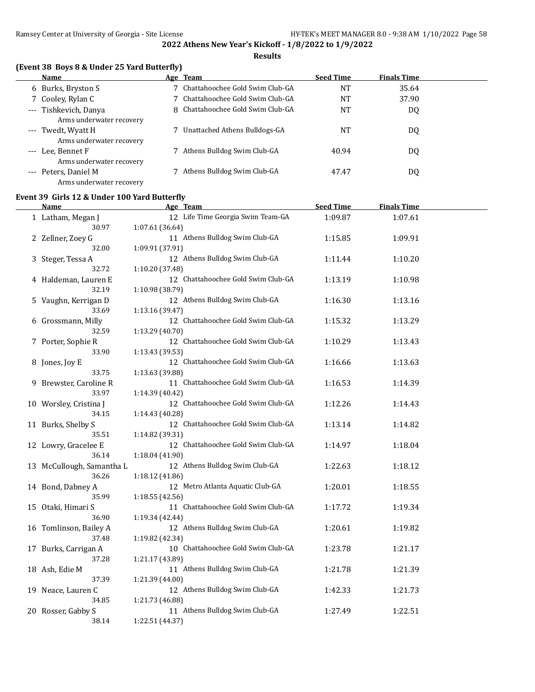### **Results**

### **(Event 38 Boys 8 & Under 25 Yard Butterfly)**

|       | Name                                              |              | Age Team                          | <b>Seed Time</b> | <b>Finals Time</b> |  |
|-------|---------------------------------------------------|--------------|-----------------------------------|------------------|--------------------|--|
|       | 6 Burks, Bryston S                                |              | Chattahoochee Gold Swim Club-GA   | <b>NT</b>        | 35.64              |  |
|       | 7 Cooley, Rylan C                                 |              | 7 Chattahoochee Gold Swim Club-GA | <b>NT</b>        | 37.90              |  |
|       | --- Tishkevich, Danya<br>Arms underwater recovery | $\mathsf{R}$ | Chattahoochee Gold Swim Club-GA   | <b>NT</b>        | DQ                 |  |
|       | --- Twedt, Wyatt H<br>Arms underwater recovery    |              | Unattached Athens Bulldogs-GA     | NT               | DQ                 |  |
|       | --- Lee, Bennet F<br>Arms underwater recovery     |              | Athens Bulldog Swim Club-GA       | 40.94            | DQ                 |  |
| $---$ | Peters, Daniel M<br>Arms underwater recovery      |              | Athens Bulldog Swim Club-GA       | 47.47            | DQ                 |  |

### **Event 39 Girls 12 & Under 100 Yard Butterfly**

| <b>Name</b>               | Age Team                                          | <b>Seed Time</b> | <b>Finals Time</b> |  |
|---------------------------|---------------------------------------------------|------------------|--------------------|--|
| 1 Latham, Megan J         | 12 Life Time Georgia Swim Team-GA                 | 1:09.87          | 1:07.61            |  |
| 30.97                     | 1:07.61 (36.64)                                   |                  |                    |  |
| 2 Zellner, Zoey G         | 11 Athens Bulldog Swim Club-GA                    | 1:15.85          | 1:09.91            |  |
| 32.00                     | 1:09.91 (37.91)                                   |                  |                    |  |
| 3 Steger, Tessa A         | 12 Athens Bulldog Swim Club-GA                    | 1:11.44          | 1:10.20            |  |
| 32.72                     | 1:10.20 (37.48)                                   |                  |                    |  |
| 4 Haldeman, Lauren E      | 12 Chattahoochee Gold Swim Club-GA                | 1:13.19          | 1:10.98            |  |
| 32.19                     | 1:10.98 (38.79)                                   |                  |                    |  |
| 5 Vaughn, Kerrigan D      | 12 Athens Bulldog Swim Club-GA                    | 1:16.30          | 1:13.16            |  |
| 33.69                     | 1:13.16 (39.47)                                   |                  |                    |  |
| 6 Grossmann, Milly        | 12 Chattahoochee Gold Swim Club-GA                | 1:15.32          | 1:13.29            |  |
| 32.59                     | 1:13.29 (40.70)                                   |                  |                    |  |
| 7 Porter, Sophie R        | 12 Chattahoochee Gold Swim Club-GA                | 1:10.29          | 1:13.43            |  |
| 33.90                     | 1:13.43 (39.53)                                   |                  |                    |  |
| 8 Jones, Joy E            | 12 Chattahoochee Gold Swim Club-GA                | 1:16.66          | 1:13.63            |  |
| 33.75                     | 1:13.63 (39.88)                                   |                  |                    |  |
| 9 Brewster, Caroline R    | 11 Chattahoochee Gold Swim Club-GA                | 1:16.53          | 1:14.39            |  |
| 33.97                     | 1:14.39 (40.42)                                   |                  |                    |  |
| 10 Worsley, Cristina J    | 12 Chattahoochee Gold Swim Club-GA                | 1:12.26          | 1:14.43            |  |
| 34.15                     | 1:14.43 (40.28)                                   |                  |                    |  |
| 11 Burks, Shelby S        | 12 Chattahoochee Gold Swim Club-GA                | 1:13.14          | 1:14.82            |  |
| 35.51                     | 1:14.82 (39.31)                                   |                  |                    |  |
| 12 Lowry, Gracelee E      | 12 Chattahoochee Gold Swim Club-GA                | 1:14.97          | 1:18.04            |  |
| 36.14                     | 1:18.04 (41.90)                                   |                  |                    |  |
| 13 McCullough, Samantha L | 12 Athens Bulldog Swim Club-GA                    | 1:22.63          | 1:18.12            |  |
| 36.26                     | 1:18.12 (41.86)                                   |                  |                    |  |
| 14 Bond, Dabney A         | 12 Metro Atlanta Aquatic Club-GA                  | 1:20.01          | 1:18.55            |  |
| 35.99                     | 1:18.55 (42.56)                                   |                  |                    |  |
| 15 Otaki, Himari S        | 11 Chattahoochee Gold Swim Club-GA                | 1:17.72          | 1:19.34            |  |
| 36.90                     | 1:19.34 (42.44)                                   |                  |                    |  |
| 16 Tomlinson, Bailey A    | 12 Athens Bulldog Swim Club-GA                    | 1:20.61          | 1:19.82            |  |
| 37.48                     | 1:19.82 (42.34)                                   |                  |                    |  |
| 17 Burks, Carrigan A      | 10 Chattahoochee Gold Swim Club-GA                | 1:23.78          | 1:21.17            |  |
| 37.28                     | 1:21.17 (43.89)                                   |                  |                    |  |
| 18 Ash, Edie M            | 11 Athens Bulldog Swim Club-GA                    | 1:21.78          | 1:21.39            |  |
| 37.39                     | 1:21.39 (44.00)                                   |                  |                    |  |
| 19 Neace, Lauren C        | 12 Athens Bulldog Swim Club-GA                    | 1:42.33          | 1:21.73            |  |
| 34.85                     | 1:21.73 (46.88)<br>11 Athens Bulldog Swim Club-GA |                  |                    |  |
| 20 Rosser, Gabby S        |                                                   | 1:27.49          | 1:22.51            |  |
| 38.14                     | 1:22.51 (44.37)                                   |                  |                    |  |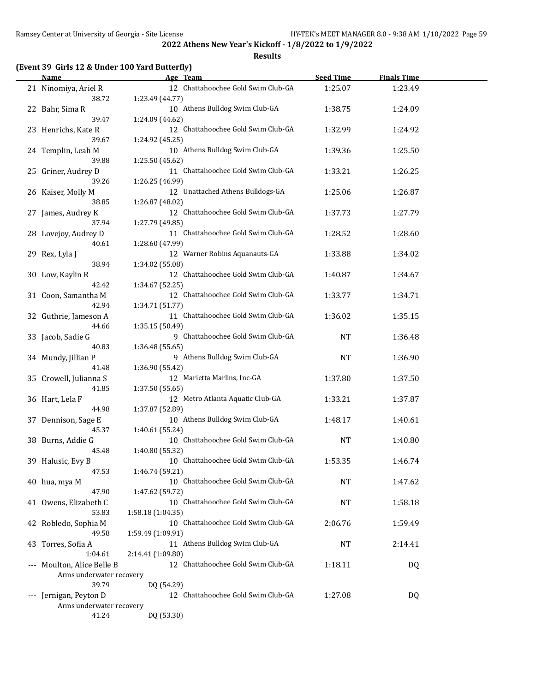**Results**

### **(Event 39 Girls 12 & Under 100 Yard Butterfly)**

| Name                            | Age Team                                                | <b>Seed Time</b> | <b>Finals Time</b> |  |
|---------------------------------|---------------------------------------------------------|------------------|--------------------|--|
| 21 Ninomiya, Ariel R            | 12 Chattahoochee Gold Swim Club-GA                      | 1:25.07          | 1:23.49            |  |
| 38.72                           | 1:23.49 (44.77)                                         |                  |                    |  |
| 22 Bahr, Sima R                 | 10 Athens Bulldog Swim Club-GA                          | 1:38.75          | 1:24.09            |  |
| 39.47                           | 1:24.09 (44.62)                                         |                  |                    |  |
| 23 Henrichs, Kate R             | 12 Chattahoochee Gold Swim Club-GA                      | 1:32.99          | 1:24.92            |  |
| 39.67                           | 1:24.92 (45.25)                                         |                  |                    |  |
| 24 Templin, Leah M              | 10 Athens Bulldog Swim Club-GA                          | 1:39.36          | 1:25.50            |  |
| 39.88                           | 1:25.50 (45.62)                                         |                  |                    |  |
| 25 Griner, Audrey D             | 11 Chattahoochee Gold Swim Club-GA                      | 1:33.21          | 1:26.25            |  |
| 39.26                           | 1:26.25 (46.99)                                         |                  |                    |  |
| 26 Kaiser, Molly M              | 12 Unattached Athens Bulldogs-GA                        | 1:25.06          | 1:26.87            |  |
| 38.85                           | 1:26.87 (48.02)                                         |                  |                    |  |
| 27 James, Audrey K              | 12 Chattahoochee Gold Swim Club-GA                      | 1:37.73          | 1:27.79            |  |
| 37.94                           | 1:27.79 (49.85)                                         |                  |                    |  |
| 28 Lovejoy, Audrey D            | 11 Chattahoochee Gold Swim Club-GA                      | 1:28.52          | 1:28.60            |  |
| 40.61                           | 1:28.60 (47.99)                                         |                  |                    |  |
|                                 | 12 Warner Robins Aquanauts-GA                           | 1:33.88          | 1:34.02            |  |
| 29 Rex, Lyla J<br>38.94         | 1:34.02 (55.08)                                         |                  |                    |  |
| 30 Low, Kaylin R                | 12 Chattahoochee Gold Swim Club-GA                      | 1:40.87          | 1:34.67            |  |
| 42.42                           | 1:34.67 (52.25)                                         |                  |                    |  |
| 31 Coon, Samantha M             | 12 Chattahoochee Gold Swim Club-GA                      | 1:33.77          |                    |  |
| 42.94                           |                                                         |                  | 1:34.71            |  |
|                                 | 1:34.71 (51.77)<br>11 Chattahoochee Gold Swim Club-GA   |                  |                    |  |
| 32 Guthrie, Jameson A           |                                                         | 1:36.02          | 1:35.15            |  |
| 44.66                           | 1:35.15 (50.49)<br>9 Chattahoochee Gold Swim Club-GA    |                  |                    |  |
| 33 Jacob, Sadie G               |                                                         | <b>NT</b>        | 1:36.48            |  |
| 40.83                           | 1:36.48 (55.65)<br>9 Athens Bulldog Swim Club-GA        |                  |                    |  |
| 34 Mundy, Jillian P<br>41.48    |                                                         | <b>NT</b>        | 1:36.90            |  |
|                                 | 1:36.90 (55.42)<br>12 Marietta Marlins, Inc-GA          |                  |                    |  |
| 35 Crowell, Julianna S<br>41.85 |                                                         | 1:37.80          | 1:37.50            |  |
|                                 | 1:37.50 (55.65)<br>12 Metro Atlanta Aquatic Club-GA     |                  |                    |  |
| 36 Hart, Lela F<br>44.98        |                                                         | 1:33.21          | 1:37.87            |  |
| 37 Dennison, Sage E             | 1:37.87 (52.89)<br>10 Athens Bulldog Swim Club-GA       | 1:48.17          |                    |  |
| 45.37                           |                                                         |                  | 1:40.61            |  |
|                                 | 1:40.61 (55.24)<br>10 Chattahoochee Gold Swim Club-GA   | <b>NT</b>        | 1:40.80            |  |
| 38 Burns, Addie G<br>45.48      |                                                         |                  |                    |  |
|                                 | 1:40.80 (55.32)<br>10 Chattahoochee Gold Swim Club-GA   |                  |                    |  |
| 39 Halusic, Evy B<br>47.53      | 1:46.74 (59.21)                                         | 1:53.35          | 1:46.74            |  |
| 40 hua, mya M                   | 10 Chattahoochee Gold Swim Club-GA                      | <b>NT</b>        | 1:47.62            |  |
| 47.90                           | 1:47.62 (59.72)                                         |                  |                    |  |
|                                 | 10 Chattahoochee Gold Swim Club-GA                      |                  |                    |  |
| 41 Owens, Elizabeth C<br>53.83  |                                                         | NT               | 1:58.18            |  |
|                                 | 1:58.18 (1:04.35)<br>10 Chattahoochee Gold Swim Club-GA | 2:06.76          |                    |  |
| 42 Robledo, Sophia M<br>49.58   |                                                         |                  | 1:59.49            |  |
|                                 | 1:59.49 (1:09.91)<br>11 Athens Bulldog Swim Club-GA     | <b>NT</b>        |                    |  |
| 43 Torres, Sofia A<br>1:04.61   | 2:14.41 (1:09.80)                                       |                  | 2:14.41            |  |
| Moulton, Alice Belle B          | 12 Chattahoochee Gold Swim Club-GA                      | 1:18.11          |                    |  |
| Arms underwater recovery        |                                                         |                  | DQ                 |  |
| 39.79                           | DQ (54.29)                                              |                  |                    |  |
| --- Jernigan, Peyton D          | 12 Chattahoochee Gold Swim Club-GA                      | 1:27.08          | DQ                 |  |
| Arms underwater recovery        |                                                         |                  |                    |  |
| 41.24                           | DQ (53.30)                                              |                  |                    |  |
|                                 |                                                         |                  |                    |  |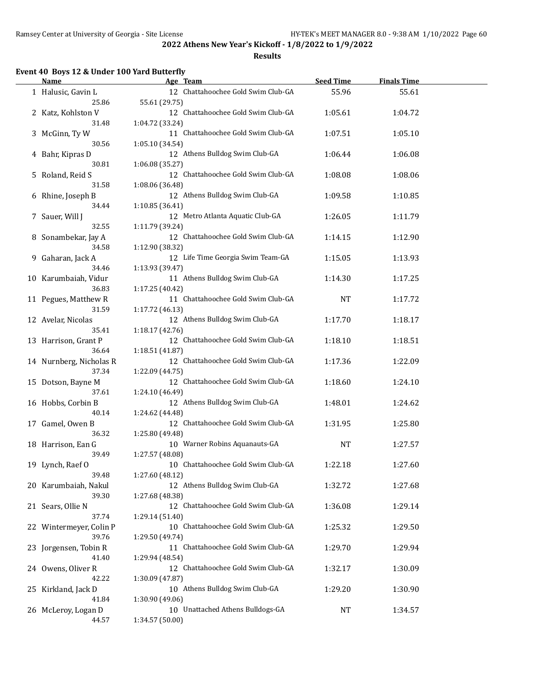**Results**

### **Event 40 Boys 12 & Under 100 Yard Butterfly**

| Name                    | Age Team                           | <b>Seed Time</b> | <b>Finals Time</b> |  |
|-------------------------|------------------------------------|------------------|--------------------|--|
| 1 Halusic, Gavin L      | 12 Chattahoochee Gold Swim Club-GA | 55.96            | 55.61              |  |
| 25.86                   | 55.61 (29.75)                      |                  |                    |  |
| 2 Katz, Kohlston V      | 12 Chattahoochee Gold Swim Club-GA | 1:05.61          | 1:04.72            |  |
| 31.48                   | 1:04.72 (33.24)                    |                  |                    |  |
| 3 McGinn, Ty W          | 11 Chattahoochee Gold Swim Club-GA | 1:07.51          | 1:05.10            |  |
| 30.56                   | 1:05.10 (34.54)                    |                  |                    |  |
| 4 Bahr, Kipras D        | 12 Athens Bulldog Swim Club-GA     | 1:06.44          | 1:06.08            |  |
| 30.81                   | 1:06.08 (35.27)                    |                  |                    |  |
| 5 Roland, Reid S        | 12 Chattahoochee Gold Swim Club-GA | 1:08.08          | 1:08.06            |  |
| 31.58                   | 1:08.06 (36.48)                    |                  |                    |  |
| 6 Rhine, Joseph B       | 12 Athens Bulldog Swim Club-GA     | 1:09.58          | 1:10.85            |  |
| 34.44                   | 1:10.85 (36.41)                    |                  |                    |  |
| 7 Sauer, Will J         | 12 Metro Atlanta Aquatic Club-GA   | 1:26.05          | 1:11.79            |  |
| 32.55                   | 1:11.79 (39.24)                    |                  |                    |  |
| 8 Sonambekar, Jay A     | 12 Chattahoochee Gold Swim Club-GA | 1:14.15          | 1:12.90            |  |
| 34.58                   | 1:12.90 (38.32)                    |                  |                    |  |
| 9 Gaharan, Jack A       | 12 Life Time Georgia Swim Team-GA  | 1:15.05          | 1:13.93            |  |
| 34.46                   | 1:13.93 (39.47)                    |                  |                    |  |
| 10 Karumbaiah, Vidur    | 11 Athens Bulldog Swim Club-GA     | 1:14.30          | 1:17.25            |  |
| 36.83                   | 1:17.25 (40.42)                    |                  |                    |  |
| 11 Pegues, Matthew R    | 11 Chattahoochee Gold Swim Club-GA | <b>NT</b>        | 1:17.72            |  |
| 31.59                   | 1:17.72 (46.13)                    |                  |                    |  |
| 12 Avelar, Nicolas      | 12 Athens Bulldog Swim Club-GA     | 1:17.70          | 1:18.17            |  |
| 35.41                   | 1:18.17 (42.76)                    |                  |                    |  |
| 13 Harrison, Grant P    | 12 Chattahoochee Gold Swim Club-GA | 1:18.10          | 1:18.51            |  |
| 36.64                   | 1:18.51 (41.87)                    |                  |                    |  |
| 14 Nurnberg, Nicholas R | 12 Chattahoochee Gold Swim Club-GA | 1:17.36          | 1:22.09            |  |
| 37.34                   | 1:22.09 (44.75)                    |                  |                    |  |
| 15 Dotson, Bayne M      | 12 Chattahoochee Gold Swim Club-GA | 1:18.60          | 1:24.10            |  |
| 37.61                   | 1:24.10 (46.49)                    |                  |                    |  |
| 16 Hobbs, Corbin B      | 12 Athens Bulldog Swim Club-GA     | 1:48.01          | 1:24.62            |  |
| 40.14                   | 1:24.62 (44.48)                    |                  |                    |  |
| 17 Gamel, Owen B        | 12 Chattahoochee Gold Swim Club-GA | 1:31.95          | 1:25.80            |  |
| 36.32                   | 1:25.80 (49.48)                    |                  |                    |  |
| 18 Harrison, Ean G      | 10 Warner Robins Aquanauts-GA      | <b>NT</b>        | 1:27.57            |  |
| 39.49                   | 1:27.57 (48.08)                    |                  |                    |  |
| 19 Lynch, Raef O        | 10 Chattahoochee Gold Swim Club-GA | 1:22.18          | 1:27.60            |  |
| 39.48                   | 1:27.60 (48.12)                    |                  |                    |  |
| 20 Karumbaiah, Nakul    | 12 Athens Bulldog Swim Club-GA     | 1:32.72          | 1:27.68            |  |
| 39.30                   | 1:27.68 (48.38)                    |                  |                    |  |
| 21 Sears, Ollie N       | 12 Chattahoochee Gold Swim Club-GA | 1:36.08          | 1:29.14            |  |
| 37.74                   | 1:29.14 (51.40)                    |                  |                    |  |
| 22 Wintermeyer, Colin P | 10 Chattahoochee Gold Swim Club-GA | 1:25.32          | 1:29.50            |  |
| 39.76                   | 1:29.50 (49.74)                    |                  |                    |  |
| 23 Jorgensen, Tobin R   | 11 Chattahoochee Gold Swim Club-GA | 1:29.70          | 1:29.94            |  |
| 41.40                   | 1:29.94 (48.54)                    |                  |                    |  |
| 24 Owens, Oliver R      | 12 Chattahoochee Gold Swim Club-GA | 1:32.17          | 1:30.09            |  |
| 42.22                   | 1:30.09 (47.87)                    |                  |                    |  |
| 25 Kirkland, Jack D     | 10 Athens Bulldog Swim Club-GA     | 1:29.20          | 1:30.90            |  |
| 41.84                   | 1:30.90 (49.06)                    |                  |                    |  |
| 26 McLeroy, Logan D     | 10 Unattached Athens Bulldogs-GA   | NT               | 1:34.57            |  |
| 44.57                   | 1:34.57 (50.00)                    |                  |                    |  |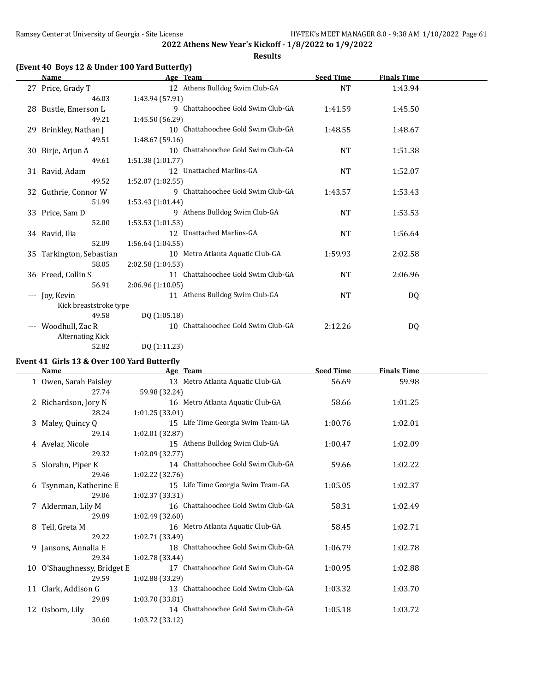**Results**

### **(Event 40 Boys 12 & Under 100 Yard Butterfly)**

|      | <b>Name</b>              |                   | Age Team                           | <b>Seed Time</b> | <b>Finals Time</b> |  |
|------|--------------------------|-------------------|------------------------------------|------------------|--------------------|--|
|      | 27 Price, Grady T        |                   | 12 Athens Bulldog Swim Club-GA     | <b>NT</b>        | 1:43.94            |  |
|      | 46.03                    | 1:43.94 (57.91)   |                                    |                  |                    |  |
|      | 28 Bustle, Emerson L     |                   | 9 Chattahoochee Gold Swim Club-GA  | 1:41.59          | 1:45.50            |  |
|      | 49.21                    | 1:45.50 (56.29)   |                                    |                  |                    |  |
|      | 29 Brinkley, Nathan J    |                   | 10 Chattahoochee Gold Swim Club-GA | 1:48.55          | 1:48.67            |  |
|      | 49.51                    | 1:48.67 (59.16)   |                                    |                  |                    |  |
|      | 30 Birje, Arjun A        |                   | 10 Chattahoochee Gold Swim Club-GA | <b>NT</b>        | 1:51.38            |  |
|      | 49.61                    | 1:51.38(1:01.77)  |                                    |                  |                    |  |
|      | 31 Ravid, Adam           |                   | 12 Unattached Marlins-GA           | <b>NT</b>        | 1:52.07            |  |
|      | 49.52                    | 1:52.07(1:02.55)  |                                    |                  |                    |  |
|      | 32 Guthrie, Connor W     |                   | 9 Chattahoochee Gold Swim Club-GA  | 1:43.57          | 1:53.43            |  |
|      | 51.99                    | 1:53.43(1:01.44)  |                                    |                  |                    |  |
|      | 33 Price, Sam D          |                   | 9 Athens Bulldog Swim Club-GA      | <b>NT</b>        | 1:53.53            |  |
|      | 52.00                    | 1:53.53(1:01.53)  |                                    |                  |                    |  |
|      | 34 Ravid, Ilia           |                   | 12 Unattached Marlins-GA           | <b>NT</b>        | 1:56.64            |  |
|      | 52.09                    | 1:56.64(1:04.55)  |                                    |                  |                    |  |
|      | 35 Tarkington, Sebastian |                   | 10 Metro Atlanta Aquatic Club-GA   | 1:59.93          | 2:02.58            |  |
|      | 58.05                    | 2:02.58 (1:04.53) |                                    |                  |                    |  |
|      | 36 Freed, Collin S       |                   | 11 Chattahoochee Gold Swim Club-GA | <b>NT</b>        | 2:06.96            |  |
|      | 56.91                    | 2:06.96 (1:10.05) |                                    |                  |                    |  |
| $--$ | Joy, Kevin               |                   | 11 Athens Bulldog Swim Club-GA     | <b>NT</b>        | DQ                 |  |
|      | Kick breaststroke type   |                   |                                    |                  |                    |  |
|      | 49.58                    | DQ (1:05.18)      |                                    |                  |                    |  |
|      | --- Woodhull, Zac R      |                   | 10 Chattahoochee Gold Swim Club-GA | 2:12.26          | DQ                 |  |
|      | <b>Alternating Kick</b>  |                   |                                    |                  |                    |  |
|      | 52.82                    | DQ (1:11.23)      |                                    |                  |                    |  |

### **Event 41 Girls 13 & Over 100 Yard Butterfly**

 $\overline{a}$ 

|   | <b>Name</b>                 | Age Team                           | <b>Seed Time</b> | <b>Finals Time</b> |  |
|---|-----------------------------|------------------------------------|------------------|--------------------|--|
|   | 1 Owen, Sarah Paisley       | 13 Metro Atlanta Aquatic Club-GA   | 56.69            | 59.98              |  |
|   | 27.74                       | 59.98 (32.24)                      |                  |                    |  |
|   | 2 Richardson, Jory N        | 16 Metro Atlanta Aquatic Club-GA   | 58.66            | 1:01.25            |  |
|   | 28.24                       | 1:01.25 (33.01)                    |                  |                    |  |
| 3 | Maley, Quincy Q             | 15 Life Time Georgia Swim Team-GA  | 1:00.76          | 1:02.01            |  |
|   | 29.14                       | 1:02.01 (32.87)                    |                  |                    |  |
|   | 4 Avelar, Nicole            | 15 Athens Bulldog Swim Club-GA     | 1:00.47          | 1:02.09            |  |
|   | 29.32                       | 1:02.09 (32.77)                    |                  |                    |  |
|   | 5 Slorahn, Piper K          | 14 Chattahoochee Gold Swim Club-GA | 59.66            | 1:02.22            |  |
|   | 29.46                       | 1:02.22 (32.76)                    |                  |                    |  |
|   | 6 Tsynman, Katherine E      | 15 Life Time Georgia Swim Team-GA  | 1:05.05          | 1:02.37            |  |
|   | 29.06                       | 1:02.37 (33.31)                    |                  |                    |  |
|   | 7 Alderman, Lily M          | 16 Chattahoochee Gold Swim Club-GA | 58.31            | 1:02.49            |  |
|   | 29.89                       | 1:02.49 (32.60)                    |                  |                    |  |
|   | 8 Tell, Greta M             | 16 Metro Atlanta Aquatic Club-GA   | 58.45            | 1:02.71            |  |
|   | 29.22                       | 1:02.71 (33.49)                    |                  |                    |  |
|   | 9 Jansons, Annalia E        | 18 Chattahoochee Gold Swim Club-GA | 1:06.79          | 1:02.78            |  |
|   | 29.34                       | 1:02.78 (33.44)                    |                  |                    |  |
|   | 10 O'Shaughnessy, Bridget E | 17 Chattahoochee Gold Swim Club-GA | 1:00.95          | 1:02.88            |  |
|   | 29.59                       | 1:02.88 (33.29)                    |                  |                    |  |
|   | 11 Clark, Addison G         | 13 Chattahoochee Gold Swim Club-GA | 1:03.32          | 1:03.70            |  |
|   | 29.89                       | 1:03.70 (33.81)                    |                  |                    |  |
|   | 12 Osborn, Lily             | 14 Chattahoochee Gold Swim Club-GA | 1:05.18          | 1:03.72            |  |
|   | 30.60                       | 1:03.72 (33.12)                    |                  |                    |  |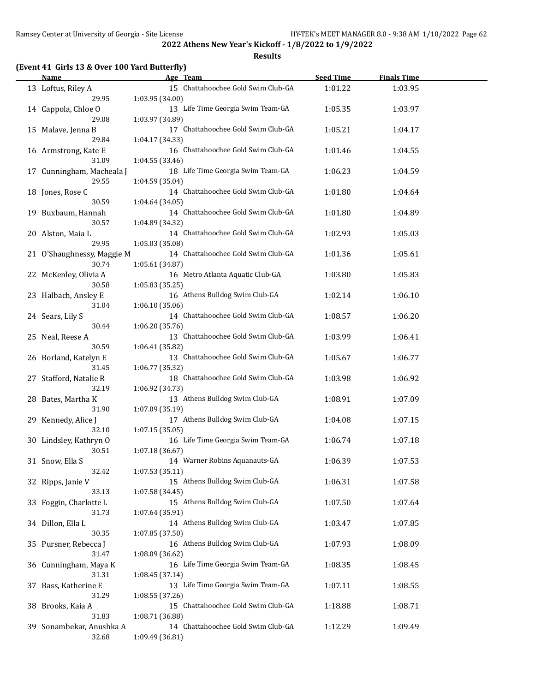**Results**

|  |  |  | (Event 41 Girls 13 & Over 100 Yard Butterfly) |
|--|--|--|-----------------------------------------------|
|--|--|--|-----------------------------------------------|

| <b>Name</b>                         | Age Team                                              | <b>Seed Time</b> | <b>Finals Time</b> |  |
|-------------------------------------|-------------------------------------------------------|------------------|--------------------|--|
| 13 Loftus, Riley A                  | 15 Chattahoochee Gold Swim Club-GA                    | 1:01.22          | 1:03.95            |  |
| 29.95<br>14 Cappola, Chloe O        | 1:03.95 (34.00)<br>13 Life Time Georgia Swim Team-GA  | 1:05.35          | 1:03.97            |  |
| 29.08<br>15 Malave, Jenna B         | 1:03.97 (34.89)<br>17 Chattahoochee Gold Swim Club-GA | 1:05.21          | 1:04.17            |  |
| 29.84                               | 1:04.17 (34.33)                                       |                  |                    |  |
| 16 Armstrong, Kate E<br>31.09       | 16 Chattahoochee Gold Swim Club-GA<br>1:04.55 (33.46) | 1:01.46          | 1:04.55            |  |
| 17 Cunningham, Macheala J<br>29.55  | 18 Life Time Georgia Swim Team-GA<br>1:04.59 (35.04)  | 1:06.23          | 1:04.59            |  |
| 18 Jones, Rose C<br>30.59           | 14 Chattahoochee Gold Swim Club-GA<br>1:04.64 (34.05) | 1:01.80          | 1:04.64            |  |
| 19 Buxbaum, Hannah<br>30.57         | 14 Chattahoochee Gold Swim Club-GA<br>1:04.89 (34.32) | 1:01.80          | 1:04.89            |  |
| 20 Alston, Maia L                   | 14 Chattahoochee Gold Swim Club-GA                    | 1:02.93          | 1:05.03            |  |
| 29.95<br>21 O'Shaughnessy, Maggie M | 1:05.03 (35.08)<br>14 Chattahoochee Gold Swim Club-GA | 1:01.36          | 1:05.61            |  |
| 30.74<br>22 McKenley, Olivia A      | 1:05.61 (34.87)<br>16 Metro Atlanta Aquatic Club-GA   | 1:03.80          | 1:05.83            |  |
| 30.58<br>23 Halbach, Ansley E       | 1:05.83 (35.25)<br>16 Athens Bulldog Swim Club-GA     | 1:02.14          | 1:06.10            |  |
| 31.04<br>24 Sears, Lily S           | 1:06.10(35.06)<br>14 Chattahoochee Gold Swim Club-GA  | 1:08.57          | 1:06.20            |  |
| 30.44<br>25 Neal, Reese A           | 1:06.20 (35.76)<br>13 Chattahoochee Gold Swim Club-GA | 1:03.99          | 1:06.41            |  |
| 30.59                               | 1:06.41 (35.82)                                       |                  |                    |  |
| 26 Borland, Katelyn E<br>31.45      | 13 Chattahoochee Gold Swim Club-GA<br>1:06.77 (35.32) | 1:05.67          | 1:06.77            |  |
| 27 Stafford, Natalie R<br>32.19     | 18 Chattahoochee Gold Swim Club-GA<br>1:06.92 (34.73) | 1:03.98          | 1:06.92            |  |
| 28 Bates, Martha K<br>31.90         | 13 Athens Bulldog Swim Club-GA<br>1:07.09 (35.19)     | 1:08.91          | 1:07.09            |  |
| 29 Kennedy, Alice J<br>32.10        | 17 Athens Bulldog Swim Club-GA<br>1:07.15(35.05)      | 1:04.08          | 1:07.15            |  |
| 30 Lindsley, Kathryn O              | 16 Life Time Georgia Swim Team-GA                     | 1:06.74          | 1:07.18            |  |
| 30.51<br>31 Snow, Ella S            | 1:07.18 (36.67)<br>14 Warner Robins Aquanauts-GA      | 1:06.39          | 1:07.53            |  |
| 32.42<br>32 Ripps, Janie V          | 1:07.53 (35.11)<br>15 Athens Bulldog Swim Club-GA     | 1:06.31          | 1:07.58            |  |
| 33.13<br>33 Foggin, Charlotte L     | 1:07.58 (34.45)<br>15 Athens Bulldog Swim Club-GA     | 1:07.50          | 1:07.64            |  |
| 31.73<br>34 Dillon, Ella L          | 1:07.64 (35.91)<br>14 Athens Bulldog Swim Club-GA     | 1:03.47          | 1:07.85            |  |
| 30.35                               | 1:07.85 (37.50)                                       |                  |                    |  |
| 35 Pursner, Rebecca J<br>31.47      | 16 Athens Bulldog Swim Club-GA<br>1:08.09 (36.62)     | 1:07.93          | 1:08.09            |  |
| 36 Cunningham, Maya K<br>31.31      | 16 Life Time Georgia Swim Team-GA<br>1:08.45 (37.14)  | 1:08.35          | 1:08.45            |  |
| 37 Bass, Katherine E<br>31.29       | 13 Life Time Georgia Swim Team-GA<br>1:08.55 (37.26)  | 1:07.11          | 1:08.55            |  |
| 38 Brooks, Kaia A<br>31.83          | 15 Chattahoochee Gold Swim Club-GA                    | 1:18.88          | 1:08.71            |  |
| 39 Sonambekar, Anushka A            | 1:08.71 (36.88)<br>14 Chattahoochee Gold Swim Club-GA | 1:12.29          | 1:09.49            |  |
| 32.68                               | 1:09.49 (36.81)                                       |                  |                    |  |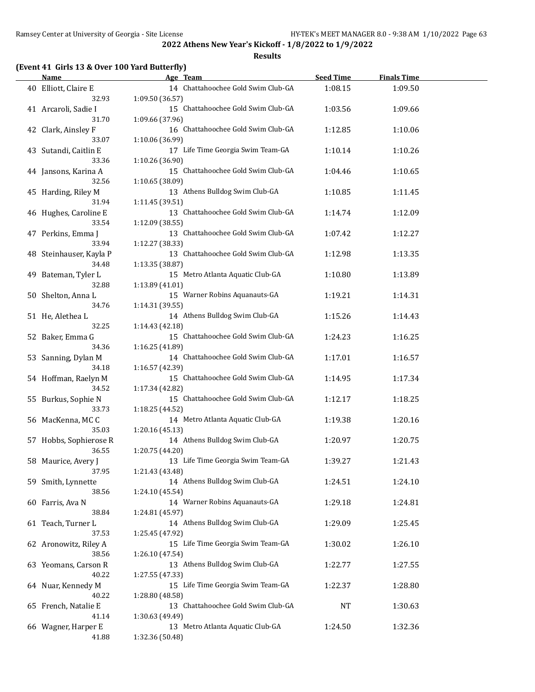**Results**

### **(Event 41 Girls 13 & Over 100 Yard Butterfly)**

| <b>Name</b>                                      | Age Team                                                                                    | <b>Seed Time</b>   | <b>Finals Time</b> |  |
|--------------------------------------------------|---------------------------------------------------------------------------------------------|--------------------|--------------------|--|
| 40 Elliott, Claire E                             | 14 Chattahoochee Gold Swim Club-GA                                                          | 1:08.15            | 1:09.50            |  |
| 32.93<br>41 Arcaroli, Sadie I<br>31.70           | 1:09.50 (36.57)<br>15 Chattahoochee Gold Swim Club-GA<br>1:09.66 (37.96)                    | 1:03.56            | 1:09.66            |  |
| 42 Clark, Ainsley F<br>33.07                     | 16 Chattahoochee Gold Swim Club-GA<br>1:10.06 (36.99)                                       | 1:12.85            | 1:10.06            |  |
| 43 Sutandi, Caitlin E<br>33.36                   | 17 Life Time Georgia Swim Team-GA<br>1:10.26 (36.90)                                        | 1:10.14            | 1:10.26            |  |
| 44 Jansons, Karina A<br>32.56                    | 15 Chattahoochee Gold Swim Club-GA<br>1:10.65 (38.09)                                       | 1:04.46            | 1:10.65            |  |
| 45 Harding, Riley M<br>31.94                     | 13 Athens Bulldog Swim Club-GA<br>1:11.45 (39.51)                                           | 1:10.85            | 1:11.45            |  |
| 46 Hughes, Caroline E<br>33.54                   | 13 Chattahoochee Gold Swim Club-GA<br>1:12.09 (38.55)                                       | 1:14.74            | 1:12.09            |  |
| 47 Perkins, Emma J<br>33.94                      | 13 Chattahoochee Gold Swim Club-GA<br>1:12.27 (38.33)                                       | 1:07.42            | 1:12.27            |  |
| 48 Steinhauser, Kayla P<br>34.48                 | 13 Chattahoochee Gold Swim Club-GA<br>1:13.35 (38.87)                                       | 1:12.98            | 1:13.35            |  |
| 49 Bateman, Tyler L<br>32.88                     | 15 Metro Atlanta Aquatic Club-GA<br>1:13.89 (41.01)                                         | 1:10.80            | 1:13.89            |  |
| 50 Shelton, Anna L<br>34.76                      | 15 Warner Robins Aquanauts-GA<br>1:14.31 (39.55)                                            | 1:19.21            | 1:14.31            |  |
| 51 He, Alethea L<br>32.25                        | 14 Athens Bulldog Swim Club-GA<br>1:14.43 (42.18)                                           | 1:15.26            | 1:14.43            |  |
| 52 Baker, Emma G<br>34.36                        | 15 Chattahoochee Gold Swim Club-GA<br>1:16.25 (41.89)                                       | 1:24.23            | 1:16.25            |  |
| 53 Sanning, Dylan M<br>34.18                     | 14 Chattahoochee Gold Swim Club-GA<br>1:16.57 (42.39)                                       | 1:17.01            | 1:16.57            |  |
| 54 Hoffman, Raelyn M<br>34.52                    | 15 Chattahoochee Gold Swim Club-GA<br>1:17.34 (42.82)<br>15 Chattahoochee Gold Swim Club-GA | 1:14.95            | 1:17.34            |  |
| 55 Burkus, Sophie N<br>33.73<br>56 MacKenna, MCC | 1:18.25 (44.52)<br>14 Metro Atlanta Aquatic Club-GA                                         | 1:12.17<br>1:19.38 | 1:18.25<br>1:20.16 |  |
| 35.03<br>57 Hobbs, Sophierose R                  | 1:20.16 (45.13)<br>14 Athens Bulldog Swim Club-GA                                           | 1:20.97            | 1:20.75            |  |
| 36.55<br>58 Maurice, Avery J                     | 1:20.75 (44.20)<br>13 Life Time Georgia Swim Team-GA                                        | 1:39.27            | 1:21.43            |  |
| 37.95<br>59 Smith, Lynnette                      | 1:21.43 (43.48)<br>14 Athens Bulldog Swim Club-GA                                           | 1:24.51            | 1:24.10            |  |
| 38.56<br>60 Farris, Ava N                        | 1:24.10 (45.54)<br>14 Warner Robins Aquanauts-GA                                            | 1:29.18            | 1:24.81            |  |
| 38.84<br>61 Teach, Turner L                      | 1:24.81 (45.97)<br>14 Athens Bulldog Swim Club-GA                                           | 1:29.09            | 1:25.45            |  |
| 37.53<br>62 Aronowitz, Riley A                   | 1:25.45 (47.92)<br>15 Life Time Georgia Swim Team-GA                                        | 1:30.02            | 1:26.10            |  |
| 38.56<br>63 Yeomans, Carson R                    | 1:26.10 (47.54)<br>13 Athens Bulldog Swim Club-GA                                           | 1:22.77            | 1:27.55            |  |
| 40.22<br>64 Nuar, Kennedy M                      | 1:27.55 (47.33)<br>15 Life Time Georgia Swim Team-GA                                        | 1:22.37            | 1:28.80            |  |
| 40.22<br>65 French, Natalie E                    | 1:28.80 (48.58)<br>13 Chattahoochee Gold Swim Club-GA                                       | NT                 | 1:30.63            |  |
| 41.14<br>66 Wagner, Harper E                     | 1:30.63 (49.49)<br>13 Metro Atlanta Aquatic Club-GA                                         |                    | 1:32.36            |  |
| 41.88                                            | 1:32.36 (50.48)                                                                             | 1:24.50            |                    |  |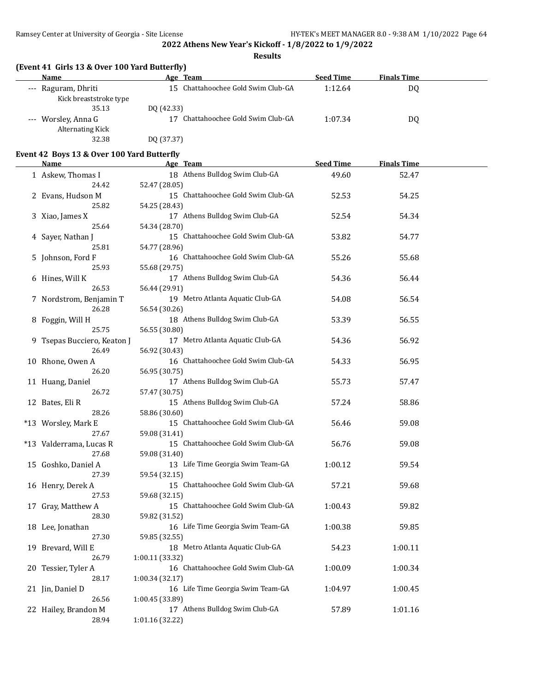**Results**

|  | (Event 41 Girls 13 & Over 100 Yard Butterfly) |  |
|--|-----------------------------------------------|--|
|--|-----------------------------------------------|--|

| Name                    | Age Team                           | <b>Seed Time</b> | <b>Finals Time</b> |  |
|-------------------------|------------------------------------|------------------|--------------------|--|
| --- Raguram, Dhriti     | 15 Chattahoochee Gold Swim Club-GA | 1:12.64          | DQ                 |  |
| Kick breaststroke type  |                                    |                  |                    |  |
| 35.13                   | DO (42.33)                         |                  |                    |  |
| --- Worsley, Anna G     | Chattahoochee Gold Swim Club-GA    | 1:07.34          | DQ                 |  |
| <b>Alternating Kick</b> |                                    |                  |                    |  |
| 32.38                   | DQ (37.37)                         |                  |                    |  |

### **Event 42 Boys 13 & Over 100 Yard Butterfly**

| <b>Name</b>                   | Age Team                                          | <b>Seed Time</b> | <b>Finals Time</b> |  |
|-------------------------------|---------------------------------------------------|------------------|--------------------|--|
| 1 Askew, Thomas I             | 18 Athens Bulldog Swim Club-GA                    | 49.60            | 52.47              |  |
| 24.42                         | 52.47 (28.05)                                     |                  |                    |  |
| 2 Evans, Hudson M             | 15 Chattahoochee Gold Swim Club-GA                | 52.53            | 54.25              |  |
| 25.82                         | 54.25 (28.43)                                     |                  |                    |  |
| 3 Xiao, James X               | 17 Athens Bulldog Swim Club-GA                    | 52.54            | 54.34              |  |
| 25.64                         | 54.34 (28.70)                                     |                  |                    |  |
| 4 Sayer, Nathan J             | 15 Chattahoochee Gold Swim Club-GA                | 53.82            | 54.77              |  |
| 25.81                         | 54.77 (28.96)                                     |                  |                    |  |
| 5 Johnson, Ford F             | 16 Chattahoochee Gold Swim Club-GA                | 55.26            | 55.68              |  |
| 25.93                         | 55.68 (29.75)                                     |                  |                    |  |
| 6 Hines, Will K               | 17 Athens Bulldog Swim Club-GA                    | 54.36            | 56.44              |  |
| 26.53                         | 56.44 (29.91)                                     |                  |                    |  |
| 7 Nordstrom, Benjamin T       | 19 Metro Atlanta Aquatic Club-GA                  | 54.08            | 56.54              |  |
| 26.28                         | 56.54 (30.26)                                     |                  |                    |  |
| 8 Foggin, Will H              | 18 Athens Bulldog Swim Club-GA                    | 53.39            | 56.55              |  |
| 25.75                         | 56.55 (30.80)                                     |                  |                    |  |
| 9 Tsepas Bucciero, Keaton J   | 17 Metro Atlanta Aquatic Club-GA                  | 54.36            | 56.92              |  |
| 26.49                         | 56.92 (30.43)                                     |                  |                    |  |
| 10 Rhone, Owen A              | 16 Chattahoochee Gold Swim Club-GA                | 54.33            | 56.95              |  |
| 26.20                         | 56.95 (30.75)                                     |                  |                    |  |
| 11 Huang, Daniel              | 17 Athens Bulldog Swim Club-GA                    | 55.73            | 57.47              |  |
| 26.72                         | 57.47 (30.75)                                     |                  |                    |  |
| 12 Bates, Eli R               | 15 Athens Bulldog Swim Club-GA                    | 57.24            | 58.86              |  |
| 28.26                         | 58.86 (30.60)                                     |                  |                    |  |
| *13 Worsley, Mark E           | 15 Chattahoochee Gold Swim Club-GA                | 56.46            | 59.08              |  |
| 27.67                         | 59.08 (31.41)                                     |                  |                    |  |
| *13 Valderrama, Lucas R       | 15 Chattahoochee Gold Swim Club-GA                | 56.76            | 59.08              |  |
| 27.68                         | 59.08 (31.40)                                     |                  |                    |  |
| 15 Goshko, Daniel A           | 13 Life Time Georgia Swim Team-GA                 | 1:00.12          | 59.54              |  |
| 27.39                         | 59.54 (32.15)                                     |                  |                    |  |
| 16 Henry, Derek A             | 15 Chattahoochee Gold Swim Club-GA                | 57.21            | 59.68              |  |
| 27.53                         | 59.68 (32.15)                                     |                  |                    |  |
| 17 Gray, Matthew A            | 15 Chattahoochee Gold Swim Club-GA                | 1:00.43          | 59.82              |  |
| 28.30                         | 59.82 (31.52)                                     |                  |                    |  |
| 18 Lee, Jonathan              | 16 Life Time Georgia Swim Team-GA                 | 1:00.38          | 59.85              |  |
| 27.30                         | 59.85 (32.55)                                     |                  |                    |  |
| 19 Brevard, Will E            | 18 Metro Atlanta Aquatic Club-GA                  | 54.23            | 1:00.11            |  |
| 26.79                         | 1:00.11 (33.32)                                   |                  |                    |  |
| 20 Tessier, Tyler A           | 16 Chattahoochee Gold Swim Club-GA                | 1:00.09          | 1:00.34            |  |
| 28.17                         | 1:00.34 (32.17)                                   |                  |                    |  |
| 21 Jin, Daniel D<br>26.56     | 16 Life Time Georgia Swim Team-GA                 | 1:04.97          | 1:00.45            |  |
|                               | 1:00.45 (33.89)<br>17 Athens Bulldog Swim Club-GA | 57.89            |                    |  |
| 22 Hailey, Brandon M<br>28.94 | 1:01.16 (32.22)                                   |                  | 1:01.16            |  |
|                               |                                                   |                  |                    |  |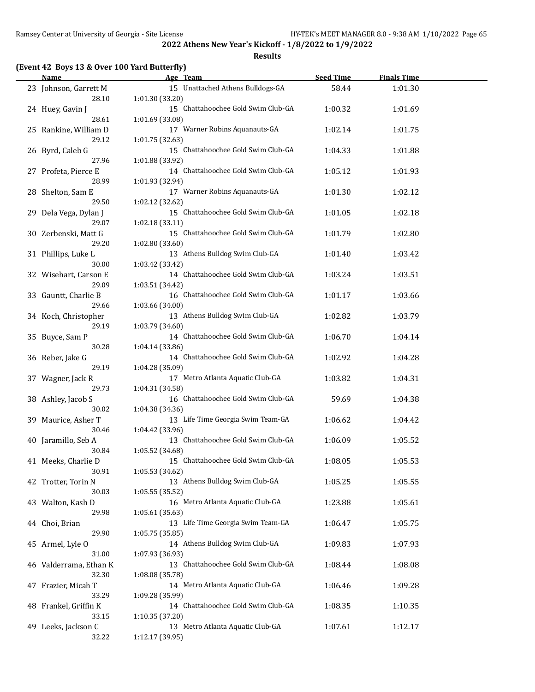**Results**

### **(Event 42 Boys 13 & Over 100 Yard Butterfly)**

| <b>Name</b>            | Age Team                           | <b>Seed Time</b> | <b>Finals Time</b> |  |
|------------------------|------------------------------------|------------------|--------------------|--|
| 23 Johnson, Garrett M  | 15 Unattached Athens Bulldogs-GA   | 58.44            | 1:01.30            |  |
| 28.10                  | 1:01.30 (33.20)                    |                  |                    |  |
| 24 Huey, Gavin J       | 15 Chattahoochee Gold Swim Club-GA | 1:00.32          | 1:01.69            |  |
| 28.61                  | 1:01.69 (33.08)                    |                  |                    |  |
| 25 Rankine, William D  | 17 Warner Robins Aquanauts-GA      | 1:02.14          | 1:01.75            |  |
| 29.12                  | 1:01.75 (32.63)                    |                  |                    |  |
| 26 Byrd, Caleb G       | 15 Chattahoochee Gold Swim Club-GA | 1:04.33          | 1:01.88            |  |
| 27.96                  | 1:01.88 (33.92)                    |                  |                    |  |
|                        | 14 Chattahoochee Gold Swim Club-GA |                  |                    |  |
| 27 Profeta, Pierce E   |                                    | 1:05.12          | 1:01.93            |  |
| 28.99                  | 1:01.93 (32.94)                    |                  |                    |  |
| 28 Shelton, Sam E      | 17 Warner Robins Aquanauts-GA      | 1:01.30          | 1:02.12            |  |
| 29.50                  | 1:02.12 (32.62)                    |                  |                    |  |
| 29 Dela Vega, Dylan J  | 15 Chattahoochee Gold Swim Club-GA | 1:01.05          | 1:02.18            |  |
| 29.07                  | 1:02.18 (33.11)                    |                  |                    |  |
| 30 Zerbenski, Matt G   | 15 Chattahoochee Gold Swim Club-GA | 1:01.79          | 1:02.80            |  |
| 29.20                  | 1:02.80(33.60)                     |                  |                    |  |
| 31 Phillips, Luke L    | 13 Athens Bulldog Swim Club-GA     | 1:01.40          | 1:03.42            |  |
| 30.00                  | 1:03.42 (33.42)                    |                  |                    |  |
| 32 Wisehart, Carson E  | 14 Chattahoochee Gold Swim Club-GA | 1:03.24          | 1:03.51            |  |
| 29.09                  | 1:03.51 (34.42)                    |                  |                    |  |
| 33 Gauntt, Charlie B   | 16 Chattahoochee Gold Swim Club-GA | 1:01.17          | 1:03.66            |  |
| 29.66                  | 1:03.66 (34.00)                    |                  |                    |  |
| 34 Koch, Christopher   | 13 Athens Bulldog Swim Club-GA     | 1:02.82          | 1:03.79            |  |
| 29.19                  | 1:03.79 (34.60)                    |                  |                    |  |
| 35 Buyce, Sam P        | 14 Chattahoochee Gold Swim Club-GA | 1:06.70          | 1:04.14            |  |
| 30.28                  | 1:04.14 (33.86)                    |                  |                    |  |
| 36 Reber, Jake G       | 14 Chattahoochee Gold Swim Club-GA | 1:02.92          | 1:04.28            |  |
| 29.19                  | 1:04.28 (35.09)                    |                  |                    |  |
| 37 Wagner, Jack R      | 17 Metro Atlanta Aquatic Club-GA   | 1:03.82          | 1:04.31            |  |
| 29.73                  | 1:04.31 (34.58)                    |                  |                    |  |
| 38 Ashley, Jacob S     | 16 Chattahoochee Gold Swim Club-GA | 59.69            | 1:04.38            |  |
| 30.02                  | 1:04.38 (34.36)                    |                  |                    |  |
| 39 Maurice, Asher T    | 13 Life Time Georgia Swim Team-GA  | 1:06.62          | 1:04.42            |  |
| 30.46                  | 1:04.42 (33.96)                    |                  |                    |  |
|                        | 13 Chattahoochee Gold Swim Club-GA |                  |                    |  |
| 40 Jaramillo, Seb A    |                                    | 1:06.09          | 1:05.52            |  |
| 30.84                  | 1:05.52 (34.68)                    |                  |                    |  |
| 41 Meeks, Charlie D    | 15 Chattahoochee Gold Swim Club-GA | 1:08.05          | 1:05.53            |  |
| 30.91                  | 1:05.53 (34.62)                    |                  |                    |  |
| 42 Trotter, Torin N    | 13 Athens Bulldog Swim Club-GA     | 1:05.25          | 1:05.55            |  |
| 30.03                  | 1:05.55(35.52)                     |                  |                    |  |
| 43 Walton, Kash D      | 16 Metro Atlanta Aquatic Club-GA   | 1:23.88          | 1:05.61            |  |
| 29.98                  | 1:05.61(35.63)                     |                  |                    |  |
| 44 Choi, Brian         | 13 Life Time Georgia Swim Team-GA  | 1:06.47          | 1:05.75            |  |
| 29.90                  | 1:05.75 (35.85)                    |                  |                    |  |
| 45 Armel, Lyle O       | 14 Athens Bulldog Swim Club-GA     | 1:09.83          | 1:07.93            |  |
| 31.00                  | 1:07.93 (36.93)                    |                  |                    |  |
| 46 Valderrama, Ethan K | 13 Chattahoochee Gold Swim Club-GA | 1:08.44          | 1:08.08            |  |
| 32.30                  | 1:08.08 (35.78)                    |                  |                    |  |
| 47 Frazier, Micah T    | 14 Metro Atlanta Aquatic Club-GA   | 1:06.46          | 1:09.28            |  |
| 33.29                  | 1:09.28 (35.99)                    |                  |                    |  |
| 48 Frankel, Griffin K  | 14 Chattahoochee Gold Swim Club-GA | 1:08.35          | 1:10.35            |  |
| 33.15                  | 1:10.35 (37.20)                    |                  |                    |  |
| 49 Leeks, Jackson C    | 13 Metro Atlanta Aquatic Club-GA   | 1:07.61          | 1:12.17            |  |
| 32.22                  | 1:12.17 (39.95)                    |                  |                    |  |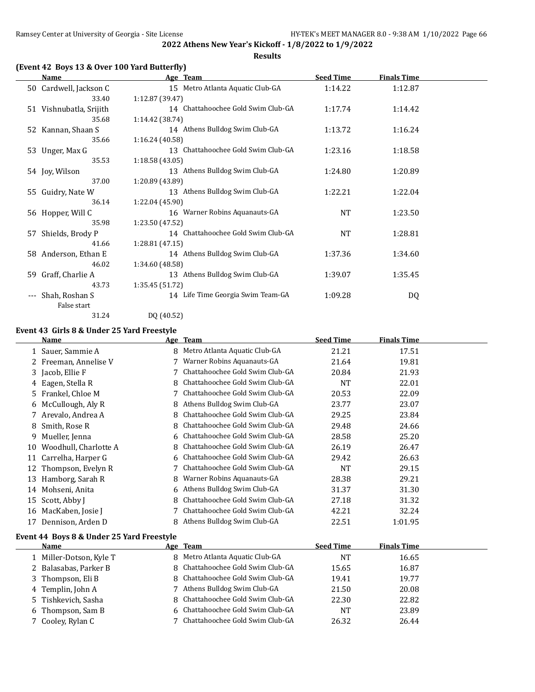**Results**

### **(Event 42 Boys 13 & Over 100 Yard Butterfly)**

|                     | Name                    | Age Team                              | <b>Seed Time</b> | <b>Finals Time</b> |  |
|---------------------|-------------------------|---------------------------------------|------------------|--------------------|--|
|                     | 50 Cardwell, Jackson C  | 15 Metro Atlanta Aquatic Club-GA      | 1:14.22          | 1:12.87            |  |
|                     | 33.40                   | 1:12.87 (39.47)                       |                  |                    |  |
|                     | 51 Vishnubatla, Srijith | 14 Chattahoochee Gold Swim Club-GA    | 1:17.74          | 1:14.42            |  |
|                     | 35.68                   | 1:14.42 (38.74)                       |                  |                    |  |
|                     | 52 Kannan, Shaan S      | 14 Athens Bulldog Swim Club-GA        | 1:13.72          | 1:16.24            |  |
|                     | 35.66                   | 1:16.24 (40.58)                       |                  |                    |  |
|                     | 53 Unger, Max G         | Chattahoochee Gold Swim Club-GA<br>13 | 1:23.16          | 1:18.58            |  |
|                     | 35.53                   | 1:18.58(43.05)                        |                  |                    |  |
|                     | 54 Joy, Wilson          | 13 Athens Bulldog Swim Club-GA        | 1:24.80          | 1:20.89            |  |
|                     | 37.00                   | 1:20.89 (43.89)                       |                  |                    |  |
|                     | 55 Guidry, Nate W       | 13 Athens Bulldog Swim Club-GA        | 1:22.21          | 1:22.04            |  |
|                     | 36.14                   | 1:22.04 (45.90)                       |                  |                    |  |
|                     | 56 Hopper, Will C       | 16 Warner Robins Aquanauts-GA         | <b>NT</b>        | 1:23.50            |  |
|                     | 35.98                   | 1:23.50 (47.52)                       |                  |                    |  |
| 57                  | Shields, Brody P        | 14 Chattahoochee Gold Swim Club-GA    | <b>NT</b>        | 1:28.81            |  |
|                     | 41.66                   | 1:28.81 (47.15)                       |                  |                    |  |
|                     | 58 Anderson, Ethan E    | 14 Athens Bulldog Swim Club-GA        | 1:37.36          | 1:34.60            |  |
|                     | 46.02                   | 1:34.60 (48.58)                       |                  |                    |  |
|                     | 59 Graff, Charlie A     | 13 Athens Bulldog Swim Club-GA        | 1:39.07          | 1:35.45            |  |
|                     | 43.73                   | 1:35.45 (51.72)                       |                  |                    |  |
| $\qquad \qquad - -$ | Shah, Roshan S          | 14 Life Time Georgia Swim Team-GA     | 1:09.28          | DQ                 |  |
|                     | False start             |                                       |                  |                    |  |

31.24 DQ (40.52)

### **Event 43 Girls 8 & Under 25 Yard Freestyle**

|    | <b>Name</b>                               |    | Age Team                        | <b>Seed Time</b> | <b>Finals Time</b> |  |  |
|----|-------------------------------------------|----|---------------------------------|------------------|--------------------|--|--|
|    | 1 Sauer, Sammie A                         | 8  | Metro Atlanta Aquatic Club-GA   | 21.21            | 17.51              |  |  |
|    | 2 Freeman, Annelise V                     |    | Warner Robins Aquanauts-GA      | 21.64            | 19.81              |  |  |
|    | 3 Jacob, Ellie F                          |    | Chattahoochee Gold Swim Club-GA | 20.84            | 21.93              |  |  |
|    | 4 Eagen, Stella R                         | 8  | Chattahoochee Gold Swim Club-GA | <b>NT</b>        | 22.01              |  |  |
|    | 5 Frankel, Chloe M                        |    | Chattahoochee Gold Swim Club-GA | 20.53            | 22.09              |  |  |
|    | 6 McCullough, Aly R                       |    | Athens Bulldog Swim Club-GA     | 23.77            | 23.07              |  |  |
|    | Arevalo, Andrea A                         | 8  | Chattahoochee Gold Swim Club-GA | 29.25            | 23.84              |  |  |
| 8  | Smith, Rose R                             | 8  | Chattahoochee Gold Swim Club-GA | 29.48            | 24.66              |  |  |
| 9. | Mueller, Jenna                            | 6  | Chattahoochee Gold Swim Club-GA | 28.58            | 25.20              |  |  |
| 10 | Woodhull, Charlotte A                     | 8  | Chattahoochee Gold Swim Club-GA | 26.19            | 26.47              |  |  |
| 11 | Carrelha, Harper G                        | 6. | Chattahoochee Gold Swim Club-GA | 29.42            | 26.63              |  |  |
| 12 | Thompson, Evelyn R                        |    | Chattahoochee Gold Swim Club-GA | <b>NT</b>        | 29.15              |  |  |
| 13 | Hamborg, Sarah R                          |    | Warner Robins Aquanauts-GA      | 28.38            | 29.21              |  |  |
| 14 | Mohseni, Anita                            | 6  | Athens Bulldog Swim Club-GA     | 31.37            | 31.30              |  |  |
| 15 | Scott, Abby J                             |    | Chattahoochee Gold Swim Club-GA | 27.18            | 31.32              |  |  |
| 16 | MacKaben, Josie J                         |    | Chattahoochee Gold Swim Club-GA | 42.21            | 32.24              |  |  |
| 17 | Dennison, Arden D                         |    | Athens Bulldog Swim Club-GA     | 22.51            | 1:01.95            |  |  |
|    | Event 44 Boys 8 & Under 25 Yard Freestyle |    |                                 |                  |                    |  |  |
|    | Name                                      |    | Age Team                        | Seed Time        | <b>Finals Time</b> |  |  |

| <b>Name</b>           | Age Team                          | <b>Seed Time</b> | <b>Finals Time</b> |  |
|-----------------------|-----------------------------------|------------------|--------------------|--|
| Miller-Dotson, Kyle T | 8 Metro Atlanta Aquatic Club-GA   | NT               | 16.65              |  |
| 2 Balasabas, Parker B | 8 Chattahoochee Gold Swim Club-GA | 15.65            | 16.87              |  |
| 3 Thompson, Eli B     | 8 Chattahoochee Gold Swim Club-GA | 19.41            | 19.77              |  |
| 4 Templin, John A     | 7 Athens Bulldog Swim Club-GA     | 21.50            | 20.08              |  |
| 5 Tishkevich, Sasha   | 8 Chattahoochee Gold Swim Club-GA | 22.30            | 22.82              |  |
| Thompson, Sam B<br>6  | 6 Chattahoochee Gold Swim Club-GA | <b>NT</b>        | 23.89              |  |
| 7 Cooley, Rylan C     | 7 Chattahoochee Gold Swim Club-GA | 26.32            | 26.44              |  |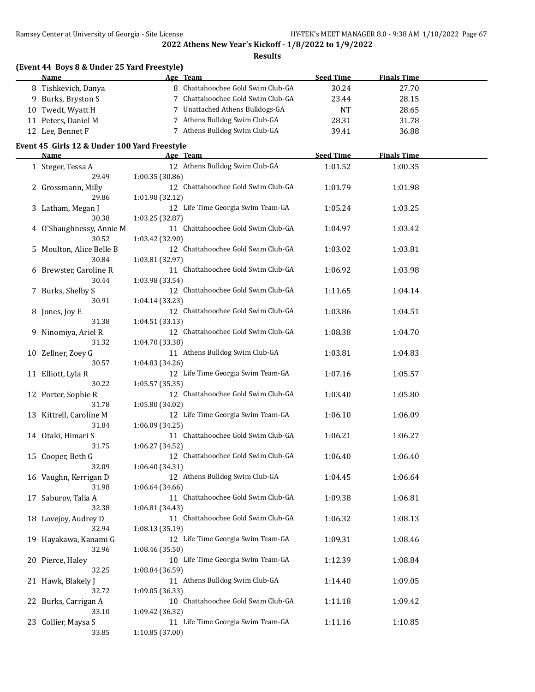Ramsey Center at University of Georgia - Site License HY-TEK's MEET MANAGER 8.0 - 9:38 AM 1/10/2022 Page 67

**2022 Athens New Year's Kickoff - 1/8/2022 to 1/9/2022**

**Results**

| (Event 44 Boys 8 & Under 25 Yard Freestyle)  |                 |                                    |                  |                    |  |
|----------------------------------------------|-----------------|------------------------------------|------------------|--------------------|--|
| Name                                         |                 | Age Team                           | <b>Seed Time</b> | <b>Finals Time</b> |  |
| 8 Tishkevich, Danya                          |                 | 8 Chattahoochee Gold Swim Club-GA  | 30.24            | 27.70              |  |
| 9 Burks, Bryston S                           |                 | 7 Chattahoochee Gold Swim Club-GA  | 23.44            | 28.15              |  |
| 10 Twedt, Wyatt H                            |                 | 7 Unattached Athens Bulldogs-GA    | <b>NT</b>        | 28.65              |  |
| 11 Peters, Daniel M                          |                 | 7 Athens Bulldog Swim Club-GA      | 28.31            | 31.78              |  |
| 12 Lee, Bennet F                             |                 | 7 Athens Bulldog Swim Club-GA      | 39.41            | 36.88              |  |
| Event 45 Girls 12 & Under 100 Yard Freestyle |                 |                                    |                  |                    |  |
| <b>Name</b>                                  |                 | Age Team                           | <b>Seed Time</b> | <b>Finals Time</b> |  |
| 1 Steger, Tessa A                            |                 | 12 Athens Bulldog Swim Club-GA     | 1:01.52          | 1:00.35            |  |
| 29.49                                        | 1:00.35 (30.86) |                                    |                  |                    |  |
| 2 Grossmann, Milly                           |                 | 12 Chattahoochee Gold Swim Club-GA | 1:01.79          | 1:01.98            |  |
| 29.86                                        | 1:01.98 (32.12) |                                    |                  |                    |  |
| 3 Latham, Megan J                            |                 | 12 Life Time Georgia Swim Team-GA  | 1:05.24          | 1:03.25            |  |
| 30.38                                        | 1:03.25 (32.87) |                                    |                  |                    |  |
| 4 O'Shaughnessy, Annie M                     |                 | 11 Chattahoochee Gold Swim Club-GA | 1:04.97          | 1:03.42            |  |
| 30.52                                        | 1:03.42 (32.90) |                                    |                  |                    |  |
| 5 Moulton, Alice Belle B                     |                 | 12 Chattahoochee Gold Swim Club-GA | 1:03.02          | 1:03.81            |  |
| 30.84                                        | 1:03.81 (32.97) |                                    |                  |                    |  |
|                                              |                 | 11 Chattahoochee Gold Swim Club-GA | 1:06.92          | 1:03.98            |  |
| 6 Brewster, Caroline R<br>30.44              |                 |                                    |                  |                    |  |
|                                              | 1:03.98 (33.54) | 12 Chattahoochee Gold Swim Club-GA |                  |                    |  |
| 7 Burks, Shelby S                            |                 |                                    | 1:11.65          | 1:04.14            |  |
| 30.91                                        | 1:04.14 (33.23) |                                    |                  |                    |  |
| 8 Jones, Joy E                               |                 | 12 Chattahoochee Gold Swim Club-GA | 1:03.86          | 1:04.51            |  |
| 31.38                                        | 1:04.51 (33.13) |                                    |                  |                    |  |
| 9 Ninomiya, Ariel R                          |                 | 12 Chattahoochee Gold Swim Club-GA | 1:08.38          | 1:04.70            |  |
| 31.32                                        | 1:04.70 (33.38) |                                    |                  |                    |  |
| 10 Zellner, Zoey G                           |                 | 11 Athens Bulldog Swim Club-GA     | 1:03.81          | 1:04.83            |  |
| 30.57                                        | 1:04.83 (34.26) |                                    |                  |                    |  |
| 11 Elliott, Lyla R                           |                 | 12 Life Time Georgia Swim Team-GA  | 1:07.16          | 1:05.57            |  |
| 30.22                                        | 1:05.57 (35.35) |                                    |                  |                    |  |
| 12 Porter, Sophie R                          |                 | 12 Chattahoochee Gold Swim Club-GA | 1:03.40          | 1:05.80            |  |
| 31.78                                        | 1:05.80 (34.02) |                                    |                  |                    |  |
| 13 Kittrell, Caroline M                      |                 | 12 Life Time Georgia Swim Team-GA  | 1:06.10          | 1:06.09            |  |
| 31.84                                        | 1:06.09 (34.25) |                                    |                  |                    |  |
| 14 Otaki, Himari S                           |                 | 11 Chattahoochee Gold Swim Club-GA | 1:06.21          | 1:06.27            |  |
| 31.75                                        | 1:06.27 (34.52) |                                    |                  |                    |  |
| 15 Cooper, Beth G                            |                 | 12 Chattahoochee Gold Swim Club-GA | 1:06.40          | 1:06.40            |  |
| 32.09                                        | 1:06.40 (34.31) |                                    |                  |                    |  |
| 16 Vaughn, Kerrigan D                        |                 | 12 Athens Bulldog Swim Club-GA     | 1:04.45          | 1:06.64            |  |
| 31.98                                        | 1:06.64(34.66)  |                                    |                  |                    |  |
| 17 Saburov, Talia A                          |                 | 11 Chattahoochee Gold Swim Club-GA | 1:09.38          | 1:06.81            |  |
| 32.38                                        | 1:06.81 (34.43) |                                    |                  |                    |  |
| 18 Lovejoy, Audrey D                         |                 | 11 Chattahoochee Gold Swim Club-GA | 1:06.32          | 1:08.13            |  |
| 32.94                                        | 1:08.13 (35.19) |                                    |                  |                    |  |
| 19 Hayakawa, Kanami G                        |                 | 12 Life Time Georgia Swim Team-GA  | 1:09.31          | 1:08.46            |  |
| 32.96                                        | 1:08.46 (35.50) |                                    |                  |                    |  |
| 20 Pierce, Haley                             |                 | 10 Life Time Georgia Swim Team-GA  | 1:12.39          | 1:08.84            |  |
| 32.25                                        | 1:08.84 (36.59) |                                    |                  |                    |  |
| 21 Hawk, Blakely J                           |                 | 11 Athens Bulldog Swim Club-GA     | 1:14.40          | 1:09.05            |  |
| 32.72                                        | 1:09.05 (36.33) |                                    |                  |                    |  |
| 22 Burks, Carrigan A                         |                 | 10 Chattahoochee Gold Swim Club-GA | 1:11.18          | 1:09.42            |  |
| 33.10                                        | 1:09.42 (36.32) |                                    |                  |                    |  |
| 23 Collier, Maysa S                          |                 | 11 Life Time Georgia Swim Team-GA  | 1:11.16          | 1:10.85            |  |
| 33.85                                        | 1:10.85 (37.00) |                                    |                  |                    |  |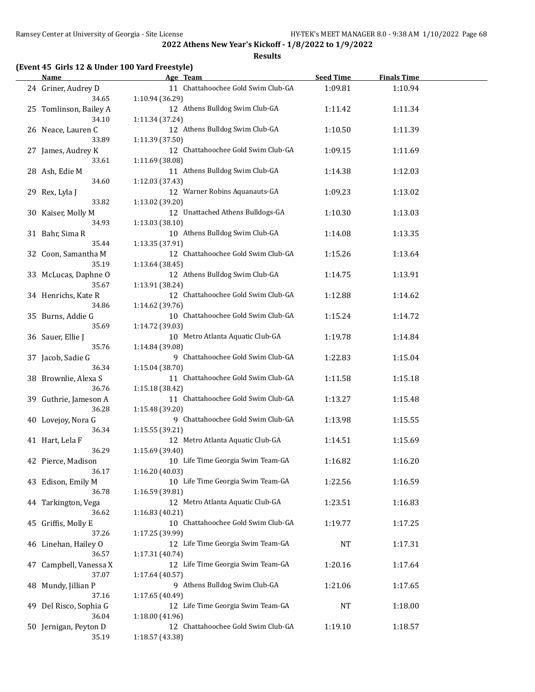**Results**

### **(Event 45 Girls 12 & Under 100 Yard Freestyle)**

| <u>Name</u>                     | Age Team                                          | <b>Seed Time</b> | <b>Finals Time</b> |  |
|---------------------------------|---------------------------------------------------|------------------|--------------------|--|
| 24 Griner, Audrey D             | 11 Chattahoochee Gold Swim Club-GA                | 1:09.81          | 1:10.94            |  |
| 34.65                           | 1:10.94 (36.29)                                   |                  |                    |  |
| 25 Tomlinson, Bailey A          | 12 Athens Bulldog Swim Club-GA                    | 1:11.42          | 1:11.34            |  |
| 34.10                           | 1:11.34 (37.24)                                   |                  |                    |  |
| 26 Neace, Lauren C              | 12 Athens Bulldog Swim Club-GA                    | 1:10.50          | 1:11.39            |  |
| 33.89                           | 1:11.39 (37.50)                                   |                  |                    |  |
| 27 James, Audrey K              | 12 Chattahoochee Gold Swim Club-GA                | 1:09.15          | 1:11.69            |  |
| 33.61                           | 1:11.69 (38.08)                                   |                  |                    |  |
| 28 Ash, Edie M                  | 11 Athens Bulldog Swim Club-GA                    | 1:14.38          | 1:12.03            |  |
| 34.60                           | 1:12.03 (37.43)                                   |                  |                    |  |
| 29 Rex, Lyla J                  | 12 Warner Robins Aquanauts-GA                     | 1:09.23          | 1:13.02            |  |
| 33.82                           | 1:13.02 (39.20)                                   |                  |                    |  |
| 30 Kaiser, Molly M              | 12 Unattached Athens Bulldogs-GA                  | 1:10.30          | 1:13.03            |  |
| 34.93                           | 1:13.03 (38.10)                                   |                  |                    |  |
| 31 Bahr, Sima R                 | 10 Athens Bulldog Swim Club-GA                    | 1:14.08          | 1:13.35            |  |
| 35.44                           | 1:13.35 (37.91)                                   |                  |                    |  |
| 32 Coon, Samantha M<br>35.19    | 12 Chattahoochee Gold Swim Club-GA                | 1:15.26          | 1:13.64            |  |
|                                 | 1:13.64 (38.45)<br>12 Athens Bulldog Swim Club-GA |                  |                    |  |
| 33 McLucas, Daphne O<br>35.67   | 1:13.91 (38.24)                                   | 1:14.75          | 1:13.91            |  |
| 34 Henrichs, Kate R             | 12 Chattahoochee Gold Swim Club-GA                | 1:12.88          | 1:14.62            |  |
| 34.86                           | 1:14.62 (39.76)                                   |                  |                    |  |
| 35 Burns, Addie G               | 10 Chattahoochee Gold Swim Club-GA                | 1:15.24          | 1:14.72            |  |
| 35.69                           | 1:14.72 (39.03)                                   |                  |                    |  |
| 36 Sauer, Ellie J               | 10 Metro Atlanta Aquatic Club-GA                  | 1:19.78          | 1:14.84            |  |
| 35.76                           | 1:14.84 (39.08)                                   |                  |                    |  |
| 37 Jacob, Sadie G               | 9 Chattahoochee Gold Swim Club-GA                 | 1:22.83          | 1:15.04            |  |
| 36.34                           | 1:15.04 (38.70)                                   |                  |                    |  |
| 38 Brownlie, Alexa S            | 11 Chattahoochee Gold Swim Club-GA                | 1:11.58          | 1:15.18            |  |
| 36.76                           | 1:15.18 (38.42)                                   |                  |                    |  |
| 39 Guthrie, Jameson A           | 11 Chattahoochee Gold Swim Club-GA                | 1:13.27          | 1:15.48            |  |
| 36.28                           | 1:15.48 (39.20)                                   |                  |                    |  |
| 40 Lovejoy, Nora G              | 9 Chattahoochee Gold Swim Club-GA                 | 1:13.98          | 1:15.55            |  |
| 36.34                           | 1:15.55 (39.21)                                   |                  |                    |  |
| 41 Hart, Lela F                 | 12 Metro Atlanta Aquatic Club-GA                  | 1:14.51          | 1:15.69            |  |
| 36.29                           | 1:15.69 (39.40)                                   |                  |                    |  |
| 42 Pierce, Madison              | 10 Life Time Georgia Swim Team-GA                 | 1:16.82          | 1:16.20            |  |
| 36.17                           | 1:16.20 (40.03)                                   |                  |                    |  |
| 43 Edison, Emily M              | 10 Life Time Georgia Swim Team-GA                 | 1:22.56          | 1:16.59            |  |
| 36.78                           | 1:16.59 (39.81)                                   |                  |                    |  |
| 44 Tarkington, Vega             | 12 Metro Atlanta Aquatic Club-GA                  | 1:23.51          | 1:16.83            |  |
| 36.62                           | 1:16.83 (40.21)                                   |                  |                    |  |
| 45 Griffis, Molly E             | 10 Chattahoochee Gold Swim Club-GA                | 1:19.77          | 1:17.25            |  |
| 37.26                           | 1:17.25 (39.99)                                   |                  |                    |  |
| 46 Linehan, Hailey O<br>36.57   | 12 Life Time Georgia Swim Team-GA                 | NT               | 1:17.31            |  |
|                                 | 1:17.31 (40.74)                                   | 1:20.16          |                    |  |
| 47 Campbell, Vanessa X<br>37.07 | 12 Life Time Georgia Swim Team-GA                 |                  | 1:17.64            |  |
| 48 Mundy, Jillian P             | 1:17.64 (40.57)<br>9 Athens Bulldog Swim Club-GA  | 1:21.06          | 1:17.65            |  |
| 37.16                           | 1:17.65 (40.49)                                   |                  |                    |  |
| 49 Del Risco, Sophia G          | 12 Life Time Georgia Swim Team-GA                 | NT               | 1:18.00            |  |
| 36.04                           | 1:18.00 (41.96)                                   |                  |                    |  |
| 50 Jernigan, Peyton D           | 12 Chattahoochee Gold Swim Club-GA                | 1:19.10          | 1:18.57            |  |
| 35.19                           | 1:18.57 (43.38)                                   |                  |                    |  |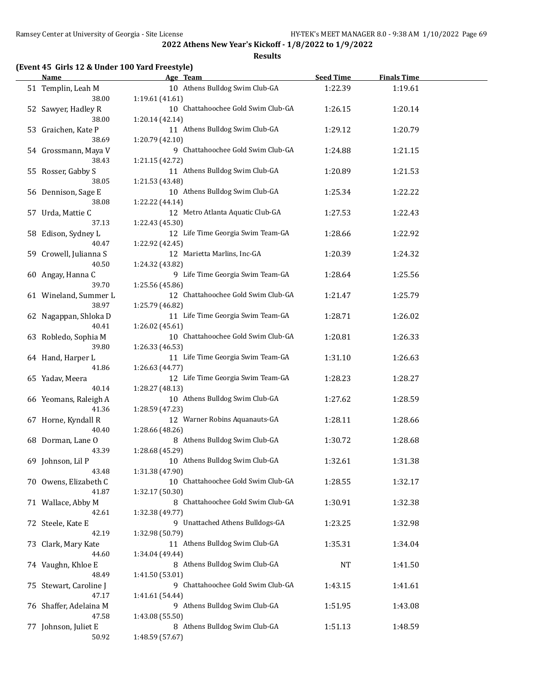**Results**

### **(Event 45 Girls 12 & Under 100 Yard Freestyle)**

| <u>Name</u>                     | Age Team                                            | <b>Seed Time</b> | <b>Finals Time</b> |  |
|---------------------------------|-----------------------------------------------------|------------------|--------------------|--|
| 51 Templin, Leah M              | 10 Athens Bulldog Swim Club-GA                      | 1:22.39          | 1:19.61            |  |
| 38.00                           | 1:19.61(41.61)                                      |                  |                    |  |
| 52 Sawyer, Hadley R             | 10 Chattahoochee Gold Swim Club-GA                  | 1:26.15          | 1:20.14            |  |
| 38.00                           | 1:20.14(42.14)                                      |                  |                    |  |
| 53 Graichen, Kate P             | 11 Athens Bulldog Swim Club-GA                      | 1:29.12          | 1:20.79            |  |
| 38.69                           | 1:20.79 (42.10)                                     |                  |                    |  |
| 54 Grossmann, Maya V            | 9 Chattahoochee Gold Swim Club-GA                   | 1:24.88          | 1:21.15            |  |
| 38.43                           | 1:21.15 (42.72)                                     |                  |                    |  |
| 55 Rosser, Gabby S              | 11 Athens Bulldog Swim Club-GA                      | 1:20.89          | 1:21.53            |  |
| 38.05                           | 1:21.53 (43.48)                                     |                  |                    |  |
| 56 Dennison, Sage E             | 10 Athens Bulldog Swim Club-GA                      | 1:25.34          | 1:22.22            |  |
| 38.08                           | 1:22.22 (44.14)                                     |                  |                    |  |
| 57 Urda, Mattie C               | 12 Metro Atlanta Aquatic Club-GA                    | 1:27.53          | 1:22.43            |  |
| 37.13                           | 1:22.43 (45.30)                                     |                  |                    |  |
| 58 Edison, Sydney L             | 12 Life Time Georgia Swim Team-GA                   | 1:28.66          | 1:22.92            |  |
| 40.47                           | 1:22.92 (42.45)                                     |                  |                    |  |
| 59 Crowell, Julianna S<br>40.50 | 12 Marietta Marlins, Inc-GA                         | 1:20.39          | 1:24.32            |  |
| 60 Angay, Hanna C               | 1:24.32 (43.82)<br>9 Life Time Georgia Swim Team-GA | 1:28.64          | 1:25.56            |  |
| 39.70                           | 1:25.56 (45.86)                                     |                  |                    |  |
| 61 Wineland, Summer L           | 12 Chattahoochee Gold Swim Club-GA                  | 1:21.47          | 1:25.79            |  |
| 38.97                           | 1:25.79 (46.82)                                     |                  |                    |  |
| 62 Nagappan, Shloka D           | 11 Life Time Georgia Swim Team-GA                   | 1:28.71          | 1:26.02            |  |
| 40.41                           | 1:26.02 (45.61)                                     |                  |                    |  |
| 63 Robledo, Sophia M            | 10 Chattahoochee Gold Swim Club-GA                  | 1:20.81          | 1:26.33            |  |
| 39.80                           | 1:26.33 (46.53)                                     |                  |                    |  |
| 64 Hand, Harper L               | 11 Life Time Georgia Swim Team-GA                   | 1:31.10          | 1:26.63            |  |
| 41.86                           | 1:26.63 (44.77)                                     |                  |                    |  |
| 65 Yadav, Meera                 | 12 Life Time Georgia Swim Team-GA                   | 1:28.23          | 1:28.27            |  |
| 40.14                           | 1:28.27 (48.13)                                     |                  |                    |  |
| 66 Yeomans, Raleigh A           | 10 Athens Bulldog Swim Club-GA                      | 1:27.62          | 1:28.59            |  |
| 41.36                           | 1:28.59 (47.23)                                     |                  |                    |  |
| 67 Horne, Kyndall R             | 12 Warner Robins Aquanauts-GA                       | 1:28.11          | 1:28.66            |  |
| 40.40                           | 1:28.66 (48.26)                                     |                  |                    |  |
| 68 Dorman, Lane O               | 8 Athens Bulldog Swim Club-GA                       | 1:30.72          | 1:28.68            |  |
| 43.39                           | 1:28.68 (45.29)                                     |                  |                    |  |
| 69 Johnson, Lil P               | 10 Athens Bulldog Swim Club-GA                      | 1:32.61          | 1:31.38            |  |
| 43.48                           | 1:31.38 (47.90)                                     |                  |                    |  |
| 70 Owens, Elizabeth C           | 10 Chattahoochee Gold Swim Club-GA                  | 1:28.55          | 1:32.17            |  |
| 41.87                           | 1:32.17 (50.30)                                     |                  |                    |  |
| 71 Wallace, Abby M              | 8 Chattahoochee Gold Swim Club-GA                   | 1:30.91          | 1:32.38            |  |
| 42.61                           | 1:32.38 (49.77)<br>9 Unattached Athens Bulldogs-GA  |                  |                    |  |
| 72 Steele, Kate E<br>42.19      | 1:32.98 (50.79)                                     | 1:23.25          | 1:32.98            |  |
| 73 Clark, Mary Kate             | 11 Athens Bulldog Swim Club-GA                      | 1:35.31          | 1:34.04            |  |
| 44.60                           | 1:34.04 (49.44)                                     |                  |                    |  |
| 74 Vaughn, Khloe E              | 8 Athens Bulldog Swim Club-GA                       | <b>NT</b>        | 1:41.50            |  |
| 48.49                           | 1:41.50 (53.01)                                     |                  |                    |  |
| 75 Stewart, Caroline J          | 9 Chattahoochee Gold Swim Club-GA                   | 1:43.15          | 1:41.61            |  |
| 47.17                           | 1:41.61 (54.44)                                     |                  |                    |  |
| 76 Shaffer, Adelaina M          | 9 Athens Bulldog Swim Club-GA                       | 1:51.95          | 1:43.08            |  |
| 47.58                           | 1:43.08 (55.50)                                     |                  |                    |  |
| 77 Johnson, Juliet E            | 8 Athens Bulldog Swim Club-GA                       | 1:51.13          | 1:48.59            |  |
| 50.92                           | 1:48.59 (57.67)                                     |                  |                    |  |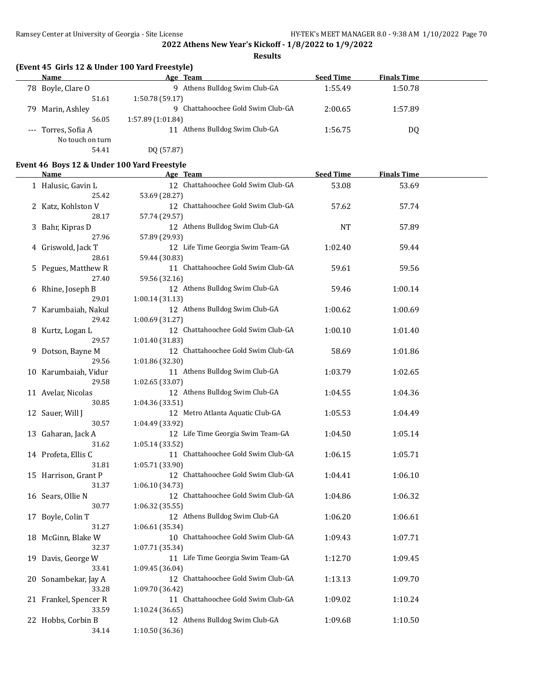**Results**

### **(Event 45 Girls 12 & Under 100 Yard Freestyle)**

| <b>Name</b>         | Age Team                          | <b>Seed Time</b> | <b>Finals Time</b> |  |
|---------------------|-----------------------------------|------------------|--------------------|--|
| 78 Boyle, Clare O   | 9 Athens Bulldog Swim Club-GA     | 1:55.49          | 1:50.78            |  |
| 51.61               | 1:50.78 (59.17)                   |                  |                    |  |
| 79 Marin, Ashley    | 9 Chattahoochee Gold Swim Club-GA | 2:00.65          | 1:57.89            |  |
| 56.05               | 1:57.89 (1:01.84)                 |                  |                    |  |
| --- Torres, Sofia A | Athens Bulldog Swim Club-GA<br>11 | 1:56.75          | DQ                 |  |
| No touch on turn    |                                   |                  |                    |  |
| 54.41               | DQ (57.87)                        |                  |                    |  |

### **Event 46 Boys 12 & Under 100 Yard Freestyle**

| Name                  | Age Team                                              | <b>Seed Time</b> | <b>Finals Time</b> |  |
|-----------------------|-------------------------------------------------------|------------------|--------------------|--|
| 1 Halusic, Gavin L    | 12 Chattahoochee Gold Swim Club-GA                    | 53.08            | 53.69              |  |
| 25.42                 | 53.69 (28.27)                                         |                  |                    |  |
| 2 Katz, Kohlston V    | 12 Chattahoochee Gold Swim Club-GA                    | 57.62            | 57.74              |  |
| 28.17                 | 57.74 (29.57)                                         |                  |                    |  |
| 3 Bahr, Kipras D      | 12 Athens Bulldog Swim Club-GA                        | NT               | 57.89              |  |
| 27.96                 | 57.89 (29.93)                                         |                  |                    |  |
| 4 Griswold, Jack T    | 12 Life Time Georgia Swim Team-GA                     | 1:02.40          | 59.44              |  |
| 28.61                 | 59.44 (30.83)                                         |                  |                    |  |
| 5 Pegues, Matthew R   | 11 Chattahoochee Gold Swim Club-GA                    | 59.61            | 59.56              |  |
| 27.40                 | 59.56 (32.16)                                         |                  |                    |  |
| 6 Rhine, Joseph B     | 12 Athens Bulldog Swim Club-GA                        | 59.46            | 1:00.14            |  |
| 29.01                 | 1:00.14(31.13)                                        |                  |                    |  |
| 7 Karumbaiah, Nakul   | 12 Athens Bulldog Swim Club-GA                        | 1:00.62          | 1:00.69            |  |
| 29.42                 | 1:00.69 (31.27)                                       |                  |                    |  |
| 8 Kurtz, Logan L      | 12 Chattahoochee Gold Swim Club-GA                    | 1:00.10          | 1:01.40            |  |
| 29.57                 | 1:01.40 (31.83)                                       |                  |                    |  |
| 9 Dotson, Bayne M     | 12 Chattahoochee Gold Swim Club-GA                    | 58.69            | 1:01.86            |  |
| 29.56                 | 1:01.86 (32.30)                                       |                  |                    |  |
| 10 Karumbaiah, Vidur  | 11 Athens Bulldog Swim Club-GA                        | 1:03.79          | 1:02.65            |  |
| 29.58                 | 1:02.65 (33.07)                                       |                  |                    |  |
| 11 Avelar, Nicolas    | 12 Athens Bulldog Swim Club-GA                        | 1:04.55          | 1:04.36            |  |
| 30.85                 | 1:04.36 (33.51)                                       |                  |                    |  |
| 12 Sauer, Will J      | 12 Metro Atlanta Aquatic Club-GA                      | 1:05.53          | 1:04.49            |  |
| 30.57                 | 1:04.49 (33.92)                                       |                  |                    |  |
| 13 Gaharan, Jack A    | 12 Life Time Georgia Swim Team-GA                     | 1:04.50          | 1:05.14            |  |
| 31.62                 | 1:05.14 (33.52)                                       |                  |                    |  |
| 14 Profeta, Ellis C   | 11 Chattahoochee Gold Swim Club-GA                    | 1:06.15          | 1:05.71            |  |
| 31.81                 | 1:05.71 (33.90)                                       |                  |                    |  |
| 15 Harrison, Grant P  | 12 Chattahoochee Gold Swim Club-GA                    | 1:04.41          | 1:06.10            |  |
| 31.37                 | 1:06.10 (34.73)                                       |                  |                    |  |
| 16 Sears, Ollie N     | 12 Chattahoochee Gold Swim Club-GA                    | 1:04.86          | 1:06.32            |  |
| 30.77                 | 1:06.32 (35.55)                                       |                  |                    |  |
| 17 Boyle, Colin T     | 12 Athens Bulldog Swim Club-GA                        | 1:06.20          | 1:06.61            |  |
| 31.27                 | 1:06.61 (35.34)                                       |                  |                    |  |
| 18 McGinn, Blake W    | 10 Chattahoochee Gold Swim Club-GA                    | 1:09.43          | 1:07.71            |  |
| 32.37                 | 1:07.71 (35.34)                                       |                  |                    |  |
| 19 Davis, George W    | 11 Life Time Georgia Swim Team-GA                     | 1:12.70          | 1:09.45            |  |
| 33.41                 | 1:09.45 (36.04)                                       |                  |                    |  |
| 20 Sonambekar, Jay A  | 12 Chattahoochee Gold Swim Club-GA                    | 1:13.13          | 1:09.70            |  |
| 33.28                 | 1:09.70 (36.42)<br>11 Chattahoochee Gold Swim Club-GA |                  |                    |  |
| 21 Frankel, Spencer R |                                                       | 1:09.02          | 1:10.24            |  |
| 33.59                 | 1:10.24 (36.65)<br>12 Athens Bulldog Swim Club-GA     |                  |                    |  |
| 22 Hobbs, Corbin B    |                                                       | 1:09.68          | 1:10.50            |  |
| 34.14                 | 1:10.50 (36.36)                                       |                  |                    |  |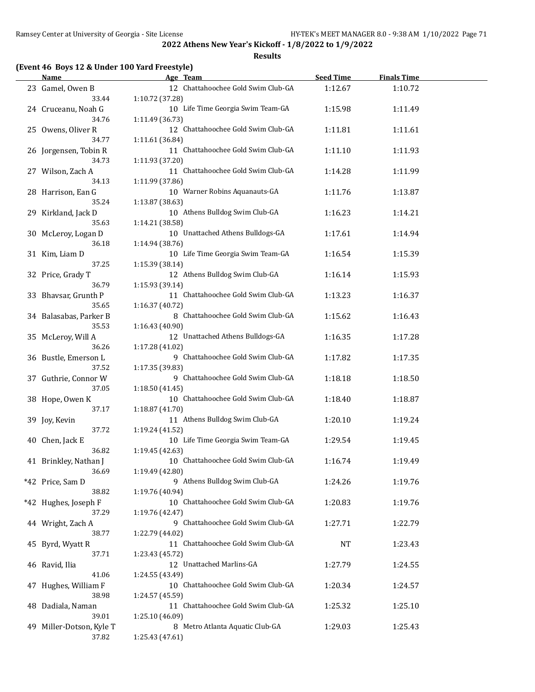**Results**

### **(Event 46 Boys 12 & Under 100 Yard Freestyle)**

| <u>Name</u>                       | Age Team                                             | <b>Seed Time</b> | <b>Finals Time</b> |  |
|-----------------------------------|------------------------------------------------------|------------------|--------------------|--|
| 23 Gamel, Owen B                  | 12 Chattahoochee Gold Swim Club-GA                   | 1:12.67          | 1:10.72            |  |
| 33.44                             | 1:10.72 (37.28)                                      |                  |                    |  |
| 24 Cruceanu, Noah G               | 10 Life Time Georgia Swim Team-GA                    | 1:15.98          | 1:11.49            |  |
| 34.76                             | 1:11.49 (36.73)                                      |                  |                    |  |
| 25 Owens, Oliver R                | 12 Chattahoochee Gold Swim Club-GA                   | 1:11.81          | 1:11.61            |  |
| 34.77                             | 1:11.61 (36.84)                                      |                  |                    |  |
| 26 Jorgensen, Tobin R             | 11 Chattahoochee Gold Swim Club-GA                   | 1:11.10          | 1:11.93            |  |
| 34.73                             | 1:11.93 (37.20)                                      |                  |                    |  |
| 27 Wilson, Zach A                 | 11 Chattahoochee Gold Swim Club-GA                   | 1:14.28          | 1:11.99            |  |
| 34.13                             | 1:11.99 (37.86)                                      |                  |                    |  |
| 28 Harrison, Ean G                | 10 Warner Robins Aquanauts-GA                        | 1:11.76          | 1:13.87            |  |
| 35.24                             | 1:13.87 (38.63)                                      |                  |                    |  |
| 29 Kirkland, Jack D               | 10 Athens Bulldog Swim Club-GA                       | 1:16.23          | 1:14.21            |  |
| 35.63                             | 1:14.21 (38.58)<br>10 Unattached Athens Bulldogs-GA  |                  |                    |  |
| 30 McLeroy, Logan D<br>36.18      | 1:14.94 (38.76)                                      | 1:17.61          | 1:14.94            |  |
| 31 Kim, Liam D                    | 10 Life Time Georgia Swim Team-GA                    | 1:16.54          | 1:15.39            |  |
| 37.25                             | 1:15.39 (38.14)                                      |                  |                    |  |
| 32 Price, Grady T                 | 12 Athens Bulldog Swim Club-GA                       | 1:16.14          | 1:15.93            |  |
| 36.79                             | 1:15.93 (39.14)                                      |                  |                    |  |
| 33 Bhavsar, Grunth P              | 11 Chattahoochee Gold Swim Club-GA                   | 1:13.23          | 1:16.37            |  |
| 35.65                             | 1:16.37 (40.72)                                      |                  |                    |  |
| 34 Balasabas, Parker B            | 8 Chattahoochee Gold Swim Club-GA                    | 1:15.62          | 1:16.43            |  |
| 35.53                             | 1:16.43 (40.90)                                      |                  |                    |  |
| 35 McLeroy, Will A                | 12 Unattached Athens Bulldogs-GA                     | 1:16.35          | 1:17.28            |  |
| 36.26                             | 1:17.28 (41.02)                                      |                  |                    |  |
| 36 Bustle, Emerson L              | 9 Chattahoochee Gold Swim Club-GA                    | 1:17.82          | 1:17.35            |  |
| 37.52                             | 1:17.35 (39.83)                                      |                  |                    |  |
| 37 Guthrie, Connor W              | 9 Chattahoochee Gold Swim Club-GA                    | 1:18.18          | 1:18.50            |  |
| 37.05                             | 1:18.50 (41.45)                                      |                  |                    |  |
| 38 Hope, Owen K                   | 10 Chattahoochee Gold Swim Club-GA                   | 1:18.40          | 1:18.87            |  |
| 37.17                             | 1:18.87 (41.70)                                      |                  |                    |  |
| 39 Joy, Kevin                     | 11 Athens Bulldog Swim Club-GA                       | 1:20.10          | 1:19.24            |  |
| 37.72                             | 1:19.24 (41.52)<br>10 Life Time Georgia Swim Team-GA |                  |                    |  |
| 40 Chen, Jack E<br>36.82          | 1:19.45 (42.63)                                      | 1:29.54          | 1:19.45            |  |
| 41 Brinkley, Nathan J             | 10 Chattahoochee Gold Swim Club-GA                   | 1:16.74          | 1:19.49            |  |
| 36.69                             | 1:19.49 (42.80)                                      |                  |                    |  |
| *42 Price, Sam D                  | 9 Athens Bulldog Swim Club-GA                        | 1:24.26          | 1:19.76            |  |
| 38.82                             | 1:19.76 (40.94)                                      |                  |                    |  |
| *42 Hughes, Joseph F              | 10 Chattahoochee Gold Swim Club-GA                   | 1:20.83          | 1:19.76            |  |
| 37.29                             | 1:19.76 (42.47)                                      |                  |                    |  |
| 44 Wright, Zach A                 | 9 Chattahoochee Gold Swim Club-GA                    | 1:27.71          | 1:22.79            |  |
| 38.77                             | 1:22.79 (44.02)                                      |                  |                    |  |
| 45 Byrd, Wyatt R                  | 11 Chattahoochee Gold Swim Club-GA                   | NT               | 1:23.43            |  |
| 37.71                             | 1:23.43 (45.72)                                      |                  |                    |  |
| 46 Ravid, Ilia                    | 12 Unattached Marlins-GA                             | 1:27.79          | 1:24.55            |  |
| 41.06                             | 1:24.55 (43.49)                                      |                  |                    |  |
| 47 Hughes, William F              | 10 Chattahoochee Gold Swim Club-GA                   | 1:20.34          | 1:24.57            |  |
| 38.98                             | 1:24.57 (45.59)                                      |                  |                    |  |
| 48 Dadiala, Naman                 | 11 Chattahoochee Gold Swim Club-GA                   | 1:25.32          | 1:25.10            |  |
| 39.01                             | 1:25.10 (46.09)                                      |                  |                    |  |
| 49 Miller-Dotson, Kyle T<br>37.82 | 8 Metro Atlanta Aquatic Club-GA<br>1:25.43 (47.61)   | 1:29.03          | 1:25.43            |  |
|                                   |                                                      |                  |                    |  |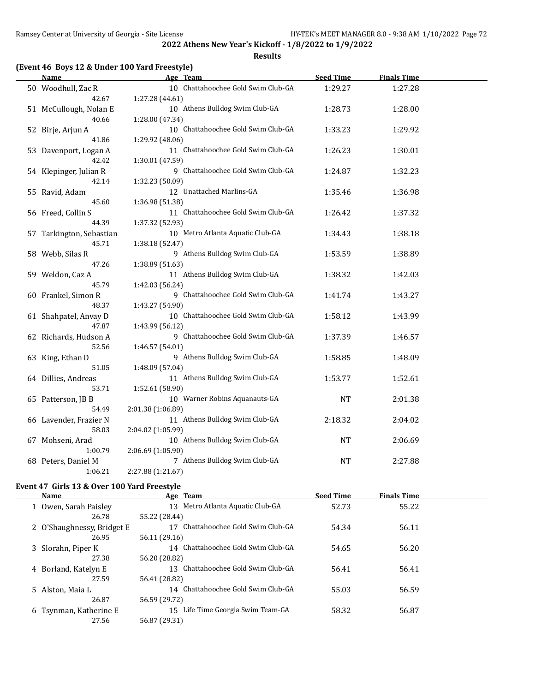**Results**

### **(Event 46 Boys 12 & Under 100 Yard Freestyle)**

| Name                         | Age Team                                         | <b>Seed Time</b> | <b>Finals Time</b> |  |
|------------------------------|--------------------------------------------------|------------------|--------------------|--|
| 50 Woodhull, Zac R           | 10 Chattahoochee Gold Swim Club-GA               | 1:29.27          | 1:27.28            |  |
| 42.67                        | 1:27.28 (44.61)                                  |                  |                    |  |
| 51 McCullough, Nolan E       | 10 Athens Bulldog Swim Club-GA                   | 1:28.73          | 1:28.00            |  |
| 40.66                        | 1:28.00 (47.34)                                  |                  |                    |  |
| 52 Birje, Arjun A            | 10 Chattahoochee Gold Swim Club-GA               | 1:33.23          | 1:29.92            |  |
| 41.86                        | 1:29.92 (48.06)                                  |                  |                    |  |
| 53 Davenport, Logan A        | 11 Chattahoochee Gold Swim Club-GA               | 1:26.23          | 1:30.01            |  |
| 42.42                        | 1:30.01 (47.59)                                  |                  |                    |  |
| 54 Klepinger, Julian R       | 9 Chattahoochee Gold Swim Club-GA                | 1:24.87          | 1:32.23            |  |
| 42.14                        | 1:32.23 (50.09)                                  |                  |                    |  |
| 55 Ravid, Adam               | 12 Unattached Marlins-GA                         | 1:35.46          | 1:36.98            |  |
| 45.60                        | 1:36.98 (51.38)                                  |                  |                    |  |
| 56 Freed, Collin S           | 11 Chattahoochee Gold Swim Club-GA               | 1:26.42          | 1:37.32            |  |
| 44.39                        | 1:37.32 (52.93)                                  |                  |                    |  |
| 57 Tarkington, Sebastian     | 10 Metro Atlanta Aquatic Club-GA                 | 1:34.43          | 1:38.18            |  |
| 45.71                        | 1:38.18 (52.47)                                  |                  |                    |  |
| 58 Webb, Silas R             | 9 Athens Bulldog Swim Club-GA                    | 1:53.59          | 1:38.89            |  |
| 47.26                        | 1:38.89 (51.63)                                  |                  |                    |  |
| 59 Weldon, Caz A             | 11 Athens Bulldog Swim Club-GA                   | 1:38.32          | 1:42.03            |  |
| 45.79                        | 1:42.03 (56.24)                                  |                  |                    |  |
| 60 Frankel, Simon R          | 9 Chattahoochee Gold Swim Club-GA                | 1:41.74          | 1:43.27            |  |
| 48.37                        | 1:43.27 (54.90)                                  |                  |                    |  |
| 61 Shahpatel, Anvay D        | 10 Chattahoochee Gold Swim Club-GA               | 1:58.12          | 1:43.99            |  |
| 47.87                        | 1:43.99 (56.12)                                  |                  |                    |  |
| 62 Richards, Hudson A        | 9 Chattahoochee Gold Swim Club-GA                | 1:37.39          | 1:46.57            |  |
| 52.56                        | 1:46.57 (54.01)                                  |                  |                    |  |
| 63 King, Ethan D<br>51.05    | 9 Athens Bulldog Swim Club-GA<br>1:48.09 (57.04) | 1:58.85          | 1:48.09            |  |
|                              | 11 Athens Bulldog Swim Club-GA                   | 1:53.77          | 1:52.61            |  |
| 64 Dillies, Andreas<br>53.71 | 1:52.61 (58.90)                                  |                  |                    |  |
| 65 Patterson, JB B           | 10 Warner Robins Aquanauts-GA                    | <b>NT</b>        | 2:01.38            |  |
| 54.49                        | 2:01.38 (1:06.89)                                |                  |                    |  |
| 66 Lavender, Frazier N       | 11 Athens Bulldog Swim Club-GA                   | 2:18.32          | 2:04.02            |  |
| 58.03                        | 2:04.02 (1:05.99)                                |                  |                    |  |
| 67 Mohseni, Arad             | 10 Athens Bulldog Swim Club-GA                   | <b>NT</b>        | 2:06.69            |  |
| 1:00.79                      | 2:06.69 (1:05.90)                                |                  |                    |  |
| 68 Peters, Daniel M          | 7 Athens Bulldog Swim Club-GA                    | NT               | 2:27.88            |  |
| 1:06.21                      | 2:27.88 (1:21.67)                                |                  |                    |  |
|                              |                                                  |                  |                    |  |

### **Event 47 Girls 13 & Over 100 Yard Freestyle**

| <b>Name</b>                | Age Team                              | <b>Seed Time</b> | <b>Finals Time</b> |  |
|----------------------------|---------------------------------------|------------------|--------------------|--|
| 1 Owen, Sarah Paisley      | Metro Atlanta Aquatic Club-GA<br>13   | 52.73            | 55.22              |  |
| 26.78                      | 55.22 (28.44)                         |                  |                    |  |
| 2 O'Shaughnessy, Bridget E | Chattahoochee Gold Swim Club-GA       | 54.34            | 56.11              |  |
| 26.95                      | 56.11 (29.16)                         |                  |                    |  |
| 3 Slorahn, Piper K         | 14 Chattahoochee Gold Swim Club-GA    | 54.65            | 56.20              |  |
| 27.38                      | 56.20 (28.82)                         |                  |                    |  |
| 4 Borland, Katelyn E       | Chattahoochee Gold Swim Club-GA<br>13 | 56.41            | 56.41              |  |
| 27.59                      | 56.41 (28.82)                         |                  |                    |  |
| 5 Alston, Maia L           | Chattahoochee Gold Swim Club-GA<br>14 | 55.03            | 56.59              |  |
| 26.87                      | 56.59 (29.72)                         |                  |                    |  |
| 6 Tsynman, Katherine E     | 15 Life Time Georgia Swim Team-GA     | 58.32            | 56.87              |  |
| 27.56                      | 56.87 (29.31)                         |                  |                    |  |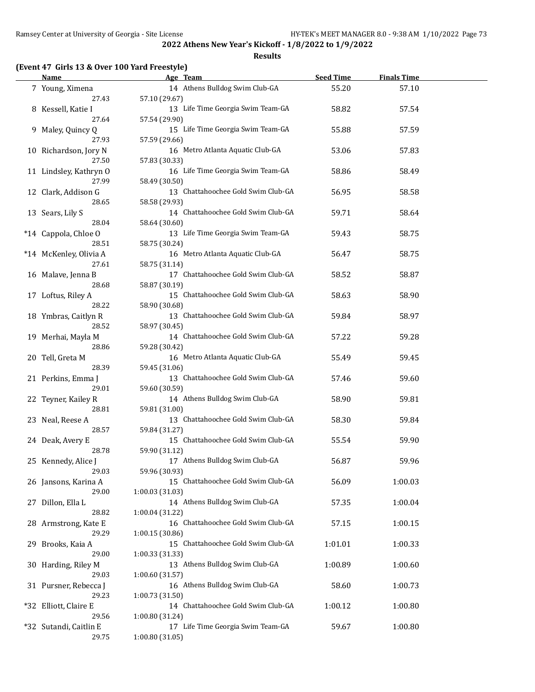**Results**

# **(Event 47 Girls 13 & Over 100 Yard Freestyle)**

| Name                       | Age Team                                              | <b>Seed Time</b> | <b>Finals Time</b> |  |
|----------------------------|-------------------------------------------------------|------------------|--------------------|--|
| 7 Young, Ximena            | 14 Athens Bulldog Swim Club-GA                        | 55.20            | 57.10              |  |
| 27.43                      | 57.10 (29.67)                                         |                  |                    |  |
| 8 Kessell, Katie I         | 13 Life Time Georgia Swim Team-GA                     | 58.82            | 57.54              |  |
| 27.64                      | 57.54 (29.90)                                         |                  |                    |  |
| 9 Maley, Quincy Q          | 15 Life Time Georgia Swim Team-GA                     | 55.88            | 57.59              |  |
| 27.93                      | 57.59 (29.66)                                         |                  |                    |  |
| 10 Richardson, Jory N      | 16 Metro Atlanta Aquatic Club-GA                      | 53.06            | 57.83              |  |
| 27.50                      | 57.83 (30.33)                                         |                  |                    |  |
| 11 Lindsley, Kathryn O     | 16 Life Time Georgia Swim Team-GA                     | 58.86            | 58.49              |  |
| 27.99                      |                                                       |                  |                    |  |
|                            | 58.49 (30.50)                                         |                  |                    |  |
| 12 Clark, Addison G        | 13 Chattahoochee Gold Swim Club-GA                    | 56.95            | 58.58              |  |
| 28.65                      | 58.58 (29.93)                                         |                  |                    |  |
| 13 Sears, Lily S           | 14 Chattahoochee Gold Swim Club-GA                    | 59.71            | 58.64              |  |
| 28.04                      | 58.64 (30.60)                                         |                  |                    |  |
| *14 Cappola, Chloe O       | 13 Life Time Georgia Swim Team-GA                     | 59.43            | 58.75              |  |
| 28.51                      | 58.75 (30.24)                                         |                  |                    |  |
| *14 McKenley, Olivia A     | 16 Metro Atlanta Aquatic Club-GA                      | 56.47            | 58.75              |  |
| 27.61                      | 58.75 (31.14)                                         |                  |                    |  |
| 16 Malave, Jenna B         | 17 Chattahoochee Gold Swim Club-GA                    | 58.52            | 58.87              |  |
| 28.68                      | 58.87 (30.19)                                         |                  |                    |  |
| 17 Loftus, Riley A         | 15 Chattahoochee Gold Swim Club-GA                    | 58.63            | 58.90              |  |
| 28.22                      | 58.90 (30.68)                                         |                  |                    |  |
| 18 Ymbras, Caitlyn R       | 13 Chattahoochee Gold Swim Club-GA                    | 59.84            | 58.97              |  |
| 28.52                      | 58.97 (30.45)                                         |                  |                    |  |
| 19 Merhai, Mayla M         | 14 Chattahoochee Gold Swim Club-GA                    | 57.22            | 59.28              |  |
| 28.86                      | 59.28 (30.42)                                         |                  |                    |  |
| 20 Tell, Greta M           | 16 Metro Atlanta Aquatic Club-GA                      | 55.49            | 59.45              |  |
| 28.39                      | 59.45 (31.06)                                         |                  |                    |  |
| 21 Perkins, Emma J         | 13 Chattahoochee Gold Swim Club-GA                    | 57.46            | 59.60              |  |
| 29.01                      | 59.60 (30.59)                                         |                  |                    |  |
| 22 Teyner, Kailey R        | 14 Athens Bulldog Swim Club-GA                        | 58.90            | 59.81              |  |
| 28.81                      | 59.81 (31.00)                                         |                  |                    |  |
| 23 Neal, Reese A           | 13 Chattahoochee Gold Swim Club-GA                    | 58.30            | 59.84              |  |
| 28.57                      | 59.84 (31.27)                                         |                  |                    |  |
| 24 Deak, Avery E           | 15 Chattahoochee Gold Swim Club-GA                    | 55.54            | 59.90              |  |
| 28.78                      | 59.90 (31.12)                                         |                  |                    |  |
| 25 Kennedy, Alice J        | 17 Athens Bulldog Swim Club-GA                        | 56.87            | 59.96              |  |
| 29.03                      | 59.96 (30.93)                                         |                  |                    |  |
| 26 Jansons, Karina A       | 15 Chattahoochee Gold Swim Club-GA                    | 56.09            | 1:00.03            |  |
| 29.00                      | 1:00.03 (31.03)                                       |                  |                    |  |
| 27 Dillon, Ella L          | 14 Athens Bulldog Swim Club-GA                        | 57.35            | 1:00.04            |  |
| 28.82                      | 1:00.04(31.22)                                        |                  |                    |  |
| 28 Armstrong, Kate E       | 16 Chattahoochee Gold Swim Club-GA                    | 57.15            | 1:00.15            |  |
| 29.29                      |                                                       |                  |                    |  |
|                            | 1:00.15 (30.86)<br>15 Chattahoochee Gold Swim Club-GA |                  |                    |  |
| 29 Brooks, Kaia A<br>29.00 | 1:00.33 (31.33)                                       | 1:01.01          | 1:00.33            |  |
|                            |                                                       |                  |                    |  |
| 30 Harding, Riley M        | 13 Athens Bulldog Swim Club-GA                        | 1:00.89          | 1:00.60            |  |
| 29.03                      | 1:00.60 (31.57)                                       |                  |                    |  |
| 31 Pursner, Rebecca J      | 16 Athens Bulldog Swim Club-GA                        | 58.60            | 1:00.73            |  |
| 29.23                      | 1:00.73 (31.50)                                       |                  |                    |  |
| *32 Elliott, Claire E      | 14 Chattahoochee Gold Swim Club-GA                    | 1:00.12          | 1:00.80            |  |
| 29.56                      | 1:00.80 (31.24)                                       |                  |                    |  |
| *32 Sutandi, Caitlin E     | 17 Life Time Georgia Swim Team-GA                     | 59.67            | 1:00.80            |  |
| 29.75                      | 1:00.80 (31.05)                                       |                  |                    |  |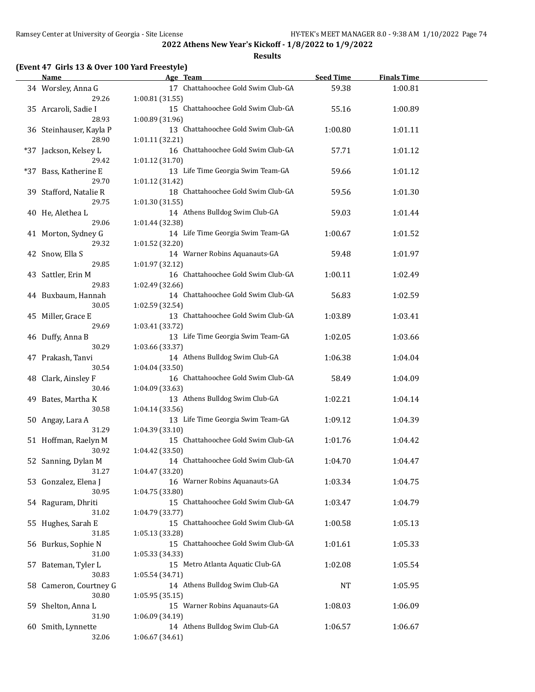**Results**

# **(Event 47 Girls 13 & Over 100 Yard Freestyle)**

| Name                             | Age Team                                              | <b>Seed Time</b> | <b>Finals Time</b> |  |
|----------------------------------|-------------------------------------------------------|------------------|--------------------|--|
| 34 Worsley, Anna G<br>29.26      | 17 Chattahoochee Gold Swim Club-GA<br>1:00.81 (31.55) | 59.38            | 1:00.81            |  |
| 35 Arcaroli, Sadie I<br>28.93    | 15 Chattahoochee Gold Swim Club-GA<br>1:00.89 (31.96) | 55.16            | 1:00.89            |  |
| 36 Steinhauser, Kayla P<br>28.90 | 13 Chattahoochee Gold Swim Club-GA<br>1:01.11 (32.21) | 1:00.80          | 1:01.11            |  |
| *37 Jackson, Kelsey L<br>29.42   | 16 Chattahoochee Gold Swim Club-GA<br>1:01.12 (31.70) | 57.71            | 1:01.12            |  |
| *37 Bass, Katherine E<br>29.70   | 13 Life Time Georgia Swim Team-GA<br>1:01.12 (31.42)  | 59.66            | 1:01.12            |  |
| 39 Stafford, Natalie R<br>29.75  | 18 Chattahoochee Gold Swim Club-GA<br>1:01.30 (31.55) | 59.56            | 1:01.30            |  |
| 40 He, Alethea L<br>29.06        | 14 Athens Bulldog Swim Club-GA<br>1:01.44 (32.38)     | 59.03            | 1:01.44            |  |
| 41 Morton, Sydney G<br>29.32     | 14 Life Time Georgia Swim Team-GA<br>1:01.52 (32.20)  | 1:00.67          | 1:01.52            |  |
| 42 Snow, Ella S<br>29.85         | 14 Warner Robins Aquanauts-GA<br>1:01.97 (32.12)      | 59.48            | 1:01.97            |  |
| 43 Sattler, Erin M<br>29.83      | 16 Chattahoochee Gold Swim Club-GA<br>1:02.49 (32.66) | 1:00.11          | 1:02.49            |  |
| 44 Buxbaum, Hannah<br>30.05      | 14 Chattahoochee Gold Swim Club-GA<br>1:02.59 (32.54) | 56.83            | 1:02.59            |  |
| 45 Miller, Grace E<br>29.69      | 13 Chattahoochee Gold Swim Club-GA<br>1:03.41 (33.72) | 1:03.89          | 1:03.41            |  |
| 46 Duffy, Anna B<br>30.29        | 13 Life Time Georgia Swim Team-GA<br>1:03.66 (33.37)  | 1:02.05          | 1:03.66            |  |
| 47 Prakash, Tanvi<br>30.54       | 14 Athens Bulldog Swim Club-GA<br>1:04.04 (33.50)     | 1:06.38          | 1:04.04            |  |
| 48 Clark, Ainsley F<br>30.46     | 16 Chattahoochee Gold Swim Club-GA<br>1:04.09 (33.63) | 58.49            | 1:04.09            |  |
| 49 Bates, Martha K<br>30.58      | 13 Athens Bulldog Swim Club-GA<br>1:04.14 (33.56)     | 1:02.21          | 1:04.14            |  |
| 50 Angay, Lara A<br>31.29        | 13 Life Time Georgia Swim Team-GA<br>1:04.39 (33.10)  | 1:09.12          | 1:04.39            |  |
| 51 Hoffman, Raelyn M<br>30.92    | 15 Chattahoochee Gold Swim Club-GA<br>1:04.42 (33.50) | 1:01.76          | 1:04.42            |  |
| 52 Sanning, Dylan M<br>31.27     | 14 Chattahoochee Gold Swim Club-GA<br>1:04.47 (33.20) | 1:04.70          | 1:04.47            |  |
| 53 Gonzalez, Elena J<br>30.95    | 16 Warner Robins Aquanauts-GA<br>1:04.75 (33.80)      | 1:03.34          | 1:04.75            |  |
| 54 Raguram, Dhriti<br>31.02      | 15 Chattahoochee Gold Swim Club-GA<br>1:04.79 (33.77) | 1:03.47          | 1:04.79            |  |
| 55 Hughes, Sarah E<br>31.85      | 15 Chattahoochee Gold Swim Club-GA<br>1:05.13 (33.28) | 1:00.58          | 1:05.13            |  |
| 56 Burkus, Sophie N<br>31.00     | 15 Chattahoochee Gold Swim Club-GA<br>1:05.33 (34.33) | 1:01.61          | 1:05.33            |  |
| 57 Bateman, Tyler L<br>30.83     | 15 Metro Atlanta Aquatic Club-GA<br>1:05.54 (34.71)   | 1:02.08          | 1:05.54            |  |
| 58 Cameron, Courtney G<br>30.80  | 14 Athens Bulldog Swim Club-GA<br>1:05.95 (35.15)     | NT               | 1:05.95            |  |
| 59 Shelton, Anna L<br>31.90      | 15 Warner Robins Aquanauts-GA<br>1:06.09 (34.19)      | 1:08.03          | 1:06.09            |  |
| 60 Smith, Lynnette<br>32.06      | 14 Athens Bulldog Swim Club-GA<br>1:06.67 (34.61)     | 1:06.57          | 1:06.67            |  |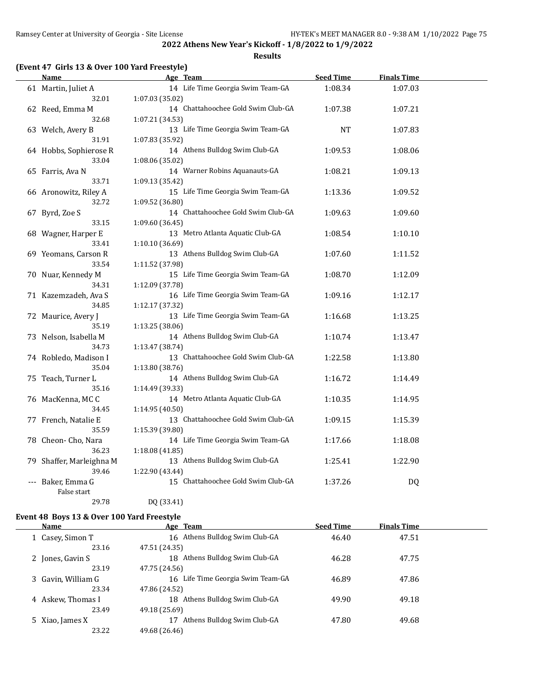**Results**

## **(Event 47 Girls 13 & Over 100 Yard Freestyle)**

|     | Name                           | Age Team                                              | <b>Seed Time</b> | <b>Finals Time</b> |  |
|-----|--------------------------------|-------------------------------------------------------|------------------|--------------------|--|
|     | 61 Martin, Juliet A            | 14 Life Time Georgia Swim Team-GA                     | 1:08.34          | 1:07.03            |  |
|     | 32.01                          | 1:07.03 (35.02)                                       |                  |                    |  |
|     | 62 Reed, Emma M                | 14 Chattahoochee Gold Swim Club-GA                    | 1:07.38          | 1:07.21            |  |
|     | 32.68                          | 1:07.21 (34.53)                                       |                  |                    |  |
|     | 63 Welch, Avery B              | 13 Life Time Georgia Swim Team-GA                     | <b>NT</b>        | 1:07.83            |  |
|     | 31.91                          | 1:07.83 (35.92)                                       |                  |                    |  |
|     | 64 Hobbs, Sophierose R         | 14 Athens Bulldog Swim Club-GA                        | 1:09.53          | 1:08.06            |  |
|     | 33.04                          | 1:08.06 (35.02)                                       |                  |                    |  |
|     | 65 Farris, Ava N               | 14 Warner Robins Aquanauts-GA                         | 1:08.21          | 1:09.13            |  |
|     | 33.71                          | 1:09.13 (35.42)                                       |                  |                    |  |
|     | 66 Aronowitz, Riley A          | 15 Life Time Georgia Swim Team-GA                     | 1:13.36          | 1:09.52            |  |
|     | 32.72                          | 1:09.52 (36.80)                                       |                  |                    |  |
|     | 67 Byrd, Zoe S                 | 14 Chattahoochee Gold Swim Club-GA                    | 1:09.63          | 1:09.60            |  |
|     | 33.15                          | 1:09.60(36.45)                                        |                  |                    |  |
|     | 68 Wagner, Harper E            | 13 Metro Atlanta Aquatic Club-GA                      | 1:08.54          | 1:10.10            |  |
|     | 33.41                          | 1:10.10 (36.69)                                       |                  |                    |  |
|     | 69 Yeomans, Carson R           | 13 Athens Bulldog Swim Club-GA                        | 1:07.60          | 1:11.52            |  |
|     | 33.54                          | 1:11.52 (37.98)                                       |                  |                    |  |
|     | 70 Nuar, Kennedy M             | 15 Life Time Georgia Swim Team-GA                     | 1:08.70          | 1:12.09            |  |
|     | 34.31                          | 1:12.09 (37.78)                                       |                  |                    |  |
|     | 71 Kazemzadeh, Ava S           | 16 Life Time Georgia Swim Team-GA                     | 1:09.16          | 1:12.17            |  |
|     | 34.85                          | 1:12.17 (37.32)                                       |                  |                    |  |
|     | 72 Maurice, Avery J            | 13 Life Time Georgia Swim Team-GA                     | 1:16.68          | 1:13.25            |  |
|     | 35.19                          | 1:13.25(38.06)                                        |                  |                    |  |
|     | 73 Nelson, Isabella M<br>34.73 | 14 Athens Bulldog Swim Club-GA                        | 1:10.74          | 1:13.47            |  |
|     | 74 Robledo, Madison I          | 1:13.47 (38.74)<br>13 Chattahoochee Gold Swim Club-GA | 1:22.58          | 1:13.80            |  |
|     | 35.04                          | 1:13.80 (38.76)                                       |                  |                    |  |
|     | 75 Teach, Turner L             | 14 Athens Bulldog Swim Club-GA                        | 1:16.72          | 1:14.49            |  |
|     | 35.16                          | 1:14.49 (39.33)                                       |                  |                    |  |
|     | 76 MacKenna, MCC               | 14 Metro Atlanta Aquatic Club-GA                      | 1:10.35          | 1:14.95            |  |
|     | 34.45                          | 1:14.95 (40.50)                                       |                  |                    |  |
|     | 77 French, Natalie E           | 13 Chattahoochee Gold Swim Club-GA                    | 1:09.15          | 1:15.39            |  |
|     | 35.59                          | 1:15.39 (39.80)                                       |                  |                    |  |
|     | 78 Cheon- Cho, Nara            | 14 Life Time Georgia Swim Team-GA                     | 1:17.66          | 1:18.08            |  |
|     | 36.23                          | 1:18.08(41.85)                                        |                  |                    |  |
| 79. | Shaffer, Marleighna M          | 13 Athens Bulldog Swim Club-GA                        | 1:25.41          | 1:22.90            |  |
|     | 39.46                          | 1:22.90 (43.44)                                       |                  |                    |  |
|     | Baker, Emma G                  | 15 Chattahoochee Gold Swim Club-GA                    | 1:37.26          | DQ                 |  |
|     | False start                    |                                                       |                  |                    |  |
|     | 29.78                          | DQ (33.41)                                            |                  |                    |  |

#### **Event 48 Boys 13 & Over 100 Yard Freestyle**

| Name               | Age Team                          | <b>Seed Time</b> | <b>Finals Time</b> |  |
|--------------------|-----------------------------------|------------------|--------------------|--|
| 1 Casey, Simon T   | 16 Athens Bulldog Swim Club-GA    | 46.40            | 47.51              |  |
| 23.16              | 47.51 (24.35)                     |                  |                    |  |
| 2 Jones, Gavin S   | Athens Bulldog Swim Club-GA<br>18 | 46.28            | 47.75              |  |
| 23.19              | 47.75 (24.56)                     |                  |                    |  |
| 3 Gavin, William G | 16 Life Time Georgia Swim Team-GA | 46.89            | 47.86              |  |
| 23.34              | 47.86 (24.52)                     |                  |                    |  |
| 4 Askew, Thomas I  | Athens Bulldog Swim Club-GA<br>18 | 49.90            | 49.18              |  |
| 23.49              | 49.18 (25.69)                     |                  |                    |  |
| 5 Xiao, James X    | Athens Bulldog Swim Club-GA       | 47.80            | 49.68              |  |
| 23.22              | 49.68 (26.46)                     |                  |                    |  |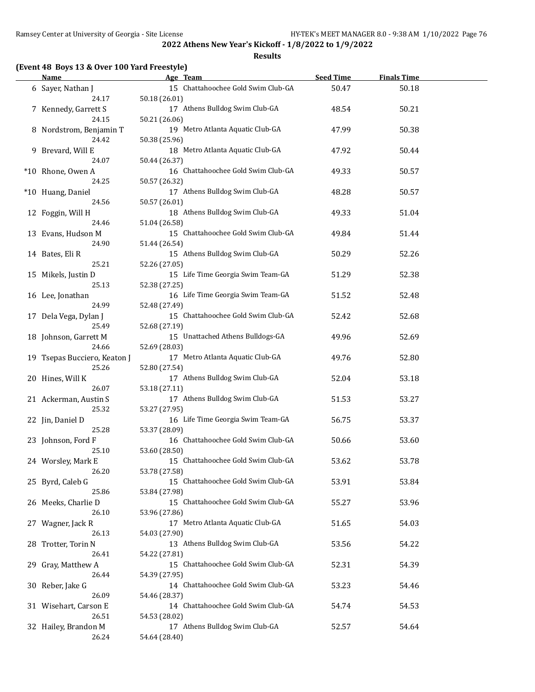**Results**

## **(Event 48 Boys 13 & Over 100 Yard Freestyle)**

| Name                                  | Age Team                                            | <b>Seed Time</b> | <b>Finals Time</b> |  |
|---------------------------------------|-----------------------------------------------------|------------------|--------------------|--|
| 6 Sayer, Nathan J<br>24.17            | 15 Chattahoochee Gold Swim Club-GA<br>50.18 (26.01) | 50.47            | 50.18              |  |
| 7 Kennedy, Garrett S<br>24.15         | 17 Athens Bulldog Swim Club-GA<br>50.21 (26.06)     | 48.54            | 50.21              |  |
| 8 Nordstrom, Benjamin T<br>24.42      | 19 Metro Atlanta Aquatic Club-GA<br>50.38 (25.96)   | 47.99            | 50.38              |  |
| 9 Brevard, Will E<br>24.07            | 18 Metro Atlanta Aquatic Club-GA<br>50.44 (26.37)   | 47.92            | 50.44              |  |
| *10 Rhone, Owen A<br>24.25            | 16 Chattahoochee Gold Swim Club-GA<br>50.57 (26.32) | 49.33            | 50.57              |  |
| *10 Huang, Daniel<br>24.56            | 17 Athens Bulldog Swim Club-GA<br>50.57 (26.01)     | 48.28            | 50.57              |  |
| 12 Foggin, Will H<br>24.46            | 18 Athens Bulldog Swim Club-GA<br>51.04 (26.58)     | 49.33            | 51.04              |  |
| 13 Evans, Hudson M<br>24.90           | 15 Chattahoochee Gold Swim Club-GA<br>51.44 (26.54) | 49.84            | 51.44              |  |
| 14 Bates, Eli R<br>25.21              | 15 Athens Bulldog Swim Club-GA<br>52.26 (27.05)     | 50.29            | 52.26              |  |
| 15 Mikels, Justin D<br>25.13          | 15 Life Time Georgia Swim Team-GA<br>52.38 (27.25)  | 51.29            | 52.38              |  |
| 16 Lee, Jonathan<br>24.99             | 16 Life Time Georgia Swim Team-GA<br>52.48 (27.49)  | 51.52            | 52.48              |  |
| 17 Dela Vega, Dylan J<br>25.49        | 15 Chattahoochee Gold Swim Club-GA<br>52.68 (27.19) | 52.42            | 52.68              |  |
| 18 Johnson, Garrett M<br>24.66        | 15 Unattached Athens Bulldogs-GA<br>52.69 (28.03)   | 49.96            | 52.69              |  |
| 19 Tsepas Bucciero, Keaton J<br>25.26 | 17 Metro Atlanta Aquatic Club-GA<br>52.80 (27.54)   | 49.76            | 52.80              |  |
| 20 Hines, Will K<br>26.07             | 17 Athens Bulldog Swim Club-GA<br>53.18 (27.11)     | 52.04            | 53.18              |  |
| 21 Ackerman, Austin S<br>25.32        | 17 Athens Bulldog Swim Club-GA<br>53.27 (27.95)     | 51.53            | 53.27              |  |
| 22 Jin, Daniel D<br>25.28             | 16 Life Time Georgia Swim Team-GA<br>53.37 (28.09)  | 56.75            | 53.37              |  |
| 23 Johnson, Ford F<br>25.10           | 16 Chattahoochee Gold Swim Club-GA<br>53.60 (28.50) | 50.66            | 53.60              |  |
| 24 Worsley, Mark E<br>26.20           | 15 Chattahoochee Gold Swim Club-GA<br>53.78 (27.58) | 53.62            | 53.78              |  |
| 25 Byrd, Caleb G<br>25.86             | 15 Chattahoochee Gold Swim Club-GA<br>53.84 (27.98) | 53.91            | 53.84              |  |
| 26 Meeks, Charlie D<br>26.10          | 15 Chattahoochee Gold Swim Club-GA<br>53.96 (27.86) | 55.27            | 53.96              |  |
| 27 Wagner, Jack R<br>26.13            | 17 Metro Atlanta Aquatic Club-GA<br>54.03 (27.90)   | 51.65            | 54.03              |  |
| 28 Trotter, Torin N<br>26.41          | 13 Athens Bulldog Swim Club-GA<br>54.22 (27.81)     | 53.56            | 54.22              |  |
| 29 Gray, Matthew A<br>26.44           | 15 Chattahoochee Gold Swim Club-GA<br>54.39 (27.95) | 52.31            | 54.39              |  |
| 30 Reber, Jake G<br>26.09             | 14 Chattahoochee Gold Swim Club-GA<br>54.46 (28.37) | 53.23            | 54.46              |  |
| 31 Wisehart, Carson E<br>26.51        | 14 Chattahoochee Gold Swim Club-GA<br>54.53 (28.02) | 54.74            | 54.53              |  |
| 32 Hailey, Brandon M<br>26.24         | 17 Athens Bulldog Swim Club-GA<br>54.64 (28.40)     | 52.57            | 54.64              |  |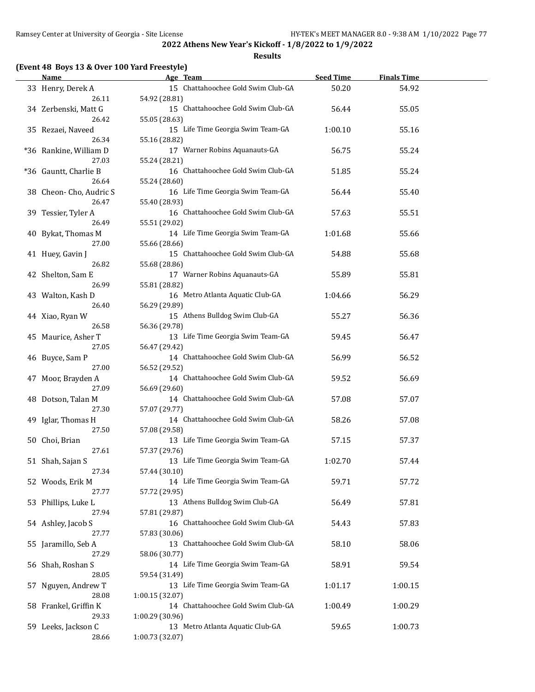**Results**

### **(Event 48 Boys 13 & Over 100 Yard Freestyle)**

|    | <b>Name</b>                     | Age Team                                              | <b>Seed Time</b> | <b>Finals Time</b> |  |
|----|---------------------------------|-------------------------------------------------------|------------------|--------------------|--|
|    | 33 Henry, Derek A<br>26.11      | 15 Chattahoochee Gold Swim Club-GA<br>54.92 (28.81)   | 50.20            | 54.92              |  |
|    | 34 Zerbenski, Matt G            | 15 Chattahoochee Gold Swim Club-GA                    | 56.44            | 55.05              |  |
|    | 26.42<br>35 Rezaei, Naveed      | 55.05 (28.63)<br>15 Life Time Georgia Swim Team-GA    | 1:00.10          | 55.16              |  |
|    | 26.34<br>*36 Rankine, William D | 55.16 (28.82)<br>17 Warner Robins Aquanauts-GA        | 56.75            | 55.24              |  |
|    | 27.03<br>*36 Gauntt, Charlie B  | 55.24 (28.21)<br>16 Chattahoochee Gold Swim Club-GA   | 51.85            | 55.24              |  |
|    | 26.64<br>38 Cheon-Cho, Audric S | 55.24 (28.60)<br>16 Life Time Georgia Swim Team-GA    | 56.44            | 55.40              |  |
|    | 26.47<br>39 Tessier, Tyler A    | 55.40 (28.93)<br>16 Chattahoochee Gold Swim Club-GA   | 57.63            | 55.51              |  |
|    | 26.49<br>40 Bykat, Thomas M     | 55.51 (29.02)<br>14 Life Time Georgia Swim Team-GA    | 1:01.68          | 55.66              |  |
|    | 27.00                           | 55.66 (28.66)                                         |                  |                    |  |
|    | 41 Huey, Gavin J<br>26.82       | 15 Chattahoochee Gold Swim Club-GA<br>55.68 (28.86)   | 54.88            | 55.68              |  |
|    | 42 Shelton, Sam E<br>26.99      | 17 Warner Robins Aquanauts-GA<br>55.81 (28.82)        | 55.89            | 55.81              |  |
|    | 43 Walton, Kash D<br>26.40      | 16 Metro Atlanta Aquatic Club-GA<br>56.29 (29.89)     | 1:04.66          | 56.29              |  |
|    | 44 Xiao, Ryan W<br>26.58        | 15 Athens Bulldog Swim Club-GA<br>56.36 (29.78)       | 55.27            | 56.36              |  |
|    | 45 Maurice, Asher T<br>27.05    | 13 Life Time Georgia Swim Team-GA<br>56.47 (29.42)    | 59.45            | 56.47              |  |
|    | 46 Buyce, Sam P<br>27.00        | 14 Chattahoochee Gold Swim Club-GA<br>56.52 (29.52)   | 56.99            | 56.52              |  |
|    | 47 Moor, Brayden A<br>27.09     | 14 Chattahoochee Gold Swim Club-GA<br>56.69 (29.60)   | 59.52            | 56.69              |  |
|    | 48 Dotson, Talan M              | 14 Chattahoochee Gold Swim Club-GA                    | 57.08            | 57.07              |  |
|    | 27.30<br>49 Iglar, Thomas H     | 57.07 (29.77)<br>14 Chattahoochee Gold Swim Club-GA   | 58.26            | 57.08              |  |
|    | 27.50<br>50 Choi, Brian         | 57.08 (29.58)<br>13 Life Time Georgia Swim Team-GA    | 57.15            | 57.37              |  |
|    | 27.61<br>51 Shah, Sajan S       | 57.37 (29.76)<br>13 Life Time Georgia Swim Team-GA    | 1:02.70          | 57.44              |  |
|    | 27.34<br>52 Woods, Erik M       | 57.44 (30.10)<br>14 Life Time Georgia Swim Team-GA    | 59.71            | 57.72              |  |
|    | 27.77<br>53 Phillips, Luke L    | 57.72 (29.95)<br>13 Athens Bulldog Swim Club-GA       | 56.49            | 57.81              |  |
|    | 27.94<br>54 Ashley, Jacob S     | 57.81 (29.87)<br>16 Chattahoochee Gold Swim Club-GA   | 54.43            | 57.83              |  |
|    | 27.77<br>55 Jaramillo, Seb A    | 57.83 (30.06)<br>13 Chattahoochee Gold Swim Club-GA   | 58.10            | 58.06              |  |
|    | 27.29<br>56 Shah, Roshan S      | 58.06 (30.77)<br>14 Life Time Georgia Swim Team-GA    | 58.91            | 59.54              |  |
| 57 | 28.05<br>Nguyen, Andrew T       | 59.54 (31.49)<br>13 Life Time Georgia Swim Team-GA    | 1:01.17          | 1:00.15            |  |
|    | 28.08                           | 1:00.15(32.07)                                        |                  |                    |  |
|    | 58 Frankel, Griffin K<br>29.33  | 14 Chattahoochee Gold Swim Club-GA<br>1:00.29 (30.96) | 1:00.49          | 1:00.29            |  |
|    | 59 Leeks, Jackson C<br>28.66    | 13 Metro Atlanta Aquatic Club-GA<br>1:00.73 (32.07)   | 59.65            | 1:00.73            |  |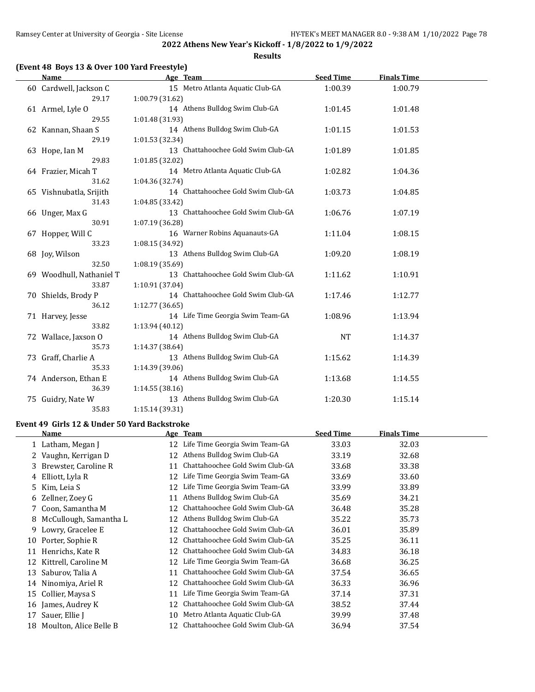**Results**

# **(Event 48 Boys 13 & Over 100 Yard Freestyle)**

| <b>Name</b>              | Age Team                           | <b>Seed Time</b> | <b>Finals Time</b> |  |
|--------------------------|------------------------------------|------------------|--------------------|--|
| 60 Cardwell, Jackson C   | 15 Metro Atlanta Aquatic Club-GA   | 1:00.39          | 1:00.79            |  |
| 29.17                    | 1:00.79 (31.62)                    |                  |                    |  |
| 61 Armel, Lyle O         | 14 Athens Bulldog Swim Club-GA     | 1:01.45          | 1:01.48            |  |
| 29.55                    | 1:01.48 (31.93)                    |                  |                    |  |
| 62 Kannan, Shaan S       | 14 Athens Bulldog Swim Club-GA     | 1:01.15          | 1:01.53            |  |
| 29.19                    | 1:01.53 (32.34)                    |                  |                    |  |
| 63 Hope, Ian M           | 13 Chattahoochee Gold Swim Club-GA | 1:01.89          | 1:01.85            |  |
| 29.83                    | 1:01.85 (32.02)                    |                  |                    |  |
| 64 Frazier, Micah T      | 14 Metro Atlanta Aquatic Club-GA   | 1:02.82          | 1:04.36            |  |
| 31.62                    | 1:04.36 (32.74)                    |                  |                    |  |
| 65 Vishnubatla, Srijith  | 14 Chattahoochee Gold Swim Club-GA | 1:03.73          | 1:04.85            |  |
| 31.43                    | 1:04.85(33.42)                     |                  |                    |  |
| 66 Unger, Max G          | 13 Chattahoochee Gold Swim Club-GA | 1:06.76          | 1:07.19            |  |
| 30.91                    | 1:07.19 (36.28)                    |                  |                    |  |
| 67 Hopper, Will C        | 16 Warner Robins Aquanauts-GA      | 1:11.04          | 1:08.15            |  |
| 33.23                    | 1:08.15 (34.92)                    |                  |                    |  |
| 68 Joy, Wilson           | 13 Athens Bulldog Swim Club-GA     | 1:09.20          | 1:08.19            |  |
| 32.50                    | 1:08.19 (35.69)                    |                  |                    |  |
| 69 Woodhull, Nathaniel T | 13 Chattahoochee Gold Swim Club-GA | 1:11.62          | 1:10.91            |  |
| 33.87                    | 1:10.91 (37.04)                    |                  |                    |  |
| 70 Shields, Brody P      | 14 Chattahoochee Gold Swim Club-GA | 1:17.46          | 1:12.77            |  |
| 36.12                    | 1:12.77(36.65)                     |                  |                    |  |
| 71 Harvey, Jesse         | 14 Life Time Georgia Swim Team-GA  | 1:08.96          | 1:13.94            |  |
| 33.82                    | 1:13.94 (40.12)                    |                  |                    |  |
| 72 Wallace, Jaxson O     | 14 Athens Bulldog Swim Club-GA     | <b>NT</b>        | 1:14.37            |  |
| 35.73                    | 1:14.37 (38.64)                    |                  |                    |  |
| 73 Graff, Charlie A      | 13 Athens Bulldog Swim Club-GA     | 1:15.62          | 1:14.39            |  |
| 35.33                    | 1:14.39 (39.06)                    |                  |                    |  |
| 74 Anderson, Ethan E     | 14 Athens Bulldog Swim Club-GA     | 1:13.68          | 1:14.55            |  |
| 36.39                    | 1:14.55 (38.16)                    |                  |                    |  |
| 75 Guidry, Nate W        | 13 Athens Bulldog Swim Club-GA     | 1:20.30          | 1:15.14            |  |
| 35.83                    | 1:15.14 (39.31)                    |                  |                    |  |

#### **Event 49 Girls 12 & Under 50 Yard Backstroke**

|              | Name                   |    | Age Team                        | <b>Seed Time</b> | <b>Finals Time</b> |
|--------------|------------------------|----|---------------------------------|------------------|--------------------|
|              | 1 Latham, Megan J      | 12 | Life Time Georgia Swim Team-GA  | 33.03            | 32.03              |
| $\mathbf{Z}$ | Vaughn, Kerrigan D     | 12 | Athens Bulldog Swim Club-GA     | 33.19            | 32.68              |
|              | 3 Brewster, Caroline R | 11 | Chattahoochee Gold Swim Club-GA | 33.68            | 33.38              |
|              | 4 Elliott, Lyla R      | 12 | Life Time Georgia Swim Team-GA  | 33.69            | 33.60              |
| 5.           | Kim, Leia S            | 12 | Life Time Georgia Swim Team-GA  | 33.99            | 33.89              |
|              | 6 Zellner, Zoey G      | 11 | Athens Bulldog Swim Club-GA     | 35.69            | 34.21              |
|              | 7 Coon, Samantha M     | 12 | Chattahoochee Gold Swim Club-GA | 36.48            | 35.28              |
| 8            | McCullough, Samantha L | 12 | Athens Bulldog Swim Club-GA     | 35.22            | 35.73              |
| 9.           | Lowry, Gracelee E      | 12 | Chattahoochee Gold Swim Club-GA | 36.01            | 35.89              |
| 10           | Porter, Sophie R       | 12 | Chattahoochee Gold Swim Club-GA | 35.25            | 36.11              |
| 11           | Henrichs, Kate R       | 12 | Chattahoochee Gold Swim Club-GA | 34.83            | 36.18              |
| 12           | Kittrell, Caroline M   | 12 | Life Time Georgia Swim Team-GA  | 36.68            | 36.25              |
| 13           | Saburov, Talia A       | 11 | Chattahoochee Gold Swim Club-GA | 37.54            | 36.65              |
| 14           | Ninomiya, Ariel R      | 12 | Chattahoochee Gold Swim Club-GA | 36.33            | 36.96              |
| 15           | Collier, Maysa S       | 11 | Life Time Georgia Swim Team-GA  | 37.14            | 37.31              |
| 16           | James, Audrey K        | 12 | Chattahoochee Gold Swim Club-GA | 38.52            | 37.44              |
| 17           | Sauer, Ellie J         | 10 | Metro Atlanta Aquatic Club-GA   | 39.99            | 37.48              |
| 18           | Moulton, Alice Belle B | 12 | Chattahoochee Gold Swim Club-GA | 36.94            | 37.54              |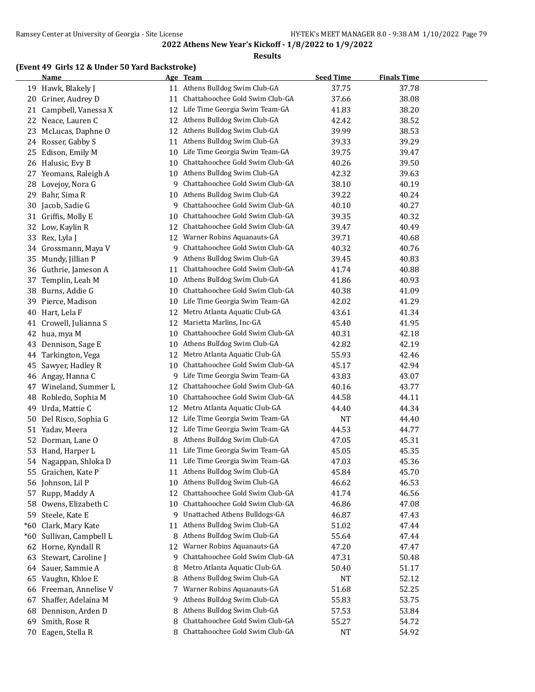#### **Results**

### **(Event 49 Girls 12 & Under 50 Yard Backstroke)**

|       | <b>Name</b>          |    | Age Team                          | <b>Seed Time</b> | <b>Finals Time</b> |  |
|-------|----------------------|----|-----------------------------------|------------------|--------------------|--|
|       | 19 Hawk, Blakely J   |    | 11 Athens Bulldog Swim Club-GA    | 37.75            | 37.78              |  |
| 20    | Griner, Audrey D     | 11 | Chattahoochee Gold Swim Club-GA   | 37.66            | 38.08              |  |
| 21    | Campbell, Vanessa X  | 12 | Life Time Georgia Swim Team-GA    | 41.83            | 38.20              |  |
| 22    | Neace, Lauren C      | 12 | Athens Bulldog Swim Club-GA       | 42.42            | 38.52              |  |
| 23    | McLucas, Daphne O    | 12 | Athens Bulldog Swim Club-GA       | 39.99            | 38.53              |  |
| 24    | Rosser, Gabby S      | 11 | Athens Bulldog Swim Club-GA       | 39.33            | 39.29              |  |
| 25    | Edison, Emily M      | 10 | Life Time Georgia Swim Team-GA    | 39.75            | 39.47              |  |
|       | 26 Halusic, Evy B    | 10 | Chattahoochee Gold Swim Club-GA   | 40.26            | 39.50              |  |
| 27    | Yeomans, Raleigh A   | 10 | Athens Bulldog Swim Club-GA       | 42.32            | 39.63              |  |
| 28    | Lovejoy, Nora G      | 9  | Chattahoochee Gold Swim Club-GA   | 38.10            | 40.19              |  |
| 29    | Bahr, Sima R         | 10 | Athens Bulldog Swim Club-GA       | 39.22            | 40.24              |  |
| 30    | Jacob, Sadie G       | 9  | Chattahoochee Gold Swim Club-GA   | 40.10            | 40.27              |  |
| 31    | Griffis, Molly E     | 10 | Chattahoochee Gold Swim Club-GA   | 39.35            | 40.32              |  |
| 32    | Low, Kaylin R        | 12 | Chattahoochee Gold Swim Club-GA   | 39.47            | 40.49              |  |
| 33    | Rex, Lyla J          | 12 | Warner Robins Aquanauts-GA        | 39.71            | 40.68              |  |
| 34    | Grossmann, Maya V    | 9  | Chattahoochee Gold Swim Club-GA   | 40.32            | 40.76              |  |
| 35    | Mundy, Jillian P     | 9  | Athens Bulldog Swim Club-GA       | 39.45            | 40.83              |  |
| 36    | Guthrie, Jameson A   | 11 | Chattahoochee Gold Swim Club-GA   | 41.74            | 40.88              |  |
| 37    | Templin, Leah M      | 10 | Athens Bulldog Swim Club-GA       | 41.86            | 40.93              |  |
| 38    | Burns, Addie G       | 10 | Chattahoochee Gold Swim Club-GA   | 40.38            | 41.09              |  |
| 39    | Pierce, Madison      | 10 | Life Time Georgia Swim Team-GA    | 42.02            | 41.29              |  |
| 40    | Hart, Lela F         | 12 | Metro Atlanta Aquatic Club-GA     | 43.61            | 41.34              |  |
| 41    | Crowell, Julianna S  | 12 | Marietta Marlins, Inc-GA          | 45.40            | 41.95              |  |
| 42    | hua, mya M           | 10 | Chattahoochee Gold Swim Club-GA   | 40.31            | 42.18              |  |
| 43    | Dennison, Sage E     | 10 | Athens Bulldog Swim Club-GA       | 42.82            | 42.19              |  |
| 44    | Tarkington, Vega     | 12 | Metro Atlanta Aquatic Club-GA     | 55.93            | 42.46              |  |
| 45    | Sawyer, Hadley R     | 10 | Chattahoochee Gold Swim Club-GA   | 45.17            | 42.94              |  |
| 46    | Angay, Hanna C       | 9  | Life Time Georgia Swim Team-GA    | 43.83            | 43.07              |  |
| 47    | Wineland, Summer L   | 12 | Chattahoochee Gold Swim Club-GA   | 40.16            | 43.77              |  |
| 48    | Robledo, Sophia M    | 10 | Chattahoochee Gold Swim Club-GA   | 44.58            | 44.11              |  |
| 49    | Urda, Mattie C       | 12 | Metro Atlanta Aquatic Club-GA     | 44.40            | 44.34              |  |
| 50    | Del Risco, Sophia G  | 12 | Life Time Georgia Swim Team-GA    | <b>NT</b>        | 44.40              |  |
| 51    | Yadav, Meera         | 12 | Life Time Georgia Swim Team-GA    | 44.53            | 44.77              |  |
| 52    | Dorman, Lane O       | 8  | Athens Bulldog Swim Club-GA       | 47.05            | 45.31              |  |
| 53    | Hand, Harper L       | 11 | Life Time Georgia Swim Team-GA    | 45.05            | 45.35              |  |
| 54    | Nagappan, Shloka D   |    | 11 Life Time Georgia Swim Team-GA | 47.03            | 45.36              |  |
|       | 55 Graichen, Kate P  |    | 11 Athens Bulldog Swim Club-GA    | 45.84            | 45.70              |  |
| 56    | Johnson, Lil P       | 10 | Athens Bulldog Swim Club-GA       | 46.62            | 46.53              |  |
| 57    | Rupp, Maddy A        | 12 | Chattahoochee Gold Swim Club-GA   | 41.74            | 46.56              |  |
| 58    | Owens, Elizabeth C   | 10 | Chattahoochee Gold Swim Club-GA   | 46.86            | 47.08              |  |
| 59    | Steele, Kate E       | 9  | Unattached Athens Bulldogs-GA     | 46.87            | 47.43              |  |
| $*60$ | Clark, Mary Kate     | 11 | Athens Bulldog Swim Club-GA       | 51.02            | 47.44              |  |
| $*60$ | Sullivan, Campbell L | 8  | Athens Bulldog Swim Club-GA       | 55.64            | 47.44              |  |
| 62    | Horne, Kyndall R     | 12 | Warner Robins Aquanauts-GA        | 47.20            | 47.47              |  |
| 63    | Stewart, Caroline J  | 9  | Chattahoochee Gold Swim Club-GA   | 47.31            | 50.48              |  |
| 64    | Sauer, Sammie A      | 8  | Metro Atlanta Aquatic Club-GA     | 50.40            | 51.17              |  |
| 65    | Vaughn, Khloe E      | 8  | Athens Bulldog Swim Club-GA       | <b>NT</b>        | 52.12              |  |
| 66    | Freeman, Annelise V  | 7  | Warner Robins Aquanauts-GA        | 51.68            | 52.25              |  |
| 67    | Shaffer, Adelaina M  | 9  | Athens Bulldog Swim Club-GA       | 55.83            | 53.75              |  |
| 68    | Dennison, Arden D    | 8  | Athens Bulldog Swim Club-GA       | 57.53            | 53.84              |  |
| 69    | Smith, Rose R        | 8  | Chattahoochee Gold Swim Club-GA   | 55.27            | 54.72              |  |
|       | 70 Eagen, Stella R   | 8  | Chattahoochee Gold Swim Club-GA   | <b>NT</b>        | 54.92              |  |
|       |                      |    |                                   |                  |                    |  |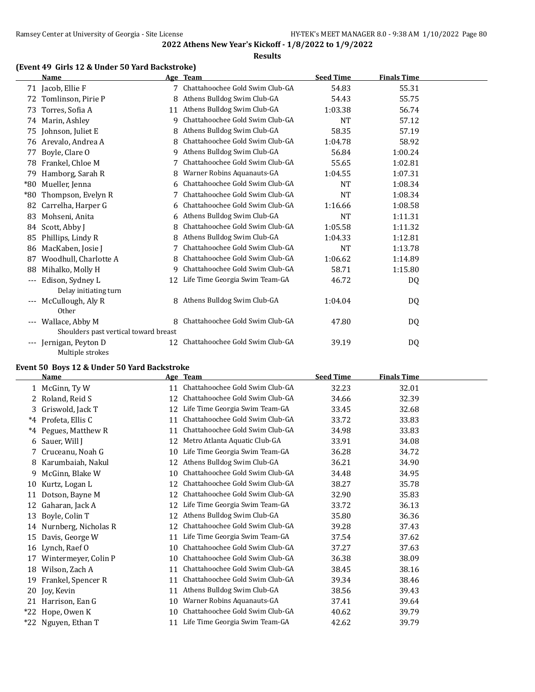#### **Results**

### **(Event 49 Girls 12 & Under 50 Yard Backstroke)**

|                     | <b>Name</b>                           |    | Age Team                          | <b>Seed Time</b> | <b>Finals Time</b> |  |
|---------------------|---------------------------------------|----|-----------------------------------|------------------|--------------------|--|
|                     | 71 Jacob, Ellie F                     |    | 7 Chattahoochee Gold Swim Club-GA | 54.83            | 55.31              |  |
| 72                  | Tomlinson, Pirie P                    | 8  | Athens Bulldog Swim Club-GA       | 54.43            | 55.75              |  |
| 73                  | Torres, Sofia A                       | 11 | Athens Bulldog Swim Club-GA       | 1:03.38          | 56.74              |  |
|                     | 74 Marin, Ashley                      | 9  | Chattahoochee Gold Swim Club-GA   | NT               | 57.12              |  |
| 75                  | Johnson, Juliet E                     | 8  | Athens Bulldog Swim Club-GA       | 58.35            | 57.19              |  |
| 76                  | Arevalo, Andrea A                     | 8  | Chattahoochee Gold Swim Club-GA   | 1:04.78          | 58.92              |  |
| 77                  | Boyle, Clare O                        | 9  | Athens Bulldog Swim Club-GA       | 56.84            | 1:00.24            |  |
| 78                  | Frankel, Chloe M                      | 7  | Chattahoochee Gold Swim Club-GA   | 55.65            | 1:02.81            |  |
| 79                  | Hamborg, Sarah R                      |    | Warner Robins Aquanauts-GA        | 1:04.55          | 1:07.31            |  |
| $*80$               | Mueller, Jenna                        | 6  | Chattahoochee Gold Swim Club-GA   | <b>NT</b>        | 1:08.34            |  |
| $*80$               | Thompson, Evelyn R                    |    | Chattahoochee Gold Swim Club-GA   | NT               | 1:08.34            |  |
| 82                  | Carrelha, Harper G                    | 6  | Chattahoochee Gold Swim Club-GA   | 1:16.66          | 1:08.58            |  |
| 83                  | Mohseni, Anita                        | 6  | Athens Bulldog Swim Club-GA       | <b>NT</b>        | 1:11.31            |  |
| 84                  | Scott, Abby J                         | 8  | Chattahoochee Gold Swim Club-GA   | 1:05.58          | 1:11.32            |  |
| 85                  | Phillips, Lindy R                     |    | Athens Bulldog Swim Club-GA       | 1:04.33          | 1:12.81            |  |
| 86                  | MacKaben, Josie J                     |    | Chattahoochee Gold Swim Club-GA   | <b>NT</b>        | 1:13.78            |  |
| 87                  | Woodhull, Charlotte A                 | 8  | Chattahoochee Gold Swim Club-GA   | 1:06.62          | 1:14.89            |  |
| 88                  | Mihalko, Molly H                      | 9  | Chattahoochee Gold Swim Club-GA   | 58.71            | 1:15.80            |  |
| $\qquad \qquad - -$ | Edison, Sydney L                      | 12 | Life Time Georgia Swim Team-GA    | 46.72            | DQ                 |  |
|                     | Delay initiating turn                 |    |                                   |                  |                    |  |
| $---$               | McCullough, Aly R                     |    | 8 Athens Bulldog Swim Club-GA     | 1:04.04          | DQ.                |  |
|                     | Other                                 |    |                                   |                  |                    |  |
| $\qquad \qquad - -$ | Wallace, Abby M                       | 8  | Chattahoochee Gold Swim Club-GA   | 47.80            | DQ                 |  |
|                     | Shoulders past vertical toward breast |    |                                   |                  |                    |  |
| $---$               | Jernigan, Peyton D                    | 12 | Chattahoochee Gold Swim Club-GA   | 39.19            | DQ                 |  |
|                     | Multiple strokes                      |    |                                   |                  |                    |  |

## **Event 50 Boys 12 & Under 50 Yard Backstroke**

|       | <b>Name</b>             |    | Age Team                        | <b>Seed Time</b> | <b>Finals Time</b> |
|-------|-------------------------|----|---------------------------------|------------------|--------------------|
|       | 1 McGinn, Ty W          | 11 | Chattahoochee Gold Swim Club-GA | 32.23            | 32.01              |
|       | 2 Roland, Reid S        | 12 | Chattahoochee Gold Swim Club-GA | 34.66            | 32.39              |
| 3     | Griswold, Jack T        | 12 | Life Time Georgia Swim Team-GA  | 33.45            | 32.68              |
| $*4$  | Profeta, Ellis C        | 11 | Chattahoochee Gold Swim Club-GA | 33.72            | 33.83              |
| $^*4$ | Pegues, Matthew R       | 11 | Chattahoochee Gold Swim Club-GA | 34.98            | 33.83              |
| 6     | Sauer, Will J           | 12 | Metro Atlanta Aquatic Club-GA   | 33.91            | 34.08              |
| 7     | Cruceanu, Noah G        | 10 | Life Time Georgia Swim Team-GA  | 36.28            | 34.72              |
| 8     | Karumbaiah, Nakul       | 12 | Athens Bulldog Swim Club-GA     | 36.21            | 34.90              |
| 9.    | McGinn, Blake W         | 10 | Chattahoochee Gold Swim Club-GA | 34.48            | 34.95              |
| 10    | Kurtz, Logan L          | 12 | Chattahoochee Gold Swim Club-GA | 38.27            | 35.78              |
| 11    | Dotson, Bayne M         | 12 | Chattahoochee Gold Swim Club-GA | 32.90            | 35.83              |
| 12    | Gaharan, Jack A         | 12 | Life Time Georgia Swim Team-GA  | 33.72            | 36.13              |
| 13    | Boyle, Colin T          | 12 | Athens Bulldog Swim Club-GA     | 35.80            | 36.36              |
|       | 14 Nurnberg, Nicholas R | 12 | Chattahoochee Gold Swim Club-GA | 39.28            | 37.43              |
| 15    | Davis, George W         | 11 | Life Time Georgia Swim Team-GA  | 37.54            | 37.62              |
| 16    | Lynch, Raef O           | 10 | Chattahoochee Gold Swim Club-GA | 37.27            | 37.63              |
| 17    | Wintermeyer, Colin P    | 10 | Chattahoochee Gold Swim Club-GA | 36.38            | 38.09              |
| 18    | Wilson, Zach A          | 11 | Chattahoochee Gold Swim Club-GA | 38.45            | 38.16              |
| 19    | Frankel, Spencer R      | 11 | Chattahoochee Gold Swim Club-GA | 39.34            | 38.46              |
| 20    | Joy, Kevin              | 11 | Athens Bulldog Swim Club-GA     | 38.56            | 39.43              |
| 21    | Harrison, Ean G         | 10 | Warner Robins Aquanauts-GA      | 37.41            | 39.64              |
| $*22$ | Hope, Owen K            | 10 | Chattahoochee Gold Swim Club-GA | 40.62            | 39.79              |
| $*22$ | Nguyen, Ethan T         | 11 | Life Time Georgia Swim Team-GA  | 42.62            | 39.79              |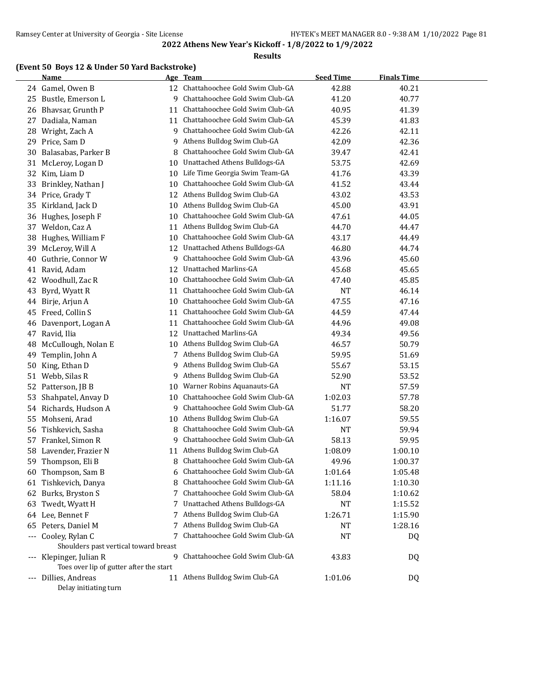#### **Results**

### **(Event 50 Boys 12 & Under 50 Yard Backstroke)**

|       | <b>Name</b>                             |    | Age Team                           | <b>Seed Time</b> | <b>Finals Time</b> |  |
|-------|-----------------------------------------|----|------------------------------------|------------------|--------------------|--|
|       | 24 Gamel, Owen B                        |    | 12 Chattahoochee Gold Swim Club-GA | 42.88            | 40.21              |  |
| 25    | Bustle, Emerson L                       | 9  | Chattahoochee Gold Swim Club-GA    | 41.20            | 40.77              |  |
| 26    | Bhavsar, Grunth P                       | 11 | Chattahoochee Gold Swim Club-GA    | 40.95            | 41.39              |  |
| 27    | Dadiala, Naman                          | 11 | Chattahoochee Gold Swim Club-GA    | 45.39            | 41.83              |  |
| 28    | Wright, Zach A                          | 9  | Chattahoochee Gold Swim Club-GA    | 42.26            | 42.11              |  |
| 29    | Price, Sam D                            | 9  | Athens Bulldog Swim Club-GA        | 42.09            | 42.36              |  |
| 30    | Balasabas, Parker B                     | 8  | Chattahoochee Gold Swim Club-GA    | 39.47            | 42.41              |  |
| 31    | McLeroy, Logan D                        | 10 | Unattached Athens Bulldogs-GA      | 53.75            | 42.69              |  |
| 32    | Kim, Liam D                             | 10 | Life Time Georgia Swim Team-GA     | 41.76            | 43.39              |  |
| 33    | Brinkley, Nathan J                      | 10 | Chattahoochee Gold Swim Club-GA    | 41.52            | 43.44              |  |
| 34    | Price, Grady T                          | 12 | Athens Bulldog Swim Club-GA        | 43.02            | 43.53              |  |
| 35    | Kirkland, Jack D                        | 10 | Athens Bulldog Swim Club-GA        | 45.00            | 43.91              |  |
| 36    | Hughes, Joseph F                        | 10 | Chattahoochee Gold Swim Club-GA    | 47.61            | 44.05              |  |
| 37    | Weldon, Caz A                           | 11 | Athens Bulldog Swim Club-GA        | 44.70            | 44.47              |  |
| 38    | Hughes, William F                       | 10 | Chattahoochee Gold Swim Club-GA    | 43.17            | 44.49              |  |
| 39    | McLeroy, Will A                         | 12 | Unattached Athens Bulldogs-GA      | 46.80            | 44.74              |  |
| 40    | Guthrie, Connor W                       | 9  | Chattahoochee Gold Swim Club-GA    | 43.96            | 45.60              |  |
| 41    | Ravid, Adam                             | 12 | Unattached Marlins-GA              | 45.68            | 45.65              |  |
| 42    | Woodhull, Zac R                         | 10 | Chattahoochee Gold Swim Club-GA    | 47.40            | 45.85              |  |
| 43    | Byrd, Wyatt R                           | 11 | Chattahoochee Gold Swim Club-GA    | <b>NT</b>        | 46.14              |  |
| 44    | Birje, Arjun A                          | 10 | Chattahoochee Gold Swim Club-GA    | 47.55            | 47.16              |  |
| 45    | Freed, Collin S                         | 11 | Chattahoochee Gold Swim Club-GA    | 44.59            | 47.44              |  |
| 46    | Davenport, Logan A                      | 11 | Chattahoochee Gold Swim Club-GA    | 44.96            | 49.08              |  |
| 47    | Ravid, Ilia                             | 12 | Unattached Marlins-GA              | 49.34            | 49.56              |  |
| 48    | McCullough, Nolan E                     | 10 | Athens Bulldog Swim Club-GA        | 46.57            | 50.79              |  |
| 49    | Templin, John A                         |    | 7 Athens Bulldog Swim Club-GA      | 59.95            | 51.69              |  |
| 50    | King, Ethan D                           | 9  | Athens Bulldog Swim Club-GA        | 55.67            | 53.15              |  |
| 51    | Webb, Silas R                           | 9  | Athens Bulldog Swim Club-GA        | 52.90            | 53.52              |  |
| 52    | Patterson, JB B                         | 10 | Warner Robins Aquanauts-GA         | <b>NT</b>        | 57.59              |  |
| 53    | Shahpatel, Anvay D                      | 10 | Chattahoochee Gold Swim Club-GA    | 1:02.03          | 57.78              |  |
| 54    | Richards, Hudson A                      | 9  | Chattahoochee Gold Swim Club-GA    | 51.77            | 58.20              |  |
| 55    | Mohseni, Arad                           | 10 | Athens Bulldog Swim Club-GA        | 1:16.07          | 59.55              |  |
| 56    | Tishkevich, Sasha                       | 8  | Chattahoochee Gold Swim Club-GA    | <b>NT</b>        | 59.94              |  |
| 57    | Frankel, Simon R                        | 9  | Chattahoochee Gold Swim Club-GA    | 58.13            | 59.95              |  |
| 58    | Lavender, Frazier N                     | 11 | Athens Bulldog Swim Club-GA        | 1:08.09          | 1:00.10            |  |
| 59    | Thompson, Eli B                         | 8  | Chattahoochee Gold Swim Club-GA    | 49.96            | 1:00.37            |  |
|       | 60 Thompson, Sam B                      | 6  | Chattahoochee Gold Swim Club-GA    | 1:01.64          | 1:05.48            |  |
| 61    | Tishkevich, Danya                       | 8  | Chattahoochee Gold Swim Club-GA    | 1:11.16          | 1:10.30            |  |
|       | 62 Burks, Bryston S                     | 7  | Chattahoochee Gold Swim Club-GA    | 58.04            | 1:10.62            |  |
| 63    | Twedt, Wyatt H                          | 7  | Unattached Athens Bulldogs-GA      | <b>NT</b>        | 1:15.52            |  |
|       | 64 Lee, Bennet F                        | 7  | Athens Bulldog Swim Club-GA        | 1:26.71          | 1:15.90            |  |
| 65    | Peters, Daniel M                        | 7  | Athens Bulldog Swim Club-GA        | NT               | 1:28.16            |  |
|       | --- Cooley, Rylan C                     |    | Chattahoochee Gold Swim Club-GA    | <b>NT</b>        | DQ                 |  |
|       | Shoulders past vertical toward breast   |    |                                    |                  |                    |  |
|       | Klepinger, Julian R                     | 9  | Chattahoochee Gold Swim Club-GA    | 43.83            | DQ                 |  |
|       | Toes over lip of gutter after the start |    |                                    |                  |                    |  |
| $---$ | Dillies, Andreas                        |    | 11 Athens Bulldog Swim Club-GA     | 1:01.06          | DQ                 |  |
|       | Delay initiating turn                   |    |                                    |                  |                    |  |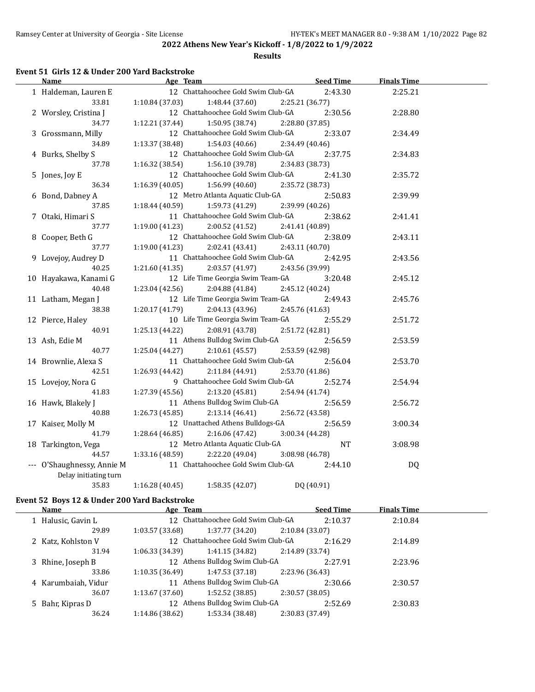#### **Results**

# **Event 51 Girls 12 & Under 200 Yard Backstroke**

| <u>Name</u>                | Age Team                           | <b>Seed Time</b> | <b>Finals Time</b> |  |
|----------------------------|------------------------------------|------------------|--------------------|--|
| 1 Haldeman, Lauren E       | 12 Chattahoochee Gold Swim Club-GA | 2:43.30          | 2:25.21            |  |
| 33.81                      | 1:10.84(37.03)<br>1:48.44 (37.60)  | 2:25.21 (36.77)  |                    |  |
| 2 Worsley, Cristina J      | 12 Chattahoochee Gold Swim Club-GA | 2:30.56          | 2:28.80            |  |
| 34.77                      | 1:50.95 (38.74)<br>1:12.21(37.44)  | 2:28.80 (37.85)  |                    |  |
| 3 Grossmann, Milly         | 12 Chattahoochee Gold Swim Club-GA | 2:33.07          | 2:34.49            |  |
| 34.89                      | 1:13.37(38.48)<br>1:54.03(40.66)   | 2:34.49 (40.46)  |                    |  |
| 4 Burks, Shelby S          | 12 Chattahoochee Gold Swim Club-GA | 2:37.75          | 2:34.83            |  |
| 37.78                      | 1:16.32 (38.54)<br>1:56.10 (39.78) | 2:34.83 (38.73)  |                    |  |
| 5 Jones, Joy E             | 12 Chattahoochee Gold Swim Club-GA | 2:41.30          | 2:35.72            |  |
| 36.34                      | 1:56.99(40.60)<br>1:16.39 (40.05)  | 2:35.72 (38.73)  |                    |  |
| 6 Bond, Dabney A           | 12 Metro Atlanta Aquatic Club-GA   | 2:50.83          | 2:39.99            |  |
| 37.85                      | 1:18.44 (40.59)<br>1:59.73(41.29)  | 2:39.99 (40.26)  |                    |  |
| 7 Otaki, Himari S          | 11 Chattahoochee Gold Swim Club-GA | 2:38.62          | 2:41.41            |  |
| 37.77                      | 1:19.00 (41.23)<br>2:00.52 (41.52) | 2:41.41 (40.89)  |                    |  |
| 8 Cooper, Beth G           | 12 Chattahoochee Gold Swim Club-GA | 2:38.09          | 2:43.11            |  |
| 37.77                      | 1:19.00 (41.23)<br>2:02.41 (43.41) | 2:43.11 (40.70)  |                    |  |
| 9 Lovejoy, Audrey D        | 11 Chattahoochee Gold Swim Club-GA | 2:42.95          | 2:43.56            |  |
| 40.25                      | 1:21.60(41.35)<br>2:03.57 (41.97)  | 2:43.56 (39.99)  |                    |  |
| 10 Hayakawa, Kanami G      | 12 Life Time Georgia Swim Team-GA  | 3:20.48          | 2:45.12            |  |
| 40.48                      | 1:23.04(42.56)<br>2:04.88 (41.84)  | 2:45.12 (40.24)  |                    |  |
| 11 Latham, Megan J         | 12 Life Time Georgia Swim Team-GA  | 2:49.43          | 2:45.76            |  |
| 38.38                      | 1:20.17 (41.79)<br>2:04.13 (43.96) | 2:45.76 (41.63)  |                    |  |
| 12 Pierce, Haley           | 10 Life Time Georgia Swim Team-GA  | 2:55.29          | 2:51.72            |  |
| 40.91                      | 1:25.13 (44.22)<br>2:08.91 (43.78) | 2:51.72 (42.81)  |                    |  |
| 13 Ash, Edie M             | 11 Athens Bulldog Swim Club-GA     | 2:56.59          | 2:53.59            |  |
| 40.77                      | 1:25.04(44.27)<br>2:10.61 (45.57)  | 2:53.59 (42.98)  |                    |  |
| 14 Brownlie, Alexa S       | 11 Chattahoochee Gold Swim Club-GA | 2:56.04          | 2:53.70            |  |
| 42.51                      | 2:11.84(44.91)<br>1:26.93 (44.42)  | 2:53.70 (41.86)  |                    |  |
| 15 Lovejoy, Nora G         | 9 Chattahoochee Gold Swim Club-GA  | 2:52.74          | 2:54.94            |  |
| 41.83                      | 2:13.20 (45.81)<br>1:27.39 (45.56) | 2:54.94 (41.74)  |                    |  |
| 16 Hawk, Blakely J         | 11 Athens Bulldog Swim Club-GA     | 2:56.59          | 2:56.72            |  |
| 40.88                      | 1:26.73 (45.85)<br>2:13.14 (46.41) | 2:56.72 (43.58)  |                    |  |
| 17 Kaiser, Molly M         | 12 Unattached Athens Bulldogs-GA   | 2:56.59          | 3:00.34            |  |
| 41.79                      | 1:28.64 (46.85)<br>2:16.06(47.42)  | 3:00.34 (44.28)  |                    |  |
| 18 Tarkington, Vega        | 12 Metro Atlanta Aquatic Club-GA   | <b>NT</b>        | 3:08.98            |  |
| 44.57                      | 2:22.20 (49.04)<br>1:33.16 (48.59) | 3:08.98 (46.78)  |                    |  |
| --- O'Shaughnessy, Annie M | 11 Chattahoochee Gold Swim Club-GA | 2:44.10          | <b>DQ</b>          |  |
| Delay initiating turn      |                                    |                  |                    |  |
| 35.83                      | 1:16.28 (40.45)<br>1:58.35 (42.07) | DQ (40.91)       |                    |  |

### **Event 52 Boys 12 & Under 200 Yard Backstroke**

| Name                | Age Team        |                                    |                 | <b>Seed Time</b> | <b>Finals Time</b> |  |
|---------------------|-----------------|------------------------------------|-----------------|------------------|--------------------|--|
| 1 Halusic, Gavin L  |                 | 12 Chattahoochee Gold Swim Club-GA |                 | 2:10.37          | 2:10.84            |  |
| 29.89               | 1:03.57(33.68)  | 1:37.77 (34.20)                    | 2:10.84(33.07)  |                  |                    |  |
| 2 Katz, Kohlston V  |                 | 12 Chattahoochee Gold Swim Club-GA |                 | 2:16.29          | 2:14.89            |  |
| 31.94               | 1:06.33(34.39)  | 1:41.15(34.82)                     | 2:14.89 (33.74) |                  |                    |  |
| 3 Rhine, Joseph B   |                 | 12 Athens Bulldog Swim Club-GA     |                 | 2:27.91          | 2:23.96            |  |
| 33.86               | 1:10.35(36.49)  | 1:47.53(37.18)                     | 2:23.96 (36.43) |                  |                    |  |
| 4 Karumbaiah, Vidur |                 | 11 Athens Bulldog Swim Club-GA     |                 | 2:30.66          | 2:30.57            |  |
| 36.07               | 1:13.67(37.60)  | 1:52.52(38.85)                     | 2:30.57(38.05)  |                  |                    |  |
| 5 Bahr, Kipras D    |                 | 12 Athens Bulldog Swim Club-GA     |                 | 2:52.69          | 2:30.83            |  |
| 36.24               | 1:14.86 (38.62) | 1:53.34 (38.48)                    | 2:30.83 (37.49) |                  |                    |  |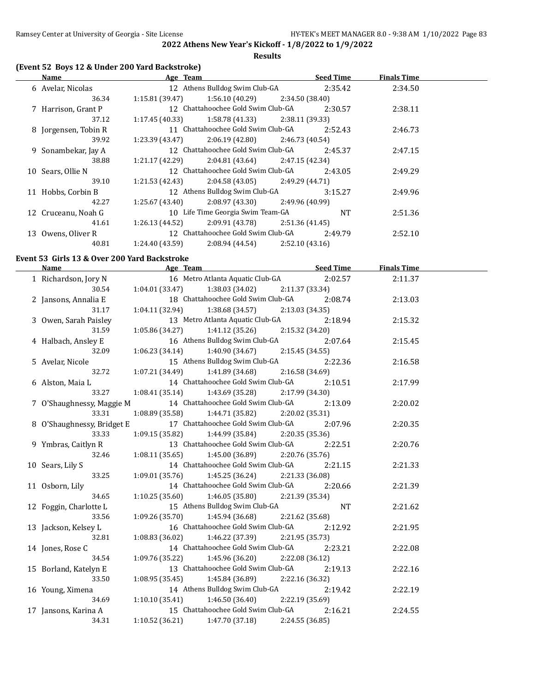**Results**

# **(Event 52 Boys 12 & Under 200 Yard Backstroke)**

|    | Name                 | Age Team        |                                                    |                 | <b>Seed Time</b> | <b>Finals Time</b> |  |
|----|----------------------|-----------------|----------------------------------------------------|-----------------|------------------|--------------------|--|
|    | 6 Avelar, Nicolas    |                 | 12 Athens Bulldog Swim Club-GA 2:35.42             |                 |                  | 2:34.50            |  |
|    | 36.34                | 1:15.81 (39.47) | 1:56.10 (40.29)                                    | 2:34.50 (38.40) |                  |                    |  |
|    | 7 Harrison, Grant P  |                 | 12 Chattahoochee Gold Swim Club-GA                 |                 | 2:30.57          | 2:38.11            |  |
|    | 37.12                | 1:17.45 (40.33) | $1:58.78(41.33)$ $2:38.11(39.33)$                  |                 |                  |                    |  |
|    | 8 Jorgensen, Tobin R |                 | 11 Chattahoochee Gold Swim Club-GA                 |                 | 2:52.43          | 2:46.73            |  |
|    | 39.92                |                 | $1:23.39(43.47)$ $2:06.19(42.80)$ $2:46.73(40.54)$ |                 |                  |                    |  |
|    | 9 Sonambekar, Jay A  |                 | 12 Chattahoochee Gold Swim Club-GA                 |                 | 2:45.37          | 2:47.15            |  |
|    | 38.88                | 1:21.17 (42.29) | 2:04.81 (43.64) 2:47.15 (42.34)                    |                 |                  |                    |  |
|    | 10 Sears, Ollie N    |                 | 12 Chattahoochee Gold Swim Club-GA                 |                 | 2:43.05          | 2:49.29            |  |
|    | 39.10                |                 | $1:21.53(42.43)$ $2:04.58(43.05)$ $2:49.29(44.71)$ |                 |                  |                    |  |
|    | 11 Hobbs, Corbin B   |                 | 12 Athens Bulldog Swim Club-GA                     |                 | 3:15.27          | 2:49.96            |  |
|    | 42.27                |                 | $1:25.67(43.40)$ $2:08.97(43.30)$ $2:49.96(40.99)$ |                 |                  |                    |  |
|    | 12 Cruceanu, Noah G  |                 | 10 Life Time Georgia Swim Team-GA                  |                 | NT.              | 2:51.36            |  |
|    | 41.61                | 1:26.13 (44.52) | $2:09.91(43.78)$ $2:51.36(41.45)$                  |                 |                  |                    |  |
| 13 | Owens, Oliver R      |                 | 12 Chattahoochee Gold Swim Club-GA                 |                 | 2:49.79          | 2:52.10            |  |
|    | 40.81                | 1:24.40 (43.59) | 2:08.94 (44.54)                                    | 2:52.10(43.16)  |                  |                    |  |

#### **Event 53 Girls 13 & Over 200 Yard Backstroke**

|                            | Name Seed Time Seed Time Age Team Seed Time                  |                 | <b>Finals Time</b> |  |
|----------------------------|--------------------------------------------------------------|-----------------|--------------------|--|
| 1 Richardson, Jory N       | 16 Metro Atlanta Aquatic Club-GA 2:02.57                     |                 | 2:11.37            |  |
| 30.54                      | 1:04.01 (33.47) 1:38.03 (34.02) 2:11.37 (33.34)              |                 |                    |  |
| 2 Jansons, Annalia E       | 18 Chattahoochee Gold Swim Club-GA                           | 2:08.74         | 2:13.03            |  |
| 31.17                      | $1:04.11(32.94)$ $1:38.68(34.57)$                            | 2:13.03 (34.35) |                    |  |
| 3 Owen, Sarah Paisley      | 13 Metro Atlanta Aquatic Club-GA                             | 2:18.94         | 2:15.32            |  |
| 31.59                      | $1:05.86(34.27)$ $1:41.12(35.26)$ $2:15.32(34.20)$           |                 |                    |  |
| 4 Halbach, Ansley E        | 16 Athens Bulldog Swim Club-GA                               | 2:07.64         | 2:15.45            |  |
| 32.09                      | $1:06.23(34.14)$ $1:40.90(34.67)$ $2:15.45(34.55)$           |                 |                    |  |
| 5 Avelar, Nicole           | 15 Athens Bulldog Swim Club-GA                               | 2:22.36         | 2:16.58            |  |
| 32.72                      | $1:07.21(34.49)$ $1:41.89(34.68)$ $2:16.58(34.69)$           |                 |                    |  |
| 6 Alston, Maia L           | 14 Chattahoochee Gold Swim Club-GA                           | 2:10.51         | 2:17.99            |  |
| 33.27                      | $1:08.41(35.14)$ $1:43.69(35.28)$                            | 2:17.99 (34.30) |                    |  |
|                            | 7 O'Shaughnessy, Maggie M 14 Chattahoochee Gold Swim Club-GA | 2:13.09         | 2:20.02            |  |
| 33.31                      | 1:08.89 (35.58) 1:44.71 (35.82) 2:20.02 (35.31)              |                 |                    |  |
| 8 O'Shaughnessy, Bridget E | 17 Chattahoochee Gold Swim Club-GA                           | 2:07.96         | 2:20.35            |  |
| 33.33                      | $1:09.15(35.82)$ $1:44.99(35.84)$                            | 2:20.35(35.36)  |                    |  |
| 9 Ymbras, Caitlyn R        | 13 Chattahoochee Gold Swim Club-GA                           | 2:22.51         | 2:20.76            |  |
| 32.46                      | $1:08.11(35.65)$ $1:45.00(36.89)$                            | 2:20.76 (35.76) |                    |  |
| 10 Sears, Lily S           | 14 Chattahoochee Gold Swim Club-GA                           | 2:21.15         | 2:21.33            |  |
| 33.25                      | $1:09.01(35.76)$ $1:45.25(36.24)$ $2:21.33(36.08)$           |                 |                    |  |
| 11 Osborn, Lily            | 14 Chattahoochee Gold Swim Club-GA 2:20.66                   |                 | 2:21.39            |  |
| 34.65                      | $1:10.25(35.60)$ $1:46.05(35.80)$ $2:21.39(35.34)$           |                 |                    |  |
| 12 Foggin, Charlotte L     | 15 Athens Bulldog Swim Club-GA NT                            |                 | 2:21.62            |  |
| 33.56                      | $1:09.26(35.70)$ $1:45.94(36.68)$                            | 2:21.62 (35.68) |                    |  |
| 13 Jackson, Kelsey L       | 16 Chattahoochee Gold Swim Club-GA                           | 2:12.92         | 2:21.95            |  |
| 32.81                      | $1:08.83(36.02)$ $1:46.22(37.39)$                            | 2:21.95 (35.73) |                    |  |
| 14 Jones, Rose C           | 14 Chattahoochee Gold Swim Club-GA                           | 2:23.21         | 2:22.08            |  |
| 34.54                      | $1:09.76(35.22)$ $1:45.96(36.20)$                            | 2:22.08 (36.12) |                    |  |
| 15 Borland, Katelyn E      | 13 Chattahoochee Gold Swim Club-GA                           | 2:19.13         | 2:22.16            |  |
| 33.50                      | $1:08.95(35.45)$ $1:45.84(36.89)$ $2:22.16(36.32)$           |                 |                    |  |
| 16 Young, Ximena           | 14 Athens Bulldog Swim Club-GA                               | 2:19.42         | 2:22.19            |  |
| 34.69                      | $1:10.10(35.41)$ $1:46.50(36.40)$                            | 2:22.19 (35.69) |                    |  |
| 17 Jansons, Karina A       | 15 Chattahoochee Gold Swim Club-GA 2:16.21                   |                 | 2:24.55            |  |
| 34.31                      | 1:10.52 (36.21)<br>1:47.70 (37.18)                           | 2:24.55 (36.85) |                    |  |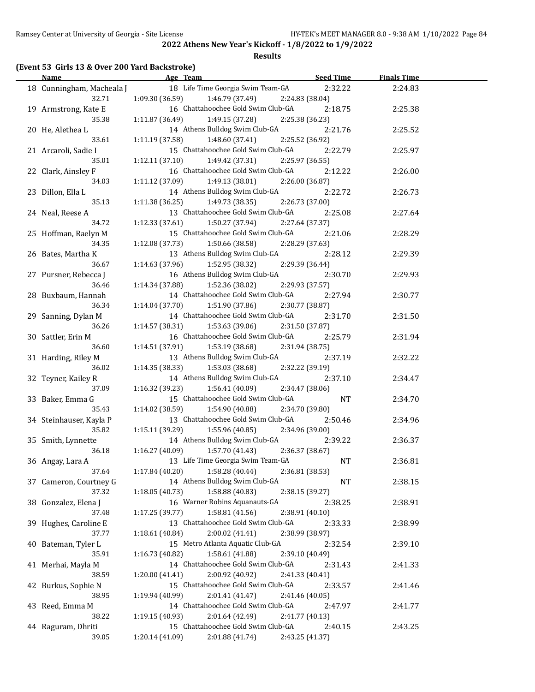#### **Results**

### **(Event 53 Girls 13 & Over 200 Yard Backstroke)**

| <b>Name</b>               | Age Team                                              | <b>Seed Time</b> | <b>Finals Time</b> |  |
|---------------------------|-------------------------------------------------------|------------------|--------------------|--|
| 18 Cunningham, Macheala J | 18 Life Time Georgia Swim Team-GA                     | 2:32.22          | 2:24.83            |  |
| 32.71                     | $1:09.30(36.59)$ $1:46.79(37.49)$                     | 2:24.83 (38.04)  |                    |  |
| 19 Armstrong, Kate E      | 16 Chattahoochee Gold Swim Club-GA                    | 2:18.75          | 2:25.38            |  |
| 35.38                     | 1:11.87 (36.49)<br>1:49.15 (37.28)                    | 2:25.38 (36.23)  |                    |  |
| 20 He, Alethea L          | 14 Athens Bulldog Swim Club-GA                        | 2:21.76          | 2:25.52            |  |
| 33.61                     | $1:11.19$ (37.58) $1:48.60$ (37.41)                   | 2:25.52 (36.92)  |                    |  |
| 21 Arcaroli, Sadie I      | 15 Chattahoochee Gold Swim Club-GA                    | 2:22.79          | 2:25.97            |  |
| 35.01                     | 1:12.11(37.10)<br>1:49.42 (37.31)                     | 2:25.97 (36.55)  |                    |  |
| 22 Clark, Ainsley F       | 16 Chattahoochee Gold Swim Club-GA                    | 2:12.22          | 2:26.00            |  |
| 34.03                     | $1:11.12$ (37.09) $1:49.13$ (38.01)                   | 2:26.00 (36.87)  |                    |  |
| 23 Dillon, Ella L         | 14 Athens Bulldog Swim Club-GA                        | 2:22.72          | 2:26.73            |  |
| 35.13                     | $1:11.38(36.25)$ $1:49.73(38.35)$                     | 2:26.73 (37.00)  |                    |  |
| 24 Neal, Reese A          | 13 Chattahoochee Gold Swim Club-GA                    | 2:25.08          | 2:27.64            |  |
| 34.72                     | 1:12.33(37.61)<br>1:50.27 (37.94)                     | 2:27.64 (37.37)  |                    |  |
|                           | 15 Chattahoochee Gold Swim Club-GA                    | 2:21.06          | 2:28.29            |  |
| 25 Hoffman, Raelyn M      |                                                       |                  |                    |  |
| 34.35                     | 1:12.08 (37.73)<br>1:50.66 (38.58)                    | 2:28.29 (37.63)  |                    |  |
| 26 Bates, Martha K        | 13 Athens Bulldog Swim Club-GA                        | 2:28.12          | 2:29.39            |  |
| 36.67                     | 1:14.63 (37.96)<br>1:52.95 (38.32)                    | 2:29.39 (36.44)  |                    |  |
| 27 Pursner, Rebecca J     | 16 Athens Bulldog Swim Club-GA                        | 2:30.70          | 2:29.93            |  |
| 36.46                     | 1:14.34(37.88)<br>1:52.36 (38.02)                     | 2:29.93 (37.57)  |                    |  |
| 28 Buxbaum, Hannah        | 14 Chattahoochee Gold Swim Club-GA                    | 2:27.94          | 2:30.77            |  |
| 36.34                     | 1:51.90 (37.86)<br>1:14.04(37.70)                     | 2:30.77 (38.87)  |                    |  |
| 29 Sanning, Dylan M       | 14 Chattahoochee Gold Swim Club-GA                    | 2:31.70          | 2:31.50            |  |
| 36.26                     | 1:14.57 (38.31)<br>1:53.63 (39.06)                    | 2:31.50 (37.87)  |                    |  |
| 30 Sattler, Erin M        | 16 Chattahoochee Gold Swim Club-GA                    | 2:25.79          | 2:31.94            |  |
| 36.60                     | $1:14.51(37.91)$ $1:53.19(38.68)$                     | 2:31.94 (38.75)  |                    |  |
| 31 Harding, Riley M       | 13 Athens Bulldog Swim Club-GA                        | 2:37.19          | 2:32.22            |  |
| 36.02                     | 1:14.35 (38.33)<br>1:53.03 (38.68)                    | 2:32.22 (39.19)  |                    |  |
| 32 Teyner, Kailey R       | 14 Athens Bulldog Swim Club-GA                        | 2:37.10          | 2:34.47            |  |
| 37.09                     | 1:16.32 (39.23)<br>1:56.41 (40.09)                    | 2:34.47 (38.06)  |                    |  |
| 33 Baker, Emma G          | 15 Chattahoochee Gold Swim Club-GA                    | NT               | 2:34.70            |  |
| 35.43                     | 1:14.02 (38.59)<br>1:54.90 (40.88)                    | 2:34.70 (39.80)  |                    |  |
| 34 Steinhauser, Kayla P   | 13 Chattahoochee Gold Swim Club-GA                    | 2:50.46          | 2:34.96            |  |
| 35.82                     | $1:15.11(39.29)$ $1:55.96(40.85)$                     | 2:34.96 (39.00)  |                    |  |
| 35 Smith, Lynnette        | 14 Athens Bulldog Swim Club-GA                        | 2:39.22          | 2:36.37            |  |
| 36.18                     | 1:57.70 (41.43)<br>1:16.27 (40.09)                    | 2:36.37 (38.67)  |                    |  |
| 36 Angay, Lara A          | 13 Life Time Georgia Swim Team-GA                     | <b>NT</b>        | 2:36.81            |  |
| 37.64                     | 1:58.28 (40.44)<br>1:17.84 (40.20)                    | 2:36.81 (38.53)  |                    |  |
| 37 Cameron, Courtney G    | 14 Athens Bulldog Swim Club-GA                        | NT               | 2:38.15            |  |
| 37.32                     | 1:18.05(40.73)<br>1:58.88 (40.83)                     | 2:38.15 (39.27)  |                    |  |
| 38 Gonzalez, Elena J      | 16 Warner Robins Aquanauts-GA                         | 2:38.25          | 2:38.91            |  |
| 37.48                     | 1:58.81 (41.56)<br>1:17.25 (39.77)                    | 2:38.91 (40.10)  |                    |  |
| 39 Hughes, Caroline E     | 13 Chattahoochee Gold Swim Club-GA                    | 2:33.33          | 2:38.99            |  |
| 37.77                     | 2:00.02 (41.41)<br>1:18.61 (40.84)                    | 2:38.99 (38.97)  |                    |  |
| 40 Bateman, Tyler L       | 15 Metro Atlanta Aquatic Club-GA                      | 2:32.54          | 2:39.10            |  |
| 35.91                     | 1:16.73 (40.82)<br>1:58.61 (41.88)                    | 2:39.10 (40.49)  |                    |  |
| 41 Merhai, Mayla M        | 14 Chattahoochee Gold Swim Club-GA                    | 2:31.43          | 2:41.33            |  |
| 38.59                     | 2:00.92 (40.92)<br>1:20.00 (41.41)                    | 2:41.33 (40.41)  |                    |  |
| 42 Burkus, Sophie N       | 15 Chattahoochee Gold Swim Club-GA                    | 2:33.57          | 2:41.46            |  |
| 38.95                     | 1:19.94 (40.99)<br>2:01.41 (41.47)                    | 2:41.46 (40.05)  |                    |  |
| 43 Reed, Emma M           | 14 Chattahoochee Gold Swim Club-GA                    |                  | 2:41.77            |  |
| 38.22                     | 2:01.64 (42.49)                                       | 2:47.97          |                    |  |
|                           | 1:19.15 (40.93)<br>15 Chattahoochee Gold Swim Club-GA | 2:41.77 (40.13)  |                    |  |
| 44 Raguram, Dhriti        |                                                       | 2:40.15          | 2:43.25            |  |
| 39.05                     | 1:20.14 (41.09)<br>2:01.88 (41.74)                    | 2:43.25 (41.37)  |                    |  |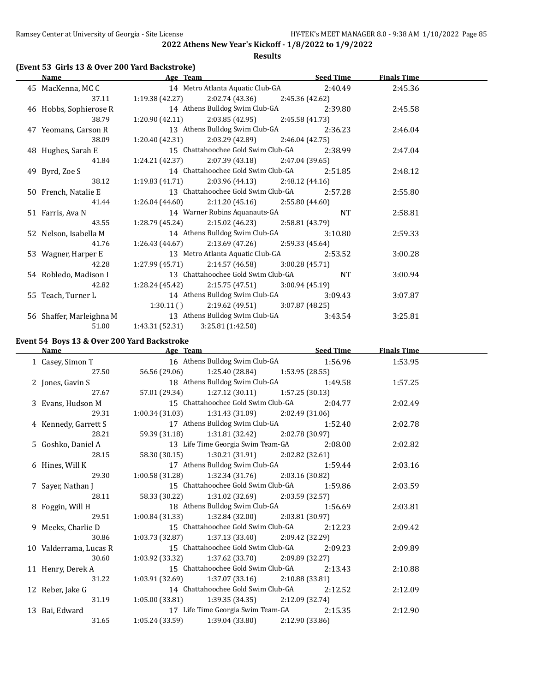**Results**

### **(Event 53 Girls 13 & Over 200 Yard Backstroke)**

| Name                     | Age Team                                              | <b>Seed Time</b> | <b>Finals Time</b> |  |
|--------------------------|-------------------------------------------------------|------------------|--------------------|--|
| 45 MacKenna, MC C        | 14 Metro Atlanta Aquatic Club-GA                      | 2:40.49          | 2:45.36            |  |
| 37.11                    | $1:19.38(42.27)$ $2:02.74(43.36)$ $2:45.36(42.62)$    |                  |                    |  |
| 46 Hobbs, Sophierose R   | 14 Athens Bulldog Swim Club-GA                        | 2:39.80          | 2:45.58            |  |
| 38.79                    | $1:20.90(42.11)$ $2:03.85(42.95)$ $2:45.58(41.73)$    |                  |                    |  |
| 47 Yeomans, Carson R     | 13 Athens Bulldog Swim Club-GA                        | 2:36.23          | 2:46.04            |  |
| 38.09                    | $1:20.40(42.31)$ $2:03.29(42.89)$ $2:46.04(42.75)$    |                  |                    |  |
| 48 Hughes, Sarah E       | 15 Chattahoochee Gold Swim Club-GA                    | 2:38.99          | 2:47.04            |  |
| 41.84                    | $1:24.21$ (42.37) $2:07.39$ (43.18) $2:47.04$ (39.65) |                  |                    |  |
| 49 Byrd, Zoe S           | 14 Chattahoochee Gold Swim Club-GA                    | 2:51.85          | 2:48.12            |  |
| 38.12                    | $1:19.83(41.71)$ $2:03.96(44.13)$ $2:48.12(44.16)$    |                  |                    |  |
| 50 French, Natalie E     | 13 Chattahoochee Gold Swim Club-GA                    | 2:57.28          | 2:55.80            |  |
| 41.44                    | $1:26.04(44.60)$ $2:11.20(45.16)$ $2:55.80(44.60)$    |                  |                    |  |
| 51 Farris, Ava N         | 14 Warner Robins Aquanauts-GA                         | <b>NT</b>        | 2:58.81            |  |
| 43.55                    | $1:28.79(45.24)$ $2:15.02(46.23)$ $2:58.81(43.79)$    |                  |                    |  |
| 52 Nelson, Isabella M    | 14 Athens Bulldog Swim Club-GA                        | 3:10.80          | 2:59.33            |  |
| 41.76                    | $1:26.43(44.67)$ $2:13.69(47.26)$ $2:59.33(45.64)$    |                  |                    |  |
| 53 Wagner, Harper E      | 13 Metro Atlanta Aquatic Club-GA                      | 2:53.52          | 3:00.28            |  |
| 42.28                    | $1:27.99(45.71)$ $2:14.57(46.58)$ $3:00.28(45.71)$    |                  |                    |  |
| 54 Robledo, Madison I    | 13 Chattahoochee Gold Swim Club-GA                    | NT.              | 3:00.94            |  |
| 42.82                    | $1:28.24(45.42)$ $2:15.75(47.51)$ $3:00.94(45.19)$    |                  |                    |  |
| 55 Teach, Turner L       | 14 Athens Bulldog Swim Club-GA                        | 3:09.43          | 3:07.87            |  |
|                          | $1:30.11$ () $2:19.62$ (49.51) $3:07.87$ (48.25)      |                  |                    |  |
| 56 Shaffer, Marleighna M | 13 Athens Bulldog Swim Club-GA                        | 3:43.54          | 3:25.81            |  |
| 51.00                    | 1:43.31 (52.31)<br>3:25.81 (1:42.50)                  |                  |                    |  |

### **Event 54 Boys 13 & Over 200 Yard Backstroke**

| Name                                                         |                                            | Age Team Seed Time                                    |                 |         | <b>Finals Time</b> |  |
|--------------------------------------------------------------|--------------------------------------------|-------------------------------------------------------|-----------------|---------|--------------------|--|
| 1 Casey, Simon T                                             |                                            | 16 Athens Bulldog Swim Club-GA 1:56.96                |                 |         | 1:53.95            |  |
| 27.50                                                        |                                            | 56.56 (29.06) 1:25.40 (28.84) 1:53.95 (28.55)         |                 |         |                    |  |
| 2 Jones, Gavin S                                             |                                            | 18 Athens Bulldog Swim Club-GA 1:49.58                |                 |         | 1:57.25            |  |
| 27.67                                                        |                                            | 57.01 (29.34) 1:27.12 (30.11) 1:57.25 (30.13)         |                 |         |                    |  |
| 3 Evans, Hudson M                                            | 15 Chattahoochee Gold Swim Club-GA 2:04.77 |                                                       |                 |         | 2:02.49            |  |
| 29.31                                                        |                                            | $1:00.34(31.03)$ $1:31.43(31.09)$ $2:02.49(31.06)$    |                 |         |                    |  |
| 4 Kennedy, Garrett S 17 Athens Bulldog Swim Club-GA 1:52.40  |                                            |                                                       |                 |         | 2:02.78            |  |
| 28.21                                                        |                                            | 59.39 (31.18) 1:31.81 (32.42) 2:02.78 (30.97)         |                 |         |                    |  |
| 5 Goshko, Daniel A 13 Life Time Georgia Swim Team-GA 2:08.00 |                                            |                                                       |                 |         | 2:02.82            |  |
| 28.15                                                        |                                            | 58.30 (30.15) 1:30.21 (31.91) 2:02.82 (32.61)         |                 |         |                    |  |
| 6 Hines, Will K                                              |                                            | 17 Athens Bulldog Swim Club-GA 1:59.44                |                 |         | 2:03.16            |  |
| 29.30                                                        |                                            | $1:00.58(31.28)$ $1:32.34(31.76)$ $2:03.16(30.82)$    |                 |         |                    |  |
| 7 Sayer, Nathan J                                            |                                            | 15 Chattahoochee Gold Swim Club-GA 1:59.86            |                 |         | 2:03.59            |  |
| 28.11                                                        |                                            | 58.33 (30.22) 1:31.02 (32.69) 2:03.59 (32.57)         |                 |         |                    |  |
| 8 Foggin, Will H                                             |                                            | 18 Athens Bulldog Swim Club-GA 1:56.69                |                 |         | 2:03.81            |  |
| 29.51                                                        |                                            | $1:00.84(31.33)$ $1:32.84(32.00)$ $2:03.81(30.97)$    |                 |         |                    |  |
| 9 Meeks, Charlie D                                           |                                            | 15 Chattahoochee Gold Swim Club-GA 2:12.23            |                 |         | 2:09.42            |  |
| 30.86                                                        |                                            | $1:03.73$ (32.87) $1:37.13$ (33.40) $2:09.42$ (32.29) |                 |         |                    |  |
| 10 Valderrama, Lucas R                                       |                                            | 15 Chattahoochee Gold Swim Club-GA                    |                 | 2:09.23 | 2:09.89            |  |
| 30.60                                                        |                                            | $1:03.92$ (33.32) $1:37.62$ (33.70) $2:09.89$ (32.27) |                 |         |                    |  |
| 11 Henry, Derek A                                            |                                            | 15 Chattahoochee Gold Swim Club-GA 2:13.43            |                 |         | 2:10.88            |  |
| 31.22                                                        |                                            | $1:03.91(32.69)$ $1:37.07(33.16)$ $2:10.88(33.81)$    |                 |         |                    |  |
| 12 Reber, Jake G                                             |                                            | 14 Chattahoochee Gold Swim Club-GA                    |                 | 2:12.52 | 2:12.09            |  |
| 31.19                                                        |                                            | $1:05.00(33.81)$ $1:39.35(34.35)$ $2:12.09(32.74)$    |                 |         |                    |  |
| 13 Bai, Edward                                               |                                            | 17 Life Time Georgia Swim Team-GA 2:15.35             |                 |         | 2:12.90            |  |
| 31.65                                                        |                                            | $1:05.24(33.59)$ $1:39.04(33.80)$                     | 2:12.90 (33.86) |         |                    |  |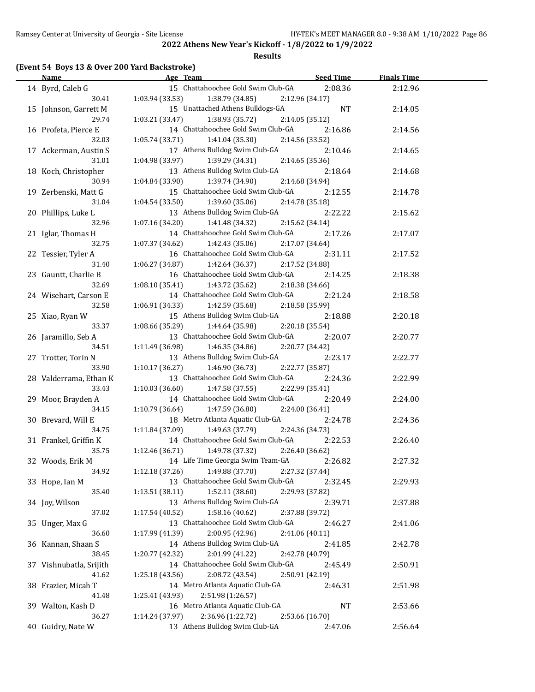#### **Results**

### **(Event 54 Boys 13 & Over 200 Yard Backstroke)**

| <b>Name</b>             | Age Team                                          | <b>Seed Time</b>           | <b>Finals Time</b> |  |
|-------------------------|---------------------------------------------------|----------------------------|--------------------|--|
| 14 Byrd, Caleb G        | 15 Chattahoochee Gold Swim Club-GA                | 2:08.36                    | 2:12.96            |  |
| 30.41                   | 1:03.94 (33.53)<br>1:38.79 (34.85)                | 2:12.96 (34.17)            |                    |  |
| 15 Johnson, Garrett M   | 15 Unattached Athens Bulldogs-GA                  | <b>NT</b>                  | 2:14.05            |  |
| 29.74                   | 1:03.21(33.47)<br>1:38.93 (35.72)                 | 2:14.05 (35.12)            |                    |  |
| 16 Profeta, Pierce E    | 14 Chattahoochee Gold Swim Club-GA                | 2:16.86                    | 2:14.56            |  |
| 32.03                   | 1:05.74 (33.71)<br>1:41.04 (35.30)                | 2:14.56 (33.52)            |                    |  |
| 17 Ackerman, Austin S   | 17 Athens Bulldog Swim Club-GA                    | 2:10.46                    | 2:14.65            |  |
| 31.01                   | 1:04.98 (33.97)<br>1:39.29 (34.31)                | 2:14.65 (35.36)            |                    |  |
| 18 Koch, Christopher    | 13 Athens Bulldog Swim Club-GA                    | 2:18.64                    | 2:14.68            |  |
| 30.94                   | 1:04.84 (33.90)<br>1:39.74 (34.90)                | 2:14.68 (34.94)            |                    |  |
| 19 Zerbenski, Matt G    | 15 Chattahoochee Gold Swim Club-GA                | 2:12.55                    | 2:14.78            |  |
| 31.04                   | 1:04.54 (33.50)                                   |                            |                    |  |
|                         | 1:39.60 (35.06)<br>13 Athens Bulldog Swim Club-GA | 2:14.78 (35.18)            |                    |  |
| 20 Phillips, Luke L     |                                                   | 2:22.22                    | 2:15.62            |  |
| 32.96                   | 1:07.16 (34.20)<br>1:41.48 (34.32)                | 2:15.62 (34.14)            |                    |  |
| 21 Iglar, Thomas H      | 14 Chattahoochee Gold Swim Club-GA                | 2:17.26                    | 2:17.07            |  |
| 32.75                   | 1:07.37 (34.62)<br>1:42.43 (35.06)                | 2:17.07 (34.64)            |                    |  |
| 22 Tessier, Tyler A     | 16 Chattahoochee Gold Swim Club-GA                | 2:31.11                    | 2:17.52            |  |
| 31.40                   | 1:06.27 (34.87)<br>1:42.64 (36.37)                | 2:17.52 (34.88)            |                    |  |
| 23 Gauntt, Charlie B    | 16 Chattahoochee Gold Swim Club-GA                | 2:14.25                    | 2:18.38            |  |
| 32.69                   | 1:08.10 (35.41)<br>1:43.72 (35.62)                | 2:18.38 (34.66)            |                    |  |
| 24 Wisehart, Carson E   | 14 Chattahoochee Gold Swim Club-GA                | 2:21.24                    | 2:18.58            |  |
| 32.58                   | 1:06.91 (34.33)<br>1:42.59 (35.68)                | 2:18.58 (35.99)            |                    |  |
| 25 Xiao, Ryan W         | 15 Athens Bulldog Swim Club-GA                    | 2:18.88                    | 2:20.18            |  |
| 33.37                   | 1:08.66(35.29)<br>1:44.64 (35.98)                 | 2:20.18 (35.54)            |                    |  |
| 26 Jaramillo, Seb A     | 13 Chattahoochee Gold Swim Club-GA                | 2:20.07                    | 2:20.77            |  |
| 34.51                   | 1:11.49 (36.98)<br>1:46.35 (34.86)                | 2:20.77 (34.42)            |                    |  |
| 27 Trotter, Torin N     | 13 Athens Bulldog Swim Club-GA                    | 2:23.17                    | 2:22.77            |  |
| 33.90                   | 1:10.17(36.27)<br>1:46.90 (36.73)                 | 2:22.77 (35.87)            |                    |  |
| 28 Valderrama, Ethan K  | 13 Chattahoochee Gold Swim Club-GA                | 2:24.36                    | 2:22.99            |  |
| 33.43                   | 1:10.03(36.60)<br>1:47.58 (37.55)                 | 2:22.99 (35.41)            |                    |  |
| 29 Moor, Brayden A      | 14 Chattahoochee Gold Swim Club-GA                | 2:20.49                    | 2:24.00            |  |
| 34.15                   | 1:47.59 (36.80)<br>1:10.79 (36.64)                | 2:24.00 (36.41)            |                    |  |
| 30 Brevard, Will E      | 18 Metro Atlanta Aquatic Club-GA                  | 2:24.78                    | 2:24.36            |  |
| 34.75                   | 1:49.63 (37.79)<br>1:11.84 (37.09)                | 2:24.36 (34.73)            |                    |  |
| 31 Frankel, Griffin K   | 14 Chattahoochee Gold Swim Club-GA                | 2:22.53                    | 2:26.40            |  |
| 35.75                   | $1:12.46(36.71)$ $1:49.78(37.32)$                 | 2:26.40 (36.62)            |                    |  |
| 32 Woods, Erik M        | 14 Life Time Georgia Swim Team-GA                 | 2:26.82                    | 2:27.32            |  |
| 34.92                   | 1:49.88 (37.70)<br>1:12.18 (37.26)                | 2:27.32 (37.44)            |                    |  |
| 33 Hope, Ian M          | 13 Chattahoochee Gold Swim Club-GA                | 2:32.45                    | 2:29.93            |  |
| 35.40                   | 1:13.51 (38.11)<br>1:52.11 (38.60)                | 2:29.93 (37.82)            |                    |  |
| 34 Joy, Wilson          | 13 Athens Bulldog Swim Club-GA                    | 2:39.71                    | 2:37.88            |  |
| 37.02                   | 1:58.16 (40.62)<br>1:17.54 (40.52)                | 2:37.88 (39.72)            |                    |  |
| 35 Unger, Max G         | 13 Chattahoochee Gold Swim Club-GA                | 2:46.27                    | 2:41.06            |  |
| 36.60                   | 1:17.99 (41.39)<br>2:00.95 (42.96)                | 2:41.06 (40.11)            |                    |  |
| 36 Kannan, Shaan S      | 14 Athens Bulldog Swim Club-GA                    |                            |                    |  |
| 38.45                   | 1:20.77 (42.32)<br>2:01.99 (41.22)                | 2:41.85<br>2:42.78 (40.79) | 2:42.78            |  |
|                         | 14 Chattahoochee Gold Swim Club-GA                |                            | 2:50.91            |  |
| 37 Vishnubatla, Srijith |                                                   | 2:45.49                    |                    |  |
| 41.62                   | 2:08.72 (43.54)<br>1:25.18 (43.56)                | 2:50.91 (42.19)            |                    |  |
| 38 Frazier, Micah T     | 14 Metro Atlanta Aquatic Club-GA                  | 2:46.31                    | 2:51.98            |  |
| 41.48                   | 2:51.98 (1:26.57)<br>1:25.41 (43.93)              |                            |                    |  |
| 39 Walton, Kash D       | 16 Metro Atlanta Aquatic Club-GA                  | <b>NT</b>                  | 2:53.66            |  |
| 36.27                   | 2:36.96 (1:22.72)<br>1:14.24 (37.97)              | 2:53.66 (16.70)            |                    |  |
| 40 Guidry, Nate W       | 13 Athens Bulldog Swim Club-GA                    | 2:47.06                    | 2:56.64            |  |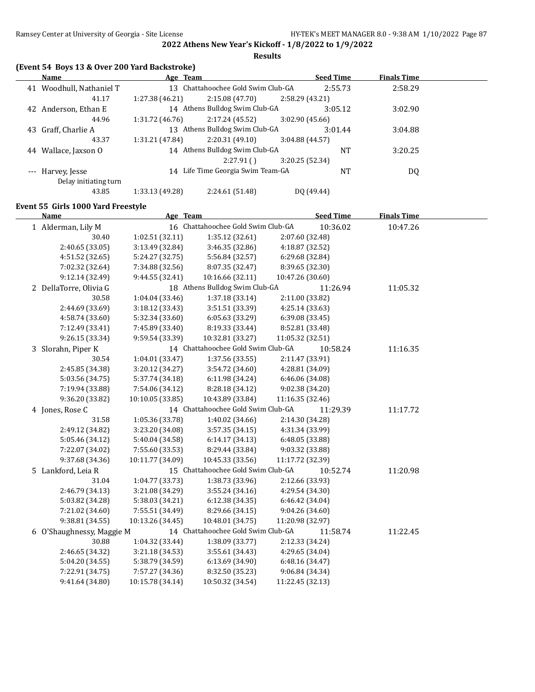**Results**

| (Event 54 Boys 13 & Over 200 Yard Backstroke) |
|-----------------------------------------------|
|-----------------------------------------------|

| Name                    |                 |                 |          |                                                                                                                                                                            | <b>Finals Time</b>                                                                                                                        |  |
|-------------------------|-----------------|-----------------|----------|----------------------------------------------------------------------------------------------------------------------------------------------------------------------------|-------------------------------------------------------------------------------------------------------------------------------------------|--|
| Woodhull, Nathaniel T   |                 |                 |          |                                                                                                                                                                            | 2:58.29                                                                                                                                   |  |
| 41.17                   | 1:27.38 (46.21) | 2:15.08(47.70)  |          |                                                                                                                                                                            |                                                                                                                                           |  |
| Anderson, Ethan E<br>42 |                 |                 |          |                                                                                                                                                                            | 3:02.90                                                                                                                                   |  |
| 44.96                   | 1:31.72(46.76)  | 2:17.24 (45.52) |          |                                                                                                                                                                            |                                                                                                                                           |  |
| Graff, Charlie A<br>43  | 13              |                 |          |                                                                                                                                                                            | 3:04.88                                                                                                                                   |  |
| 43.37                   | 1:31.21 (47.84) | 2:20.31(49.10)  |          |                                                                                                                                                                            |                                                                                                                                           |  |
| Wallace, Jaxson O<br>44 |                 |                 |          | <b>NT</b>                                                                                                                                                                  | 3:20.25                                                                                                                                   |  |
|                         |                 | 2:27.91(        |          |                                                                                                                                                                            |                                                                                                                                           |  |
| --- Harvey, Jesse       |                 |                 |          | <b>NT</b>                                                                                                                                                                  | DQ                                                                                                                                        |  |
| Delay initiating turn   |                 |                 |          |                                                                                                                                                                            |                                                                                                                                           |  |
| 43.85                   | 1:33.13 (49.28) | 2:24.61 (51.48) |          |                                                                                                                                                                            |                                                                                                                                           |  |
|                         |                 |                 | Age Team | 13 Chattahoochee Gold Swim Club-GA<br>14 Athens Bulldog Swim Club-GA<br>Athens Bulldog Swim Club-GA<br>14 Athens Bulldog Swim Club-GA<br>14 Life Time Georgia Swim Team-GA | <b>Seed Time</b><br>2:55.73<br>2:58.29 (43.21)<br>3:05.12<br>3:02.90(45.66)<br>3:01.44<br>3:04.88(44.57)<br>3:20.25 (52.34)<br>DO (49.44) |  |

### **Event 55 Girls 1000 Yard Freestyle**

| <b>Name</b>               | Age Team         |                                    | <b>Seed Time</b> | <b>Finals Time</b> |  |
|---------------------------|------------------|------------------------------------|------------------|--------------------|--|
| 1 Alderman, Lily M        |                  | 16 Chattahoochee Gold Swim Club-GA | 10:36.02         | 10:47.26           |  |
| 30.40                     | 1:02.51 (32.11)  | 1:35.12 (32.61)                    | 2:07.60 (32.48)  |                    |  |
| 2:40.65 (33.05)           | 3:13.49 (32.84)  | 3:46.35 (32.86)                    | 4:18.87 (32.52)  |                    |  |
| 4:51.52 (32.65)           | 5:24.27 (32.75)  | 5:56.84 (32.57)                    | 6:29.68 (32.84)  |                    |  |
| 7:02.32 (32.64)           | 7:34.88 (32.56)  | 8:07.35 (32.47)                    | 8:39.65 (32.30)  |                    |  |
| 9:12.14 (32.49)           | 9:44.55 (32.41)  | 10:16.66 (32.11)                   | 10:47.26 (30.60) |                    |  |
| 2 DellaTorre, Olivia G    |                  | 18 Athens Bulldog Swim Club-GA     | 11:26.94         | 11:05.32           |  |
| 30.58                     | 1:04.04 (33.46)  | 1:37.18 (33.14)                    | 2:11.00 (33.82)  |                    |  |
| 2:44.69 (33.69)           | 3:18.12 (33.43)  | 3:51.51 (33.39)                    | 4:25.14 (33.63)  |                    |  |
| 4:58.74 (33.60)           | 5:32.34 (33.60)  | 6:05.63 (33.29)                    | 6:39.08 (33.45)  |                    |  |
| 7:12.49 (33.41)           | 7:45.89 (33.40)  | 8:19.33 (33.44)                    | 8:52.81 (33.48)  |                    |  |
| 9:26.15 (33.34)           | 9:59.54 (33.39)  | 10:32.81 (33.27)                   | 11:05.32 (32.51) |                    |  |
| 3 Slorahn, Piper K        |                  | 14 Chattahoochee Gold Swim Club-GA | 10:58.24         | 11:16.35           |  |
| 30.54                     | 1:04.01 (33.47)  | 1:37.56 (33.55)                    | 2:11.47 (33.91)  |                    |  |
| 2:45.85 (34.38)           | 3:20.12 (34.27)  | 3:54.72 (34.60)                    | 4:28.81 (34.09)  |                    |  |
| 5:03.56 (34.75)           | 5:37.74 (34.18)  | 6:11.98 (34.24)                    | 6:46.06 (34.08)  |                    |  |
| 7:19.94 (33.88)           | 7:54.06 (34.12)  | 8:28.18 (34.12)                    | 9:02.38 (34.20)  |                    |  |
| 9:36.20 (33.82)           | 10:10.05 (33.85) | 10:43.89 (33.84)                   | 11:16.35 (32.46) |                    |  |
| 4 Jones, Rose C           |                  | 14 Chattahoochee Gold Swim Club-GA | 11:29.39         | 11:17.72           |  |
| 31.58                     | 1:05.36 (33.78)  | 1:40.02 (34.66)                    | 2:14.30 (34.28)  |                    |  |
| 2:49.12 (34.82)           | 3:23.20 (34.08)  | 3:57.35 (34.15)                    | 4:31.34 (33.99)  |                    |  |
| 5:05.46 (34.12)           | 5:40.04 (34.58)  | 6:14.17(34.13)                     | 6:48.05 (33.88)  |                    |  |
| 7:22.07 (34.02)           | 7:55.60 (33.53)  | 8:29.44 (33.84)                    | 9:03.32 (33.88)  |                    |  |
| 9:37.68 (34.36)           | 10:11.77 (34.09) | 10:45.33 (33.56)                   | 11:17.72 (32.39) |                    |  |
| 5 Lankford, Leia R        |                  | 15 Chattahoochee Gold Swim Club-GA | 10:52.74         | 11:20.98           |  |
| 31.04                     | 1:04.77 (33.73)  | 1:38.73 (33.96)                    | 2:12.66 (33.93)  |                    |  |
| 2:46.79 (34.13)           | 3:21.08 (34.29)  | 3:55.24(34.16)                     | 4:29.54 (34.30)  |                    |  |
| 5:03.82 (34.28)           | 5:38.03 (34.21)  | 6:12.38(34.35)                     | 6:46.42 (34.04)  |                    |  |
| 7:21.02 (34.60)           | 7:55.51 (34.49)  | 8:29.66 (34.15)                    | 9:04.26 (34.60)  |                    |  |
| 9:38.81 (34.55)           | 10:13.26 (34.45) | 10:48.01 (34.75)                   | 11:20.98 (32.97) |                    |  |
| 6 O'Shaughnessy, Maggie M |                  | 14 Chattahoochee Gold Swim Club-GA | 11:58.74         | 11:22.45           |  |
| 30.88                     | 1:04.32 (33.44)  | 1:38.09 (33.77)                    | 2:12.33 (34.24)  |                    |  |
| 2:46.65 (34.32)           | 3:21.18 (34.53)  | 3:55.61 (34.43)                    | 4:29.65 (34.04)  |                    |  |
| 5:04.20 (34.55)           | 5:38.79 (34.59)  | 6:13.69 (34.90)                    | 6:48.16 (34.47)  |                    |  |
| 7:22.91 (34.75)           | 7:57.27 (34.36)  | 8:32.50 (35.23)                    | 9:06.84 (34.34)  |                    |  |
| 9:41.64 (34.80)           | 10:15.78 (34.14) | 10:50.32 (34.54)                   | 11:22.45 (32.13) |                    |  |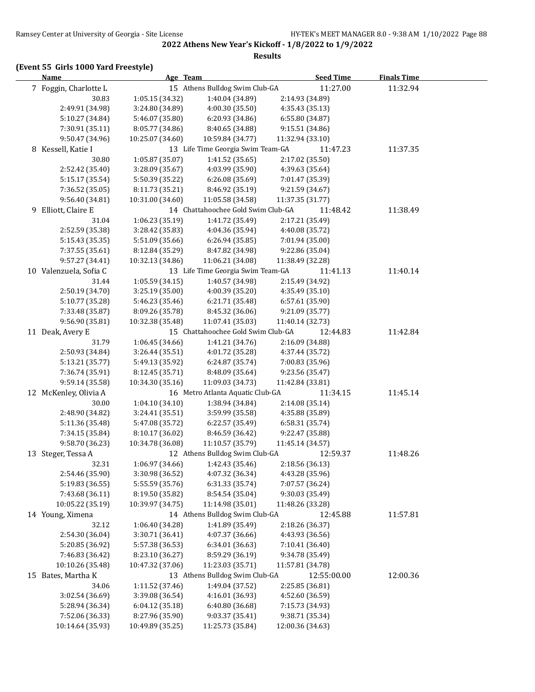#### **Results**

# **(Event 55 Girls 1000 Yard Freestyle)**

| <b>Name</b>            | Age Team         |                                    | <b>Seed Time</b> | <b>Finals Time</b> |  |
|------------------------|------------------|------------------------------------|------------------|--------------------|--|
| 7 Foggin, Charlotte L  |                  | 15 Athens Bulldog Swim Club-GA     | 11:27.00         | 11:32.94           |  |
| 30.83                  | 1:05.15(34.32)   | 1:40.04 (34.89)                    | 2:14.93 (34.89)  |                    |  |
| 2:49.91 (34.98)        | 3:24.80 (34.89)  | 4:00.30 (35.50)                    | 4:35.43 (35.13)  |                    |  |
| 5:10.27 (34.84)        | 5:46.07 (35.80)  | 6:20.93 (34.86)                    | 6:55.80 (34.87)  |                    |  |
| 7:30.91 (35.11)        | 8:05.77 (34.86)  | 8:40.65 (34.88)                    | 9:15.51 (34.86)  |                    |  |
| 9:50.47 (34.96)        | 10:25.07 (34.60) | 10:59.84 (34.77)                   | 11:32.94 (33.10) |                    |  |
| 8 Kessell, Katie I     |                  | 13 Life Time Georgia Swim Team-GA  | 11:47.23         | 11:37.35           |  |
| 30.80                  | 1:05.87 (35.07)  | 1:41.52 (35.65)                    | 2:17.02 (35.50)  |                    |  |
| 2:52.42 (35.40)        | 3:28.09 (35.67)  | 4:03.99 (35.90)                    | 4:39.63 (35.64)  |                    |  |
| 5:15.17 (35.54)        | 5:50.39 (35.22)  | 6:26.08 (35.69)                    | 7:01.47 (35.39)  |                    |  |
| 7:36.52 (35.05)        | 8:11.73 (35.21)  | 8:46.92 (35.19)                    | 9:21.59 (34.67)  |                    |  |
| 9:56.40 (34.81)        | 10:31.00 (34.60) | 11:05.58 (34.58)                   | 11:37.35 (31.77) |                    |  |
| 9 Elliott, Claire E    |                  | 14 Chattahoochee Gold Swim Club-GA | 11:48.42         | 11:38.49           |  |
| 31.04                  | 1:06.23 (35.19)  | 1:41.72 (35.49)                    | 2:17.21 (35.49)  |                    |  |
| 2:52.59 (35.38)        | 3:28.42 (35.83)  | 4:04.36 (35.94)                    | 4:40.08 (35.72)  |                    |  |
| 5:15.43 (35.35)        | 5:51.09 (35.66)  | 6:26.94 (35.85)                    | 7:01.94 (35.00)  |                    |  |
| 7:37.55 (35.61)        | 8:12.84 (35.29)  | 8:47.82 (34.98)                    | 9:22.86 (35.04)  |                    |  |
| 9:57.27 (34.41)        | 10:32.13 (34.86) | 11:06.21 (34.08)                   | 11:38.49 (32.28) |                    |  |
| 10 Valenzuela, Sofia C |                  | 13 Life Time Georgia Swim Team-GA  | 11:41.13         | 11:40.14           |  |
| 31.44                  | 1:05.59 (34.15)  | 1:40.57 (34.98)                    | 2:15.49 (34.92)  |                    |  |
| 2:50.19 (34.70)        | 3:25.19 (35.00)  | 4:00.39 (35.20)                    | 4:35.49 (35.10)  |                    |  |
| 5:10.77 (35.28)        | 5:46.23 (35.46)  | 6:21.71 (35.48)                    | 6:57.61 (35.90)  |                    |  |
| 7:33.48 (35.87)        | 8:09.26 (35.78)  | 8:45.32 (36.06)                    | 9:21.09 (35.77)  |                    |  |
| 9:56.90 (35.81)        | 10:32.38 (35.48) | 11:07.41 (35.03)                   | 11:40.14 (32.73) |                    |  |
| 11 Deak, Avery E       |                  | 15 Chattahoochee Gold Swim Club-GA | 12:44.83         | 11:42.84           |  |
| 31.79                  | 1:06.45 (34.66)  | 1:41.21 (34.76)                    | 2:16.09 (34.88)  |                    |  |
| 2:50.93 (34.84)        | 3:26.44 (35.51)  | 4:01.72 (35.28)                    | 4:37.44 (35.72)  |                    |  |
| 5:13.21 (35.77)        | 5:49.13 (35.92)  | 6:24.87 (35.74)                    | 7:00.83 (35.96)  |                    |  |
| 7:36.74 (35.91)        | 8:12.45 (35.71)  | 8:48.09 (35.64)                    | 9:23.56 (35.47)  |                    |  |
| 9:59.14 (35.58)        | 10:34.30 (35.16) | 11:09.03 (34.73)                   | 11:42.84 (33.81) |                    |  |
| 12 McKenley, Olivia A  |                  | 16 Metro Atlanta Aquatic Club-GA   | 11:34.15         | 11:45.14           |  |
| 30.00                  | 1:04.10 (34.10)  | 1:38.94 (34.84)                    | 2:14.08 (35.14)  |                    |  |
| 2:48.90 (34.82)        | 3:24.41 (35.51)  | 3:59.99 (35.58)                    | 4:35.88 (35.89)  |                    |  |
| 5:11.36 (35.48)        | 5:47.08 (35.72)  | 6:22.57 (35.49)                    | 6:58.31 (35.74)  |                    |  |
| 7:34.15 (35.84)        | 8:10.17 (36.02)  | 8:46.59 (36.42)                    | 9:22.47 (35.88)  |                    |  |
| 9:58.70 (36.23)        | 10:34.78 (36.08) | 11:10.57 (35.79)                   | 11:45.14 (34.57) |                    |  |
| 13 Steger, Tessa A     |                  | 12 Athens Bulldog Swim Club-GA     | 12:59.37         | 11:48.26           |  |
| 32.31                  | 1:06.97 (34.66)  | 1:42.43 (35.46)                    | 2:18.56 (36.13)  |                    |  |
| 2:54.46 (35.90)        | 3:30.98 (36.52)  | 4:07.32 (36.34)                    | 4:43.28 (35.96)  |                    |  |
| 5:19.83 (36.55)        | 5:55.59 (35.76)  | 6:31.33 (35.74)                    | 7:07.57 (36.24)  |                    |  |
| 7:43.68 (36.11)        | 8:19.50 (35.82)  | 8:54.54 (35.04)                    | 9:30.03 (35.49)  |                    |  |
| 10:05.22 (35.19)       | 10:39.97 (34.75) | 11:14.98 (35.01)                   | 11:48.26 (33.28) |                    |  |
| 14 Young, Ximena       |                  | 14 Athens Bulldog Swim Club-GA     | 12:45.88         | 11:57.81           |  |
| 32.12                  | 1:06.40 (34.28)  | 1:41.89 (35.49)                    | 2:18.26 (36.37)  |                    |  |
| 2:54.30 (36.04)        | 3:30.71 (36.41)  | 4:07.37 (36.66)                    | 4:43.93 (36.56)  |                    |  |
| 5:20.85 (36.92)        | 5:57.38 (36.53)  | 6:34.01 (36.63)                    | 7:10.41 (36.40)  |                    |  |
| 7:46.83 (36.42)        | 8:23.10 (36.27)  | 8:59.29 (36.19)                    | 9:34.78 (35.49)  |                    |  |
| 10:10.26 (35.48)       | 10:47.32 (37.06) | 11:23.03 (35.71)                   | 11:57.81 (34.78) |                    |  |
| 15 Bates, Martha K     |                  | 13 Athens Bulldog Swim Club-GA     | 12:55:00.00      | 12:00.36           |  |
| 34.06                  | 1:11.52 (37.46)  | 1:49.04 (37.52)                    | 2:25.85 (36.81)  |                    |  |
| 3:02.54 (36.69)        | 3:39.08 (36.54)  | 4:16.01 (36.93)                    | 4:52.60 (36.59)  |                    |  |
| 5:28.94 (36.34)        | 6:04.12 (35.18)  | 6:40.80 (36.68)                    | 7:15.73 (34.93)  |                    |  |
| 7:52.06 (36.33)        | 8:27.96 (35.90)  | 9:03.37 (35.41)                    | 9:38.71 (35.34)  |                    |  |
| 10:14.64 (35.93)       | 10:49.89 (35.25) | 11:25.73 (35.84)                   | 12:00.36 (34.63) |                    |  |
|                        |                  |                                    |                  |                    |  |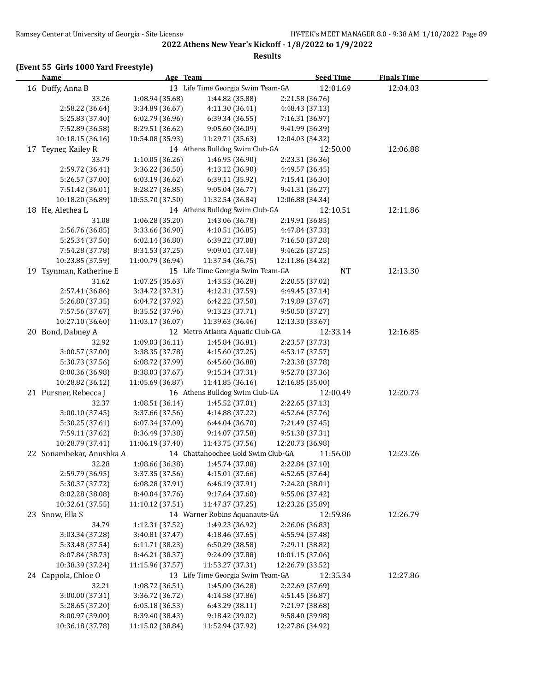#### **Results**

# **(Event 55 Girls 1000 Yard Freestyle)**

| <b>Name</b>              | Age Team         |                                    | <b>Seed Time</b> | <b>Finals Time</b> |  |
|--------------------------|------------------|------------------------------------|------------------|--------------------|--|
| 16 Duffy, Anna B         |                  | 13 Life Time Georgia Swim Team-GA  | 12:01.69         | 12:04.03           |  |
| 33.26                    | 1:08.94 (35.68)  | 1:44.82 (35.88)                    | 2:21.58 (36.76)  |                    |  |
| 2:58.22 (36.64)          | 3:34.89 (36.67)  | 4:11.30 (36.41)                    | 4:48.43 (37.13)  |                    |  |
| 5:25.83 (37.40)          | 6:02.79 (36.96)  | 6:39.34 (36.55)                    | 7:16.31 (36.97)  |                    |  |
| 7:52.89 (36.58)          | 8:29.51 (36.62)  | 9:05.60 (36.09)                    | 9:41.99 (36.39)  |                    |  |
| 10:18.15 (36.16)         | 10:54.08 (35.93) | 11:29.71 (35.63)                   | 12:04.03 (34.32) |                    |  |
| 17 Teyner, Kailey R      |                  | 14 Athens Bulldog Swim Club-GA     | 12:50.00         | 12:06.88           |  |
| 33.79                    | 1:10.05 (36.26)  | 1:46.95 (36.90)                    | 2:23.31 (36.36)  |                    |  |
| 2:59.72 (36.41)          | 3:36.22 (36.50)  | 4:13.12 (36.90)                    | 4:49.57 (36.45)  |                    |  |
| 5:26.57 (37.00)          | 6:03.19 (36.62)  | 6:39.11 (35.92)                    | 7:15.41 (36.30)  |                    |  |
| 7:51.42 (36.01)          | 8:28.27 (36.85)  | 9:05.04 (36.77)                    | 9:41.31 (36.27)  |                    |  |
| 10:18.20 (36.89)         | 10:55.70 (37.50) | 11:32.54 (36.84)                   | 12:06.88 (34.34) |                    |  |
| 18 He, Alethea L         |                  | 14 Athens Bulldog Swim Club-GA     | 12:10.51         | 12:11.86           |  |
| 31.08                    | 1:06.28 (35.20)  | 1:43.06 (36.78)                    | 2:19.91 (36.85)  |                    |  |
| 2:56.76 (36.85)          | 3:33.66 (36.90)  | 4:10.51 (36.85)                    | 4:47.84 (37.33)  |                    |  |
| 5:25.34 (37.50)          | 6:02.14 (36.80)  | 6:39.22 (37.08)                    | 7:16.50 (37.28)  |                    |  |
| 7:54.28 (37.78)          | 8:31.53 (37.25)  | 9:09.01 (37.48)                    | 9:46.26 (37.25)  |                    |  |
| 10:23.85 (37.59)         | 11:00.79 (36.94) | 11:37.54 (36.75)                   | 12:11.86 (34.32) |                    |  |
| 19 Tsynman, Katherine E  |                  | 15 Life Time Georgia Swim Team-GA  | $\bf NT$         | 12:13.30           |  |
| 31.62                    | 1:07.25 (35.63)  | 1:43.53 (36.28)                    | 2:20.55 (37.02)  |                    |  |
| 2:57.41 (36.86)          | 3:34.72 (37.31)  | 4:12.31 (37.59)                    | 4:49.45 (37.14)  |                    |  |
| 5:26.80 (37.35)          | 6:04.72 (37.92)  | 6:42.22 (37.50)                    | 7:19.89 (37.67)  |                    |  |
| 7:57.56 (37.67)          | 8:35.52 (37.96)  | 9:13.23 (37.71)                    | 9:50.50 (37.27)  |                    |  |
| 10:27.10 (36.60)         | 11:03.17 (36.07) | 11:39.63 (36.46)                   | 12:13.30 (33.67) |                    |  |
| 20 Bond, Dabney A        |                  | 12 Metro Atlanta Aquatic Club-GA   | 12:33.14         | 12:16.85           |  |
| 32.92                    | 1:09.03 (36.11)  | 1:45.84 (36.81)                    | 2:23.57 (37.73)  |                    |  |
| 3:00.57 (37.00)          | 3:38.35 (37.78)  | 4:15.60 (37.25)                    | 4:53.17 (37.57)  |                    |  |
| 5:30.73 (37.56)          | 6:08.72 (37.99)  | 6:45.60 (36.88)                    | 7:23.38 (37.78)  |                    |  |
| 8:00.36 (36.98)          | 8:38.03 (37.67)  | 9:15.34 (37.31)                    | 9:52.70 (37.36)  |                    |  |
| 10:28.82 (36.12)         | 11:05.69 (36.87) | 11:41.85 (36.16)                   | 12:16.85 (35.00) |                    |  |
| 21 Pursner, Rebecca J    |                  | 16 Athens Bulldog Swim Club-GA     | 12:00.49         | 12:20.73           |  |
| 32.37                    | 1:08.51 (36.14)  | 1:45.52 (37.01)                    | 2:22.65 (37.13)  |                    |  |
| 3:00.10 (37.45)          | 3:37.66 (37.56)  | 4:14.88 (37.22)                    | 4:52.64 (37.76)  |                    |  |
| 5:30.25 (37.61)          | 6:07.34 (37.09)  | 6:44.04 (36.70)                    | 7:21.49 (37.45)  |                    |  |
| 7:59.11 (37.62)          | 8:36.49 (37.38)  | 9:14.07 (37.58)                    | 9:51.38 (37.31)  |                    |  |
| 10:28.79 (37.41)         | 11:06.19 (37.40) | 11:43.75 (37.56)                   | 12:20.73 (36.98) |                    |  |
| 22 Sonambekar, Anushka A |                  | 14 Chattahoochee Gold Swim Club-GA | 11:56.00         | 12:23.26           |  |
| 32.28                    | 1:08.66 (36.38)  | 1:45.74 (37.08)                    | 2:22.84 (37.10)  |                    |  |
| 2:59.79 (36.95)          | 3:37.35 (37.56)  | 4:15.01 (37.66)                    | 4:52.65 (37.64)  |                    |  |
| 5:30.37 (37.72)          | 6:08.28 (37.91)  | 6:46.19 (37.91)                    | 7:24.20 (38.01)  |                    |  |
| 8:02.28 (38.08)          | 8:40.04 (37.76)  | 9:17.64 (37.60)                    | 9:55.06 (37.42)  |                    |  |
| 10:32.61 (37.55)         | 11:10.12 (37.51) | 11:47.37 (37.25)                   | 12:23.26 (35.89) |                    |  |
| 23 Snow, Ella S          |                  | 14 Warner Robins Aquanauts-GA      | 12:59.86         | 12:26.79           |  |
| 34.79                    | 1:12.31 (37.52)  | 1:49.23 (36.92)                    | 2:26.06 (36.83)  |                    |  |
| 3:03.34 (37.28)          | 3:40.81 (37.47)  | 4:18.46 (37.65)                    | 4:55.94 (37.48)  |                    |  |
| 5:33.48 (37.54)          | 6:11.71 (38.23)  | 6:50.29 (38.58)                    | 7:29.11 (38.82)  |                    |  |
| 8:07.84 (38.73)          | 8:46.21 (38.37)  | 9:24.09 (37.88)                    | 10:01.15 (37.06) |                    |  |
| 10:38.39 (37.24)         | 11:15.96 (37.57) | 11:53.27 (37.31)                   | 12:26.79 (33.52) |                    |  |
| 24 Cappola, Chloe O      |                  | 13 Life Time Georgia Swim Team-GA  | 12:35.34         | 12:27.86           |  |
| 32.21                    | 1:08.72 (36.51)  | 1:45.00 (36.28)                    | 2:22.69 (37.69)  |                    |  |
| 3:00.00 (37.31)          | 3:36.72 (36.72)  | 4:14.58 (37.86)                    | 4:51.45 (36.87)  |                    |  |
| 5:28.65 (37.20)          | 6:05.18 (36.53)  | 6:43.29 (38.11)                    | 7:21.97 (38.68)  |                    |  |
| 8:00.97 (39.00)          | 8:39.40 (38.43)  | 9:18.42 (39.02)                    | 9:58.40 (39.98)  |                    |  |
| 10:36.18 (37.78)         | 11:15.02 (38.84) | 11:52.94 (37.92)                   | 12:27.86 (34.92) |                    |  |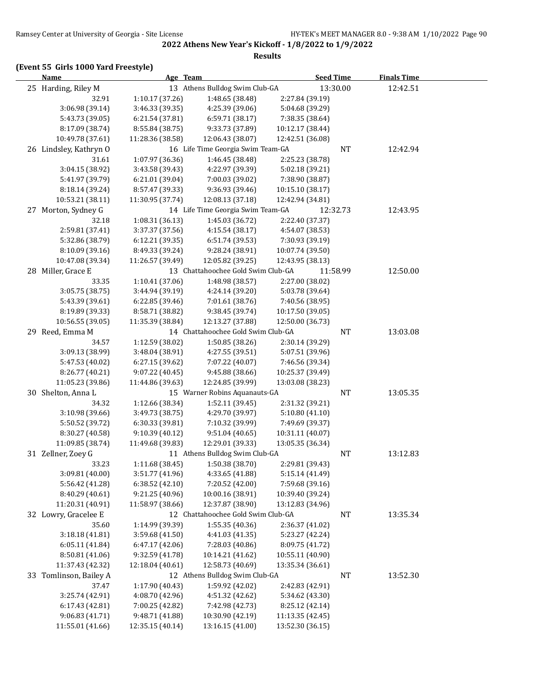#### **Results**

# **(Event 55 Girls 1000 Yard Freestyle)**

| <b>Name</b>                        | Age Team                           |                                    | <b>Seed Time</b>                   |           | <b>Finals Time</b> |  |
|------------------------------------|------------------------------------|------------------------------------|------------------------------------|-----------|--------------------|--|
| 25 Harding, Riley M                |                                    | 13 Athens Bulldog Swim Club-GA     | 13:30.00                           |           | 12:42.51           |  |
| 32.91                              | 1:10.17 (37.26)                    | 1:48.65 (38.48)                    | 2:27.84 (39.19)                    |           |                    |  |
| 3:06.98 (39.14)                    | 3:46.33 (39.35)                    | 4:25.39 (39.06)                    | 5:04.68 (39.29)                    |           |                    |  |
| 5:43.73 (39.05)                    | 6:21.54 (37.81)                    | 6:59.71 (38.17)                    | 7:38.35 (38.64)                    |           |                    |  |
| 8:17.09 (38.74)                    | 8:55.84 (38.75)                    | 9:33.73 (37.89)                    | 10:12.17 (38.44)                   |           |                    |  |
| 10:49.78 (37.61)                   | 11:28.36 (38.58)                   | 12:06.43 (38.07)                   | 12:42.51 (36.08)                   |           |                    |  |
| 26 Lindsley, Kathryn O             |                                    | 16 Life Time Georgia Swim Team-GA  |                                    | NT        | 12:42.94           |  |
| 31.61                              | 1:07.97 (36.36)                    | 1:46.45 (38.48)                    | 2:25.23 (38.78)                    |           |                    |  |
| 3:04.15 (38.92)                    | 3:43.58 (39.43)                    | 4:22.97 (39.39)                    | 5:02.18 (39.21)                    |           |                    |  |
| 5:41.97 (39.79)                    | 6:21.01 (39.04)                    | 7:00.03 (39.02)                    | 7:38.90 (38.87)                    |           |                    |  |
| 8:18.14 (39.24)                    | 8:57.47 (39.33)                    | 9:36.93 (39.46)                    | 10:15.10 (38.17)                   |           |                    |  |
| 10:53.21 (38.11)                   | 11:30.95 (37.74)                   | 12:08.13 (37.18)                   | 12:42.94 (34.81)                   |           |                    |  |
| 27 Morton, Sydney G                |                                    | 14 Life Time Georgia Swim Team-GA  | 12:32.73                           |           | 12:43.95           |  |
| 32.18                              | 1:08.31 (36.13)                    | 1:45.03 (36.72)                    | 2:22.40 (37.37)                    |           |                    |  |
| 2:59.81 (37.41)                    | 3:37.37 (37.56)                    | 4:15.54 (38.17)                    | 4:54.07 (38.53)                    |           |                    |  |
| 5:32.86 (38.79)                    | 6:12.21 (39.35)                    | 6:51.74 (39.53)                    | 7:30.93 (39.19)                    |           |                    |  |
| 8:10.09 (39.16)                    | 8:49.33 (39.24)                    | 9:28.24 (38.91)                    | 10:07.74 (39.50)                   |           |                    |  |
| 10:47.08 (39.34)                   | 11:26.57 (39.49)                   | 12:05.82 (39.25)                   | 12:43.95 (38.13)                   |           |                    |  |
| 28 Miller, Grace E                 |                                    | 13 Chattahoochee Gold Swim Club-GA | 11:58.99                           |           | 12:50.00           |  |
| 33.35                              | 1:10.41(37.06)                     | 1:48.98 (38.57)                    | 2:27.00 (38.02)                    |           |                    |  |
| 3:05.75 (38.75)                    | 3:44.94 (39.19)                    | 4:24.14 (39.20)                    | 5:03.78 (39.64)                    |           |                    |  |
| 5:43.39 (39.61)                    | 6:22.85 (39.46)                    | 7:01.61 (38.76)                    | 7:40.56 (38.95)                    |           |                    |  |
| 8:19.89 (39.33)                    | 8:58.71 (38.82)                    | 9:38.45 (39.74)                    | 10:17.50 (39.05)                   |           |                    |  |
| 10:56.55 (39.05)                   | 11:35.39 (38.84)                   | 12:13.27 (37.88)                   | 12:50.00 (36.73)                   |           |                    |  |
| 29 Reed, Emma M                    |                                    | 14 Chattahoochee Gold Swim Club-GA |                                    | NT        | 13:03.08           |  |
| 34.57                              | 1:12.59 (38.02)                    | 1:50.85 (38.26)                    | 2:30.14 (39.29)                    |           |                    |  |
| 3:09.13 (38.99)                    | 3:48.04 (38.91)                    | 4:27.55 (39.51)                    | 5:07.51 (39.96)                    |           |                    |  |
| 5:47.53 (40.02)                    | 6:27.15 (39.62)                    | 7:07.22 (40.07)                    | 7:46.56 (39.34)                    |           |                    |  |
| 8:26.77 (40.21)                    | 9:07.22 (40.45)                    | 9:45.88 (38.66)                    | 10:25.37 (39.49)                   |           |                    |  |
| 11:05.23 (39.86)                   | 11:44.86 (39.63)                   | 12:24.85 (39.99)                   | 13:03.08 (38.23)                   |           |                    |  |
| 30 Shelton, Anna L                 |                                    | 15 Warner Robins Aquanauts-GA      |                                    | <b>NT</b> | 13:05.35           |  |
| 34.32                              | 1:12.66 (38.34)                    | 1:52.11 (39.45)                    | 2:31.32 (39.21)                    |           |                    |  |
| 3:10.98 (39.66)                    | 3:49.73 (38.75)                    | 4:29.70 (39.97)                    | 5:10.80(41.10)                     |           |                    |  |
| 5:50.52 (39.72)                    | 6:30.33 (39.81)                    | 7:10.32 (39.99)                    | 7:49.69 (39.37)                    |           |                    |  |
| 8:30.27 (40.58)                    | 9:10.39(40.12)                     | 9:51.04(40.65)                     | 10:31.11 (40.07)                   |           |                    |  |
| 11:09.85 (38.74)                   | 11:49.68 (39.83)                   | 12:29.01 (39.33)                   | 13:05.35 (36.34)                   |           |                    |  |
| 31 Zellner, Zoey G                 |                                    | 11 Athens Bulldog Swim Club-GA     |                                    | NT        | 13:12.83           |  |
| 33.23                              | 1:11.68 (38.45)<br>3:51.77 (41.96) | 1:50.38 (38.70)<br>4:33.65 (41.88) | 2:29.81 (39.43)<br>5:15.14 (41.49) |           |                    |  |
| 3:09.81 (40.00)<br>5:56.42 (41.28) | 6:38.52(42.10)                     | 7:20.52 (42.00)                    | 7:59.68 (39.16)                    |           |                    |  |
| 8:40.29 (40.61)                    | 9:21.25 (40.96)                    | 10:00.16 (38.91)                   | 10:39.40 (39.24)                   |           |                    |  |
| 11:20.31 (40.91)                   | 11:58.97 (38.66)                   | 12:37.87 (38.90)                   | 13:12.83 (34.96)                   |           |                    |  |
| 32 Lowry, Gracelee E               |                                    | 12 Chattahoochee Gold Swim Club-GA |                                    | NT        | 13:35.34           |  |
| 35.60                              | 1:14.99 (39.39)                    | 1:55.35 (40.36)                    | 2:36.37 (41.02)                    |           |                    |  |
| 3:18.18 (41.81)                    | 3:59.68 (41.50)                    | 4:41.03 (41.35)                    | 5:23.27 (42.24)                    |           |                    |  |
| 6:05.11 (41.84)                    | 6:47.17 (42.06)                    | 7:28.03 (40.86)                    | 8:09.75 (41.72)                    |           |                    |  |
| 8:50.81 (41.06)                    | 9:32.59 (41.78)                    | 10:14.21 (41.62)                   | 10:55.11 (40.90)                   |           |                    |  |
| 11:37.43 (42.32)                   | 12:18.04 (40.61)                   | 12:58.73 (40.69)                   | 13:35.34 (36.61)                   |           |                    |  |
| 33 Tomlinson, Bailey A             |                                    | 12 Athens Bulldog Swim Club-GA     |                                    | NT        | 13:52.30           |  |
| 37.47                              | 1:17.90 (40.43)                    | 1:59.92 (42.02)                    | 2:42.83 (42.91)                    |           |                    |  |
| 3:25.74 (42.91)                    | 4:08.70 (42.96)                    | 4:51.32 (42.62)                    | 5:34.62 (43.30)                    |           |                    |  |
| 6:17.43 (42.81)                    | 7:00.25 (42.82)                    | 7:42.98 (42.73)                    | 8:25.12 (42.14)                    |           |                    |  |
| 9:06.83 (41.71)                    | 9:48.71 (41.88)                    | 10:30.90 (42.19)                   | 11:13.35 (42.45)                   |           |                    |  |
| 11:55.01 (41.66)                   | 12:35.15 (40.14)                   | 13:16.15 (41.00)                   | 13:52.30 (36.15)                   |           |                    |  |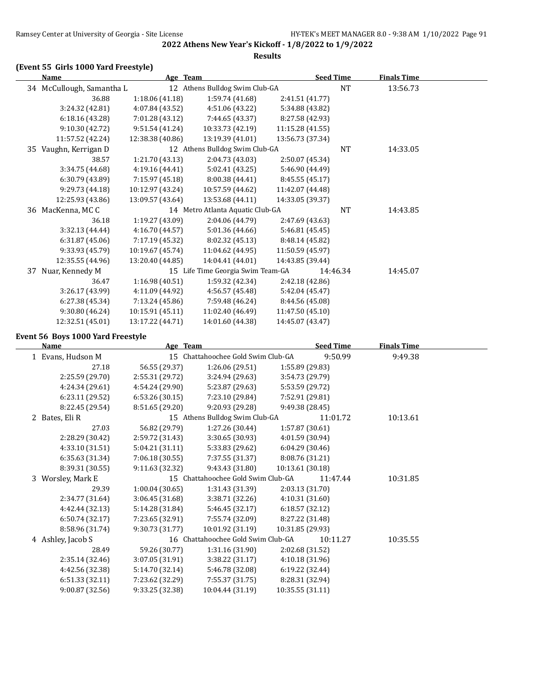**2022 Athens New Year's Kickoff - 1/8/2022 to 1/9/2022 Results**

### **(Event 55 Girls 1000 Yard Freestyle)**

| Name                      |                  | Age Team                          | <b>Seed Time</b> |           | <b>Finals Time</b> |  |
|---------------------------|------------------|-----------------------------------|------------------|-----------|--------------------|--|
| 34 McCullough, Samantha L |                  | 12 Athens Bulldog Swim Club-GA    |                  | <b>NT</b> | 13:56.73           |  |
| 36.88                     | 1:18.06(41.18)   | 1:59.74 (41.68)                   | 2:41.51 (41.77)  |           |                    |  |
| 3:24.32 (42.81)           | 4:07.84 (43.52)  | 4:51.06 (43.22)                   | 5:34.88 (43.82)  |           |                    |  |
| 6:18.16 (43.28)           | 7:01.28 (43.12)  | 7:44.65 (43.37)                   | 8:27.58 (42.93)  |           |                    |  |
| 9:10.30(42.72)            | 9:51.54(41.24)   | 10:33.73 (42.19)                  | 11:15.28 (41.55) |           |                    |  |
| 11:57.52 (42.24)          | 12:38.38 (40.86) | 13:19.39 (41.01)                  | 13:56.73 (37.34) |           |                    |  |
| 35 Vaughn, Kerrigan D     |                  | 12 Athens Bulldog Swim Club-GA    |                  | <b>NT</b> | 14:33.05           |  |
| 38.57                     | 1:21.70 (43.13)  | 2:04.73 (43.03)                   | 2:50.07 (45.34)  |           |                    |  |
| 3:34.75 (44.68)           | 4:19.16 (44.41)  | 5:02.41 (43.25)                   | 5:46.90 (44.49)  |           |                    |  |
| 6:30.79 (43.89)           | 7:15.97 (45.18)  | 8:00.38 (44.41)                   | 8:45.55 (45.17)  |           |                    |  |
| 9:29.73 (44.18)           | 10:12.97 (43.24) | 10:57.59 (44.62)                  | 11:42.07 (44.48) |           |                    |  |
| 12:25.93 (43.86)          | 13:09.57 (43.64) | 13:53.68 (44.11)                  | 14:33.05 (39.37) |           |                    |  |
| 36 MacKenna, MC C         |                  | 14 Metro Atlanta Aquatic Club-GA  |                  | <b>NT</b> | 14:43.85           |  |
| 36.18                     | 1:19.27 (43.09)  | 2:04.06 (44.79)                   | 2:47.69 (43.63)  |           |                    |  |
| 3:32.13(44.44)            | 4:16.70 (44.57)  | 5:01.36(44.66)                    | 5:46.81(45.45)   |           |                    |  |
| 6:31.87(45.06)            | 7:17.19 (45.32)  | 8:02.32 (45.13)                   | 8:48.14 (45.82)  |           |                    |  |
| 9:33.93 (45.79)           | 10:19.67 (45.74) | 11:04.62 (44.95)                  | 11:50.59 (45.97) |           |                    |  |
| 12:35.55 (44.96)          | 13:20.40 (44.85) | 14:04.41 (44.01)                  | 14:43.85 (39.44) |           |                    |  |
| 37 Nuar, Kennedy M        |                  | 15 Life Time Georgia Swim Team-GA |                  | 14:46.34  | 14:45.07           |  |
| 36.47                     | 1:16.98(40.51)   | 1:59.32 (42.34)                   | 2:42.18 (42.86)  |           |                    |  |
| 3:26.17 (43.99)           | 4:11.09 (44.92)  | 4:56.57 (45.48)                   | 5:42.04 (45.47)  |           |                    |  |
| 6:27.38 (45.34)           | 7:13.24 (45.86)  | 7:59.48 (46.24)                   | 8:44.56 (45.08)  |           |                    |  |
| 9:30.80(46.24)            | 10:15.91 (45.11) | 11:02.40 (46.49)                  | 11:47.50 (45.10) |           |                    |  |
| 12:32.51 (45.01)          | 13:17.22 (44.71) | 14:01.60 (44.38)                  | 14:45.07 (43.47) |           |                    |  |

#### **Event 56 Boys 1000 Yard Freestyle**

| Name              | Age             | <b>Team</b>                        | <b>Seed Time</b> | <b>Finals Time</b> |  |
|-------------------|-----------------|------------------------------------|------------------|--------------------|--|
| 1 Evans, Hudson M |                 | 15 Chattahoochee Gold Swim Club-GA | 9:50.99          | 9:49.38            |  |
| 27.18             | 56.55 (29.37)   | 1:26.06 (29.51)                    | 1:55.89 (29.83)  |                    |  |
| 2:25.59 (29.70)   | 2:55.31 (29.72) | 3:24.94 (29.63)                    | 3:54.73 (29.79)  |                    |  |
| 4:24.34 (29.61)   | 4:54.24 (29.90) | 5:23.87 (29.63)                    | 5:53.59 (29.72)  |                    |  |
| 6:23.11(29.52)    | 6:53.26(30.15)  | 7:23.10 (29.84)                    | 7:52.91 (29.81)  |                    |  |
| 8:22.45 (29.54)   | 8:51.65 (29.20) | 9:20.93 (29.28)                    | 9:49.38 (28.45)  |                    |  |
| 2 Bates, Eli R    |                 | 15 Athens Bulldog Swim Club-GA     | 11:01.72         | 10:13.61           |  |
| 27.03             | 56.82 (29.79)   | 1:27.26 (30.44)                    | 1:57.87 (30.61)  |                    |  |
| 2:28.29 (30.42)   | 2:59.72 (31.43) | 3:30.65(30.93)                     | 4:01.59 (30.94)  |                    |  |
| 4:33.10 (31.51)   | 5:04.21 (31.11) | 5:33.83 (29.62)                    | 6:04.29 (30.46)  |                    |  |
| 6:35.63 (31.34)   | 7:06.18(30.55)  | 7:37.55 (31.37)                    | 8:08.76 (31.21)  |                    |  |
| 8:39.31 (30.55)   | 9:11.63 (32.32) | 9:43.43 (31.80)                    | 10:13.61 (30.18) |                    |  |
| 3 Worsley, Mark E |                 | 15 Chattahoochee Gold Swim Club-GA | 11:47.44         | 10:31.85           |  |
| 29.39             | 1:00.04(30.65)  | 1:31.43 (31.39)                    | 2:03.13 (31.70)  |                    |  |
| 2:34.77 (31.64)   | 3:06.45 (31.68) | 3:38.71 (32.26)                    | 4:10.31 (31.60)  |                    |  |
| 4:42.44 (32.13)   | 5:14.28 (31.84) | 5:46.45 (32.17)                    | 6:18.57 (32.12)  |                    |  |
| 6:50.74 (32.17)   | 7:23.65 (32.91) | 7:55.74 (32.09)                    | 8:27.22 (31.48)  |                    |  |
| 8:58.96 (31.74)   | 9:30.73 (31.77) | 10:01.92 (31.19)                   | 10:31.85 (29.93) |                    |  |
| 4 Ashley, Jacob S |                 | 16 Chattahoochee Gold Swim Club-GA | 10:11.27         | 10:35.55           |  |
| 28.49             | 59.26 (30.77)   | 1:31.16 (31.90)                    | 2:02.68 (31.52)  |                    |  |
| 2:35.14 (32.46)   | 3:07.05 (31.91) | 3:38.22(31.17)                     | 4:10.18 (31.96)  |                    |  |
| 4:42.56 (32.38)   | 5:14.70 (32.14) | 5:46.78 (32.08)                    | 6:19.22 (32.44)  |                    |  |
| 6:51.33 (32.11)   | 7:23.62 (32.29) | 7:55.37 (31.75)                    | 8:28.31 (32.94)  |                    |  |
| 9:00.87 (32.56)   | 9:33.25 (32.38) | 10:04.44 (31.19)                   | 10:35.55 (31.11) |                    |  |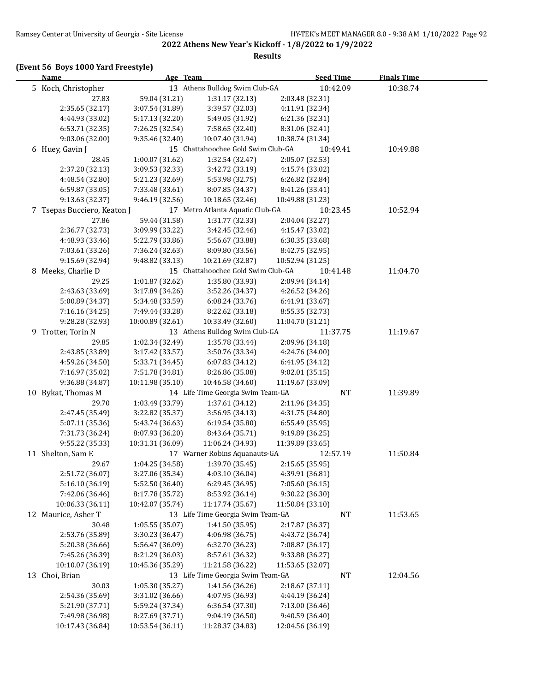#### **Results**

# **(Event 56 Boys 1000 Yard Freestyle)**

| <b>Name</b>                 | Age Team         |                                    | <b>Seed Time</b> | <b>Finals Time</b> |  |
|-----------------------------|------------------|------------------------------------|------------------|--------------------|--|
| 5 Koch, Christopher         |                  | 13 Athens Bulldog Swim Club-GA     | 10:42.09         | 10:38.74           |  |
| 27.83                       | 59.04 (31.21)    | 1:31.17 (32.13)                    | 2:03.48 (32.31)  |                    |  |
| 2:35.65 (32.17)             | 3:07.54 (31.89)  | 3:39.57 (32.03)                    | 4:11.91 (32.34)  |                    |  |
| 4:44.93 (33.02)             | 5:17.13 (32.20)  | 5:49.05 (31.92)                    | 6:21.36 (32.31)  |                    |  |
| 6:53.71 (32.35)             | 7:26.25 (32.54)  | 7:58.65 (32.40)                    | 8:31.06 (32.41)  |                    |  |
| 9:03.06 (32.00)             | 9:35.46 (32.40)  | 10:07.40 (31.94)                   | 10:38.74 (31.34) |                    |  |
| 6 Huey, Gavin J             |                  | 15 Chattahoochee Gold Swim Club-GA | 10:49.41         | 10:49.88           |  |
| 28.45                       | 1:00.07 (31.62)  | 1:32.54 (32.47)                    | 2:05.07 (32.53)  |                    |  |
| 2:37.20 (32.13)             | 3:09.53 (32.33)  | 3:42.72 (33.19)                    | 4:15.74 (33.02)  |                    |  |
| 4:48.54 (32.80)             | 5:21.23 (32.69)  | 5:53.98 (32.75)                    | 6:26.82 (32.84)  |                    |  |
| 6:59.87 (33.05)             | 7:33.48 (33.61)  | 8:07.85 (34.37)                    | 8:41.26 (33.41)  |                    |  |
| 9:13.63 (32.37)             | 9:46.19(32.56)   | 10:18.65 (32.46)                   | 10:49.88 (31.23) |                    |  |
| 7 Tsepas Bucciero, Keaton J |                  | 17 Metro Atlanta Aquatic Club-GA   | 10:23.45         | 10:52.94           |  |
| 27.86                       | 59.44 (31.58)    | 1:31.77 (32.33)                    | 2:04.04 (32.27)  |                    |  |
| 2:36.77 (32.73)             | 3:09.99 (33.22)  | 3:42.45 (32.46)                    | 4:15.47 (33.02)  |                    |  |
| 4:48.93 (33.46)             | 5:22.79 (33.86)  | 5:56.67 (33.88)                    | 6:30.35 (33.68)  |                    |  |
| 7:03.61 (33.26)             | 7:36.24 (32.63)  | 8:09.80 (33.56)                    | 8:42.75 (32.95)  |                    |  |
| 9:15.69 (32.94)             | 9:48.82 (33.13)  | 10:21.69 (32.87)                   | 10:52.94 (31.25) |                    |  |
| 8 Meeks, Charlie D          |                  | 15 Chattahoochee Gold Swim Club-GA | 10:41.48         | 11:04.70           |  |
| 29.25                       | 1:01.87 (32.62)  | 1:35.80 (33.93)                    | 2:09.94 (34.14)  |                    |  |
| 2:43.63 (33.69)             | 3:17.89 (34.26)  | 3:52.26 (34.37)                    | 4:26.52 (34.26)  |                    |  |
| 5:00.89 (34.37)             | 5:34.48 (33.59)  | 6:08.24 (33.76)                    | 6:41.91 (33.67)  |                    |  |
| 7:16.16 (34.25)             | 7:49.44 (33.28)  | 8:22.62 (33.18)                    | 8:55.35 (32.73)  |                    |  |
| 9:28.28 (32.93)             | 10:00.89 (32.61) | 10:33.49 (32.60)                   | 11:04.70 (31.21) |                    |  |
| 9 Trotter, Torin N          |                  | 13 Athens Bulldog Swim Club-GA     | 11:37.75         | 11:19.67           |  |
| 29.85                       | 1:02.34 (32.49)  | 1:35.78 (33.44)                    | 2:09.96 (34.18)  |                    |  |
| 2:43.85 (33.89)             | 3:17.42 (33.57)  | 3:50.76 (33.34)                    | 4:24.76 (34.00)  |                    |  |
| 4:59.26 (34.50)             | 5:33.71 (34.45)  | 6:07.83 (34.12)                    | 6:41.95 (34.12)  |                    |  |
| 7:16.97 (35.02)             | 7:51.78 (34.81)  | 8:26.86 (35.08)                    | 9:02.01 (35.15)  |                    |  |
| 9:36.88 (34.87)             | 10:11.98 (35.10) | 10:46.58 (34.60)                   | 11:19.67 (33.09) |                    |  |
| 10 Bykat, Thomas M          |                  | 14 Life Time Georgia Swim Team-GA  | <b>NT</b>        | 11:39.89           |  |
| 29.70                       | 1:03.49 (33.79)  | 1:37.61 (34.12)                    | 2:11.96 (34.35)  |                    |  |
| 2:47.45 (35.49)             | 3:22.82 (35.37)  | 3:56.95 (34.13)                    | 4:31.75 (34.80)  |                    |  |
| 5:07.11 (35.36)             | 5:43.74 (36.63)  | 6:19.54 (35.80)                    | 6:55.49 (35.95)  |                    |  |
| 7:31.73 (36.24)             | 8:07.93 (36.20)  | 8:43.64 (35.71)                    | 9:19.89 (36.25)  |                    |  |
| 9:55.22 (35.33)             | 10:31.31 (36.09) | 11:06.24 (34.93)                   | 11:39.89 (33.65) |                    |  |
| 11 Shelton, Sam E           |                  | 17 Warner Robins Aquanauts-GA      | 12:57.19         | 11:50.84           |  |
| 29.67                       | 1:04.25 (34.58)  | 1:39.70 (35.45)                    | 2:15.65 (35.95)  |                    |  |
| 2:51.72 (36.07)             | 3:27.06 (35.34)  | 4:03.10 (36.04)                    | 4:39.91 (36.81)  |                    |  |
| 5:16.10 (36.19)             | 5:52.50 (36.40)  | 6:29.45 (36.95)                    | 7:05.60 (36.15)  |                    |  |
| 7:42.06 (36.46)             | 8:17.78 (35.72)  | 8:53.92 (36.14)                    | 9:30.22 (36.30)  |                    |  |
| 10:06.33 (36.11)            | 10:42.07 (35.74) | 11:17.74 (35.67)                   | 11:50.84 (33.10) |                    |  |
| 12 Maurice, Asher T         |                  | 13 Life Time Georgia Swim Team-GA  | NT               | 11:53.65           |  |
| 30.48                       | 1:05.55 (35.07)  | 1:41.50 (35.95)                    | 2:17.87 (36.37)  |                    |  |
| 2:53.76 (35.89)             | 3:30.23 (36.47)  | 4:06.98 (36.75)                    | 4:43.72 (36.74)  |                    |  |
| 5:20.38 (36.66)             | 5:56.47 (36.09)  | 6:32.70 (36.23)                    | 7:08.87 (36.17)  |                    |  |
| 7:45.26 (36.39)             | 8:21.29 (36.03)  | 8:57.61 (36.32)                    | 9:33.88 (36.27)  |                    |  |
| 10:10.07 (36.19)            | 10:45.36 (35.29) | 11:21.58 (36.22)                   | 11:53.65 (32.07) |                    |  |
| 13 Choi, Brian              |                  | 13 Life Time Georgia Swim Team-GA  | NT               | 12:04.56           |  |
| 30.03                       | 1:05.30 (35.27)  | 1:41.56 (36.26)                    | 2:18.67 (37.11)  |                    |  |
| 2:54.36 (35.69)             | 3:31.02 (36.66)  | 4:07.95 (36.93)                    | 4:44.19 (36.24)  |                    |  |
| 5:21.90 (37.71)             | 5:59.24 (37.34)  | 6:36.54 (37.30)                    | 7:13.00 (36.46)  |                    |  |
| 7:49.98 (36.98)             | 8:27.69 (37.71)  | 9:04.19 (36.50)                    | 9:40.59 (36.40)  |                    |  |
| 10:17.43 (36.84)            | 10:53.54 (36.11) | 11:28.37 (34.83)                   | 12:04.56 (36.19) |                    |  |